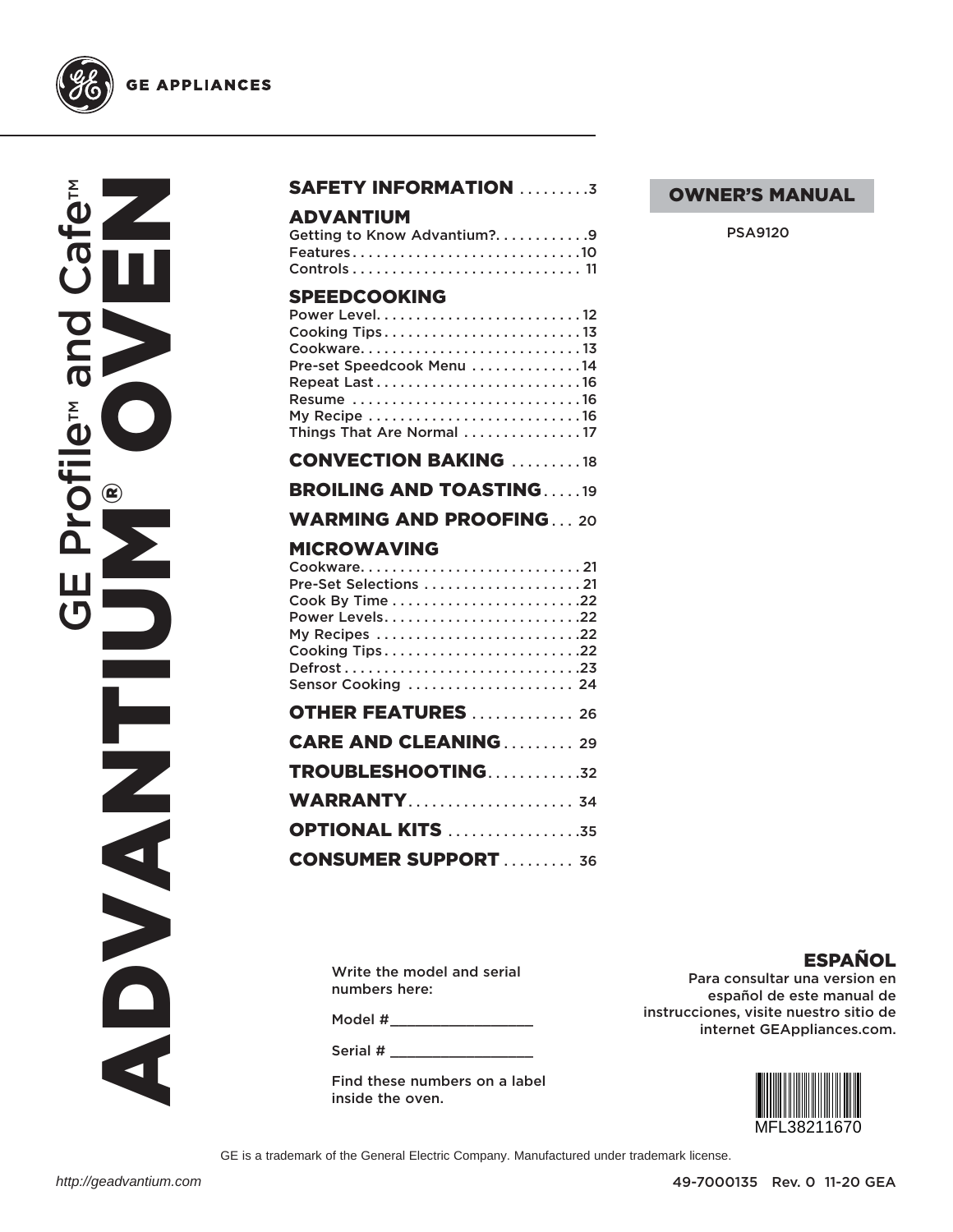

NUSSION ™™ and Cafe **RIC Profile<sup>TM</sup> de Profile CE Profile** ADVANTIUM  $\frac{1}{2}$ NAND O

#### SAFETY INFORMATION .........3

#### ADVANTIUM

| Getting to Know Advantium?9 |  |
|-----------------------------|--|
| Features10                  |  |
|                             |  |

#### **SDEEDCOOKING**

| Cooking Tips13<br>Cookware13<br>Pre-set Speedcook Menu 14<br>Resume 16<br>My Recipe 16<br>Things That Are Normal 17 |  |
|---------------------------------------------------------------------------------------------------------------------|--|
| <b>CONVECTION BAKING 18</b>                                                                                         |  |
| <b>BROILING AND TOASTING19</b>                                                                                      |  |
| <b>WARMING AND PROOFING20</b>                                                                                       |  |
| <b>MICROWAVING</b><br>Power Levels22<br>My Recipes 22<br>Cooking Tips22<br>Sensor Cooking  24                       |  |
| <b>OTHER FEATURES</b> 26                                                                                            |  |
| <b>CARE AND CLEANING 29</b>                                                                                         |  |
| TROUBLESHOOTING32                                                                                                   |  |
| <b>WARRANTY</b> 34                                                                                                  |  |
| <b>OPTIONAL KITS</b> 35                                                                                             |  |
| <b>CONSUMER SUPPORT  36</b>                                                                                         |  |

Write the model and serial numbers here:

Model #\_\_\_\_\_\_\_\_\_\_\_\_\_\_\_\_\_\_\_\_\_\_

Serial # \_\_\_\_\_\_\_\_\_\_\_\_\_\_\_\_\_

Find these numbers on a label inside the oven.

OWNER'S MANUAL

PSA9120

ESPAÑOL

Para consultar una version en español de este manual de instrucciones, visite nuestro sitio de internet GEAppliances.com.



GE is a trademark of the General Electric Company. Manufactured under trademark license.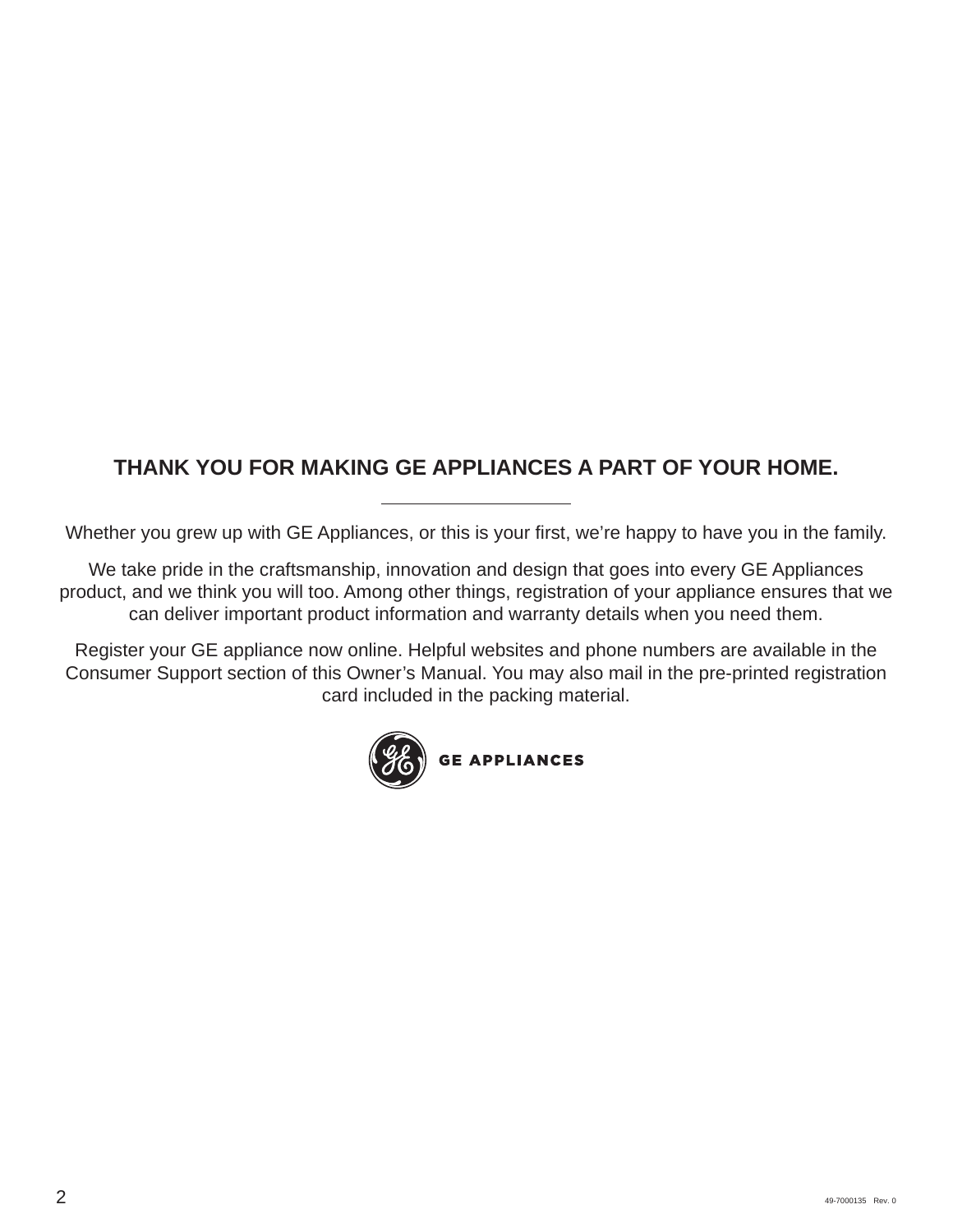## **THANK YOU FOR MAKING GE APPLIANCES A PART OF YOUR HOME.**

Whether you grew up with GE Appliances, or this is your first, we're happy to have you in the family.

We take pride in the craftsmanship, innovation and design that goes into every GE Appliances product, and we think you will too. Among other things, registration of your appliance ensures that we can deliver important product information and warranty details when you need them.

Register your GE appliance now online. Helpful websites and phone numbers are available in the Consumer Support section of this Owner's Manual. You may also mail in the pre-printed registration card included in the packing material.

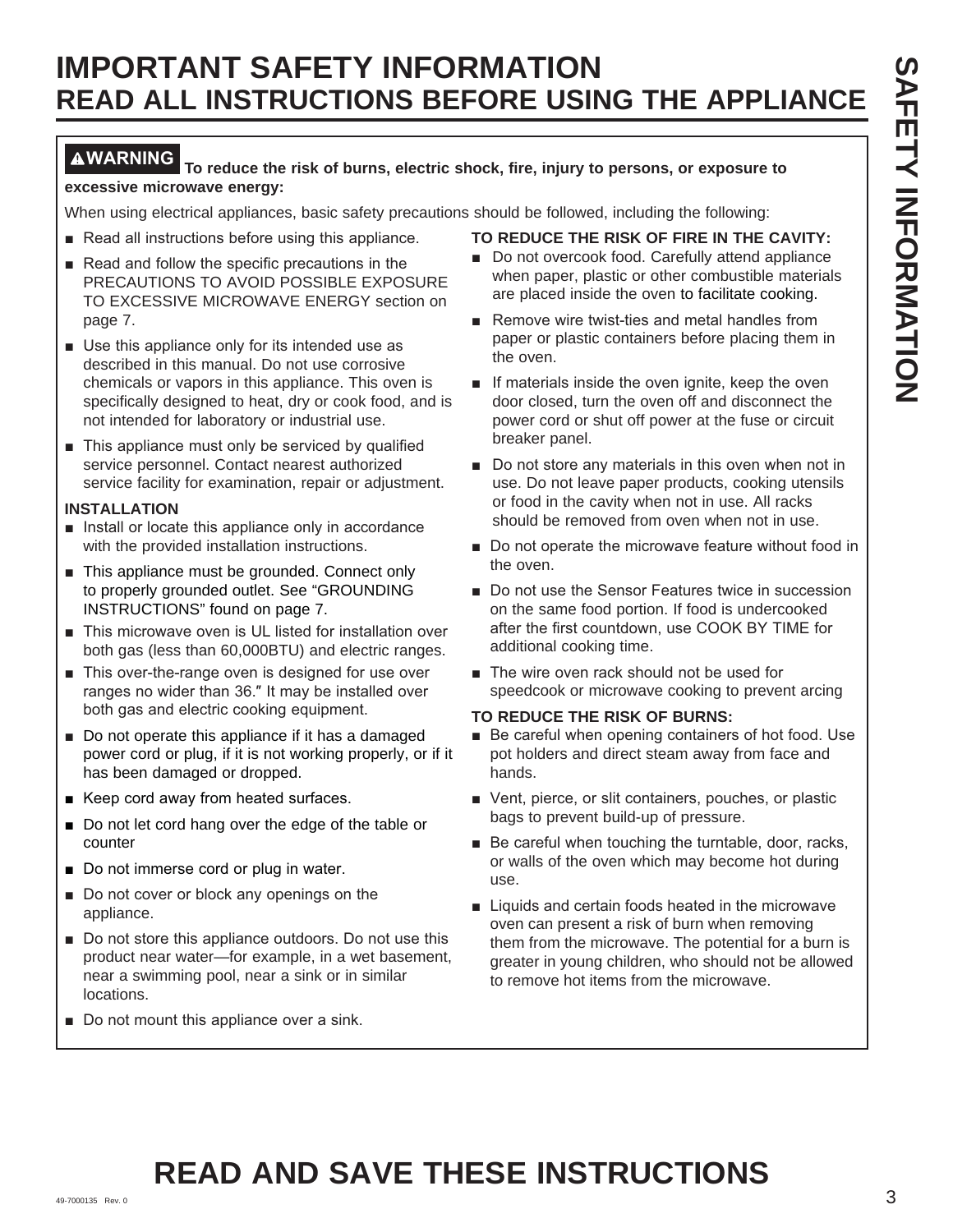#### **WARNING To reduce the risk of burns, electric shock, fire, injury to persons, or exposure to excessive microwave energy:**

When using electrical appliances, basic safety precautions should be followed, including the following:

- Read all instructions before using this appliance.
- $\blacksquare$  Read and follow the specific precautions in the PRECAUTIONS TO AVOID POSSIBLE EXPOSURE TO EXCESSIVE MICROWAVE ENERGY section on page 7.
- $\blacksquare$  Use this appliance only for its intended use as described in this manual. Do not use corrosive chemicals or vapors in this appliance. This oven is specifically designed to heat, dry or cook food, and is not intended for laboratory or industrial use.
- $\blacksquare$  This appliance must only be serviced by qualified service personnel. Contact nearest authorized service facility for examination, repair or adjustment.

#### **INSTALLATION**

- $\blacksquare$  Install or locate this appliance only in accordance with the provided installation instructions.
- $\blacksquare$  This appliance must be grounded. Connect only to properly grounded outlet. See "GROUNDING INSTRUCTIONS" found on page 7.
- This microwave oven is UL listed for installation over both gas (less than 60,000BTU) and electric ranges.
- $\blacksquare$  This over-the-range oven is designed for use over ranges no wider than 36." It may be installed over both gas and electric cooking equipment.
- Do not operate this appliance if it has a damaged power cord or plug, if it is not working properly, or if it has been damaged or dropped.
- $\blacksquare$  Keep cord away from heated surfaces.
- $\blacksquare$  Do not let cord hang over the edge of the table or counter
- Do not immerse cord or plug in water.
- $\blacksquare$  Do not cover or block any openings on the appliance.
- Do not store this appliance outdoors. Do not use this product near water—for example, in a wet basement, near a swimming pool, near a sink or in similar locations.
- Do not mount this appliance over a sink.

#### **TO REDUCE THE RISK OF FIRE IN THE CAVITY:**

- Do not overcook food. Carefully attend appliance when paper, plastic or other combustible materials are placed inside the oven to facilitate cooking.
- Remove wire twist-ties and metal handles from paper or plastic containers before placing them in the oven.
- **If materials inside the oven ignite, keep the oven** door closed, turn the oven off and disconnect the power cord or shut off power at the fuse or circuit breaker panel.
- Do not store any materials in this oven when not in use. Do not leave paper products, cooking utensils or food in the cavity when not in use. All racks should be removed from oven when not in use.
- Do not operate the microwave feature without food in the oven.
- Do not use the Sensor Features twice in succession on the same food portion. If food is undercooked after the first countdown, use COOK BY TIME for additional cooking time.
- $\blacksquare$  The wire oven rack should not be used for speedcook or microwave cooking to prevent arcing

#### **TO REDUCE THE RISK OF BURNS:**

- Be careful when opening containers of hot food. Use pot holders and direct steam away from face and hands.
- Vent, pierce, or slit containers, pouches, or plastic bags to prevent build-up of pressure.
- $\blacksquare$  Be careful when touching the turntable, door, racks, or walls of the oven which may become hot during use.
- Liquids and certain foods heated in the microwave oven can present a risk of burn when removing them from the microwave. The potential for a burn is greater in young children, who should not be allowed to remove hot items from the microwave.

## 49-7000135 Rev. 0 3 **READ AND SAVE THESE INSTRUCTIONS**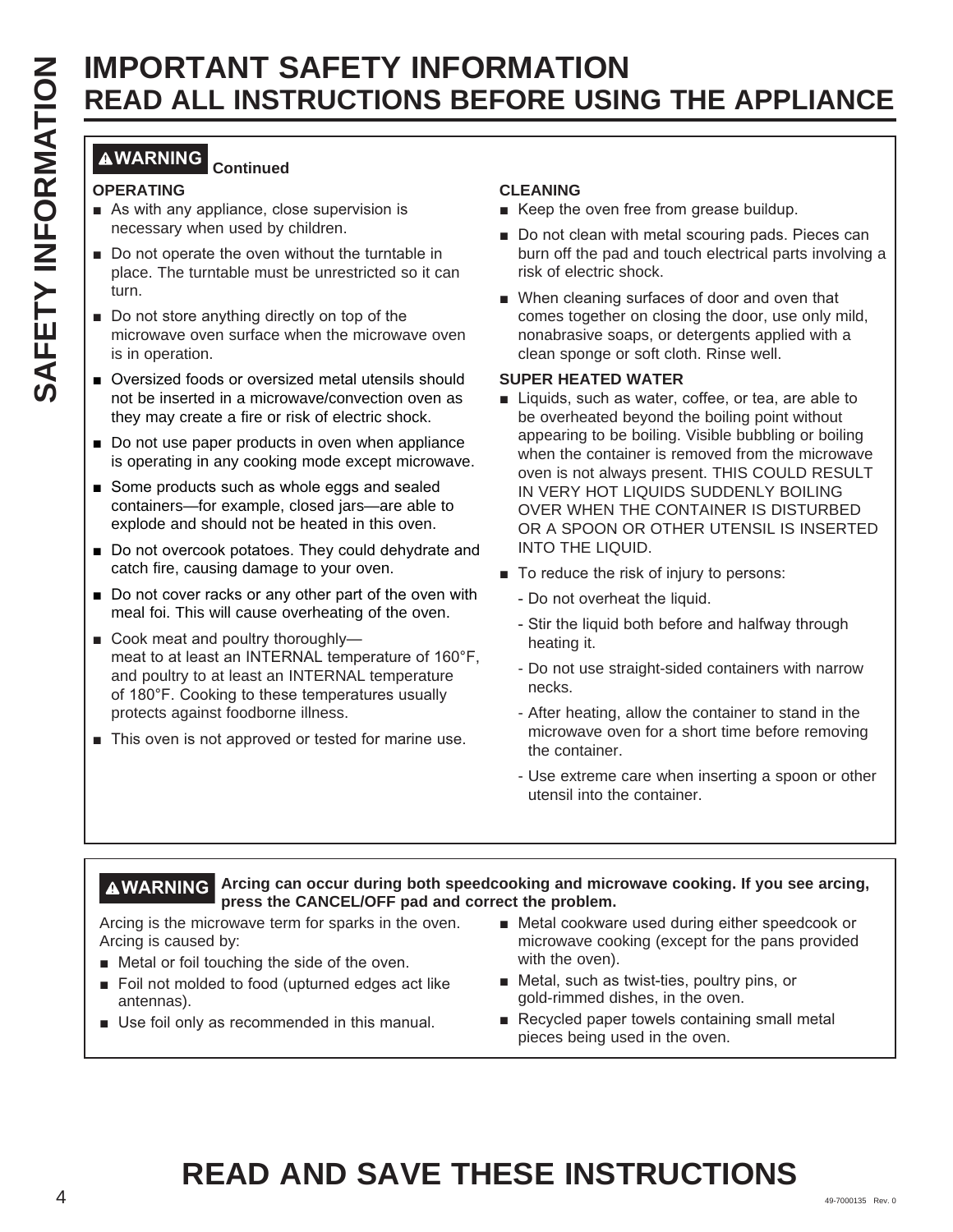#### **WARNING Continued**

#### **OPERATING**

- $\blacksquare$  As with any appliance, close supervision is necessary when used by children.
- $\blacksquare$  Do not operate the oven without the turntable in place. The turntable must be unrestricted so it can turn.
- Do not store anything directly on top of the microwave oven surface when the microwave oven is in operation.
- Oversized foods or oversized metal utensils should not be inserted in a microwave/convection oven as they may create a fire or risk of electric shock.
- $\blacksquare$  Do not use paper products in oven when appliance is operating in any cooking mode except microwave.
- Some products such as whole eggs and sealed containers—for example, closed jars—are able to explode and should not be heated in this oven.
- Do not overcook potatoes. They could dehydrate and catch fire, causing damage to your oven.
- $\blacksquare$  Do not cover racks or any other part of the oven with meal foi. This will cause overheating of the oven.
- Cook meat and poultry thoroughlymeat to at least an INTERNAL temperature of 160°F, and poultry to at least an INTERNAL temperature of 180°F. Cooking to these temperatures usually protects against foodborne illness.
- $\blacksquare$  This oven is not approved or tested for marine use.

#### **CLEANING**

- Keep the oven free from grease buildup.
- Do not clean with metal scouring pads. Pieces can burn off the pad and touch electrical parts involving a risk of electric shock.
- When cleaning surfaces of door and oven that comes together on closing the door, use only mild, nonabrasive soaps, or detergents applied with a clean sponge or soft cloth. Rinse well.

#### **SUPER HEATED WATER**

- **EXAMPLE SAFETY INFORMATION SECOND INTERNATION CONSUMER APPLIANCE<br>
CONSUMER SAFETY INFORMATION SECOND INTERNATION CONSUMER AND CONSUMER AND CONSUMER AND CONSUMER AND CONSUMER AND CONSUMER AND CONSUMER AND CONSUMER AND CONS** ■ Liquids, such as water, coffee, or tea, are able to be overheated beyond the boiling point without appearing to be boiling. Visible bubbling or boiling when the container is removed from the microwave oven is not always present. THIS COULD RESULT IN VERY HOT LIQUIDS SUDDENLY BOILING OVER WHEN THE CONTAINER IS DISTURBED OR A SPOON OR OTHER UTENSIL IS INSERTED INTO THE LIQUID.
	- $\blacksquare$  To reduce the risk of injury to persons:
		- Do not overheat the liquid.
		- Stir the liquid both before and halfway through heating it.
		- Do not use straight-sided containers with narrow necks.
		- After heating, allow the container to stand in the microwave oven for a short time before removing the container.
		- Use extreme care when inserting a spoon or other utensil into the container.

#### **WARNING Arcing can occur during both speedcooking and microwave cooking. If you see arcing, press the CANCEL/OFF pad and correct the problem.**

Arcing is the microwave term for sparks in the oven. Arcing is caused by:

- $\blacksquare$  Metal or foil touching the side of the oven.
- Foil not molded to food (upturned edges act like antennas).
- $\blacksquare$  Use foil only as recommended in this manual.
- Metal cookware used during either speedcook or microwave cooking (except for the pans provided with the oven).
- $\blacksquare$  Metal, such as twist-ties, poultry pins, or gold-rimmed dishes, in the oven.
- Recycled paper towels containing small metal pieces being used in the oven.

# **READ AND SAVE THESE INSTRUCTIONS**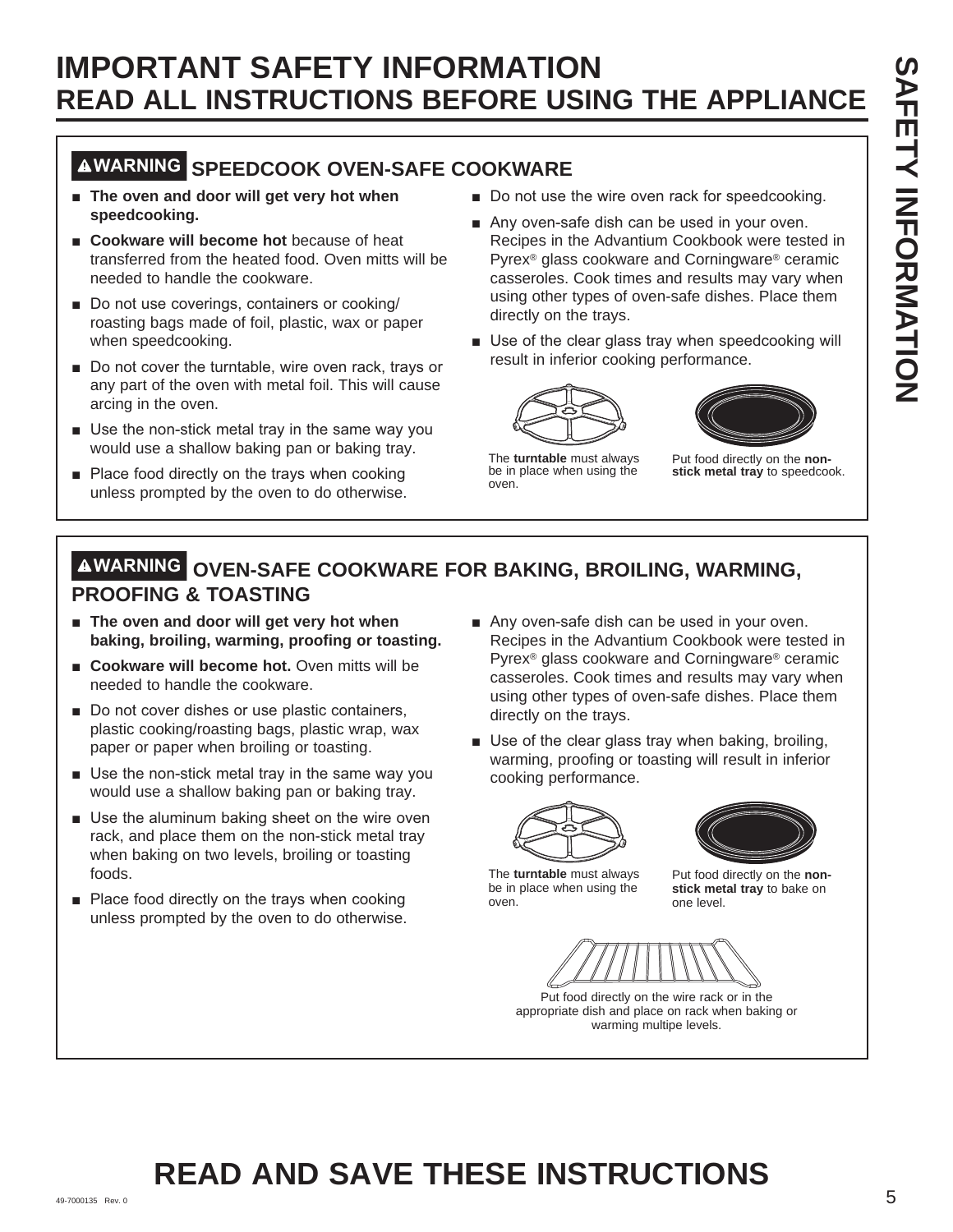## **WARNING SPEEDCOOK OVEN-SAFE COOKWARE**

- **F** The oven and door will get very hot when **speedcooking.**
- **EXCOOKWARE WIll become hot** because of heat transferred from the heated food. Oven mitts will be needed to handle the cookware.
- Do not use coverings, containers or cooking/ roasting bags made of foil, plastic, wax or paper when speedcooking.
- Do not cover the turntable, wire oven rack, trays or any part of the oven with metal foil. This will cause arcing in the oven.
- $\blacksquare$  Use the non-stick metal tray in the same way you would use a shallow baking pan or baking tray.
- $\blacksquare$  Place food directly on the trays when cooking unless prompted by the oven to do otherwise.
- Do not use the wire oven rack for speedcooking.
- Any oven-safe dish can be used in your oven. Recipes in the Advantium Cookbook were tested in Pyrex® glass cookware and Corningware® ceramic casseroles. Cook times and results may vary when using other types of oven-safe dishes. Place them directly on the trays.
- Use of the clear glass tray when speedcooking will result in inferior cooking performance.





The **turntable** must always be in place when using the oven.

Put food directly on the **nonstick metal tray** to speedcook.

## **WARNING OVEN-SAFE COOKWARE FOR BAKING, BROILING, WARMING, PROOFING & TOASTING**

- $\blacksquare$  The oven and door will get very hot when **baking, broiling, warming, proofing or toasting.**
- **E** Cookware will become hot. Oven mitts will be needed to handle the cookware.
- Do not cover dishes or use plastic containers, plastic cooking/roasting bags, plastic wrap, wax paper or paper when broiling or toasting.
- $\blacksquare$  Use the non-stick metal tray in the same way you would use a shallow baking pan or baking tray.
- **B** Use the aluminum baking sheet on the wire oven rack, and place them on the non-stick metal tray when baking on two levels, broiling or toasting foods.
- $\blacksquare$  Place food directly on the trays when cooking unless prompted by the oven to do otherwise.
- Any oven-safe dish can be used in your oven. Recipes in the Advantium Cookbook were tested in Pyrex® glass cookware and Corningware® ceramic casseroles. Cook times and results may vary when using other types of oven-safe dishes. Place them directly on the trays.
- Use of the clear glass tray when baking, broiling, warming, proofing or toasting will result in inferior cooking performance.





The **turntable** must always be in place when using the oven.

Put food directly on the **nonstick metal tray** to bake on one level.



Put food directly on the wire rack or in the appropriate dish and place on rack when baking or warming multipe levels.

#### 49-7000135 Rev. 0  $5$ **READ AND SAVE THESE INSTRUCTIONS**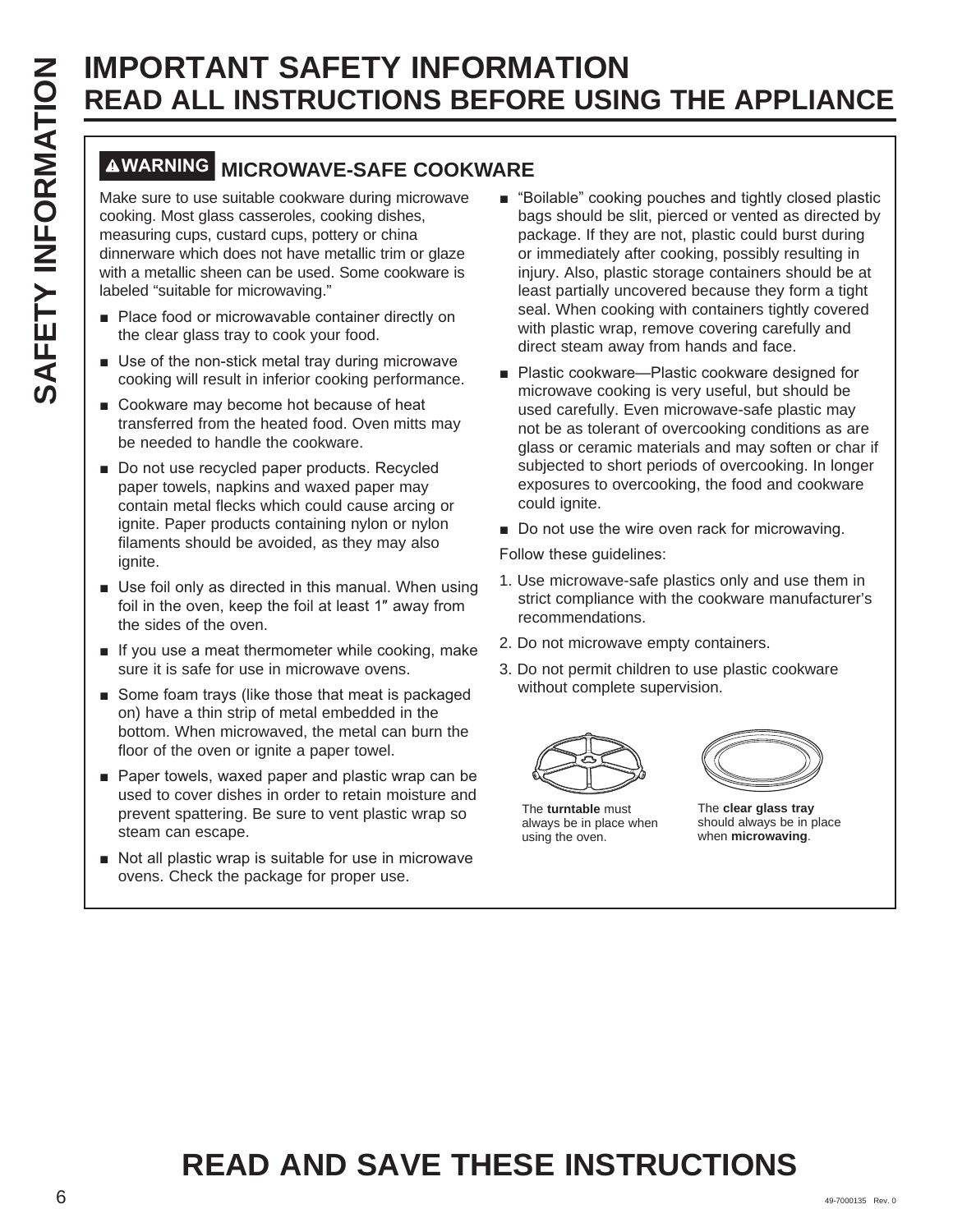## **WARNING MICROWAVE-SAFE COOKWARE**

Make sure to use suitable cookware during microwave cooking. Most glass casseroles, cooking dishes, measuring cups, custard cups, pottery or china dinnerware which does not have metallic trim or glaze with a metallic sheen can be used. Some cookware is labeled "suitable for microwaving."

- Place food or microwavable container directly on the clear glass tray to cook your food.
- $\blacksquare$  Use of the non-stick metal tray during microwave cooking will result in inferior cooking performance.
- $\blacksquare$  Cookware may become hot because of heat transferred from the heated food. Oven mitts may be needed to handle the cookware.
- Do not use recycled paper products. Recycled paper towels, napkins and waxed paper may contain metal flecks which could cause arcing or ignite. Paper products containing nylon or nylon filaments should be avoided, as they may also ignite.
- $\blacksquare$  Use foil only as directed in this manual. When using foil in the oven, keep the foil at least 1" away from the sides of the oven.
- $\blacksquare$  If you use a meat thermometer while cooking, make sure it is safe for use in microwave ovens.
- Some foam trays (like those that meat is packaged on) have a thin strip of metal embedded in the bottom. When microwaved, the metal can burn the floor of the oven or ignite a paper towel.
- $\blacksquare$  Paper towels, waxed paper and plastic wrap can be used to cover dishes in order to retain moisture and prevent spattering. Be sure to vent plastic wrap so steam can escape.
- Not all plastic wrap is suitable for use in microwave ovens. Check the package for proper use.
- "Boilable" cooking pouches and tightly closed plastic bags should be slit, pierced or vented as directed by package. If they are not, plastic could burst during or immediately after cooking, possibly resulting in injury. Also, plastic storage containers should be at least partially uncovered because they form a tight seal. When cooking with containers tightly covered with plastic wrap, remove covering carefully and direct steam away from hands and face.
- Plastic cookware—Plastic cookware designed for microwave cooking is very useful, but should be used carefully. Even microwave-safe plastic may not be as tolerant of overcooking conditions as are glass or ceramic materials and may soften or char if subjected to short periods of overcooking. In longer exposures to overcooking, the food and cookware could ignite.
- Do not use the wire oven rack for microwaving.

Follow these guidelines:

- 1. Use microwave-safe plastics only and use them in strict compliance with the cookware manufacturer's recommendations.
- 2. Do not microwave empty containers.
- 3. Do not permit children to use plastic cookware without complete supervision.



The **turntable** must always be in place when using the oven.



The **clear glass tray**  should always be in place when **microwaving**.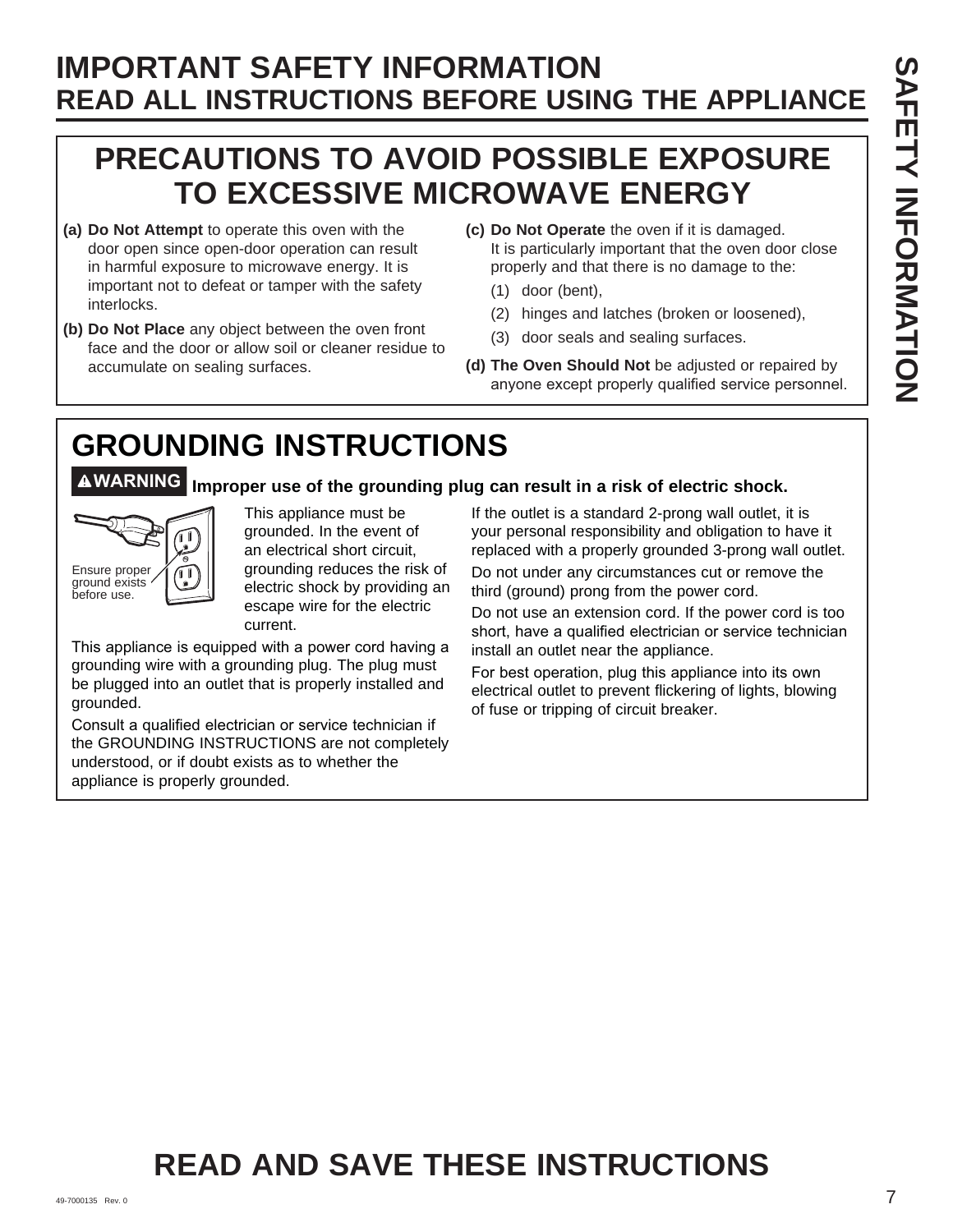## **PRECAUTIONS TO AVOID POSSIBLE EXPOSURE TO EXCESSIVE MICROWAVE ENERGY**

- **(a) Do Not Attempt** to operate this oven with the door open since open-door operation can result in harmful exposure to microwave energy. It is important not to defeat or tamper with the safety interlocks.
- **(b) Do Not Place** any object between the oven front face and the door or allow soil or cleaner residue to accumulate on sealing surfaces.
- **(c) Do Not Operate** the oven if it is damaged. It is particularly important that the oven door close properly and that there is no damage to the:
	- (1) door (bent),
	- (2) hinges and latches (broken or loosened),
	- (3) door seals and sealing surfaces.
- **(d) The Oven Should Not** be adjusted or repaired by anyone except properly qualified service personnel.

# **GROUNDING INSTRUCTIONS**

## **WARNING Improper use of the grounding plug can result in a risk of electric shock.**



This appliance must be grounded. In the event of an electrical short circuit, grounding reduces the risk of electric shock by providing an escape wire for the electric current.

This appliance is equipped with a power cord having a grounding wire with a grounding plug. The plug must be plugged into an outlet that is properly installed and grounded.

Consult a qualified electrician or service technician if the GROUNDING INSTRUCTIONS are not completely understood, or if doubt exists as to whether the appliance is properly grounded.

If the outlet is a standard 2-prong wall outlet, it is your personal responsibility and obligation to have it replaced with a properly grounded 3-prong wall outlet.

Do not under any circumstances cut or remove the third (ground) prong from the power cord.

Do not use an extension cord. If the power cord is too short, have a qualified electrician or service technician install an outlet near the appliance.

For best operation, plug this appliance into its own electrical outlet to prevent flickering of lights, blowing of fuse or tripping of circuit breaker.

## **READ AND SAVE THESE INSTRUCTIONS**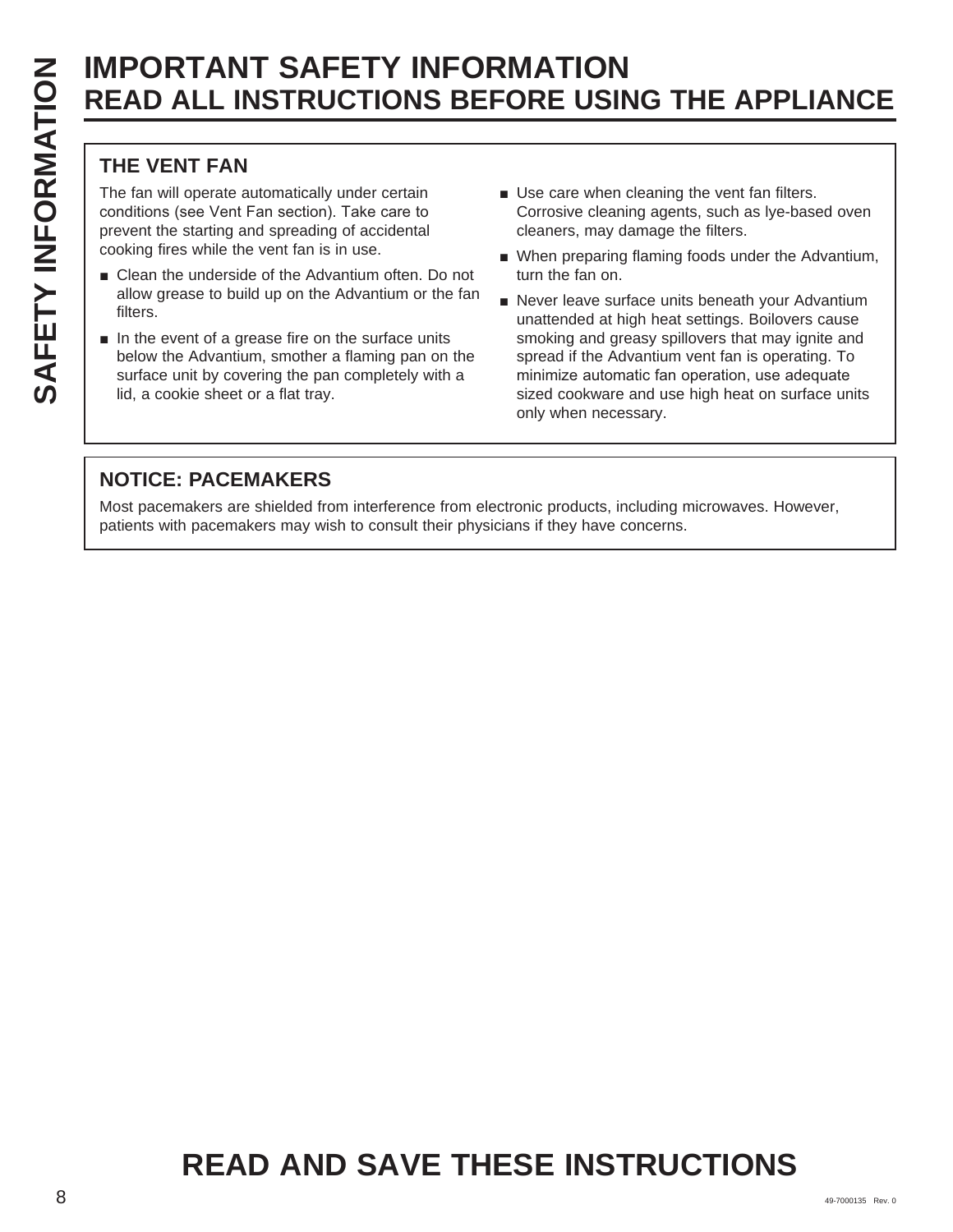#### **THE VENT FAN**

The fan will operate automatically under certain conditions (see Vent Fan section). Take care to prevent the starting and spreading of accidental cooking fires while the vent fan is in use.

- Clean the underside of the Advantium often. Do not allow grease to build up on the Advantium or the fan filters.
- $\blacksquare$  In the event of a grease fire on the surface units below the Advantium, smother a flaming pan on the surface unit by covering the pan completely with a lid, a cookie sheet or a flat tray.
- $\blacksquare$  Use care when cleaning the vent fan filters. Corrosive cleaning agents, such as lye-based oven cleaners, may damage the filters.
- When preparing flaming foods under the Advantium, turn the fan on.
- Never leave surface units beneath your Advantium unattended at high heat settings. Boilovers cause smoking and greasy spillovers that may ignite and spread if the Advantium vent fan is operating. To minimize automatic fan operation, use adequate sized cookware and use high heat on surface units only when necessary.

#### **NOTICE: PACEMAKERS**

Most pacemakers are shielded from interference from electronic products, including microwaves. However, patients with pacemakers may wish to consult their physicians if they have concerns.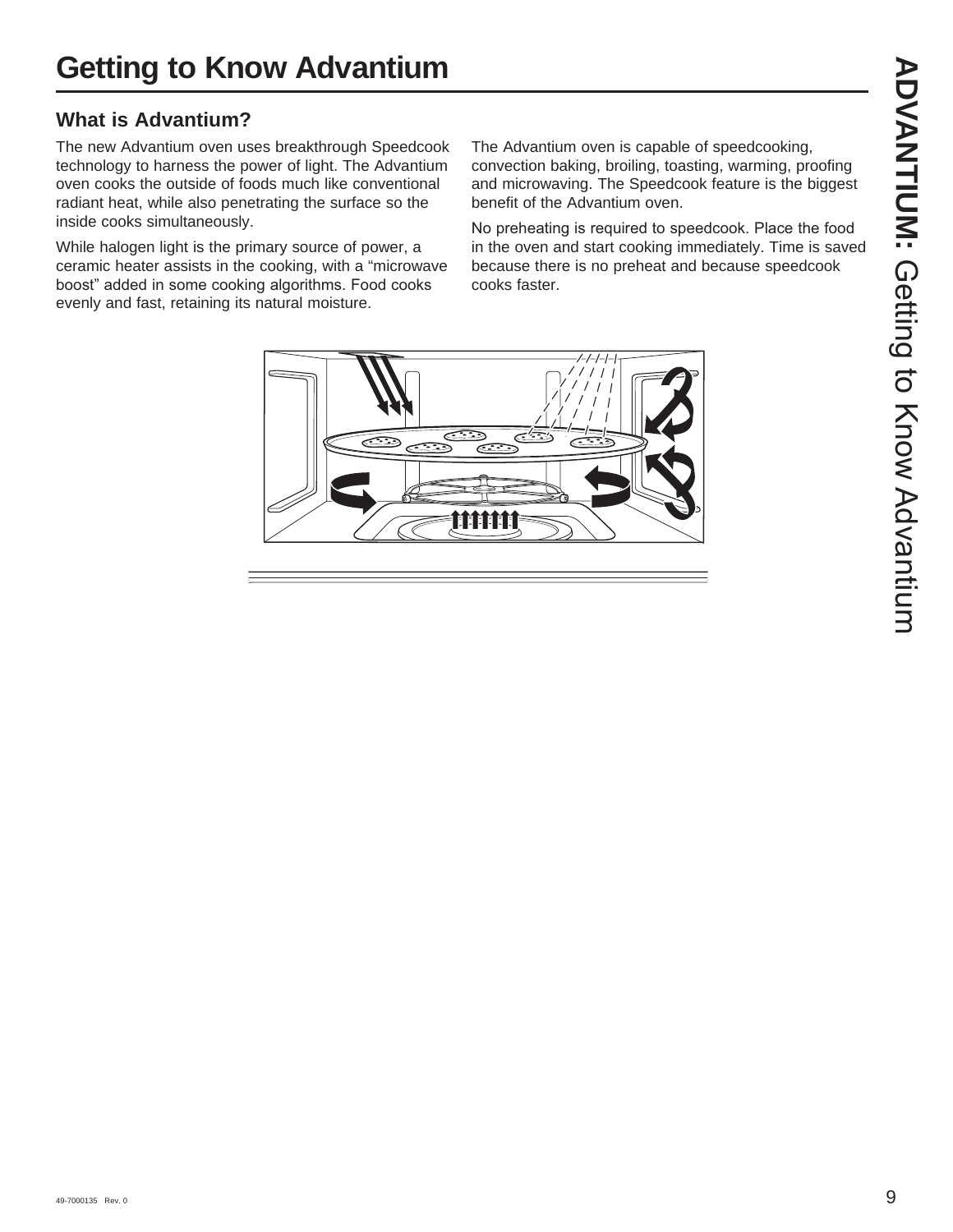#### **What is Advantium?**

The new Advantium oven uses breakthrough Speedcook technology to harness the power of light. The Advantium oven cooks the outside of foods much like conventional radiant heat, while also penetrating the surface so the inside cooks simultaneously.

While halogen light is the primary source of power, a ceramic heater assists in the cooking, with a "microwave boost" added in some cooking algorithms. Food cooks evenly and fast, retaining its natural moisture.

The Advantium oven is capable of speedcooking, convection baking, broiling, toasting, warming, proofing and microwaving. The Speedcook feature is the biggest benefit of the Advantium oven.

No preheating is required to speedcook. Place the food in the oven and start cooking immediately. Time is saved because there is no preheat and because speedcook cooks faster.



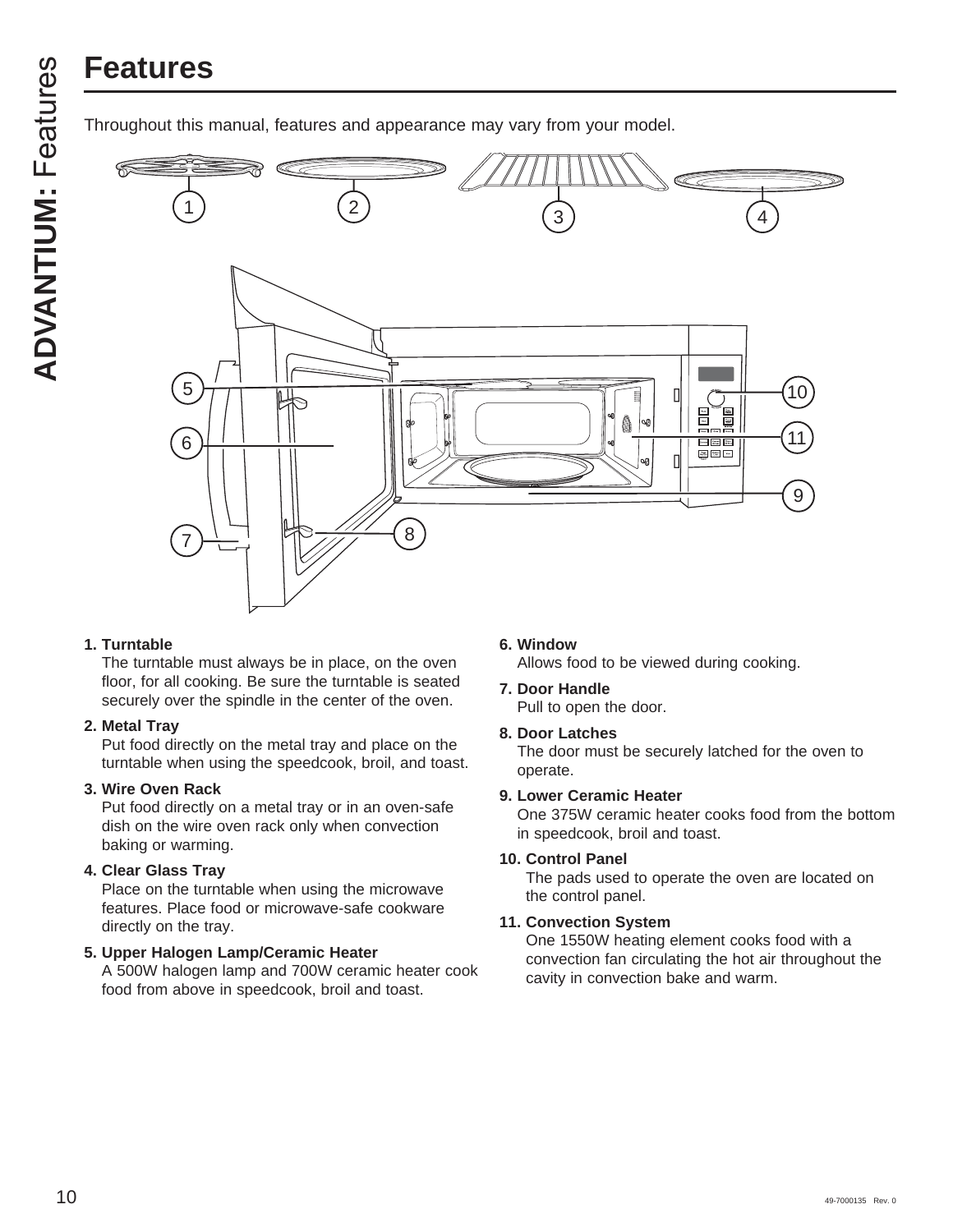# **Features**

Throughout this manual, features and appearance may vary from your model.



#### **1. Turntable**

The turntable must always be in place, on the oven floor, for all cooking. Be sure the turntable is seated securely over the spindle in the center of the oven.

#### **2. Metal Tray**

Put food directly on the metal tray and place on the turntable when using the speedcook, broil, and toast.

#### **3. Wire Oven Rack**

Put food directly on a metal tray or in an oven-safe dish on the wire oven rack only when convection baking or warming.

#### **4. Clear Glass Tray**

Place on the turntable when using the microwave features. Place food or microwave-safe cookware directly on the tray.

#### **5. Upper Halogen Lamp/Ceramic Heater**

A 500W halogen lamp and 700W ceramic heater cook food from above in speedcook, broil and toast.

#### **6. Window**

Allows food to be viewed during cooking.

#### **7. Door Handle**

Pull to open the door.

#### **8. Door Latches**

The door must be securely latched for the oven to operate.

#### **9. Lower Ceramic Heater**

One 375W ceramic heater cooks food from the bottom in speedcook, broil and toast.

#### **10. Control Panel**

The pads used to operate the oven are located on the control panel.

#### **11. Convection System**

One 1550W heating element cooks food with a convection fan circulating the hot air throughout the cavity in convection bake and warm.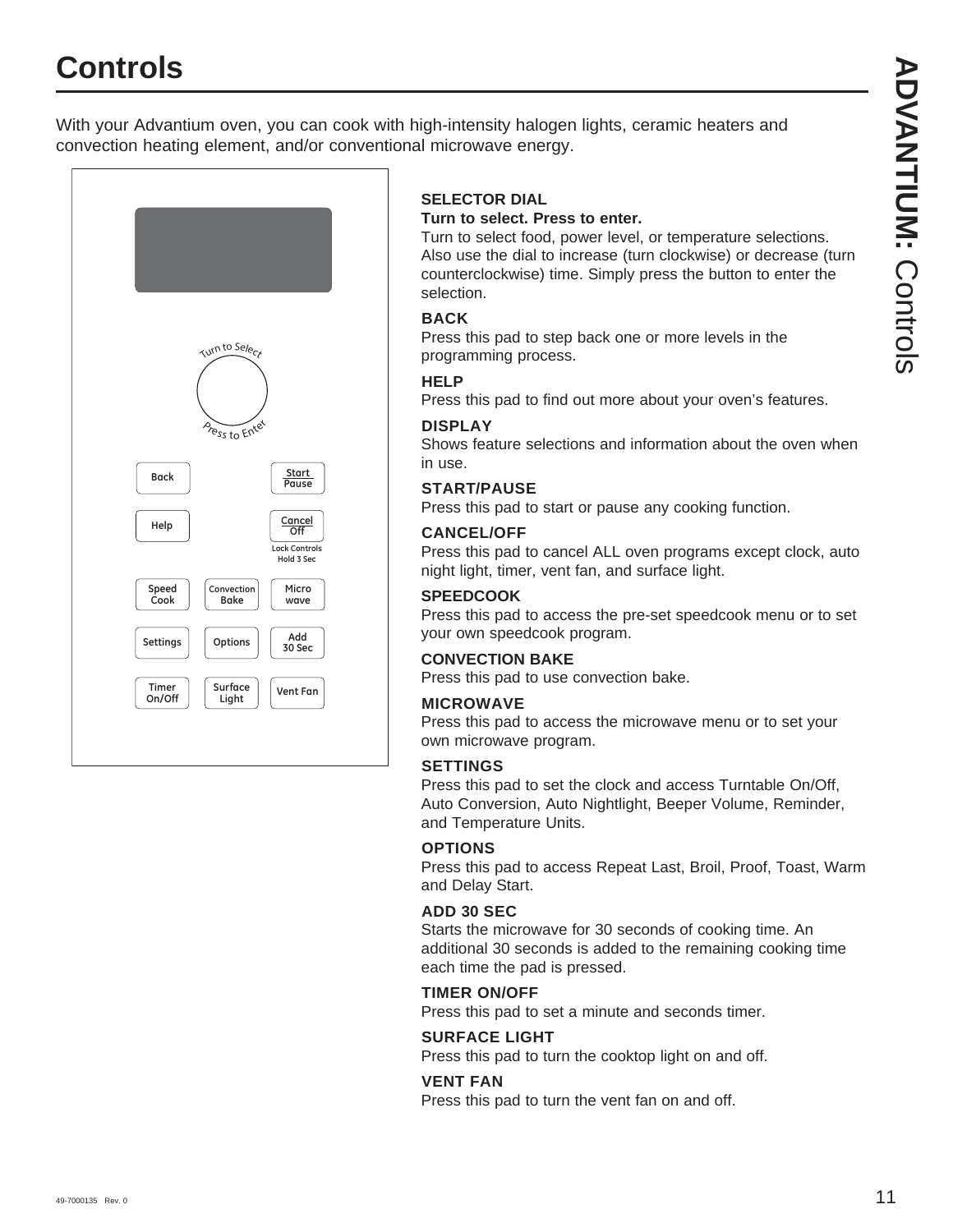## **Controls**

With your Advantium oven, you can cook with high-intensity halogen lights, ceramic heaters and convection heating element, and/or conventional microwave energy.



#### **SELECTOR DIAL**

#### **Turn to select. Press to enter.**

Turn to select food, power level, or temperature selections. Also use the dial to increase (turn clockwise) or decrease (turn counterclockwise) time. Simply press the button to enter the selection.

#### **BACK**

Press this pad to step back one or more levels in the programming process.

#### **HELP**

Press this pad to find out more about your oven's features.

#### **DISPLAY**

Shows feature selections and information about the oven when in use.

#### **START/PAUSE**

Press this pad to start or pause any cooking function.

#### **CANCEL/OFF**

Press this pad to cancel ALL oven programs except clock, auto night light, timer, vent fan, and surface light.

#### **SPEEDCOOK**

Press this pad to access the pre-set speedcook menu or to set your own speedcook program.

#### **CONVECTION BAKE**

Press this pad to use convection bake.

#### **MICROWAVE**

Press this pad to access the microwave menu or to set your own microwave program.

#### **SETTINGS**

Press this pad to set the clock and access Turntable On/Off, Auto Conversion, Auto Nightlight, Beeper Volume, Reminder, and Temperature Units.

#### **OPTIONS**

Press this pad to access Repeat Last, Broil, Proof, Toast, Warm and Delay Start.

#### **ADD 30 SEC**

Starts the microwave for 30 seconds of cooking time. An additional 30 seconds is added to the remaining cooking time each time the pad is pressed.

#### **TIMER ON/OFF**

Press this pad to set a minute and seconds timer.

#### **SURFACE LIGHT**

Press this pad to turn the cooktop light on and off.

#### **VENT FAN**

Press this pad to turn the vent fan on and off.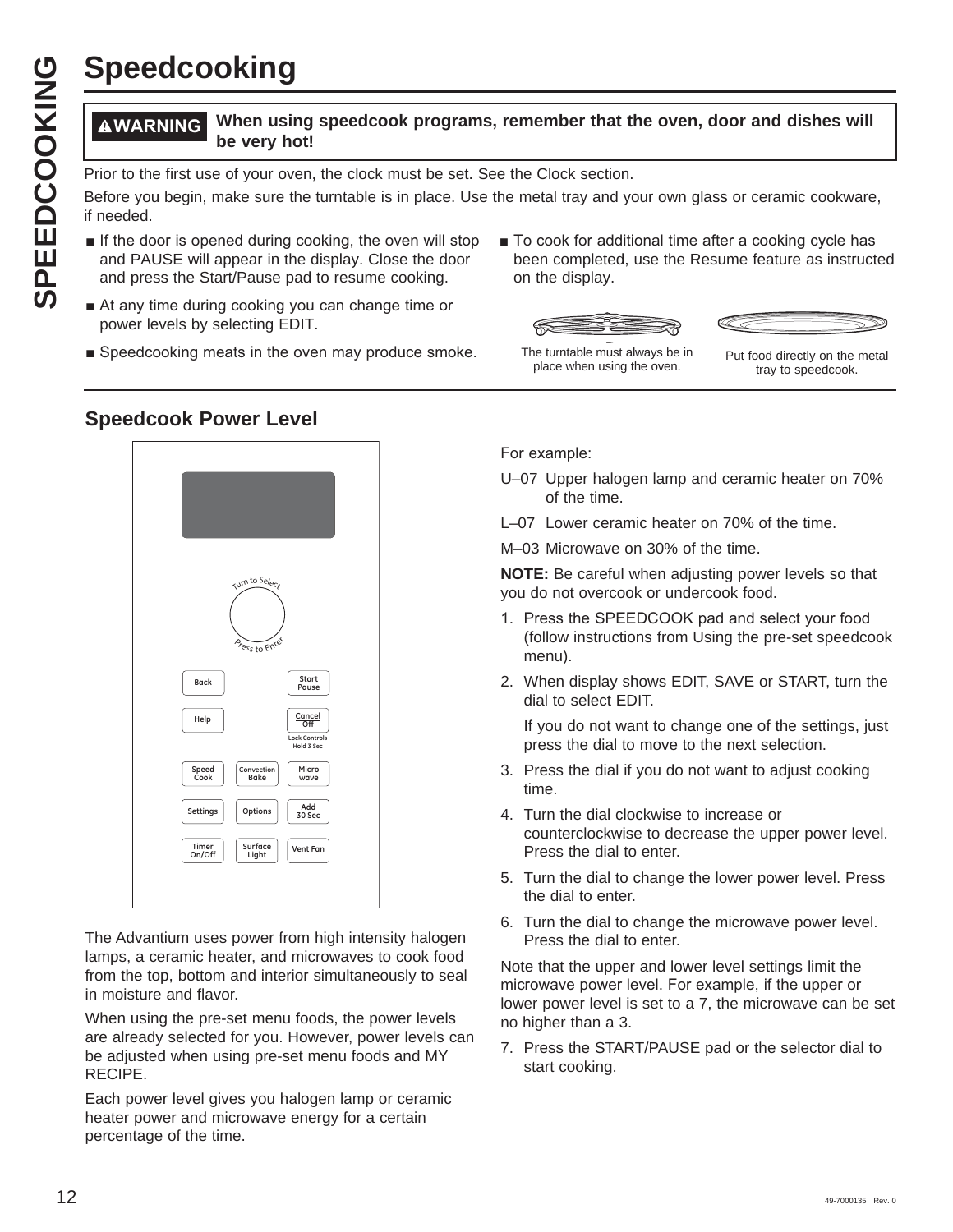# **Speedcooking**

#### **WARNING When using speedcook programs, remember that the oven, door and dishes will be very hot!**

Prior to the first use of your oven, the clock must be set. See the Clock section.

Before you begin, make sure the turntable is in place. Use the metal tray and your own glass or ceramic cookware, if needed.

- $\blacksquare$  If the door is opened during cooking, the oven will stop and PAUSE will appear in the display. Close the door and press the Start/Pause pad to resume cooking.
- At any time during cooking you can change time or power levels by selecting EDIT.
- $\blacksquare$  Speedcooking meats in the oven may produce smoke.
- To cook for additional time after a cooking cycle has been completed, use the Resume feature as instructed on the display.





The turntable must always be in

ne turntable must always be in put food directly on the metal<br>place when using the oven. tray to speedcook.

#### **Speedcook Power Level**



The Advantium uses power from high intensity halogen lamps, a ceramic heater, and microwaves to cook food from the top, bottom and interior simultaneously to seal in moisture and flavor.

When using the pre-set menu foods, the power levels are already selected for you. However, power levels can be adjusted when using pre-set menu foods and MY RECIPE.

Each power level gives you halogen lamp or ceramic heater power and microwave energy for a certain percentage of the time.

For example:

- U–07 Upper halogen lamp and ceramic heater on 70% of the time.
- L–07 Lower ceramic heater on 70% of the time.

M–03 Microwave on 30% of the time.

**NOTE:** Be careful when adjusting power levels so that you do not overcook or undercook food.

- 1. Press the SPEEDCOOK pad and select your food (follow instructions from Using the pre-set speedcook menu).
- 2. When display shows EDIT, SAVE or START, turn the dial to select EDIT.

 If you do not want to change one of the settings, just press the dial to move to the next selection.

- 3. Press the dial if you do not want to adjust cooking time.
- 4. Turn the dial clockwise to increase or counterclockwise to decrease the upper power level. Press the dial to enter.
- 5. Turn the dial to change the lower power level. Press the dial to enter.
- 6. Turn the dial to change the microwave power level. Press the dial to enter.

Note that the upper and lower level settings limit the microwave power level. For example, if the upper or lower power level is set to a 7, the microwave can be set no higher than a 3.

7. Press the START/PAUSE pad or the selector dial to start cooking.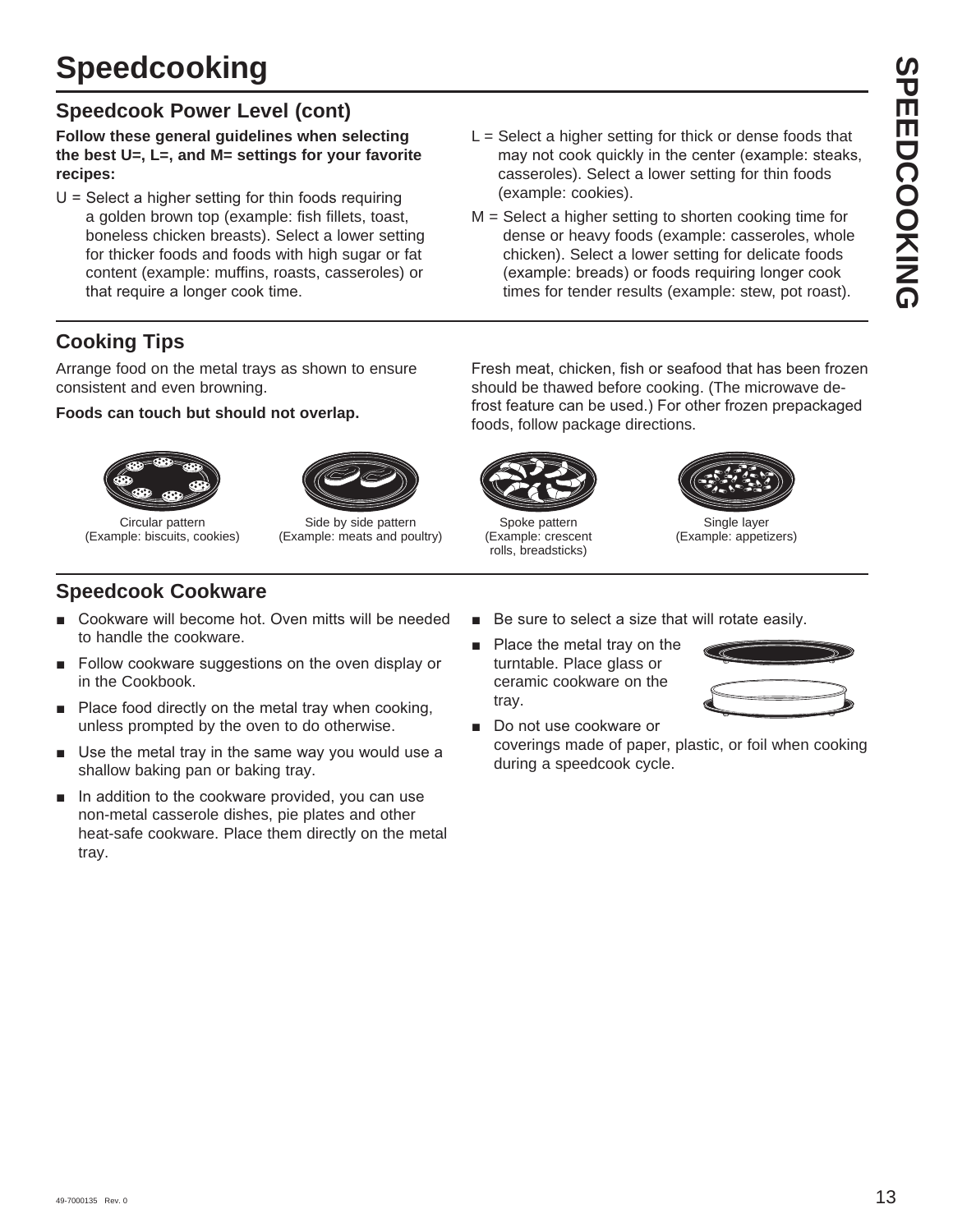#### **Speedcook Power Level (cont)**

**Follow these general guidelines when selecting the best U=, L=, and M= settings for your favorite recipes:**

- $U =$  Select a higher setting for thin foods requiring a golden brown top (example: fish fillets, toast, boneless chicken breasts). Select a lower setting for thicker foods and foods with high sugar or fat content (example: muffins, roasts, casseroles) or that require a longer cook time.
- $L =$  Select a higher setting for thick or dense foods that may not cook quickly in the center (example: steaks, casseroles). Select a lower setting for thin foods (example: cookies).
- M = Select a higher setting to shorten cooking time for dense or heavy foods (example: casseroles, whole chicken). Select a lower setting for delicate foods (example: breads) or foods requiring longer cook times for tender results (example: stew, pot roast).

#### **Cooking Tips**

Arrange food on the metal trays as shown to ensure consistent and even browning.

#### **Foods can touch but should not overlap.**





Circular pattern (Example: biscuits, cookies)

Side by side pattern (Example: meats and poultry)

should be thawed before cooking. (The microwave defrost feature can be used.) For other frozen prepackaged foods, follow package directions.

Fresh meat, chicken, fish or seafood that has been frozen



Spoke pattern (Example: crescent rolls, breadsticks)



Single layer (Example: appetizers)

#### **Speedcook Cookware**

- Cookware will become hot. Oven mitts will be needed to handle the cookware.
- $\blacksquare$  Follow cookware suggestions on the oven display or in the Cookbook.
- Place food directly on the metal tray when cooking, unless prompted by the oven to do otherwise.
- $\blacksquare$  Use the metal tray in the same way you would use a shallow baking pan or baking tray.
- $\blacksquare$  In addition to the cookware provided, you can use non-metal casserole dishes, pie plates and other heat-safe cookware. Place them directly on the metal tray.
- Be sure to select a size that will rotate easily.
- Place the metal tray on the turntable. Place glass or ceramic cookware on the tray.



Do not use cookware or coverings made of paper, plastic, or foil when cooking during a speedcook cycle.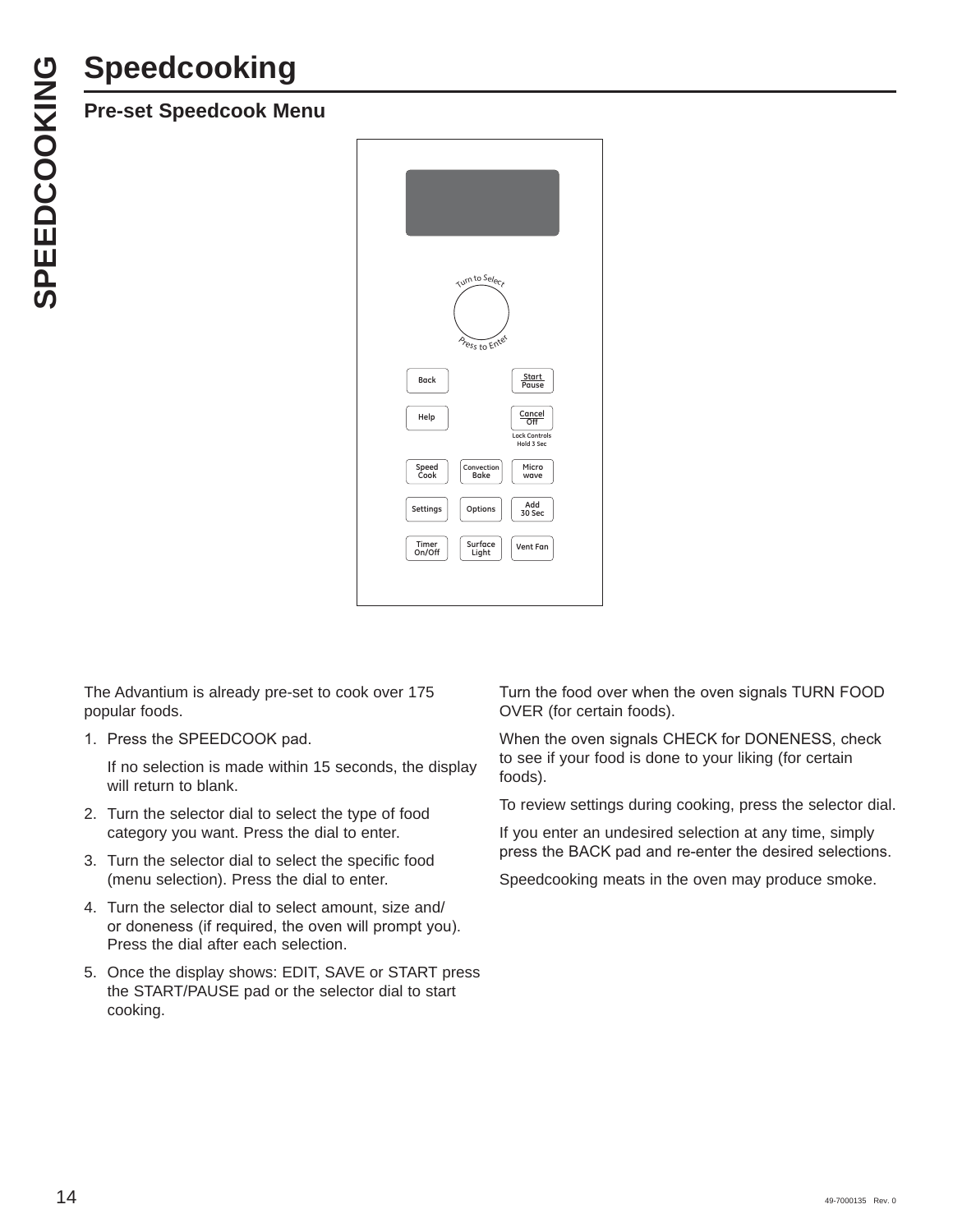# **Speedcooking**



The Advantium is already pre-set to cook over 175 popular foods.

1. Press the SPEEDCOOK pad.

 If no selection is made within 15 seconds, the display will return to blank.

- 2. Turn the selector dial to select the type of food category you want. Press the dial to enter.
- 3. Turn the selector dial to select the specific food (menu selection). Press the dial to enter.
- 4. Turn the selector dial to select amount, size and/ or doneness (if required, the oven will prompt you). Press the dial after each selection.
- 5. Once the display shows: EDIT, SAVE or START press the START/PAUSE pad or the selector dial to start cooking.

Turn the food over when the oven signals TURN FOOD OVER (for certain foods).

When the oven signals CHECK for DONENESS, check to see if your food is done to your liking (for certain foods).

To review settings during cooking, press the selector dial.

If you enter an undesired selection at any time, simply press the BACK pad and re-enter the desired selections.

Speedcooking meats in the oven may produce smoke.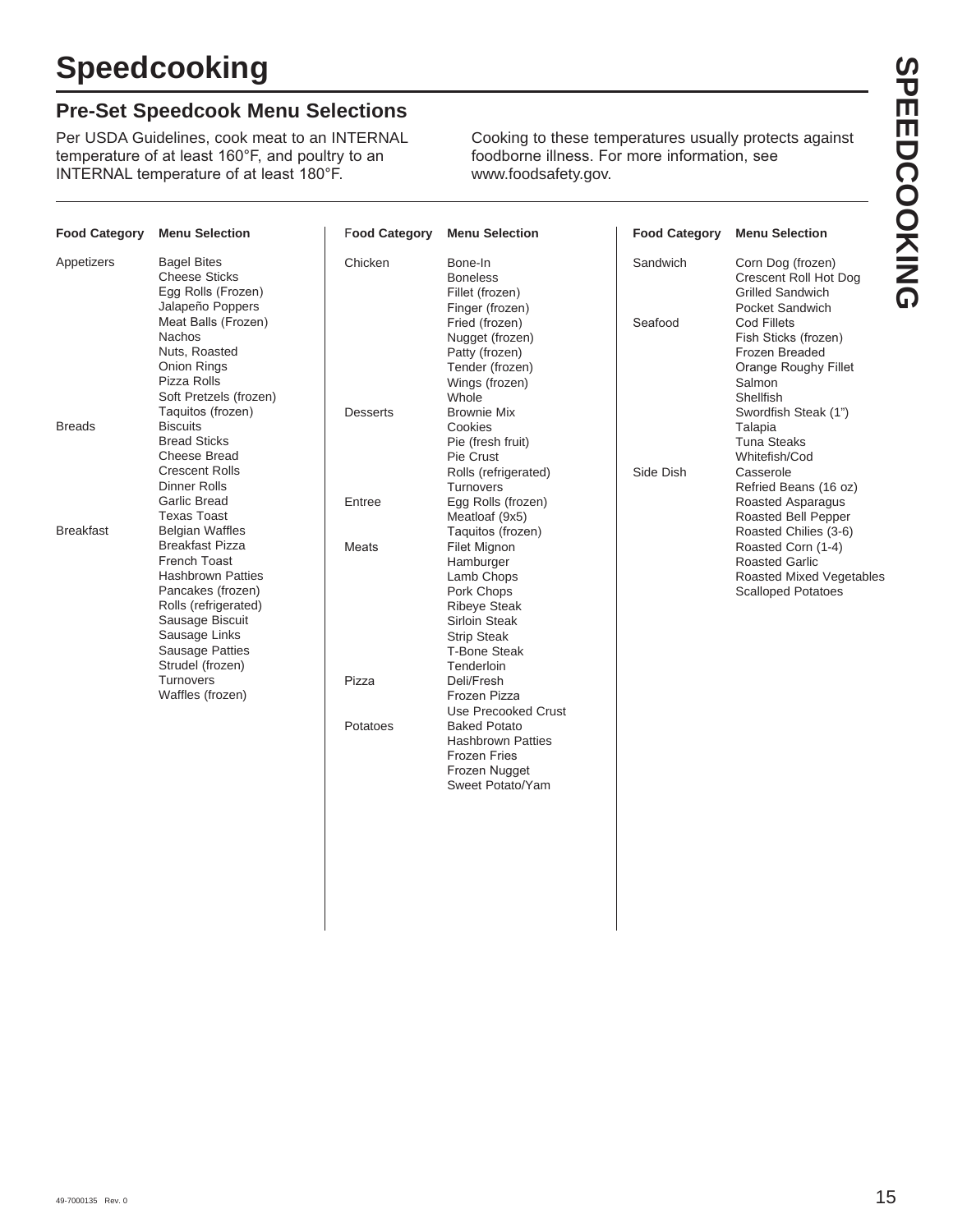#### **Pre-Set Speedcook Menu Selections**

Per USDA Guidelines, cook meat to an INTERNAL temperature of at least 160°F, and poultry to an INTERNAL temperature of at least 180°F.

Cooking to these temperatures usually protects against foodborne illness. For more information, see www.foodsafety.gov.

| <b>Food Category</b> | <b>Menu Selection</b>                                                                                         | <b>Food Category</b> | <b>Menu Selection</b>                                                                             | <b>Food Category</b> | <b>Menu Selection</b>                                                                                       |
|----------------------|---------------------------------------------------------------------------------------------------------------|----------------------|---------------------------------------------------------------------------------------------------|----------------------|-------------------------------------------------------------------------------------------------------------|
| Appetizers           | <b>Bagel Bites</b><br><b>Cheese Sticks</b><br>Egg Rolls (Frozen)<br>Jalapeño Poppers                          | Chicken              | Bone-In<br><b>Boneless</b><br>Fillet (frozen)<br>Finger (frozen)                                  | Sandwich             | Corn Dog (frozen)<br>Crescent Roll Hot Dog<br><b>Grilled Sandwich</b><br>Pocket Sandwich                    |
|                      | Meat Balls (Frozen)<br><b>Nachos</b><br>Nuts, Roasted<br>Onion Rings<br>Pizza Rolls<br>Soft Pretzels (frozen) |                      | Fried (frozen)<br>Nugget (frozen)<br>Patty (frozen)<br>Tender (frozen)<br>Wings (frozen)<br>Whole | Seafood              | Cod Fillets<br>Fish Sticks (frozen)<br>Frozen Breaded<br><b>Orange Roughy Fillet</b><br>Salmon<br>Shellfish |
|                      | Taquitos (frozen)                                                                                             | <b>Desserts</b>      | <b>Brownie Mix</b>                                                                                |                      | Swordfish Steak (1")                                                                                        |
| <b>Breads</b>        | <b>Biscuits</b><br><b>Bread Sticks</b>                                                                        |                      | Cookies<br>Pie (fresh fruit)                                                                      |                      | Talapia<br><b>Tuna Steaks</b>                                                                               |
|                      | <b>Cheese Bread</b>                                                                                           |                      | Pie Crust                                                                                         |                      | Whitefish/Cod                                                                                               |
|                      | <b>Crescent Rolls</b>                                                                                         |                      | Rolls (refrigerated)                                                                              | Side Dish            | Casserole                                                                                                   |
|                      | <b>Dinner Rolls</b><br><b>Garlic Bread</b>                                                                    | Entree               | <b>Turnovers</b><br>Egg Rolls (frozen)                                                            |                      | Refried Beans (16 oz)<br>Roasted Asparagus                                                                  |
|                      | <b>Texas Toast</b>                                                                                            |                      | Meatloaf (9x5)                                                                                    |                      | Roasted Bell Pepper                                                                                         |
| <b>Breakfast</b>     | <b>Belgian Waffles</b>                                                                                        |                      | Taquitos (frozen)                                                                                 |                      | Roasted Chilies (3-6)                                                                                       |
|                      | <b>Breakfast Pizza</b><br><b>French Toast</b>                                                                 | Meats                | Filet Mignon<br>Hamburger                                                                         |                      | Roasted Corn (1-4)<br><b>Roasted Garlic</b>                                                                 |
|                      | <b>Hashbrown Patties</b>                                                                                      |                      | Lamb Chops                                                                                        |                      | <b>Roasted Mixed Vegetables</b>                                                                             |
|                      | Pancakes (frozen)                                                                                             |                      | Pork Chops                                                                                        |                      | <b>Scalloped Potatoes</b>                                                                                   |
|                      | Rolls (refrigerated)<br>Sausage Biscuit                                                                       |                      | <b>Ribeve Steak</b><br>Sirloin Steak                                                              |                      |                                                                                                             |
|                      | Sausage Links                                                                                                 |                      | <b>Strip Steak</b>                                                                                |                      |                                                                                                             |
|                      | <b>Sausage Patties</b>                                                                                        |                      | <b>T-Bone Steak</b>                                                                               |                      |                                                                                                             |
|                      | Strudel (frozen)<br>Turnovers                                                                                 | Pizza                | Tenderloin<br>Deli/Fresh                                                                          |                      |                                                                                                             |
|                      | Waffles (frozen)                                                                                              |                      | Frozen Pizza                                                                                      |                      |                                                                                                             |
|                      |                                                                                                               |                      | <b>Use Precooked Crust</b>                                                                        |                      |                                                                                                             |
|                      |                                                                                                               | Potatoes             | <b>Baked Potato</b><br><b>Hashbrown Patties</b><br><b>Frozen Fries</b><br>Frozen Nugget           |                      |                                                                                                             |
|                      |                                                                                                               |                      | Sweet Potato/Yam                                                                                  |                      |                                                                                                             |
|                      |                                                                                                               |                      |                                                                                                   |                      |                                                                                                             |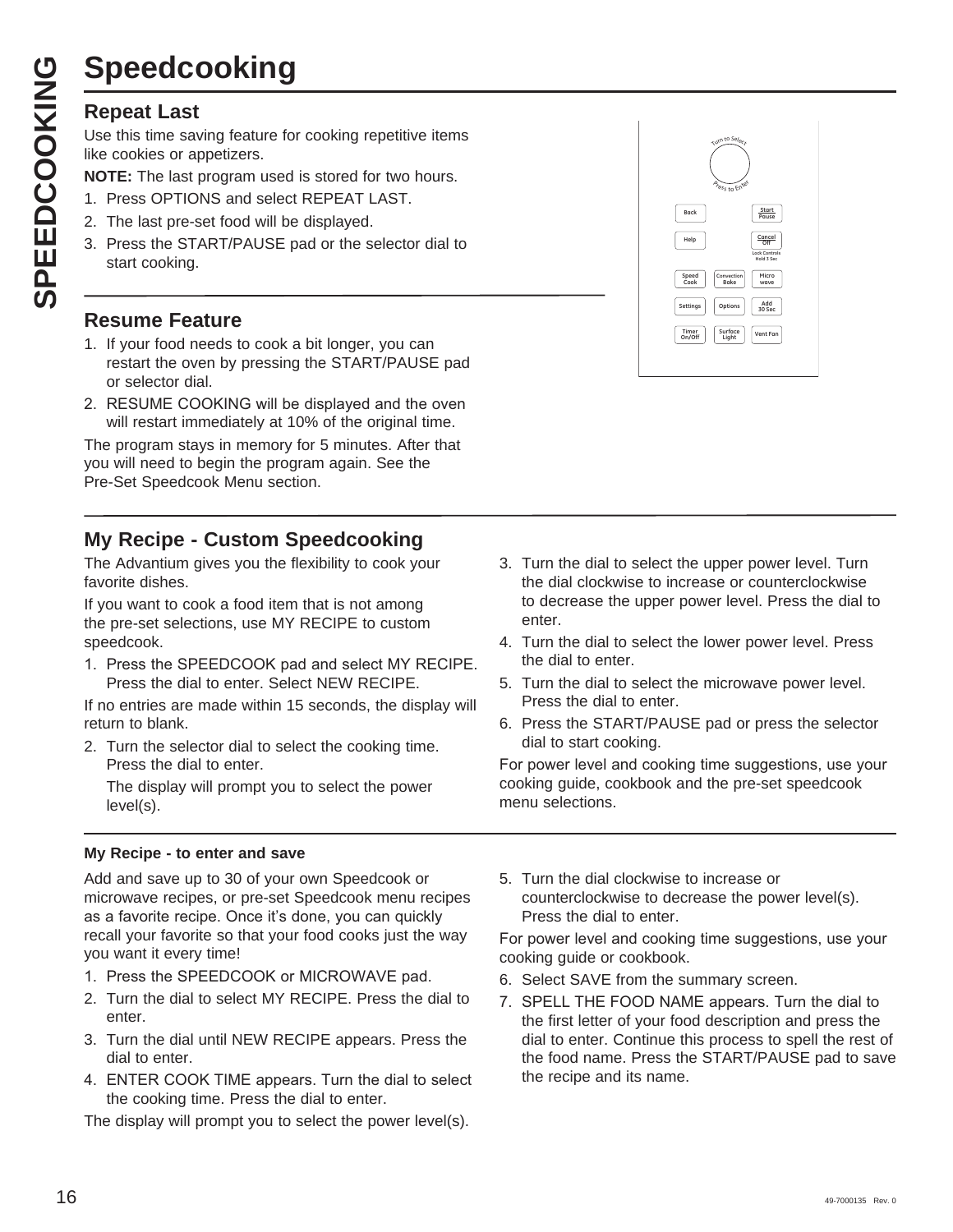# **Speedcooking**

#### **Repeat Last**

Use this time saving feature for cooking repetitive items like cookies or appetizers.

- **NOTE:** The last program used is stored for two hours.
- 1. Press OPTIONS and select REPEAT LAST.
- 2. The last pre-set food will be displayed.
- 3. Press the START/PAUSE pad or the selector dial to start cooking.

#### **Resume Feature**

- 1. If your food needs to cook a bit longer, you can restart the oven by pressing the START/PAUSE pad or selector dial.
- 2. RESUME COOKING will be displayed and the oven will restart immediately at 10% of the original time.

The program stays in memory for 5 minutes. After that you will need to begin the program again. See the Pre-Set Speedcook Menu section.

#### **My Recipe - Custom Speedcooking**

The Advantium gives you the flexibility to cook your favorite dishes.

If you want to cook a food item that is not among the pre-set selections, use MY RECIPE to custom speedcook.

1. Press the SPEEDCOOK pad and select MY RECIPE. Press the dial to enter. Select NEW RECIPE.

If no entries are made within 15 seconds, the display will return to blank.

2. Turn the selector dial to select the cooking time. Press the dial to enter.

 The display will prompt you to select the power level(s).

#### **My Recipe - to enter and save**

Add and save up to 30 of your own Speedcook or microwave recipes, or pre-set Speedcook menu recipes as a favorite recipe. Once it's done, you can quickly recall your favorite so that your food cooks just the way you want it every time!

- 1. Press the SPEEDCOOK or MICROWAVE pad.
- 2. Turn the dial to select MY RECIPE. Press the dial to enter.
- 3. Turn the dial until NEW RECIPE appears. Press the dial to enter.
- 4. ENTER COOK TIME appears. Turn the dial to select the cooking time. Press the dial to enter.

The display will prompt you to select the power level(s).



- 3. Turn the dial to select the upper power level. Turn the dial clockwise to increase or counterclockwise to decrease the upper power level. Press the dial to enter.
- 4. Turn the dial to select the lower power level. Press the dial to enter.
- 5. Turn the dial to select the microwave power level. Press the dial to enter.
- 6. Press the START/PAUSE pad or press the selector dial to start cooking.

For power level and cooking time suggestions, use your cooking guide, cookbook and the pre-set speedcook menu selections.

5. Turn the dial clockwise to increase or counterclockwise to decrease the power level(s). Press the dial to enter.

For power level and cooking time suggestions, use your cooking guide or cookbook.

- 6. Select SAVE from the summary screen.
- 7. SPELL THE FOOD NAME appears. Turn the dial to the first letter of your food description and press the dial to enter. Continue this process to spell the rest of the food name. Press the START/PAUSE pad to save the recipe and its name.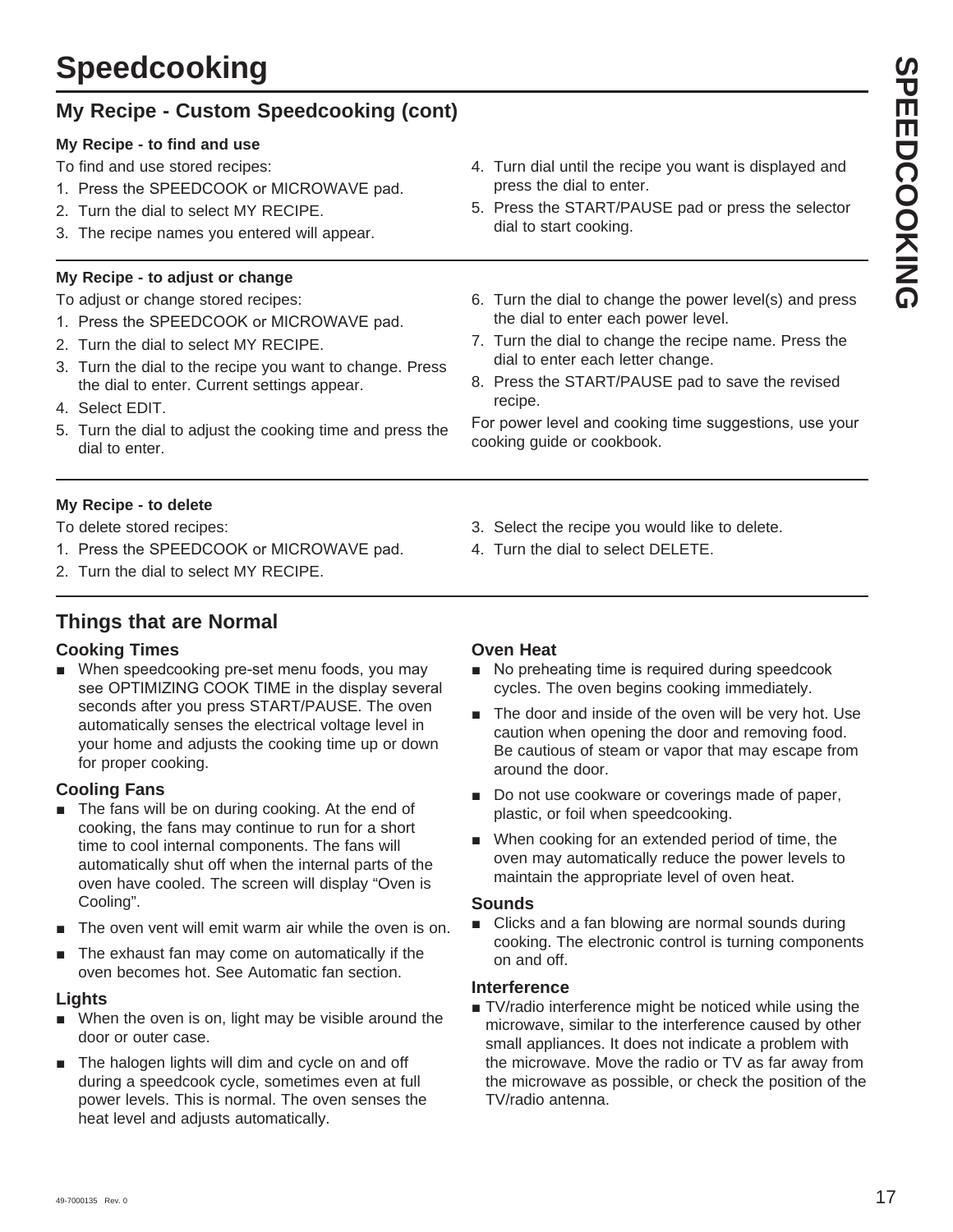# **Speedcooking**

## **My Recipe - Custom Speedcooking (cont)**

#### **My Recipe - to find and use**

To find and use stored recipes:

- 1. Press the SPEEDCOOK or MICROWAVE pad.
- 2. Turn the dial to select MY RECIPE.
- 3. The recipe names you entered will appear.

#### **My Recipe - to adjust or change**

To adjust or change stored recipes:

- 1. Press the SPEEDCOOK or MICROWAVE pad.
- 2. Turn the dial to select MY RECIPE.
- 3. Turn the dial to the recipe you want to change. Press the dial to enter. Current settings appear.
- 4. Select EDIT.
- 5. Turn the dial to adjust the cooking time and press the dial to enter.
- 4. Turn dial until the recipe you want is displayed and press the dial to enter.
- 5. Press the START/PAUSE pad or press the selector dial to start cooking.
- 6. Turn the dial to change the power level(s) and press the dial to enter each power level.
- 7. Turn the dial to change the recipe name. Press the dial to enter each letter change.
- 8. Press the START/PAUSE pad to save the revised recipe.

For power level and cooking time suggestions, use your cooking guide or cookbook.

#### **My Recipe - to delete**

To delete stored recipes:

- 1. Press the SPEEDCOOK or MICROWAVE pad.
- 2. Turn the dial to select MY RECIPE.

## **Things that are Normal**

#### **Cooking Times**

When speedcooking pre-set menu foods, you may see OPTIMIZING COOK TIME in the display several seconds after you press START/PAUSE. The oven automatically senses the electrical voltage level in your home and adjusts the cooking time up or down for proper cooking.

#### **Cooling Fans**

- $\blacksquare$  The fans will be on during cooking. At the end of cooking, the fans may continue to run for a short time to cool internal components. The fans will automatically shut off when the internal parts of the oven have cooled. The screen will display "Oven is Cooling".
- $\blacksquare$  The oven vent will emit warm air while the oven is on.
- The exhaust fan may come on automatically if the oven becomes hot. See Automatic fan section.

#### **Lights**

- $\blacksquare$  When the oven is on, light may be visible around the door or outer case.
- $\blacksquare$  The halogen lights will dim and cycle on and off during a speedcook cycle, sometimes even at full power levels. This is normal. The oven senses the heat level and adjusts automatically.

## **Oven Heat**

No preheating time is required during speedcook cycles. The oven begins cooking immediately.

3. Select the recipe you would like to delete.

4. Turn the dial to select DELETE.

- $\blacksquare$  The door and inside of the oven will be very hot. Use caution when opening the door and removing food. Be cautious of steam or vapor that may escape from around the door.
- Do not use cookware or coverings made of paper, plastic, or foil when speedcooking.
- $\blacksquare$  When cooking for an extended period of time, the oven may automatically reduce the power levels to maintain the appropriate level of oven heat.

#### **Sounds**

 $\blacksquare$  Clicks and a fan blowing are normal sounds during cooking. The electronic control is turning components on and off.

#### **Interference**

■ TV/radio interference might be noticed while using the microwave, similar to the interference caused by other small appliances. It does not indicate a problem with the microwave. Move the radio or TV as far away from the microwave as possible, or check the position of the TV/radio antenna.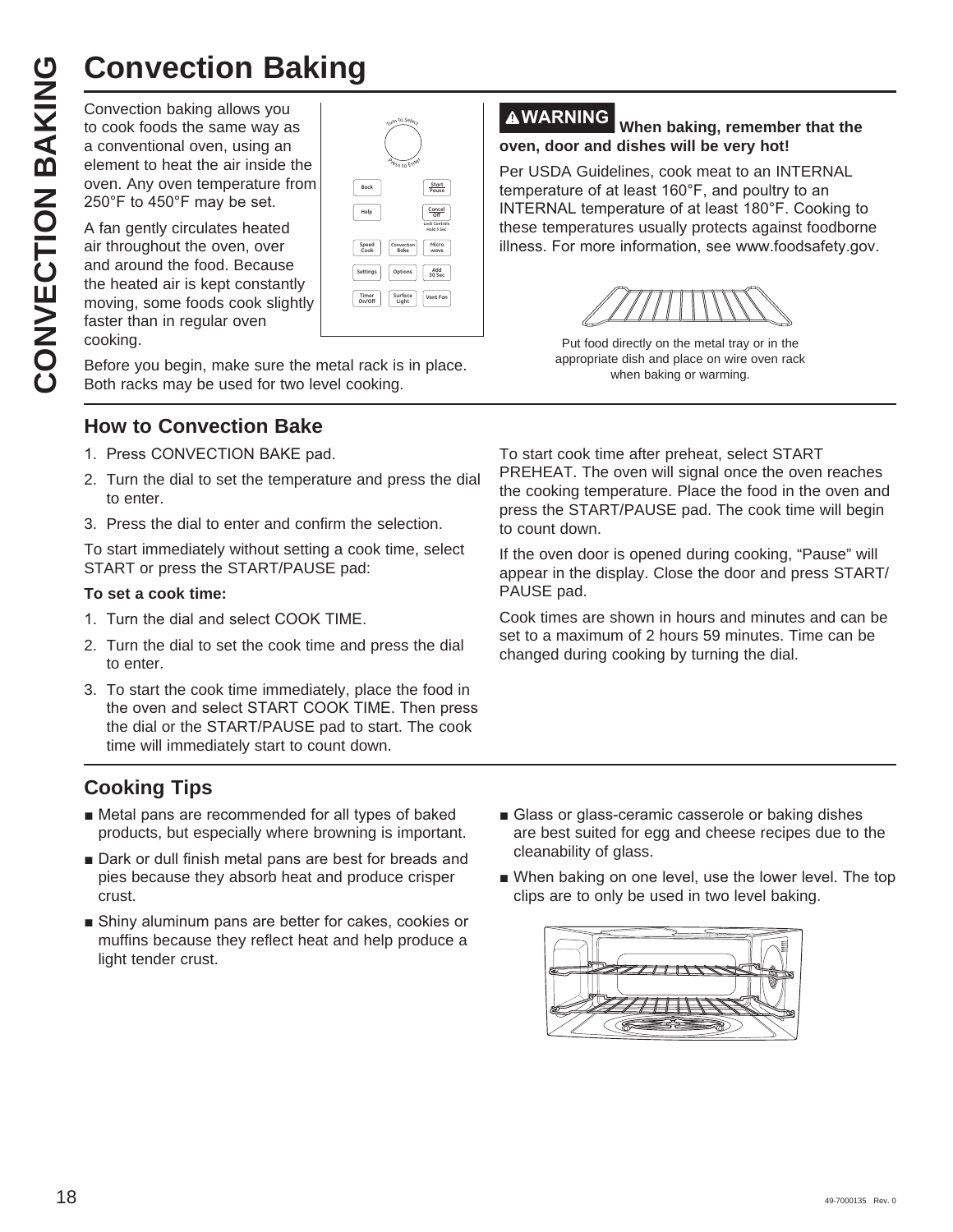Convection baking allows you to cook foods the same way as a conventional oven, using an element to heat the air inside the oven. Any oven temperature from  $250^\circ$ F to  $450^\circ$ F may be set.

**CONVECTION Baking**<br>
Convection baking allows you<br>
to cook foods the same way as<br>
a conventional oven, using an<br>
element to heat the air inside the<br>
oven. Any oven temperature from<br>
250°F to 450°F may be set.<br>
A fan gently A fan gently circulates heated air throughout the oven, over and around the food. Because the heated air is kept constantly moving, some foods cook slightly faster than in regular oven cooking.

| Turn to Select<br><b>Press to Enter</b>    |                                              |
|--------------------------------------------|----------------------------------------------|
| Back                                       | Start<br>Pause                               |
| Help                                       | Cancel<br><b>Lock Controls</b><br>Hold 3 Sec |
| Speed<br>Convection<br>Cook<br><b>Bake</b> | Micro<br>wave                                |
| Options<br>Settings                        | Add<br>30 Sec                                |
| Surface<br>Timer<br>On/Off<br>Light        | Vent Fan                                     |
|                                            |                                              |

Before you begin, make sure the metal rack is in place. Both racks may be used for two level cooking.

#### **How to Convection Bake**

- 1. Press CONVECTION BAKE pad.
- 2. Turn the dial to set the temperature and press the dial to enter.
- 3. Press the dial to enter and confirm the selection.

To start immediately without setting a cook time, select START or press the START/PAUSE pad:

#### **To set a cook time:**

- 1. Turn the dial and select COOK TIME.
- 2. Turn the dial to set the cook time and press the dial to enter.
- 3. To start the cook time immediately, place the food in the oven and select START COOK TIME. Then press the dial or the START/PAUSE pad to start. The cook time will immediately start to count down.

#### **Cooking Tips**

- $\blacksquare$  Metal pans are recommended for all types of baked products, but especially where browning is important.
- Dark or dull finish metal pans are best for breads and pies because they absorb heat and produce crisper crust.
- Shiny aluminum pans are better for cakes, cookies or muffins because they reflect heat and help produce a light tender crust.

#### **WARNING When baking, remember that the oven, door and dishes will be very hot!**

Per USDA Guidelines, cook meat to an INTERNAL temperature of at least 160°F, and poultry to an INTERNAL temperature of at least 180°F. Cooking to these temperatures usually protects against foodborne illness. For more information, see www.foodsafety.gov.



Put food directly on the metal tray or in the appropriate dish and place on wire oven rack when baking or warming.

To start cook time after preheat, select START PREHEAT. The oven will signal once the oven reaches the cooking temperature. Place the food in the oven and press the START/PAUSE pad. The cook time will begin to count down.

If the oven door is opened during cooking, "Pause" will appear in the display. Close the door and press START/ PAUSE pad.

Cook times are shown in hours and minutes and can be set to a maximum of 2 hours 59 minutes. Time can be changed during cooking by turning the dial.

- Glass or glass-ceramic casserole or baking dishes are best suited for egg and cheese recipes due to the cleanability of glass.
- When baking on one level, use the lower level. The top clips are to only be used in two level baking.

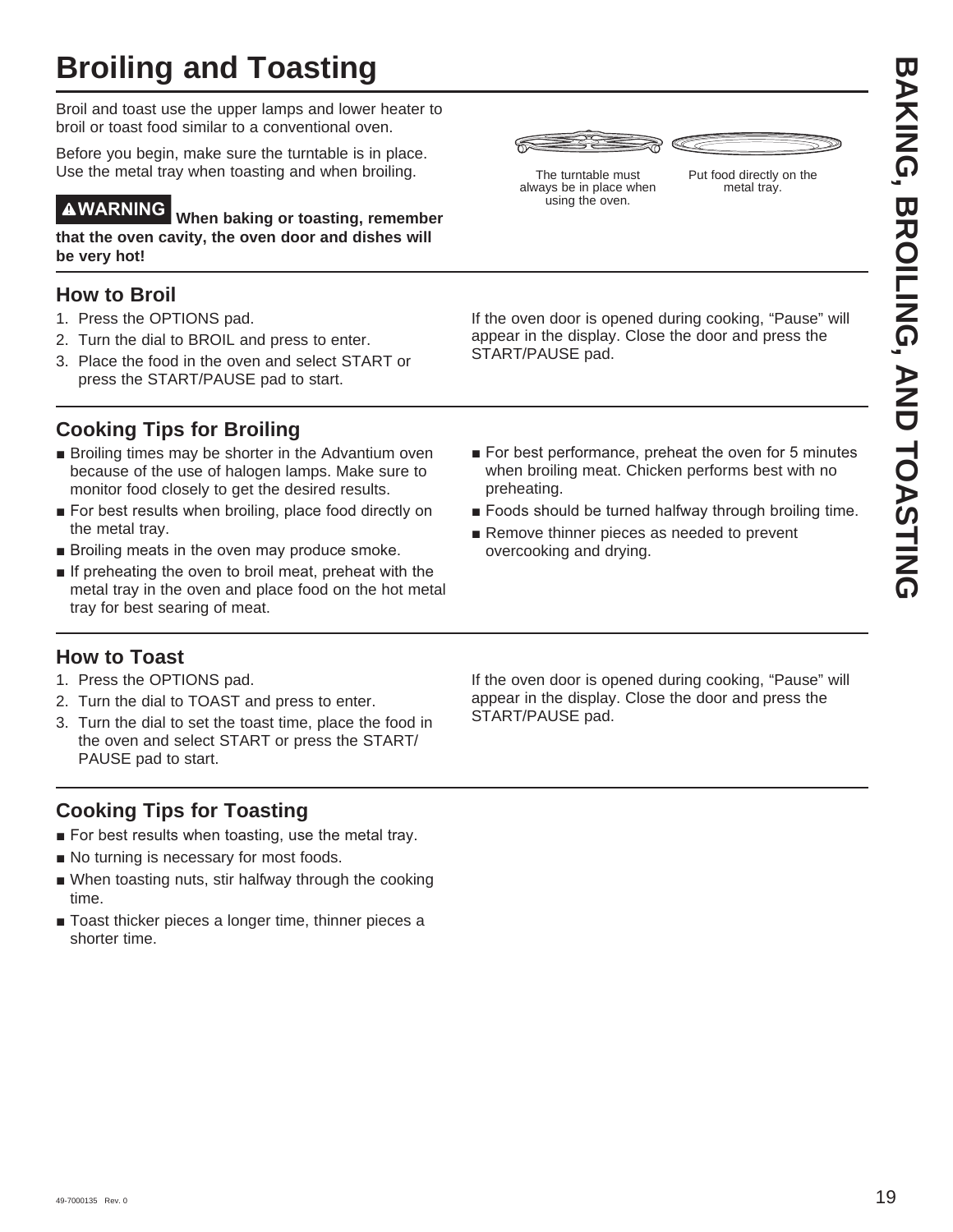Broil and toast use the upper lamps and lower heater to broil or toast food similar to a conventional oven.

Before you begin, make sure the turntable is in place. Use the metal tray when toasting and when broiling.

**WARNING When baking or toasting, remember that the oven cavity, the oven door and dishes will be very hot!**

#### **How to Broil**

- 1. Press the OPTIONS pad.
- 2. Turn the dial to BROIL and press to enter.
- 3. Place the food in the oven and select START or press the START/PAUSE pad to start.

## **Cooking Tips for Broiling**

- **Broiling times may be shorter in the Advantium oven** because of the use of halogen lamps. Make sure to monitor food closely to get the desired results.
- For best results when broiling, place food directly on the metal tray.
- $\blacksquare$  Broiling meats in the oven may produce smoke.
- **If preheating the oven to broil meat, preheat with the** metal tray in the oven and place food on the hot metal tray for best searing of meat.

#### **How to Toast**

- 1. Press the OPTIONS pad.
- 2. Turn the dial to TOAST and press to enter.
- 3. Turn the dial to set the toast time, place the food in the oven and select START or press the START/ PAUSE pad to start.

#### **Cooking Tips for Toasting**

- For best results when toasting, use the metal tray.
- No turning is necessary for most foods.
- $\blacksquare$  When toasting nuts, stir halfway through the cooking time.
- $\blacksquare$  Toast thicker pieces a longer time, thinner pieces a shorter time.



The turntable must always be in place when using the oven.



If the oven door is opened during cooking, "Pause" will appear in the display. Close the door and press the START/PAUSE pad.

- **EXCREMENT CONSTRUENT INTO A CONSTRUENT CONSTRUENT INTO A CONSTRUENT CONSTRUENT INTO A CONSTRUENT CONSTRUENT CONSTRUENT CONSTRUENT CONSTRUENT CONSTRUENT CONSTRUENT CONSTRUENT CONSTRUENT CONSTRUENT CONSTRUENT CONSTRUENT CON** ■ For best performance, preheat the oven for 5 minutes when broiling meat. Chicken performs best with no preheating.
	- $\blacksquare$  Foods should be turned halfway through broiling time.
	- $\blacksquare$  Remove thinner pieces as needed to prevent overcooking and drying.

If the oven door is opened during cooking, "Pause" will appear in the display. Close the door and press the START/PAUSE pad.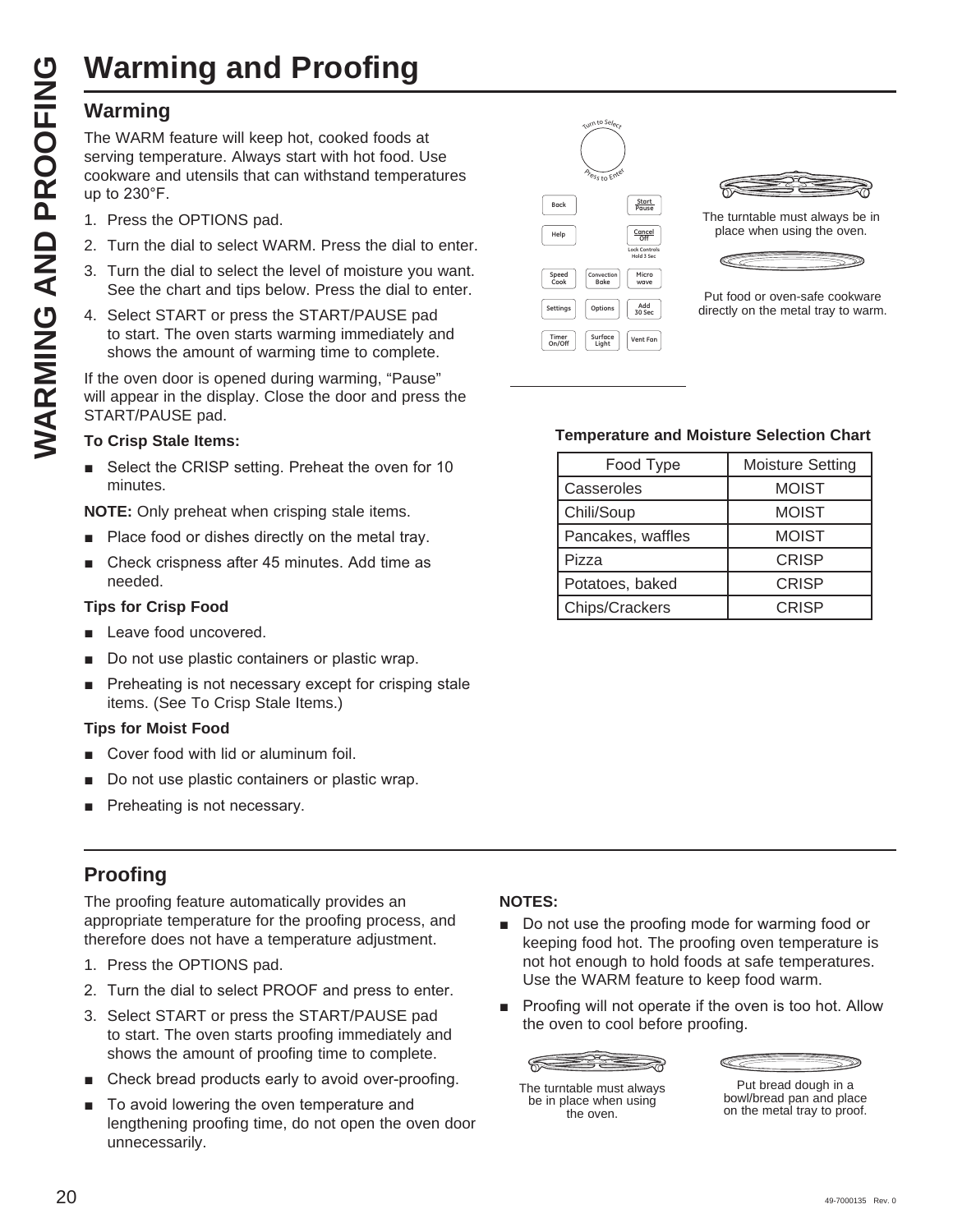# **Warming and Proofing**

The WARM feature will keep hot, cooked foods at serving temperature. Always start with hot food. Use cookware and utensils that can withstand temperatures up to  $230^\circ$ F.

- 1. Press the OPTIONS pad.
- 2. Turn the dial to select WARM. Press the dial to enter.
- 3. Turn the dial to select the level of moisture you want. See the chart and tips below. Press the dial to enter.
- 4. Select START or press the START/PAUSE pad to start. The oven starts warming immediately and shows the amount of warming time to complete.

If the oven door is opened during warming, "Pause" will appear in the display. Close the door and press the START/PAUSE pad.

#### **To Crisp Stale Items:**

■ Select the CRISP setting. Preheat the oven for 10 minutes.

**NOTE:** Only preheat when crisping stale items.

- Place food or dishes directly on the metal tray.
- Check crispness after 45 minutes. Add time as needed.

#### **Tips for Crisp Food**

- Leave food uncovered.
- Do not use plastic containers or plastic wrap.
- Preheating is not necessary except for crisping stale items. (See To Crisp Stale Items.)

#### **Tips for Moist Food**

- Cover food with lid or aluminum foil.
- Do not use plastic containers or plastic wrap.
- Preheating is not necessary.

#### **Proofing**

The proofing feature automatically provides an appropriate temperature for the proofing process, and therefore does not have a temperature adjustment.

- 1. Press the OPTIONS pad.
- 2. Turn the dial to select PROOF and press to enter.
- 3. Select START or press the START/PAUSE pad to start. The oven starts proofing immediately and shows the amount of proofing time to complete.
- Check bread products early to avoid over-proofing.
- To avoid lowering the oven temperature and lengthening proofing time, do not open the oven door unnecessarily.



The turntable must always be in place when using the oven.



Put food or oven-safe cookware directly on the metal tray to warm.

#### **Temperature and Moisture Selection Chart**

| Food Type         | <b>Moisture Setting</b> |
|-------------------|-------------------------|
| Casseroles        | <b>MOIST</b>            |
| Chili/Soup        | <b>MOIST</b>            |
| Pancakes, waffles | <b>MOIST</b>            |
| Pizza             | <b>CRISP</b>            |
| Potatoes, baked   | <b>CRISP</b>            |
| Chips/Crackers    | <b>CRISP</b>            |

#### **NOTES:**

- Do not use the proofing mode for warming food or keeping food hot. The proofing oven temperature is not hot enough to hold foods at safe temperatures. Use the WARM feature to keep food warm.
- **Proofing will not operate if the oven is too hot. Allow** the oven to cool before proofing.

The turntable must always be in place when using the oven.

Put bread dough in a bowl/bread pan and place on the metal tray to proof.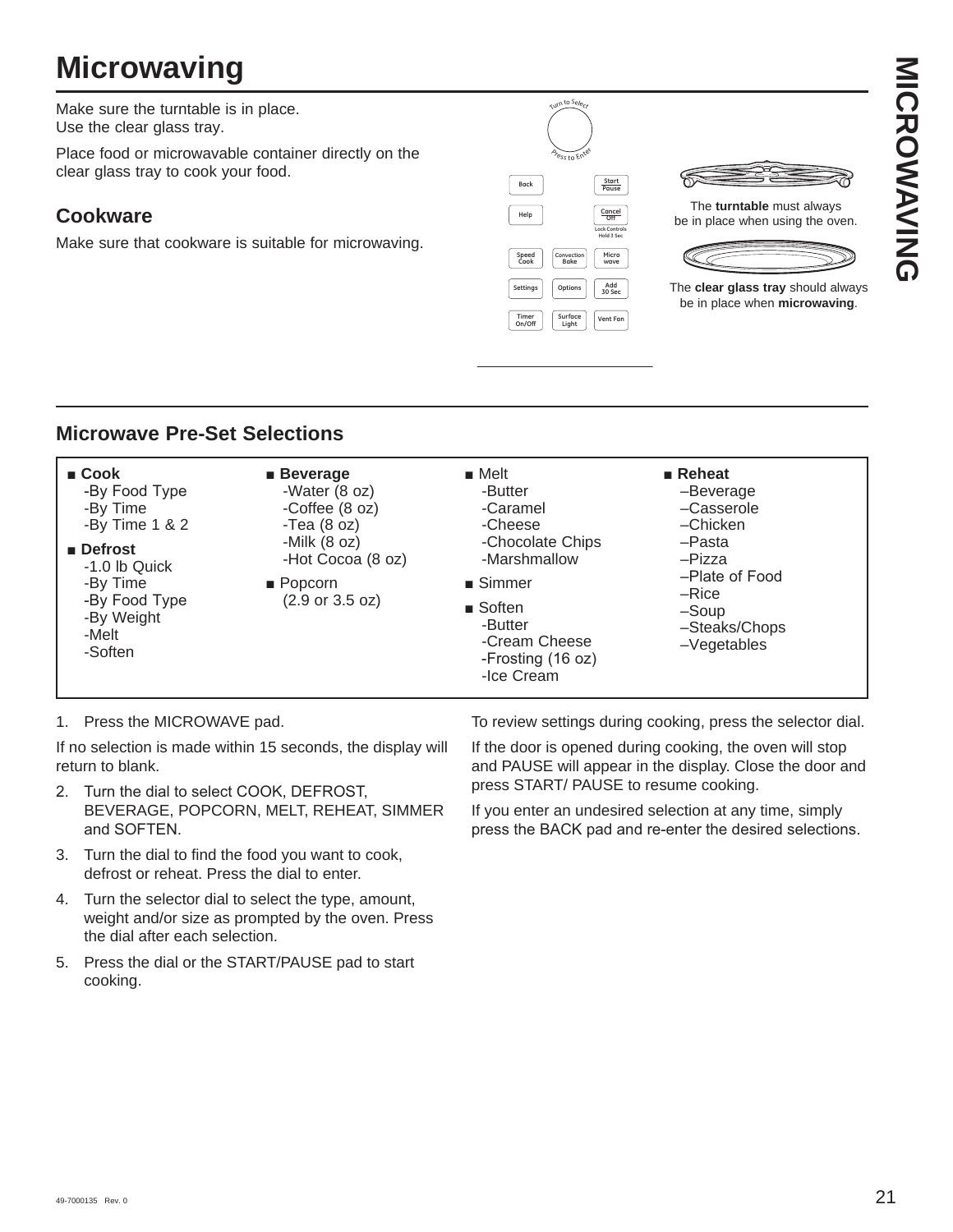# **Microwaving**

Make sure the turntable is in place. Use the clear glass tray.

Place food or microwavable container directly on the clear glass tray to cook your food.

#### **Cookware**

Make sure that cookware is suitable for microwaving.





The **turntable** must always be in place when using the oven.



The **clear glass tray** should always be in place when **microwaving**.

#### **Microwave Pre-Set Selections**

| $\blacksquare$ Cook<br>-By Food Type<br>-By Time<br>-By Time $1 & 2$<br>$\blacksquare$ Defrost<br>-1.0 lb Quick<br>-By Time<br>-By Food Type<br>-By Weight<br>-Melt<br>-Soften | $\blacksquare$ Beverage<br>-Water (8 oz)<br>-Coffee (8 oz)<br>-Tea $(8 oz)$<br>-Milk $(8 oz)$<br>-Hot Cocoa (8 oz)<br>$\blacksquare$ Popcorn<br>$(2.9 \text{ or } 3.5 \text{ oz})$ | $\blacksquare$ Melt<br>-Butter<br>-Caramel<br>-Cheese<br>-Chocolate Chips<br>-Marshmallow<br>$\blacksquare$ Simmer<br>$\blacksquare$ Soften<br>-Butter<br>-Cream Cheese<br>-Frosting (16 oz)<br>-Ice Cream | $\blacksquare$ Reheat<br>-Beverage<br>-Casserole<br>-Chicken<br>-Pasta<br>-Pizza<br>-Plate of Food<br>$-Rice$<br>$-Soup$<br>-Steaks/Chops<br>$-V$ egetables |
|--------------------------------------------------------------------------------------------------------------------------------------------------------------------------------|------------------------------------------------------------------------------------------------------------------------------------------------------------------------------------|------------------------------------------------------------------------------------------------------------------------------------------------------------------------------------------------------------|-------------------------------------------------------------------------------------------------------------------------------------------------------------|
|--------------------------------------------------------------------------------------------------------------------------------------------------------------------------------|------------------------------------------------------------------------------------------------------------------------------------------------------------------------------------|------------------------------------------------------------------------------------------------------------------------------------------------------------------------------------------------------------|-------------------------------------------------------------------------------------------------------------------------------------------------------------|

1. Press the MICROWAVE pad.

If no selection is made within 15 seconds, the display will return to blank.

- 2. Turn the dial to select COOK, DEFROST, BEVERAGE, POPCORN, MELT, REHEAT, SIMMER and SOFTEN.
- 3. Turn the dial to find the food you want to cook, defrost or reheat. Press the dial to enter.
- 4. Turn the selector dial to select the type, amount, weight and/or size as prompted by the oven. Press the dial after each selection.
- 5. Press the dial or the START/PAUSE pad to start cooking.

To review settings during cooking, press the selector dial.

If the door is opened during cooking, the oven will stop and PAUSE will appear in the display. Close the door and press START/ PAUSE to resume cooking.

If you enter an undesired selection at any time, simply press the BACK pad and re-enter the desired selections.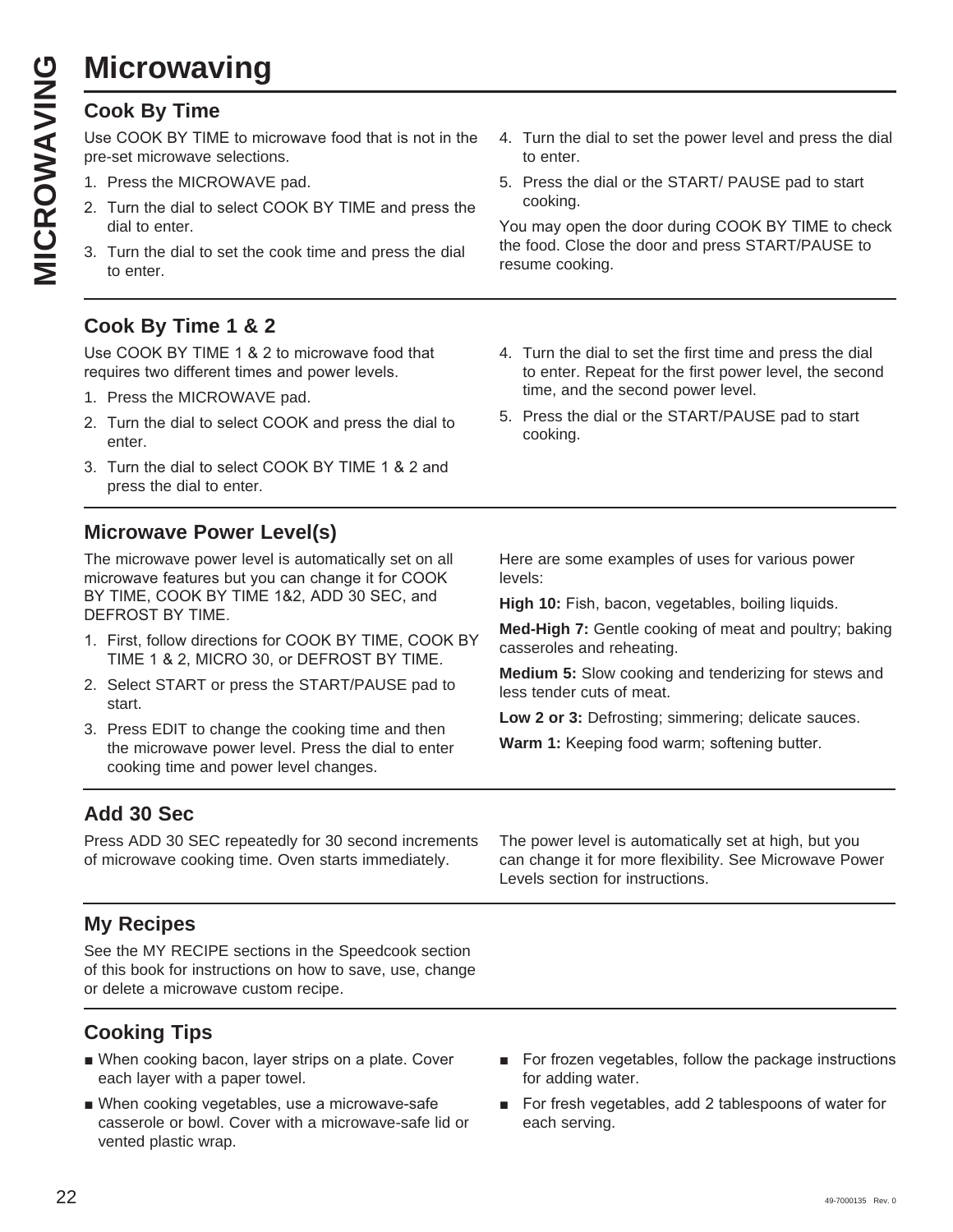# **Microwaving**

Use COOK BY TIME to microwave food that is not in the pre-set microwave selections.

- 1. Press the MICROWAVE pad.
- 2. Turn the dial to select COOK BY TIME and press the dial to enter.
- 3. Turn the dial to set the cook time and press the dial to enter.

## **Cook By Time 1 & 2**

Use COOK BY TIME 1 & 2 to microwave food that requires two different times and power levels.

- 1. Press the MICROWAVE pad.
- 2. Turn the dial to select COOK and press the dial to enter.
- 3. Turn the dial to select COOK BY TIME 1 & 2 and press the dial to enter.

#### **Microwave Power Level(s)**

The microwave power level is automatically set on all microwave features but you can change it for COOK BY TIME, COOK BY TIME 1&2, ADD 30 SEC, and DEFROST BY TIME.

- 1. First, follow directions for COOK BY TIME, COOK BY TIME 1 & 2, MICRO 30, or DEFROST BY TIME.
- 2. Select START or press the START/PAUSE pad to start.
- 3. Press EDIT to change the cooking time and then the microwave power level. Press the dial to enter cooking time and power level changes.

4. Turn the dial to set the power level and press the dial to enter.

5. Press the dial or the START/ PAUSE pad to start cooking.

You may open the door during COOK BY TIME to check the food. Close the door and press START/PAUSE to resume cooking.

- 4. Turn the dial to set the first time and press the dial to enter. Repeat for the first power level, the second time, and the second power level.
- 5. Press the dial or the START/PAUSE pad to start cooking.

Here are some examples of uses for various power levels:

**High 10:** Fish, bacon, vegetables, boiling liquids.

**Med-High 7:** Gentle cooking of meat and poultry; baking casseroles and reheating.

**Medium 5:** Slow cooking and tenderizing for stews and less tender cuts of meat.

**Low 2 or 3:** Defrosting; simmering; delicate sauces.

**Warm 1:** Keeping food warm; softening butter.

#### **Add 30 Sec**

Press ADD 30 SEC repeatedly for 30 second increments of microwave cooking time. Oven starts immediately.

#### **My Recipes**

See the MY RECIPE sections in the Speedcook section of this book for instructions on how to save, use, change or delete a microwave custom recipe.

## **Cooking Tips**

- When cooking bacon, layer strips on a plate. Cover each layer with a paper towel.
- When cooking vegetables, use a microwave-safe casserole or bowl. Cover with a microwave-safe lid or vented plastic wrap.

The power level is automatically set at high, but you can change it for more flexibility. See Microwave Power Levels section for instructions.

- For frozen vegetables, follow the package instructions for adding water.
- For fresh vegetables, add 2 tablespoons of water for each serving.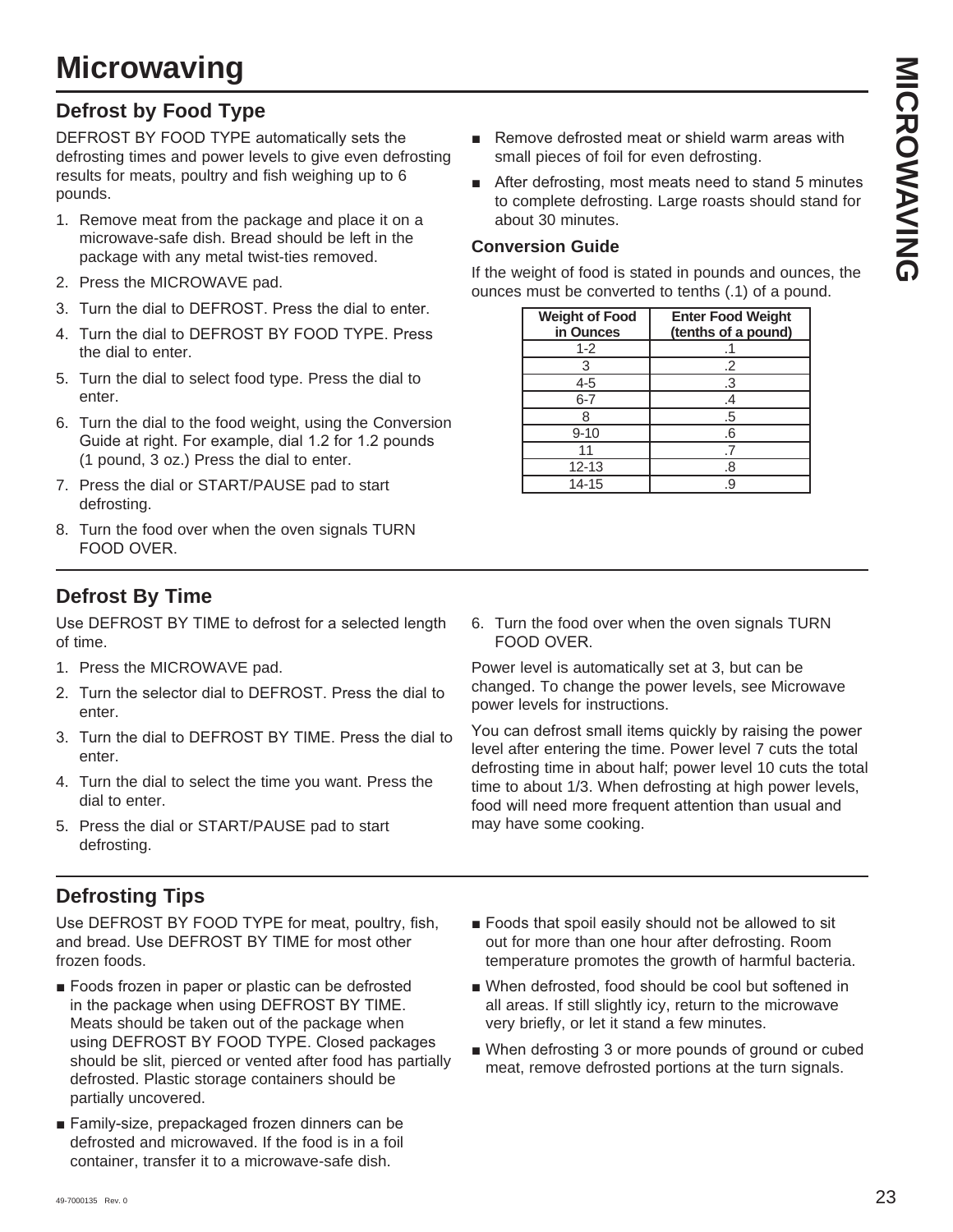## **Defrost by Food Type**

DEFROST BY FOOD TYPE automatically sets the defrosting times and power levels to give even defrosting results for meats, poultry and fish weighing up to 6 pounds.

- 1. Remove meat from the package and place it on a microwave-safe dish. Bread should be left in the package with any metal twist-ties removed.
- 2. Press the MICROWAVE pad.
- 3. Turn the dial to DEFROST. Press the dial to enter.
- 4. Turn the dial to DEFROST BY FOOD TYPE. Press the dial to enter.
- 5. Turn the dial to select food type. Press the dial to enter.
- 6. Turn the dial to the food weight, using the Conversion Guide at right. For example, dial 1.2 for 1.2 pounds (1 pound, 3 oz.) Press the dial to enter.
- 7. Press the dial or START/PAUSE pad to start defrosting.
- 8. Turn the food over when the oven signals TURN FOOD OVER.

## **Defrost By Time**

Use DEFROST BY TIME to defrost for a selected length of time.

- 1. Press the MICROWAVE pad.
- 2. Turn the selector dial to DEFROST. Press the dial to enter.
- 3. Turn the dial to DEFROST BY TIME, Press the dial to enter.
- 4. Turn the dial to select the time you want. Press the dial to enter.
- 5. Press the dial or START/PAUSE pad to start defrosting.

## **Defrosting Tips**

Use DEFROST BY FOOD TYPE for meat, poultry, fish, and bread. Use DEFROST BY TIME for most other frozen foods.

- Foods frozen in paper or plastic can be defrosted in the package when using DEFROST BY TIME. Meats should be taken out of the package when using DEFROST BY FOOD TYPE. Closed packages should be slit, pierced or vented after food has partially defrosted. Plastic storage containers should be partially uncovered.
- Family-size, prepackaged frozen dinners can be defrosted and microwaved. If the food is in a foil container, transfer it to a microwave-safe dish.
- Remove defrosted meat or shield warm areas with small pieces of foil for even defrosting.
- $\blacksquare$  After defrosting, most meats need to stand 5 minutes to complete defrosting. Large roasts should stand for about 30 minutes.

#### **Conversion Guide**

If the weight of food is stated in pounds and ounces, the ounces must be converted to tenths (.1) of a pound.

| <b>Weight of Food</b><br>in Ounces | <b>Enter Food Weight</b><br>(tenths of a pound) |
|------------------------------------|-------------------------------------------------|
| $1 - 2$                            |                                                 |
| з                                  | .2                                              |
| 4-5                                | .3                                              |
| $6 - 7$                            | .4                                              |
|                                    | .5                                              |
| $9 - 10$                           | .6                                              |
| 11                                 |                                                 |
| $12 - 13$                          | 8.                                              |
| 14-15                              | 9                                               |

6. Turn the food over when the oven signals TURN FOOD OVER.

Power level is automatically set at 3, but can be changed. To change the power levels, see Microwave power levels for instructions.

You can defrost small items quickly by raising the power level after entering the time. Power level 7 cuts the total defrosting time in about half; power level 10 cuts the total time to about 1/3. When defrosting at high power levels, food will need more frequent attention than usual and may have some cooking.

- Foods that spoil easily should not be allowed to sit out for more than one hour after defrosting. Room temperature promotes the growth of harmful bacteria.
- When defrosted, food should be cool but softened in all areas. If still slightly icy, return to the microwave very briefly, or let it stand a few minutes.
- When defrosting 3 or more pounds of ground or cubed meat, remove defrosted portions at the turn signals.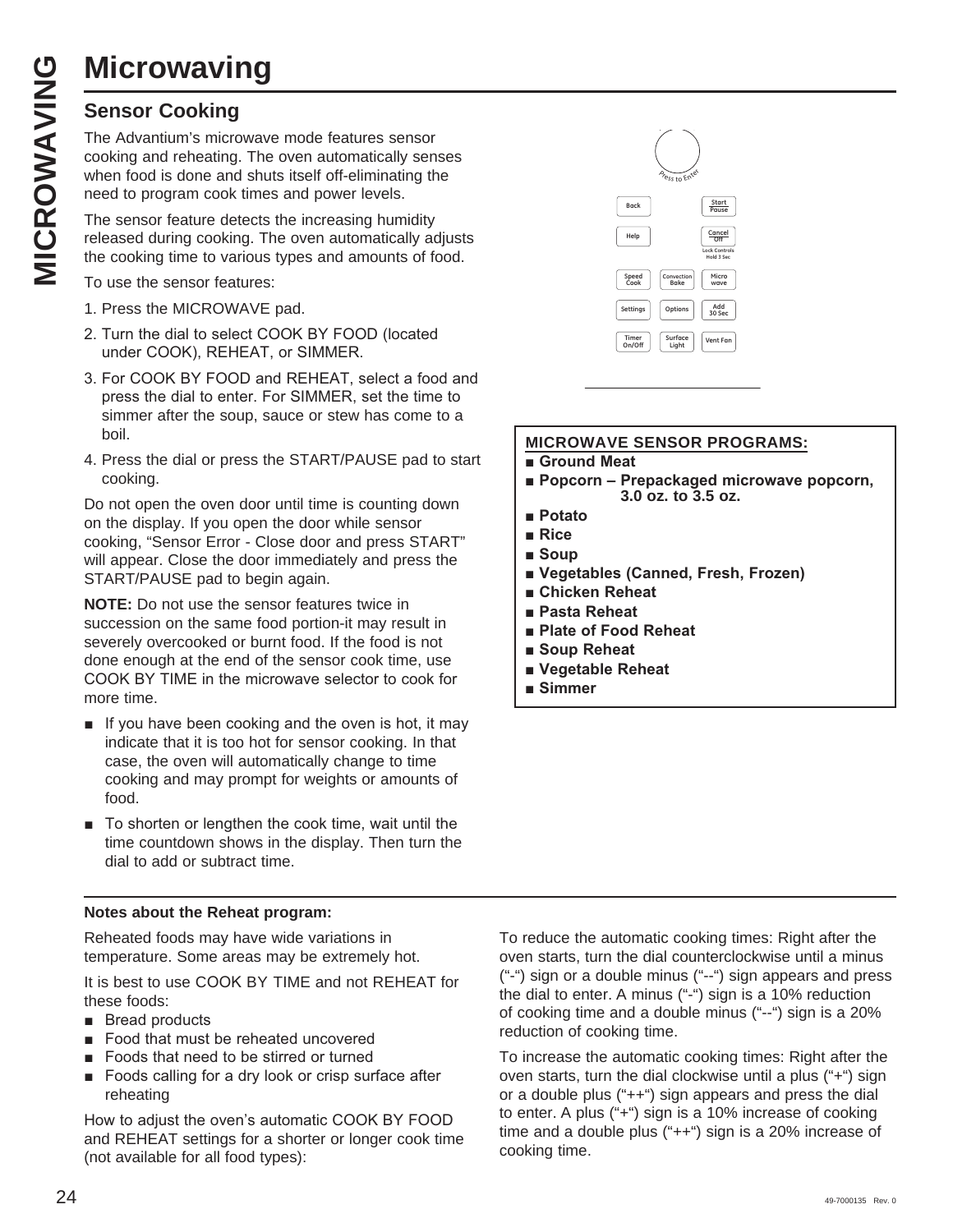# **Microwaving**

**MICROWAVII**<br>
Sensor Cooking<br>
The Advantium's micro<br>
cooking and reheating.<br>
when food is done and<br>
need to program cook<br>
The sensor feature det<br>
released during cookin<br>
the cooking time to var<br>
To use the sensor feat The Advantium's microwave mode features sensor cooking and reheating. The oven automatically senses when food is done and shuts itself off-eliminating the need to program cook times and power levels.

The sensor feature detects the increasing humidity released during cooking. The oven automatically adjusts the cooking time to various types and amounts of food.

To use the sensor features:

- 1. Press the MICROWAVE pad.
- 2. Turn the dial to select COOK BY FOOD (located under COOK), REHEAT, or SIMMER.
- 3. For COOK BY FOOD and REHEAT, select a food and press the dial to enter. For SIMMER, set the time to simmer after the soup, sauce or stew has come to a boil.
- 4. Press the dial or press the START/PAUSE pad to start cooking.

Do not open the oven door until time is counting down on the display. If you open the door while sensor cooking, "Sensor Error - Close door and press START" will appear. Close the door immediately and press the START/PAUSE pad to begin again.

**NOTE:** Do not use the sensor features twice in succession on the same food portion-it may result in severely overcooked or burnt food. If the food is not done enough at the end of the sensor cook time, use COOK BY TIME in the microwave selector to cook for more time.

- $\blacksquare$  If you have been cooking and the oven is hot, it may indicate that it is too hot for sensor cooking. In that case, the oven will automatically change to time cooking and may prompt for weights or amounts of food.
- $\blacksquare$  To shorten or lengthen the cook time, wait until the time countdown shows in the display. Then turn the dial to add or subtract time.

#### **Notes about the Reheat program:**

Reheated foods may have wide variations in temperature. Some areas may be extremely hot.

It is best to use COOK BY TIME and not REHEAT for these foods:

- $\blacksquare$  Bread products
- $\blacksquare$  Food that must be reheated uncovered
- $\blacksquare$  Foods that need to be stirred or turned
- Foods calling for a dry look or crisp surface after reheating

How to adjust the oven's automatic COOK BY FOOD and REHEAT settings for a shorter or longer cook time (not available for all food types):



#### **MICROWAVE SENSOR PROGRAMS:**

 $\blacksquare$  **Ground Meat** 

- $\blacksquare$  **Popcorn Prepackaged microwave popcorn, 3.0 oz. to 3.5 oz.**
- **Potato**
- **Rice**
- **B** Soup
- **E** Vegetables (Canned, Fresh, Frozen)
- **E** Chicken Reheat
- **Pasta Reheat**
- **Plate of Food Reheat**
- **B** Soup Reheat
- **N** Vegetable Reheat
- **E** Simmer

To reduce the automatic cooking times: Right after the oven starts, turn the dial counterclockwise until a minus ("-") sign or a double minus ("--") sign appears and press the dial to enter. A minus ("-") sign is a 10% reduction of cooking time and a double minus ("--") sign is a 20% reduction of cooking time.

To increase the automatic cooking times: Right after the oven starts, turn the dial clockwise until a plus ("+") sign or a double plus ("++") sign appears and press the dial to enter. A plus ("+") sign is a 10% increase of cooking time and a double plus ("++") sign is a 20% increase of cooking time.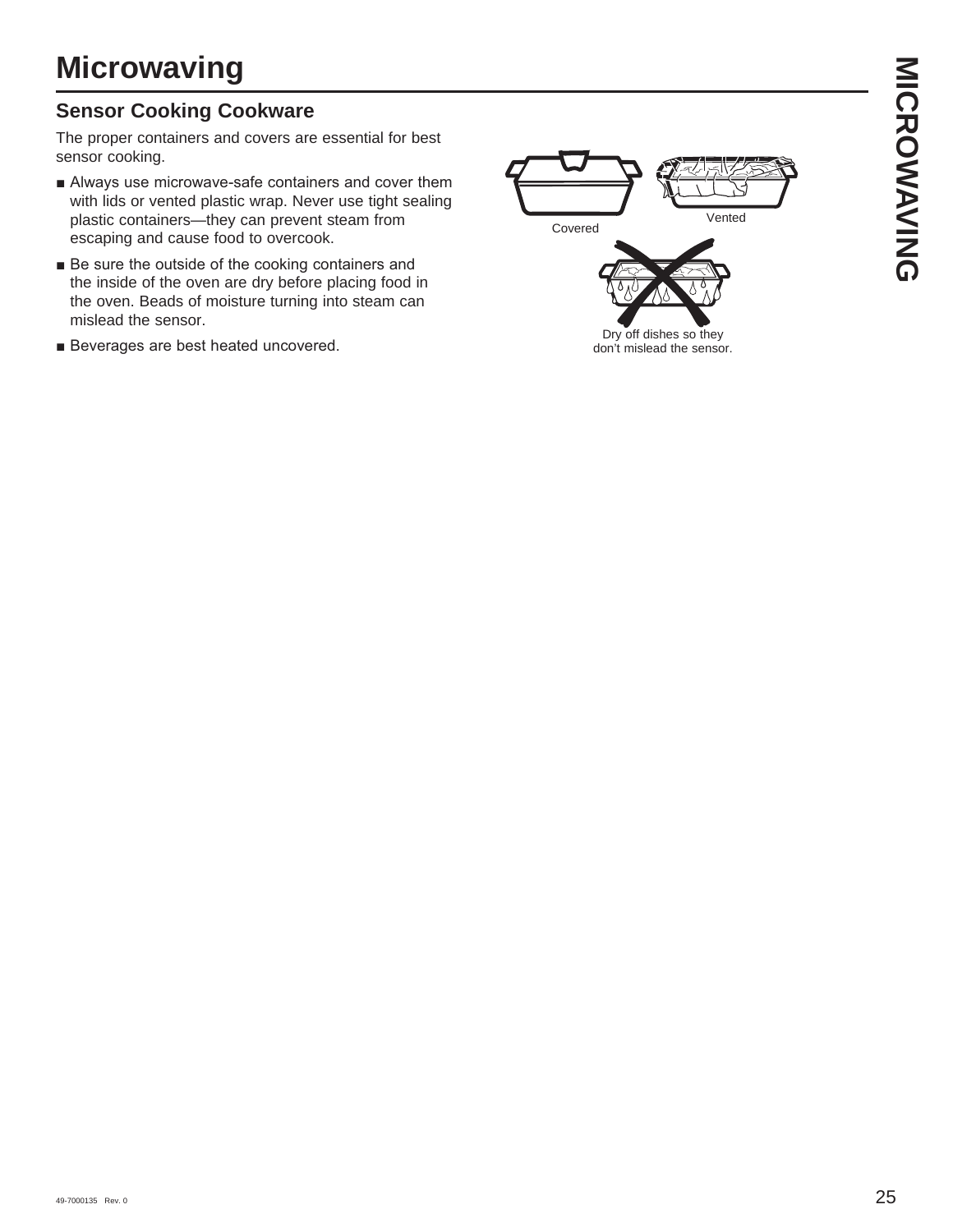sensor cooking.  $\blacksquare$  Always use microwave-safe containers and cover them

- with lids or vented plastic wrap. Never use tight sealing plastic containers—they can prevent steam from escaping and cause food to overcook.
- $\blacksquare$  Be sure the outside of the cooking containers and the inside of the oven are dry before placing food in the oven. Beads of moisture turning into steam can mislead the sensor.
- Beverages are best heated uncovered.

**Sensor Cooking Cookware**

**Microwaving**

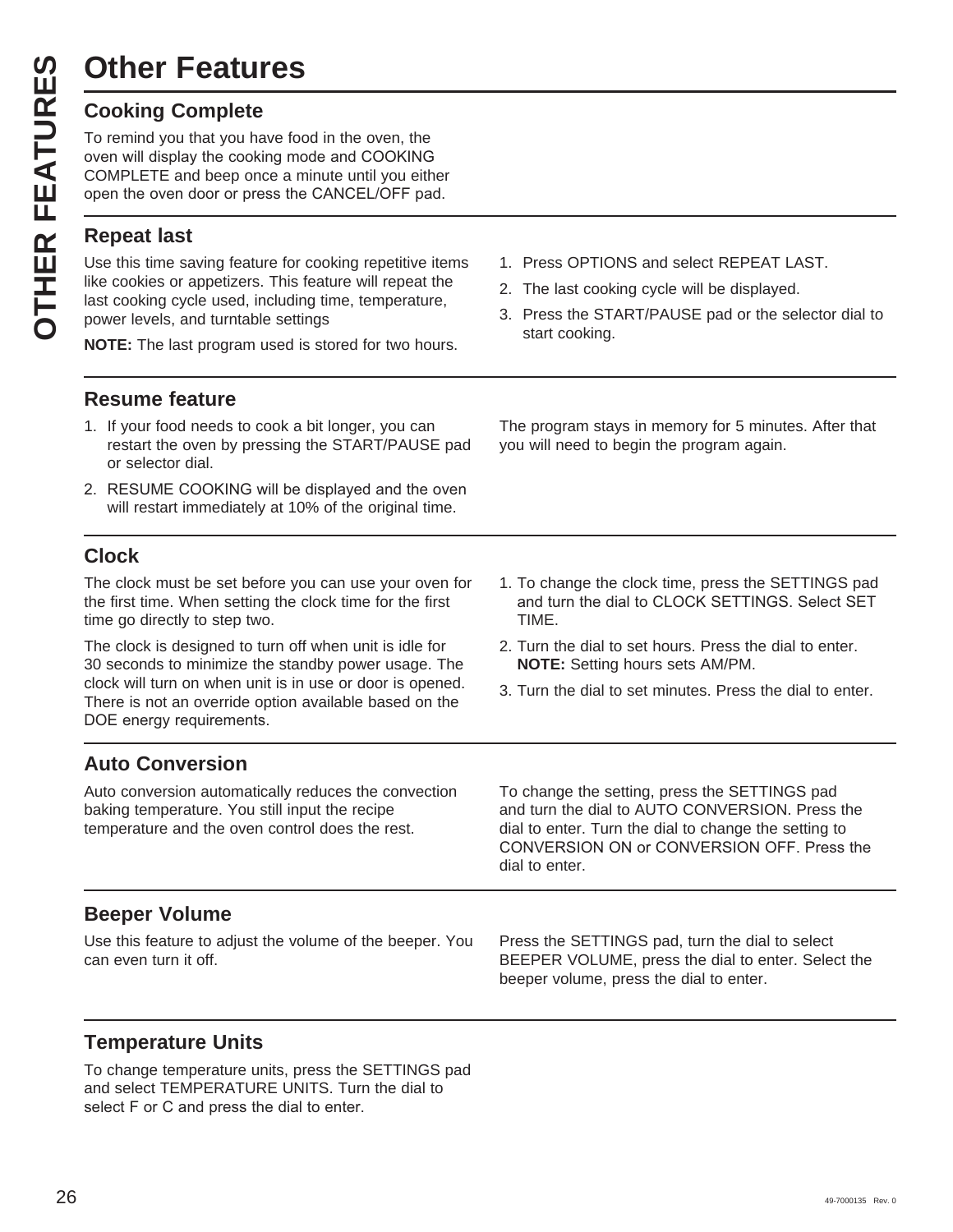## **Other Features**

|  | <b>Cooking Complete</b> |
|--|-------------------------|
|--|-------------------------|

To remind you that you have food in the oven, the oven will display the cooking mode and COOKING COMPLETE and beep once a minute until you either open the oven door or press the CANCEL/OFF pad.

#### **Repeat last**

**Other Features**<br> **Cooking Complete**<br>
To remind you that you has<br>
oven will display the cooking<br>
COMPLETE and beep one<br>
open the oven door or pre<br> **Repeat last**<br>
Use this time saving features<br>
like cookies or appetizers.<br> Use this time saving feature for cooking repetitive items like cookies or appetizers. This feature will repeat the last cooking cycle used, including time, temperature, power levels, and turntable settings

**NOTE:** The last program used is stored for two hours.

- **Resume feature**
- 1. If your food needs to cook a bit longer, you can restart the oven by pressing the START/PAUSE pad or selector dial.
- 2. RESUME COOKING will be displayed and the oven will restart immediately at 10% of the original time.

#### **Clock**

The clock must be set before you can use your oven for the first time. When setting the clock time for the first time go directly to step two.

The clock is designed to turn off when unit is idle for 30 seconds to minimize the standby power usage. The clock will turn on when unit is in use or door is opened. There is not an override option available based on the DOE energy requirements.

- 1. Press OPTIONS and select REPEAT LAST.
- 2. The last cooking cycle will be displayed.

you will need to begin the program again.

3. Press the START/PAUSE pad or the selector dial to start cooking.

The program stays in memory for 5 minutes. After that

- 1. To change the clock time, press the SETTINGS pad and turn the dial to CLOCK SETTINGS. Select SET TIME.
- 2. Turn the dial to set hours. Press the dial to enter. **NOTE:** Setting hours sets AM/PM.
- 3. Turn the dial to set minutes. Press the dial to enter.

#### **Auto Conversion**

Auto conversion automatically reduces the convection baking temperature. You still input the recipe temperature and the oven control does the rest.

To change the setting, press the SETTINGS pad and turn the dial to AUTO CONVERSION. Press the dial to enter. Turn the dial to change the setting to CONVERSION ON or CONVERSION OFF. Press the dial to enter.

#### **Beeper Volume**

Use this feature to adjust the volume of the beeper. You can even turn it off.

Press the SETTINGS pad, turn the dial to select BEEPER VOLUME, press the dial to enter. Select the beeper volume, press the dial to enter.

## **Temperature Units**

To change temperature units, press the SETTINGS pad and select TEMPERATURE UNITS. Turn the dial to select F or C and press the dial to enter.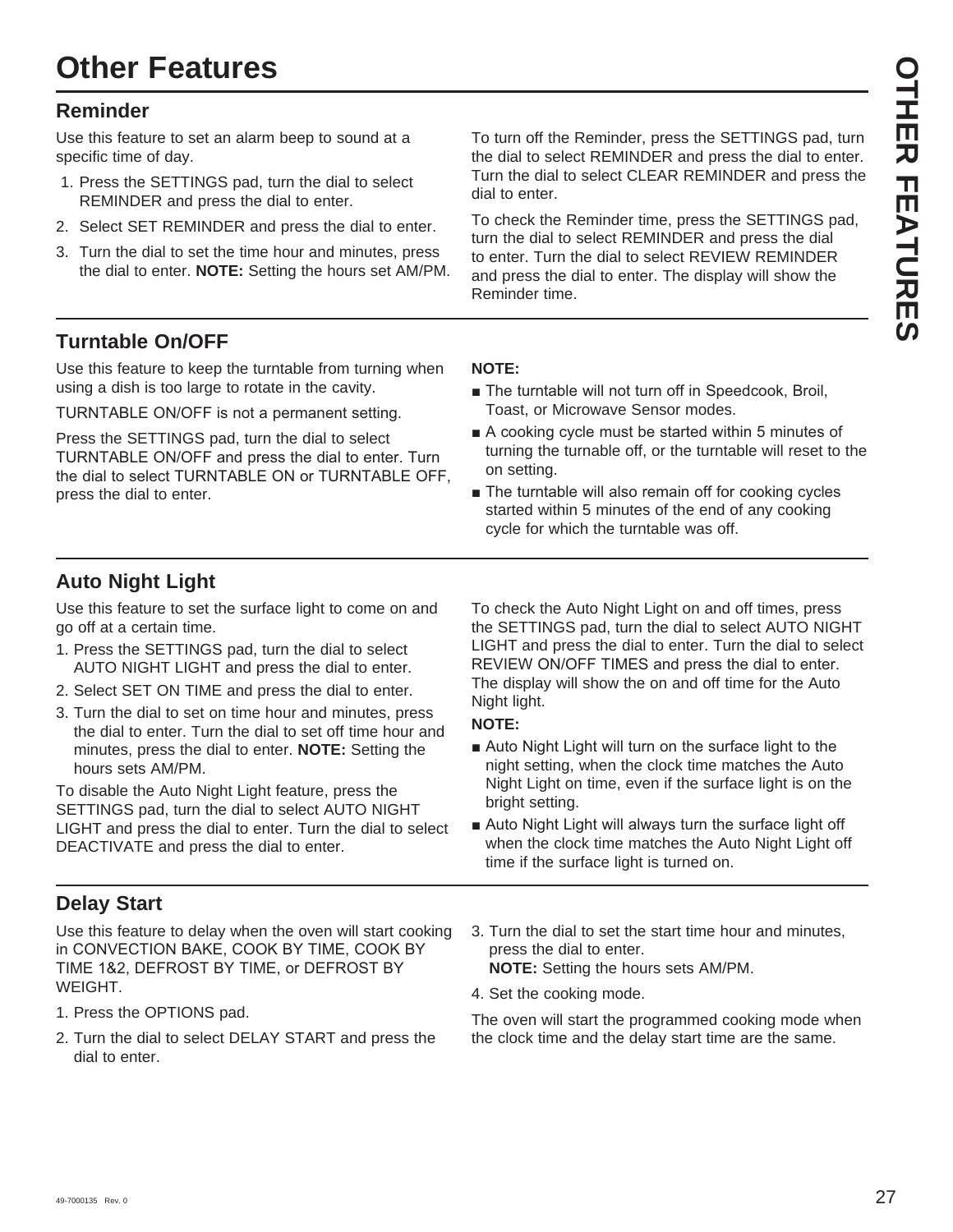#### **Reminder**

Use this feature to set an alarm beep to sound at a specific time of day.

- 1. Press the SETTINGS pad, turn the dial to select REMINDER and press the dial to enter.
- 2. Select SET REMINDER and press the dial to enter.
- 3. Turn the dial to set the time hour and minutes, press the dial to enter. **NOTE:** Setting the hours set AM/PM.

To turn off the Reminder, press the SETTINGS pad, turn the dial to select REMINDER and press the dial to enter. Turn the dial to select CLEAR REMINDER and press the dial to enter.

To check the Reminder time, press the SETTINGS pad, turn the dial to select REMINDER and press the dial to enter. Turn the dial to select REVIEW REMINDER and press the dial to enter. The display will show the Reminder time.

#### **Turntable On/OFF**

Use this feature to keep the turntable from turning when using a dish is too large to rotate in the cavity.

TURNTABLE ON/OFF is not a permanent setting.

Press the SETTINGS pad, turn the dial to select TURNTABLE ON/OFF and press the dial to enter. Turn the dial to select TURNTABLE ON or TURNTABLE OFF, press the dial to enter.

#### **NOTE:**

- The turntable will not turn off in Speedcook, Broil, Toast, or Microwave Sensor modes.
- $\blacksquare$  A cooking cycle must be started within 5 minutes of turning the turnable off, or the turntable will reset to the on setting.
- $\blacksquare$  The turntable will also remain off for cooking cycles started within 5 minutes of the end of any cooking cycle for which the turntable was off.

#### **Auto Night Light**

Use this feature to set the surface light to come on and go off at a certain time.

- 1. Press the SETTINGS pad, turn the dial to select AUTO NIGHT LIGHT and press the dial to enter.
- 2. Select SET ON TIME and press the dial to enter.
- 3. Turn the dial to set on time hour and minutes, press the dial to enter. Turn the dial to set off time hour and minutes, press the dial to enter. **NOTE:** Setting the hours sets AM/PM.

To disable the Auto Night Light feature, press the SETTINGS pad, turn the dial to select AUTO NIGHT LIGHT and press the dial to enter. Turn the dial to select DEACTIVATE and press the dial to enter.

#### **Delay Start**

Use this feature to delay when the oven will start cooking in CONVECTION BAKE, COOK BY TIME, COOK BY TIME 1&2, DEFROST BY TIME, or DEFROST BY WEIGHT.

- 1. Press the OPTIONS pad.
- 2. Turn the dial to select DELAY START and press the dial to enter.

To check the Auto Night Light on and off times, press the SETTINGS pad, turn the dial to select AUTO NIGHT LIGHT and press the dial to enter. Turn the dial to select REVIEW ON/OFF TIMES and press the dial to enter. The display will show the on and off time for the Auto Night light.

#### **NOTE:**

- Auto Night Light will turn on the surface light to the night setting, when the clock time matches the Auto Night Light on time, even if the surface light is on the bright setting.
- Auto Night Light will always turn the surface light off when the clock time matches the Auto Night Light off time if the surface light is turned on.
- 3. Turn the dial to set the start time hour and minutes, press the dial to enter. **NOTE:** Setting the hours sets AM/PM.
- 4. Set the cooking mode.

The oven will start the programmed cooking mode when the clock time and the delay start time are the same.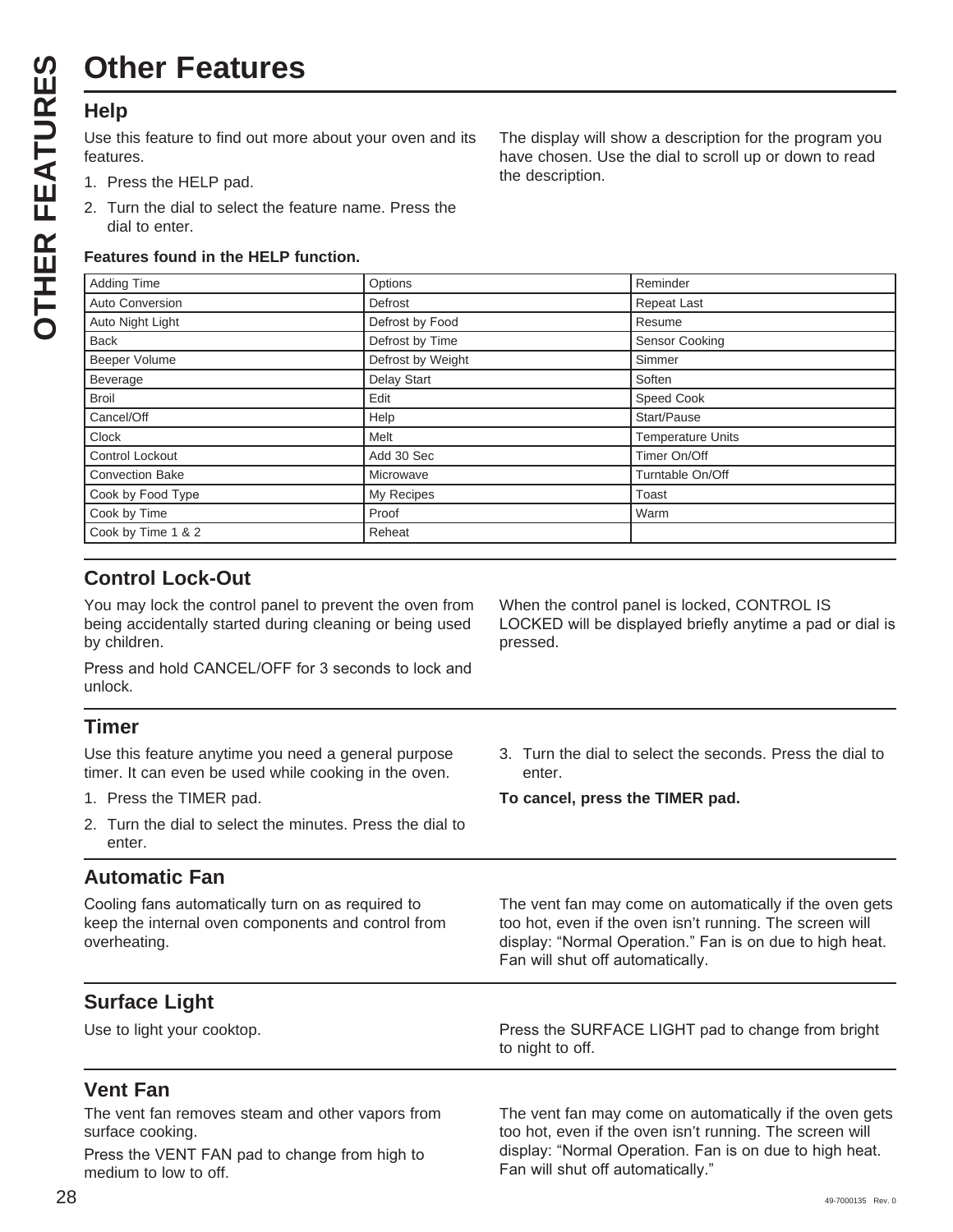Use this feature to find out more about your oven and its features.

- 1. Press the HELP pad.
- 2. Turn the dial to select the feature name. Press the dial to enter.

#### **Features found in the HELP function.**

The display will show a description for the program you have chosen. Use the dial to scroll up or down to read the description.

| <b>Adding Time</b>     | Options           | Reminder                 |
|------------------------|-------------------|--------------------------|
| Auto Conversion        | Defrost           | <b>Repeat Last</b>       |
| Auto Night Light       | Defrost by Food   | Resume                   |
| <b>Back</b>            | Defrost by Time   | Sensor Cooking           |
| Beeper Volume          | Defrost by Weight | Simmer                   |
| Beverage               | Delay Start       | Soften                   |
| <b>Broil</b>           | Edit              | Speed Cook               |
| Cancel/Off             | Help              | Start/Pause              |
| Clock                  | Melt              | <b>Temperature Units</b> |
| Control Lockout        | Add 30 Sec        | Timer On/Off             |
| <b>Convection Bake</b> | Microwave         | Turntable On/Off         |
| Cook by Food Type      | My Recipes        | Toast                    |
| Cook by Time           | Proof             | Warm                     |
| Cook by Time 1 & 2     | Reheat            |                          |

pressed.

#### **Control Lock-Out**

You may lock the control panel to prevent the oven from being accidentally started during cleaning or being used by children.

Press and hold CANCEL/OFF for 3 seconds to lock and unlock.

#### **Timer**

Use this feature anytime you need a general purpose timer. It can even be used while cooking in the oven.

- 1. Press the TIMER pad.
- 2. Turn the dial to select the minutes. Press the dial to enter.

#### **Automatic Fan**

Cooling fans automatically turn on as required to keep the internal oven components and control from overheating.

3. Turn the dial to select the seconds. Press the dial to enter.

The vent fan may come on automatically if the oven gets too hot, even if the oven isn't running. The screen will display: "Normal Operation." Fan is on due to high heat.

When the control panel is locked, CONTROL IS

LOCKED will be displayed briefly anytime a pad or dial is

**To cancel, press the TIMER pad.**

Fan will shut off automatically.

**Surface Light**

Use to light your cooktop. 3UHVW MESS the SURFACE LIGHT pad to change from bright to night to off.

#### **Vent Fan**

The vent fan removes steam and other vapors from surface cooking.

Press the VENT FAN pad to change from high to medium to low to off.

The vent fan may come on automatically if the oven gets too hot, even if the oven isn't running. The screen will display: "Normal Operation. Fan is on due to high heat. Fan will shut off automatically."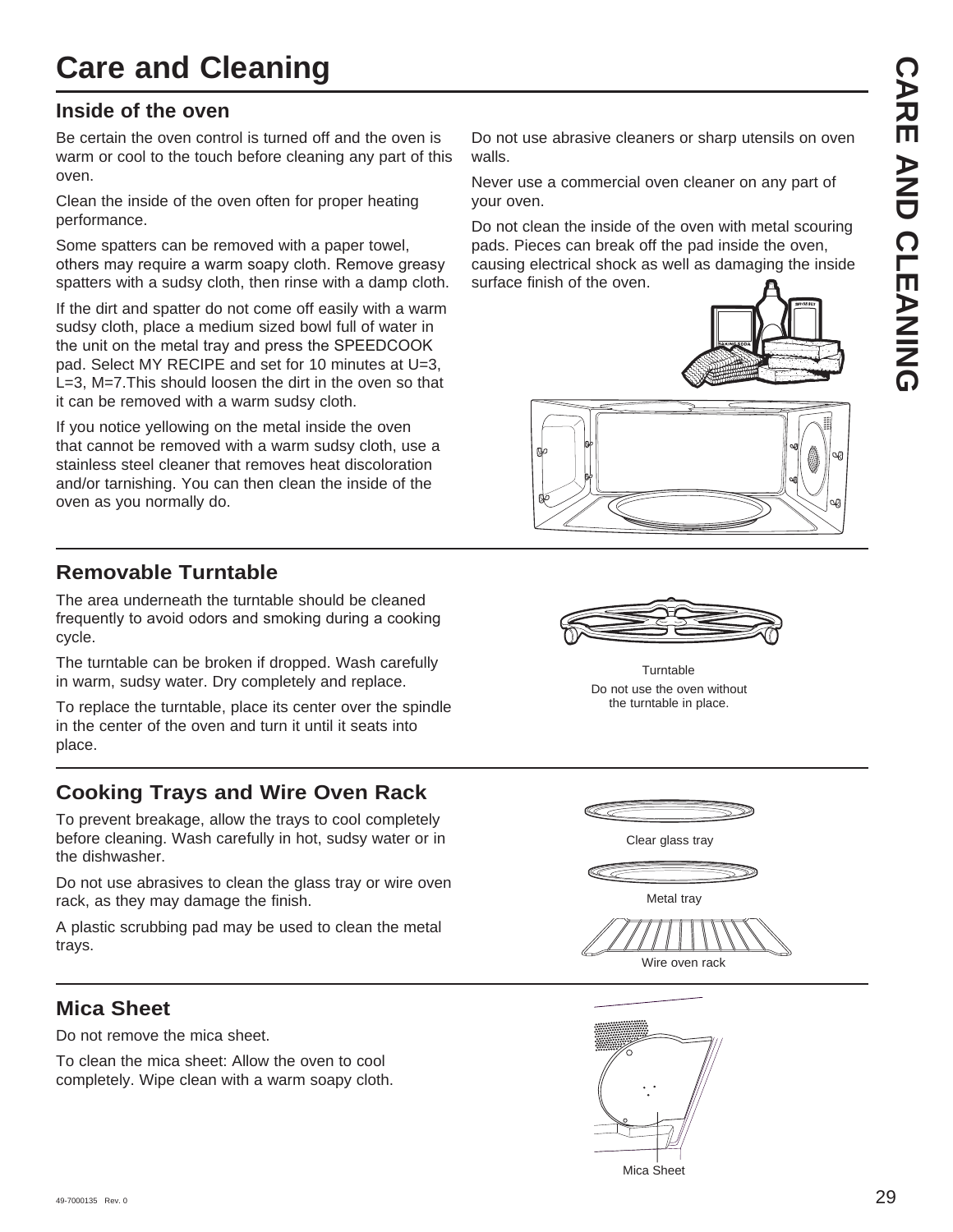## **Care and Cleaning**

#### **Inside of the oven**

Be certain the oven control is turned off and the oven is warm or cool to the touch before cleaning any part of this oven.

Clean the inside of the oven often for proper heating performance.

Some spatters can be removed with a paper towel, others may require a warm soapy cloth. Remove greasy spatters with a sudsy cloth, then rinse with a damp cloth.

If the dirt and spatter do not come off easily with a warm sudsy cloth, place a medium sized bowl full of water in the unit on the metal trav and press the SPEEDCOOK pad. Select MY RECIPE and set for 10 minutes at U=3, L=3, M=7.This should loosen the dirt in the oven so that it can be removed with a warm sudsy cloth.

If you notice yellowing on the metal inside the oven that cannot be removed with a warm sudsy cloth, use a stainless steel cleaner that removes heat discoloration and/or tarnishing. You can then clean the inside of the oven as you normally do.

#### **Removable Turntable**

The area underneath the turntable should be cleaned frequently to avoid odors and smoking during a cooking cycle.

The turntable can be broken if dropped. Wash carefully in warm, sudsy water. Dry completely and replace.

To replace the turntable, place its center over the spindle in the center of the oven and turn it until it seats into place.

## **Cooking Trays and Wire Oven Rack**

To prevent breakage, allow the trays to cool completely before cleaning. Wash carefully in hot, sudsy water or in the dishwasher.

Do not use abrasives to clean the glass tray or wire oven rack, as they may damage the finish.

A plastic scrubbing pad may be used to clean the metal trays.

#### **Mica Sheet**

Do not remove the mica sheet.

To clean the mica sheet: Allow the oven to cool completely. Wipe clean with a warm soapy cloth.

Do not use abrasive cleaners or sharp utensils on oven walls.

Never use a commercial oven cleaner on any part of your oven.

Do not clean the inside of the oven with metal scouring pads. Pieces can break off the pad inside the oven, causing electrical shock as well as damaging the inside surface finish of the oven.







Do not use the oven without the turntable in place. **Turntable** 



Wire oven rack

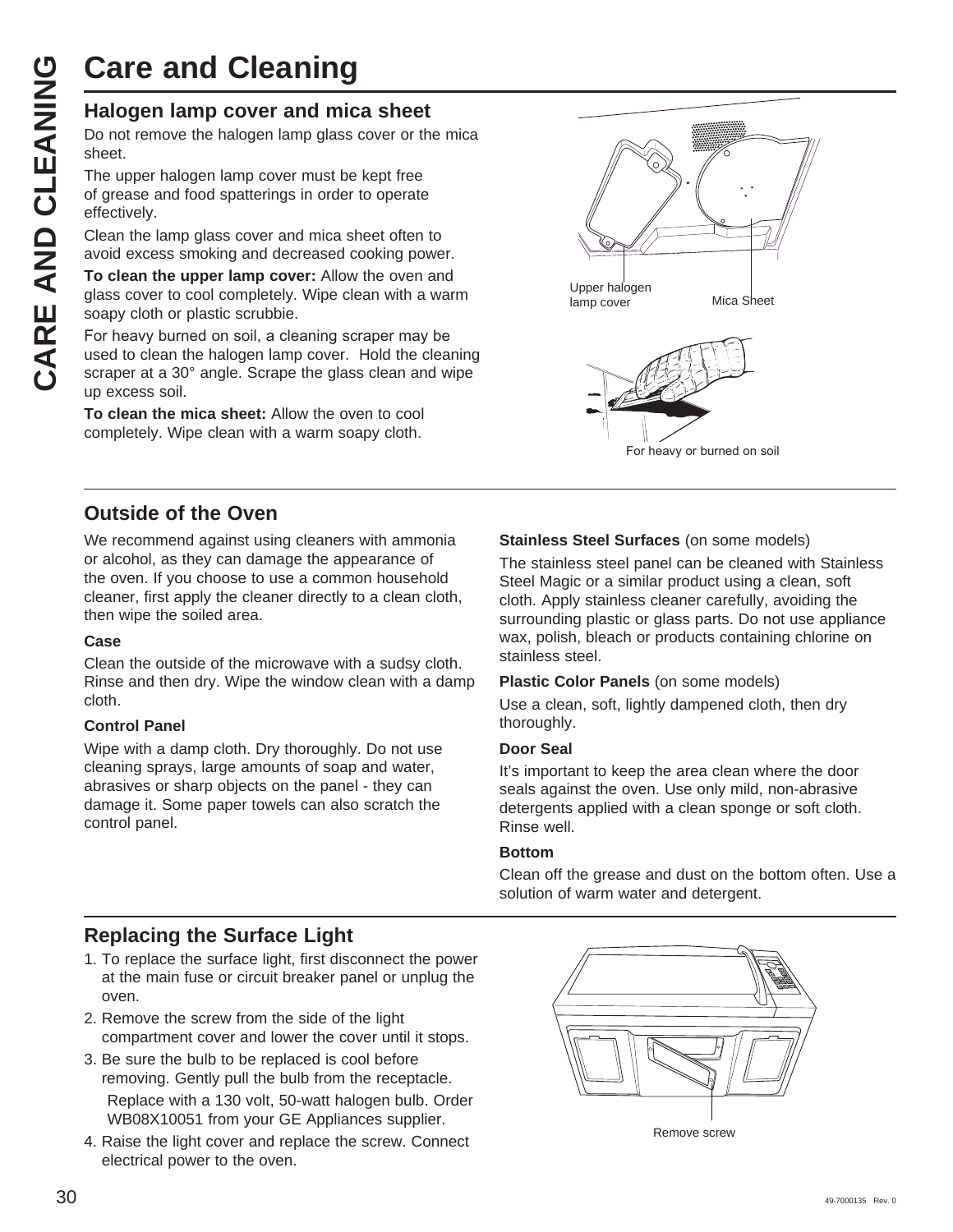# **Care and Cleaning**

Do not remove the halogen lamp glass cover or the mica sheet.

The upper halogen lamp cover must be kept free of grease and food spatterings in order to operate effectively.

Clean the lamp glass cover and mica sheet often to avoid excess smoking and decreased cooking power.

**To clean the upper lamp cover:** Allow the oven and glass cover to cool completely. Wipe clean with a warm soapy cloth or plastic scrubbie.

**CARE AND Cleaning**<br>
Halogen lamp cover and mica sheet<br>
Do not remove the halogen lamp glass cover or th<br>
sheet.<br>
The upper halogen lamp cover must be kept free<br>
of grease and food spatterings in order to operate<br>
effectiv For heavy burned on soil, a cleaning scraper may be used to clean the halogen lamp cover. Hold the cleaning scraper at a 30° angle. Scrape the glass clean and wipe up excess soil.

> **To clean the mica sheet:** Allow the oven to cool completely. Wipe clean with a warm soapy cloth.



#### **Outside of the Oven**

We recommend against using cleaners with ammonia or alcohol, as they can damage the appearance of the oven. If you choose to use a common household cleaner, first apply the cleaner directly to a clean cloth, then wipe the soiled area.

#### **Case**

Clean the outside of the microwave with a sudsy cloth. Rinse and then dry. Wipe the window clean with a damp cloth.

#### **Control Panel**

Wipe with a damp cloth. Dry thoroughly. Do not use cleaning sprays, large amounts of soap and water, abrasives or sharp objects on the panel - they can damage it. Some paper towels can also scratch the control panel.

#### **Stainless Steel Surfaces** (on some models)

The stainless steel panel can be cleaned with Stainless Steel Magic or a similar product using a clean, soft cloth. Apply stainless cleaner carefully, avoiding the surrounding plastic or glass parts. Do not use appliance wax, polish, bleach or products containing chlorine on stainless steel.

#### **Plastic Color Panels** (on some models)

Use a clean, soft, lightly dampened cloth, then dry thoroughly.

#### **Door Seal**

It's important to keep the area clean where the door seals against the oven. Use only mild, non-abrasive detergents applied with a clean sponge or soft cloth. Rinse well.

#### **Bottom**

Clean off the grease and dust on the bottom often. Use a solution of warm water and detergent.

#### **Replacing the Surface Light**

- 1. To replace the surface light, first disconnect the power at the main fuse or circuit breaker panel or unplug the oven.
- 2. Remove the screw from the side of the light compartment cover and lower the cover until it stops.
- 3. Be sure the bulb to be replaced is cool before removing. Gently pull the bulb from the receptacle. Replace with a 130 volt, 50-watt halogen bulb. Order WB08X10051 from your GE Appliances supplier.
- 4. Raise the light cover and replace the screw. Connect electrical power to the oven.



Remove screw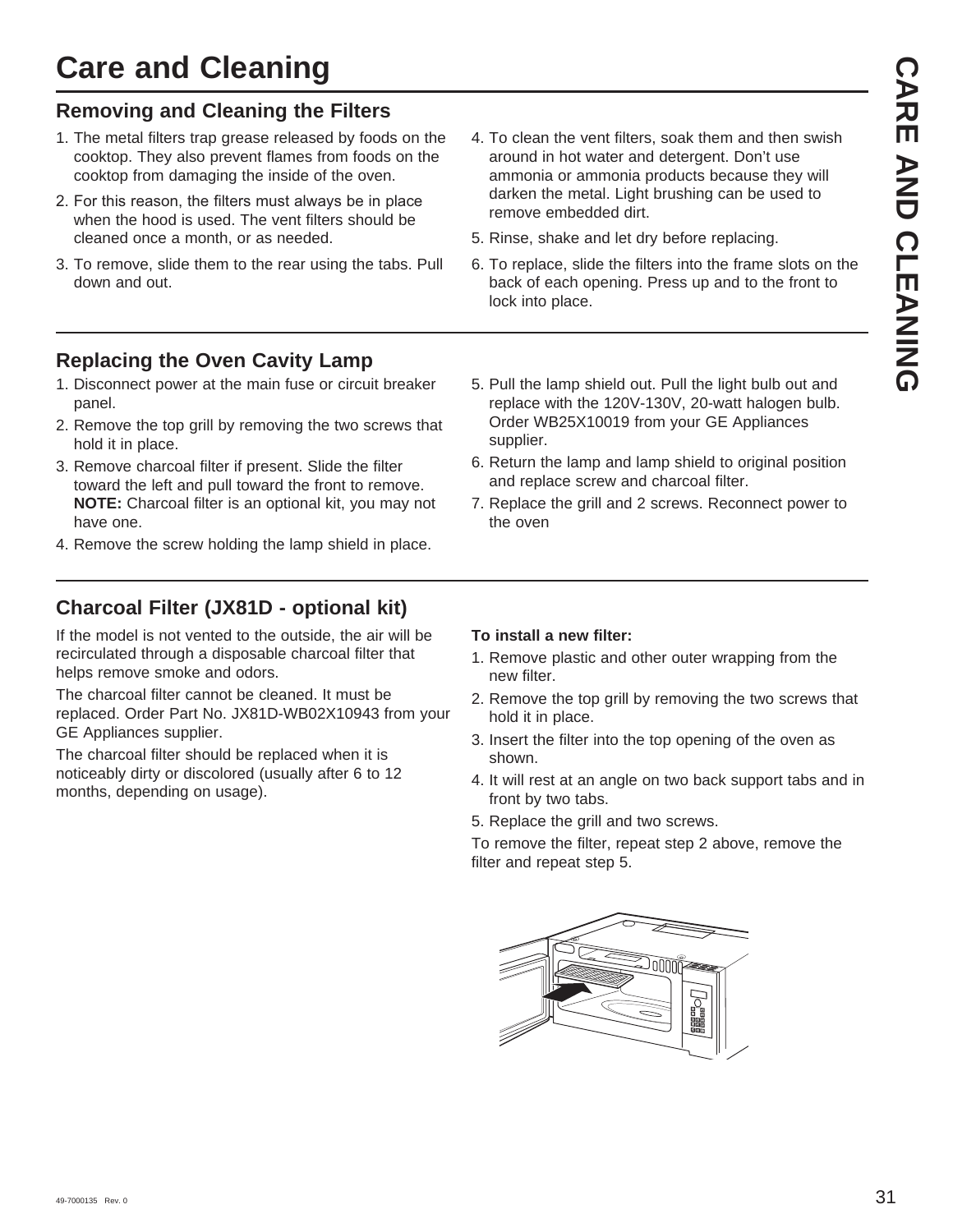## **Care and Cleaning**

#### **Removing and Cleaning the Filters**

- 1. The metal filters trap grease released by foods on the cooktop. They also prevent flames from foods on the cooktop from damaging the inside of the oven.
- 2. For this reason, the filters must always be in place when the hood is used. The vent filters should be cleaned once a month, or as needed.
- 3. To remove, slide them to the rear using the tabs. Pull down and out.
- 4. To clean the vent filters, soak them and then swish around in hot water and detergent. Don't use ammonia or ammonia products because they will darken the metal. Light brushing can be used to remove embedded dirt.
- 5. Rinse, shake and let dry before replacing.
- 6. To replace, slide the filters into the frame slots on the back of each opening. Press up and to the front to lock into place.

#### **Replacing the Oven Cavity Lamp**

- 1. Disconnect power at the main fuse or circuit breaker panel.
- 2. Remove the top grill by removing the two screws that hold it in place.
- 3. Remove charcoal filter if present. Slide the filter toward the left and pull toward the front to remove. **NOTE:** Charcoal filter is an optional kit, you may not have one.
- 4. Remove the screw holding the lamp shield in place.

## **Charcoal Filter (JX81D - optional kit)**

If the model is not vented to the outside, the air will be recirculated through a disposable charcoal filter that helps remove smoke and odors.

The charcoal filter cannot be cleaned. It must be replaced. Order Part No. JX81D-WB02X10943 from your GE Appliances supplier.

The charcoal filter should be replaced when it is noticeably dirty or discolored (usually after 6 to 12 months, depending on usage).

#### 5. Pull the lamp shield out. Pull the light bulb out and replace with the 120V-130V, 20-watt halogen bulb. Order WB25X10019 from your GE Appliances supplier.

- 6. Return the lamp and lamp shield to original position and replace screw and charcoal filter.
- 7. Replace the grill and 2 screws. Reconnect power to the oven

#### **To install a new filter:**

- 1. Remove plastic and other outer wrapping from the new filter.
- 2. Remove the top grill by removing the two screws that hold it in place.
- 3. Insert the filter into the top opening of the oven as shown.
- 4. It will rest at an angle on two back support tabs and in front by two tabs.
- 5. Replace the grill and two screws.

To remove the filter, repeat step 2 above, remove the filter and repeat step 5.

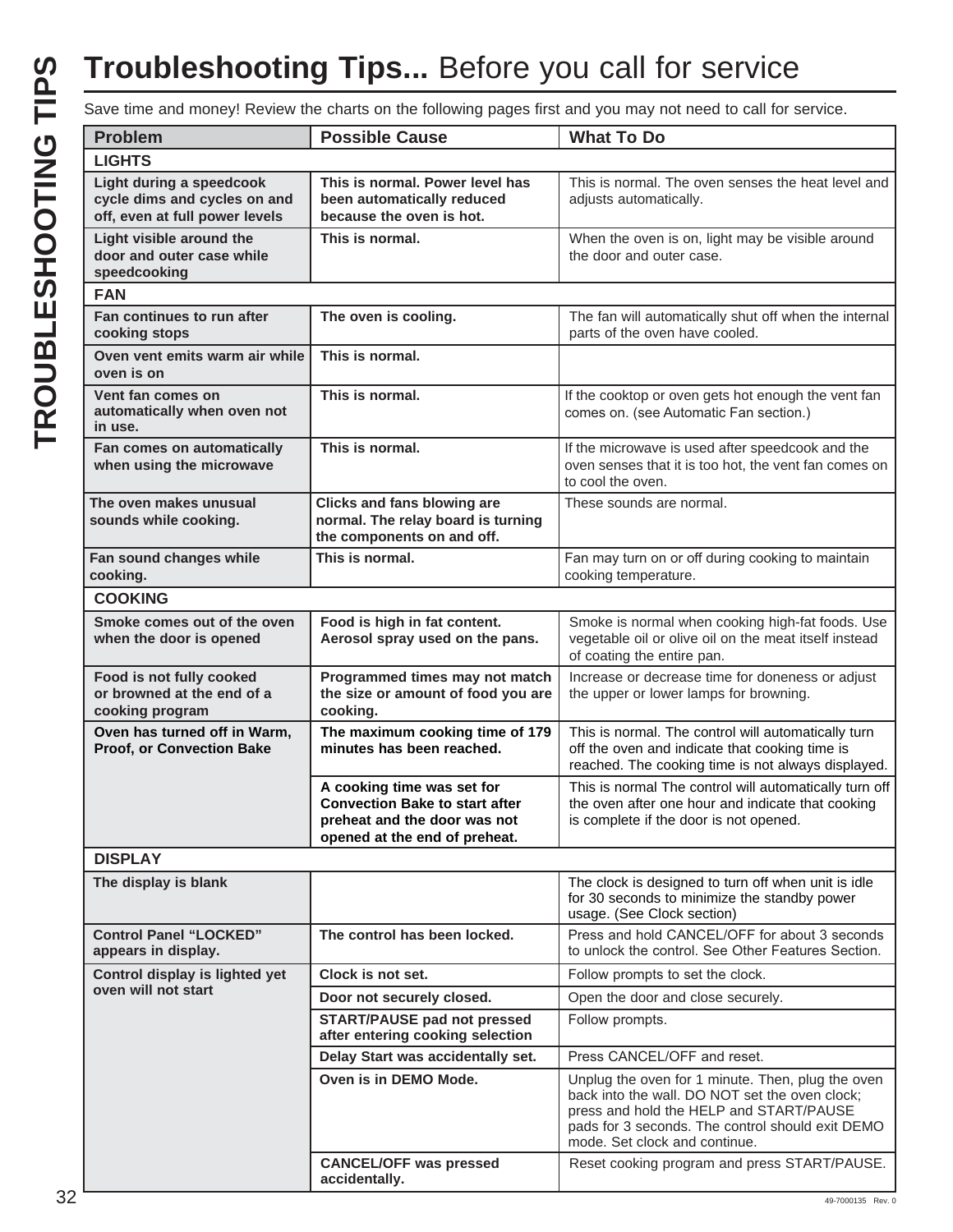# TROUBLESHOOTING TIPS **TROUBLESHOOTING TIPS**

## **Troubleshooting Tips...** Before you call for service

Save time and money! Review the charts on the following pages first and you may not need to call for service.

| <b>Problem</b>                                                                             | <b>Possible Cause</b>                                                                                                                | <b>What To Do</b>                                                                                                                                                                                                                   |
|--------------------------------------------------------------------------------------------|--------------------------------------------------------------------------------------------------------------------------------------|-------------------------------------------------------------------------------------------------------------------------------------------------------------------------------------------------------------------------------------|
| <b>LIGHTS</b>                                                                              |                                                                                                                                      |                                                                                                                                                                                                                                     |
| Light during a speedcook<br>cycle dims and cycles on and<br>off, even at full power levels | This is normal. Power level has<br>been automatically reduced<br>because the oven is hot.                                            | This is normal. The oven senses the heat level and<br>adjusts automatically.                                                                                                                                                        |
| Light visible around the<br>door and outer case while<br>speedcooking                      | This is normal.                                                                                                                      | When the oven is on, light may be visible around<br>the door and outer case.                                                                                                                                                        |
| <b>FAN</b>                                                                                 |                                                                                                                                      |                                                                                                                                                                                                                                     |
| Fan continues to run after<br>cooking stops                                                | The oven is cooling.                                                                                                                 | The fan will automatically shut off when the internal<br>parts of the oven have cooled.                                                                                                                                             |
| Oven vent emits warm air while<br>oven is on                                               | This is normal.                                                                                                                      |                                                                                                                                                                                                                                     |
| Vent fan comes on<br>automatically when oven not<br>in use.                                | This is normal.                                                                                                                      | If the cooktop or oven gets hot enough the vent fan<br>comes on. (see Automatic Fan section.)                                                                                                                                       |
| Fan comes on automatically<br>when using the microwave                                     | This is normal.                                                                                                                      | If the microwave is used after speedcook and the<br>oven senses that it is too hot, the vent fan comes on<br>to cool the oven.                                                                                                      |
| The oven makes unusual<br>sounds while cooking.                                            | <b>Clicks and fans blowing are</b><br>normal. The relay board is turning<br>the components on and off.                               | These sounds are normal.                                                                                                                                                                                                            |
| Fan sound changes while<br>cooking.                                                        | This is normal.                                                                                                                      | Fan may turn on or off during cooking to maintain<br>cooking temperature.                                                                                                                                                           |
| <b>COOKING</b>                                                                             |                                                                                                                                      |                                                                                                                                                                                                                                     |
| Smoke comes out of the oven<br>when the door is opened                                     | Food is high in fat content.<br>Aerosol spray used on the pans.                                                                      | Smoke is normal when cooking high-fat foods. Use<br>vegetable oil or olive oil on the meat itself instead<br>of coating the entire pan.                                                                                             |
| Food is not fully cooked<br>or browned at the end of a<br>cooking program                  | Programmed times may not match<br>the size or amount of food you are<br>cooking.                                                     | Increase or decrease time for doneness or adjust<br>the upper or lower lamps for browning.                                                                                                                                          |
| Oven has turned off in Warm,<br><b>Proof, or Convection Bake</b>                           | The maximum cooking time of 179<br>minutes has been reached.                                                                         | This is normal. The control will automatically turn<br>off the oven and indicate that cooking time is<br>reached. The cooking time is not always displayed.                                                                         |
|                                                                                            | A cooking time was set for<br><b>Convection Bake to start after</b><br>preheat and the door was not<br>opened at the end of preheat. | This is normal The control will automatically turn off<br>the oven after one hour and indicate that cooking<br>is complete if the door is not opened.                                                                               |
| <b>DISPLAY</b>                                                                             |                                                                                                                                      |                                                                                                                                                                                                                                     |
| The display is blank                                                                       |                                                                                                                                      | The clock is designed to turn off when unit is idle<br>for 30 seconds to minimize the standby power<br>usage. (See Clock section)                                                                                                   |
| <b>Control Panel "LOCKED"</b><br>appears in display.                                       | The control has been locked.                                                                                                         | Press and hold CANCEL/OFF for about 3 seconds<br>to unlock the control. See Other Features Section.                                                                                                                                 |
| Control display is lighted yet                                                             | Clock is not set.                                                                                                                    | Follow prompts to set the clock.                                                                                                                                                                                                    |
| oven will not start                                                                        | Door not securely closed.                                                                                                            | Open the door and close securely.                                                                                                                                                                                                   |
|                                                                                            | <b>START/PAUSE pad not pressed</b><br>after entering cooking selection                                                               | Follow prompts.                                                                                                                                                                                                                     |
|                                                                                            | Delay Start was accidentally set.                                                                                                    | Press CANCEL/OFF and reset.                                                                                                                                                                                                         |
|                                                                                            | Oven is in DEMO Mode.                                                                                                                | Unplug the oven for 1 minute. Then, plug the oven<br>back into the wall. DO NOT set the oven clock;<br>press and hold the HELP and START/PAUSE<br>pads for 3 seconds. The control should exit DEMO<br>mode. Set clock and continue. |
|                                                                                            | <b>CANCEL/OFF was pressed</b><br>accidentally.                                                                                       | Reset cooking program and press START/PAUSE.                                                                                                                                                                                        |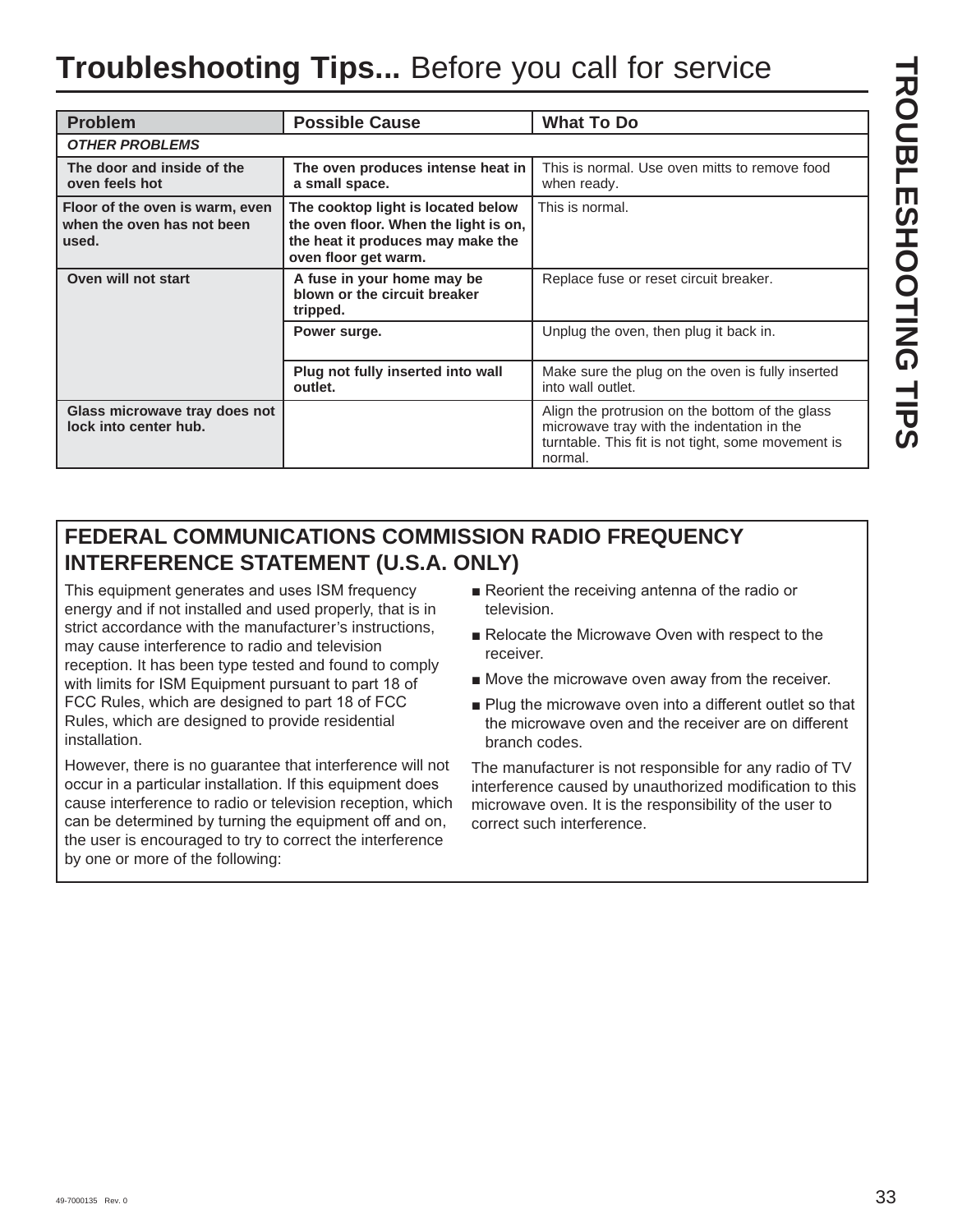## **Troubleshooting Tips...** Before you call for service

| <b>Problem</b>                                                         | <b>Possible Cause</b>                                                                                                                    | <b>What To Do</b>                                                                                                                                              |
|------------------------------------------------------------------------|------------------------------------------------------------------------------------------------------------------------------------------|----------------------------------------------------------------------------------------------------------------------------------------------------------------|
| <b>OTHER PROBLEMS</b>                                                  |                                                                                                                                          |                                                                                                                                                                |
| The door and inside of the<br>oven feels hot                           | The oven produces intense heat in<br>a small space.                                                                                      | This is normal. Use oven mitts to remove food<br>when ready.                                                                                                   |
| Floor of the oven is warm, even<br>when the oven has not been<br>used. | The cooktop light is located below<br>the oven floor. When the light is on,<br>the heat it produces may make the<br>oven floor get warm. | This is normal.                                                                                                                                                |
| Oven will not start                                                    | A fuse in your home may be<br>blown or the circuit breaker<br>tripped.                                                                   | Replace fuse or reset circuit breaker.                                                                                                                         |
|                                                                        | Power surge.                                                                                                                             | Unplug the oven, then plug it back in.                                                                                                                         |
|                                                                        | Plug not fully inserted into wall<br>outlet.                                                                                             | Make sure the plug on the oven is fully inserted<br>into wall outlet.                                                                                          |
| Glass microwave tray does not<br>lock into center hub.                 |                                                                                                                                          | Align the protrusion on the bottom of the glass<br>microwave tray with the indentation in the<br>turntable. This fit is not tight, some movement is<br>normal. |

## **FEDERAL COMMUNICATIONS COMMISSION RADIO FREQUENCY INTERFERENCE STATEMENT (U.S.A. ONLY)**

This equipment generates and uses ISM frequency energy and if not installed and used properly, that is in strict accordance with the manufacturer's instructions, may cause interference to radio and television reception. It has been type tested and found to comply with limits for ISM Equipment pursuant to part 18 of FCC Rules, which are designed to part 18 of FCC Rules, which are designed to provide residential installation.

However, there is no guarantee that interference will not occur in a particular installation. If this equipment does cause interference to radio or television reception, which can be determined by turning the equipment off and on, the user is encouraged to try to correct the interference by one or more of the following:

- Reorient the receiving antenna of the radio or television.
- $\blacksquare$  Relocate the Microwave Oven with respect to the receiver.
- $\blacksquare$  Move the microwave oven away from the receiver.
- Plug the microwave oven into a different outlet so that the microwaye oven and the receiver are on different branch codes.

The manufacturer is not responsible for any radio of TV interference caused by unauthorized modification to this microwave oven. It is the responsibility of the user to correct such interference.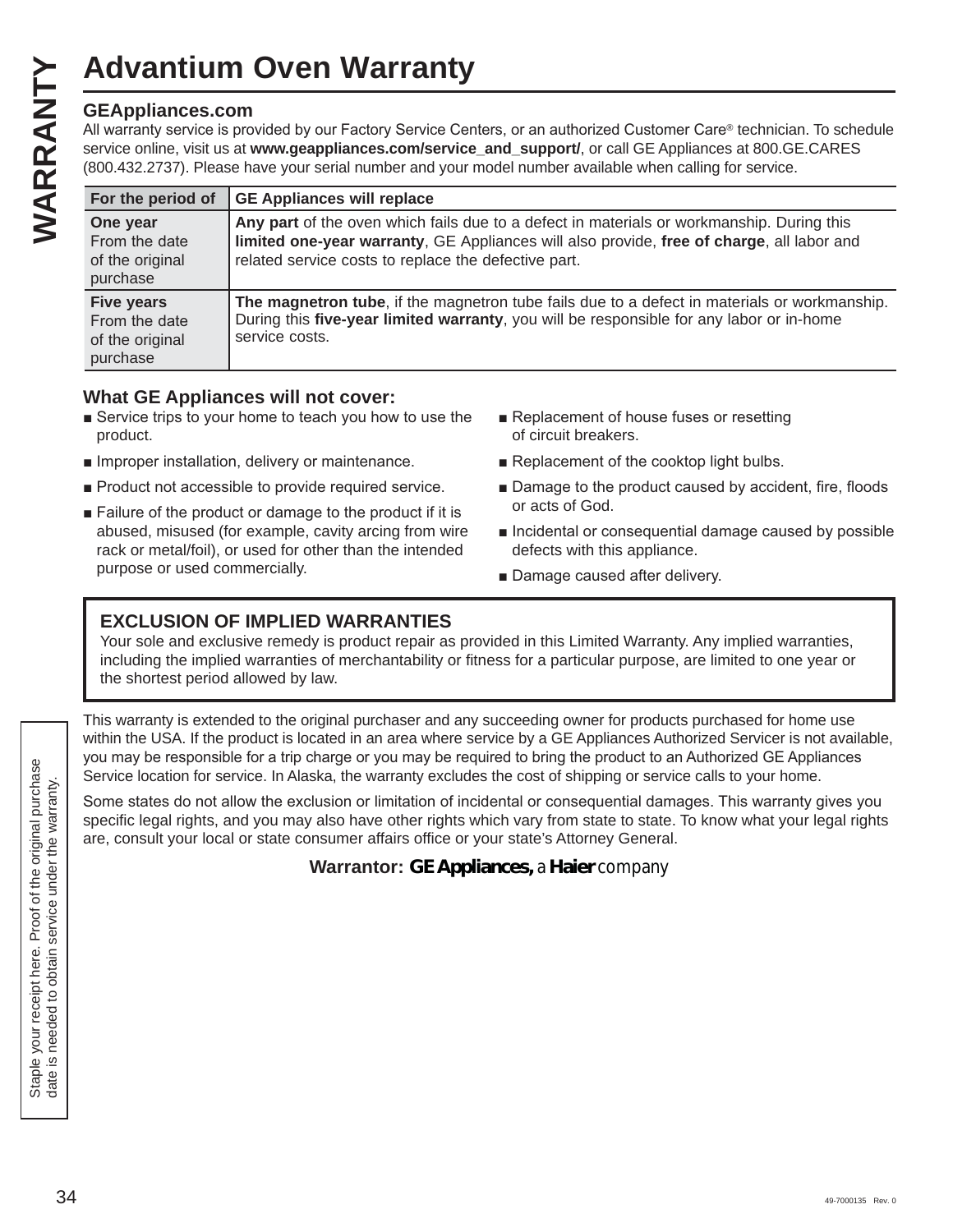#### **GEAppliances.com**

| <b>GEAppliances.com</b>                                           | All warranty service is provided by our Factory Service Centers, or an authorized Customer Care® technician. To schedule<br>service online, visit us at www.geappliances.com/service_and_support/, or call GE Appliances at 800.GE.CARES<br>(800.432.2737). Please have your serial number and your model number available when calling for service. |
|-------------------------------------------------------------------|------------------------------------------------------------------------------------------------------------------------------------------------------------------------------------------------------------------------------------------------------------------------------------------------------------------------------------------------------|
| For the period of                                                 | <b>GE Appliances will replace</b>                                                                                                                                                                                                                                                                                                                    |
| One year<br>From the date<br>of the original<br>purchase          | Any part of the oven which fails due to a defect in materials or workmanship. During this<br>limited one-year warranty, GE Appliances will also provide, free of charge, all labor and<br>related service costs to replace the defective part.                                                                                                       |
| <b>Five years</b><br>From the date<br>of the original<br>purchase | The magnetron tube, if the magnetron tube fails due to a defect in materials or workmanship.<br>During this five-year limited warranty, you will be responsible for any labor or in-home<br>service costs.                                                                                                                                           |

#### **What GE Appliances will not cover:**

- $\blacksquare$  Service trips to your home to teach you how to use the product.
- $\blacksquare$  Improper installation, delivery or maintenance.
- **Product not accessible to provide required service.**
- $\blacksquare$  Failure of the product or damage to the product if it is abused, misused (for example, cavity arcing from wire rack or metal/foil), or used for other than the intended purpose or used commercially.
- Replacement of house fuses or resetting of circuit breakers.
- Replacement of the cooktop light bulbs.
- Damage to the product caused by accident, fire, floods or acts of God.
- $\blacksquare$  Incidental or consequential damage caused by possible defects with this appliance.
- Damage caused after delivery.

#### **EXCLUSION OF IMPLIED WARRANTIES**

Your sole and exclusive remedy is product repair as provided in this Limited Warranty. Any implied warranties, including the implied warranties of merchantability or fitness for a particular purpose, are limited to one year or the shortest period allowed by law.

This warranty is extended to the original purchaser and any succeeding owner for products purchased for home use within the USA. If the product is located in an area where service by a GE Appliances Authorized Servicer is not available, you may be responsible for a trip charge or you may be required to bring the product to an Authorized GE Appliances Service location for service. In Alaska, the warranty excludes the cost of shipping or service calls to your home.

Some states do not allow the exclusion or limitation of incidental or consequential damages. This warranty gives you specific legal rights, and you may also have other rights which vary from state to state. To know what your legal rights are, consult your local or state consumer affairs office or your state's Attorney General.

**Warrantor: GE Appliances,** *a* **Haier** *company*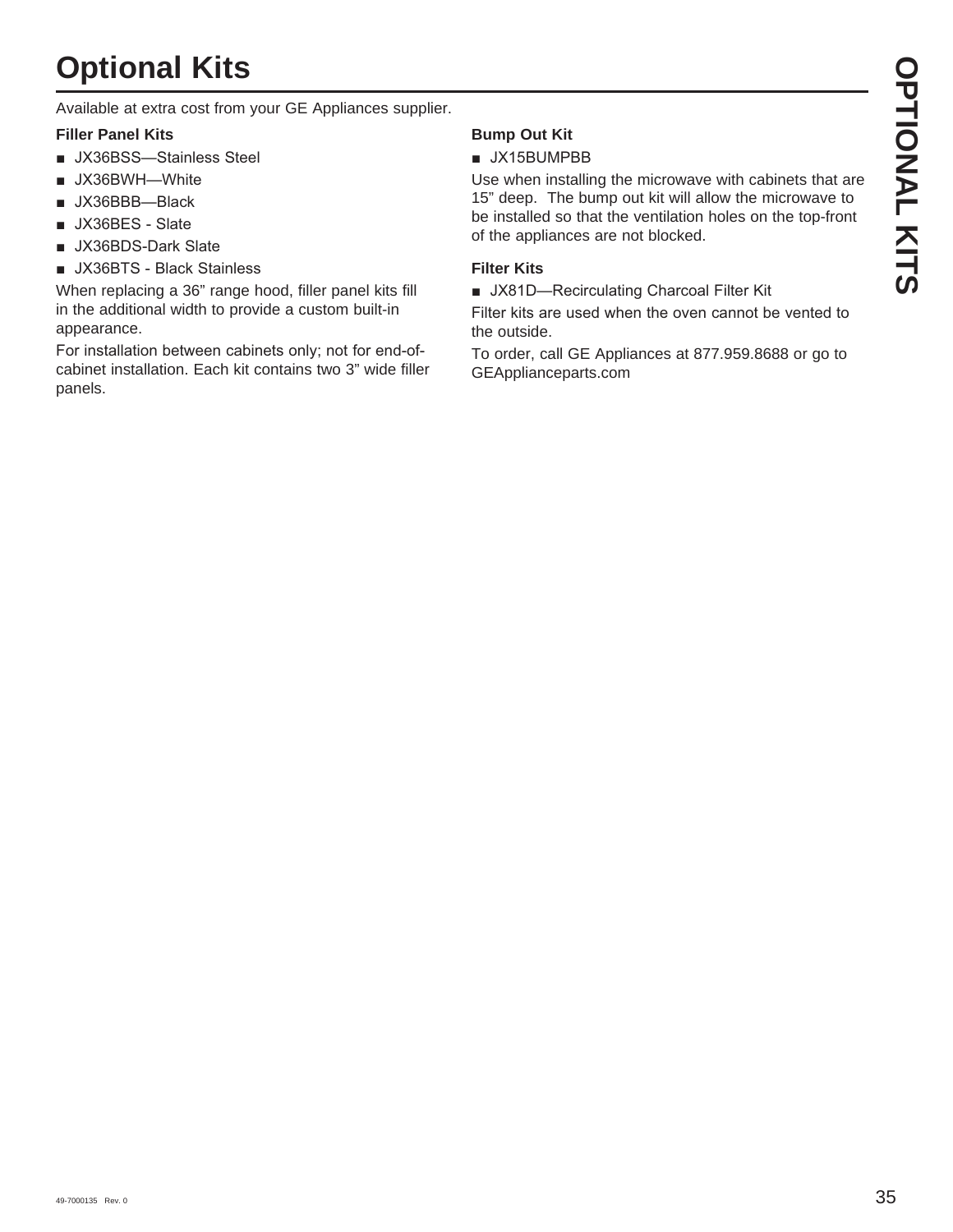# **Optional Kits**

Available at extra cost from your GE Appliances supplier.

#### **Filler Panel Kits**

- UX36BSS-Stainless Steel
- **JX36BWH-White**
- $\blacksquare$  JX36BBB--Black
- JX36BES Slate
- JX36BDS-Dark Slate
- UX36BTS Black Stainless

When replacing a 36" range hood, filler panel kits fill in the additional width to provide a custom built-in appearance.

For installation between cabinets only; not for end-ofcabinet installation. Each kit contains two 3" wide filler panels.

#### **Bump Out Kit**

#### $\blacksquare$  JX15BUMPBB

Use when installing the microwave with cabinets that are 15" deep. The bump out kit will allow the microwave to be installed so that the ventilation holes on the top-front of the appliances are not blocked.

#### **Filter Kits**

UX81D-Recirculating Charcoal Filter Kit

Filter kits are used when the oven cannot be vented to the outside.

To order, call GE Appliances at 877.959.8688 or go to GEApplianceparts.com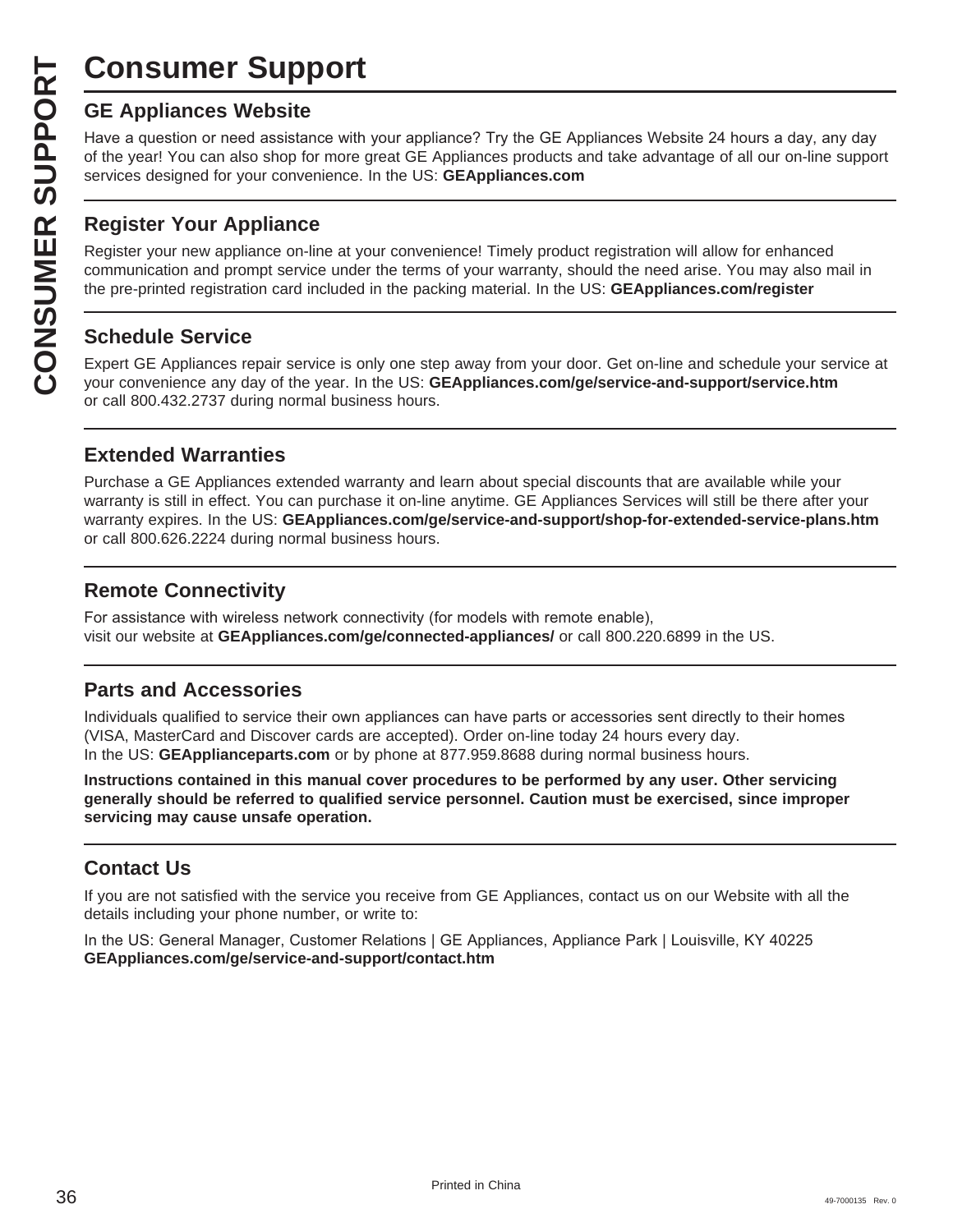## **Consumer Support**

Have a question or need assistance with your appliance? Try the GE Appliances Website 24 hours a day, any day of the year! You can also shop for more great GE Appliances products and take advantage of all our on-line support services designed for your convenience. In the US: **GEAppliances.com**

#### **Register Your Appliance**

**CONSUMER SUP**<br> **GE Appliances Website**<br>
Have a question or need assistar<br>
of the year! You can also shop for<br>
services designed for your conver<br> **CONSUMER APPLIANCE SECTS**<br> **Register Your Appliance on-1**<br>
communication an Register your new appliance on-line at your convenience! Timely product registration will allow for enhanced communication and prompt service under the terms of your warranty, should the need arise. You may also mail in the pre-printed registration card included in the packing material. In the US: **GEAppliances.com/register**

#### **Schedule Service**

Expert GE Appliances repair service is only one step away from your door. Get on-line and schedule your service at your convenience any day of the year. In the US: **GEAppliances.com/ge/service-and-support/service.htm** or call 800.432.2737 during normal business hours.

#### **Extended Warranties**

Purchase a GE Appliances extended warranty and learn about special discounts that are available while your warranty is still in effect. You can purchase it on-line anytime. GE Appliances Services will still be there after your warranty expires. In the US: **GEAppliances.com/ge/service-and-support/shop-for-extended-service-plans.htm** or call 800.626.2224 during normal business hours.

#### **Remote Connectivity**

For assistance with wireless network connectivity (for models with remote enable). visit our website at **GEAppliances.com/ge/connected-appliances/** or call 800.220.6899 in the US.

#### **Parts and Accessories**

Individuals qualified to service their own appliances can have parts or accessories sent directly to their homes (VISA, MasterCard and Discover cards are accepted). Order on-line today 24 hours every day. In the US: **GEApplianceparts.com** or by phone at 877.959.8688 during normal business hours.

**Instructions contained in this manual cover procedures to be performed by any user. Other servicing generally should be referred to qualified service personnel. Caution must be exercised, since improper servicing may cause unsafe operation.**

#### **Contact Us**

If you are not satisfied with the service you receive from GE Appliances, contact us on our Website with all the details including your phone number, or write to:

In the US: General Manager, Customer Relations | GE Appliances, Appliance Park | Louisville, KY 40225 **GEAppliances.com/ge/service-and-support/contact.htm**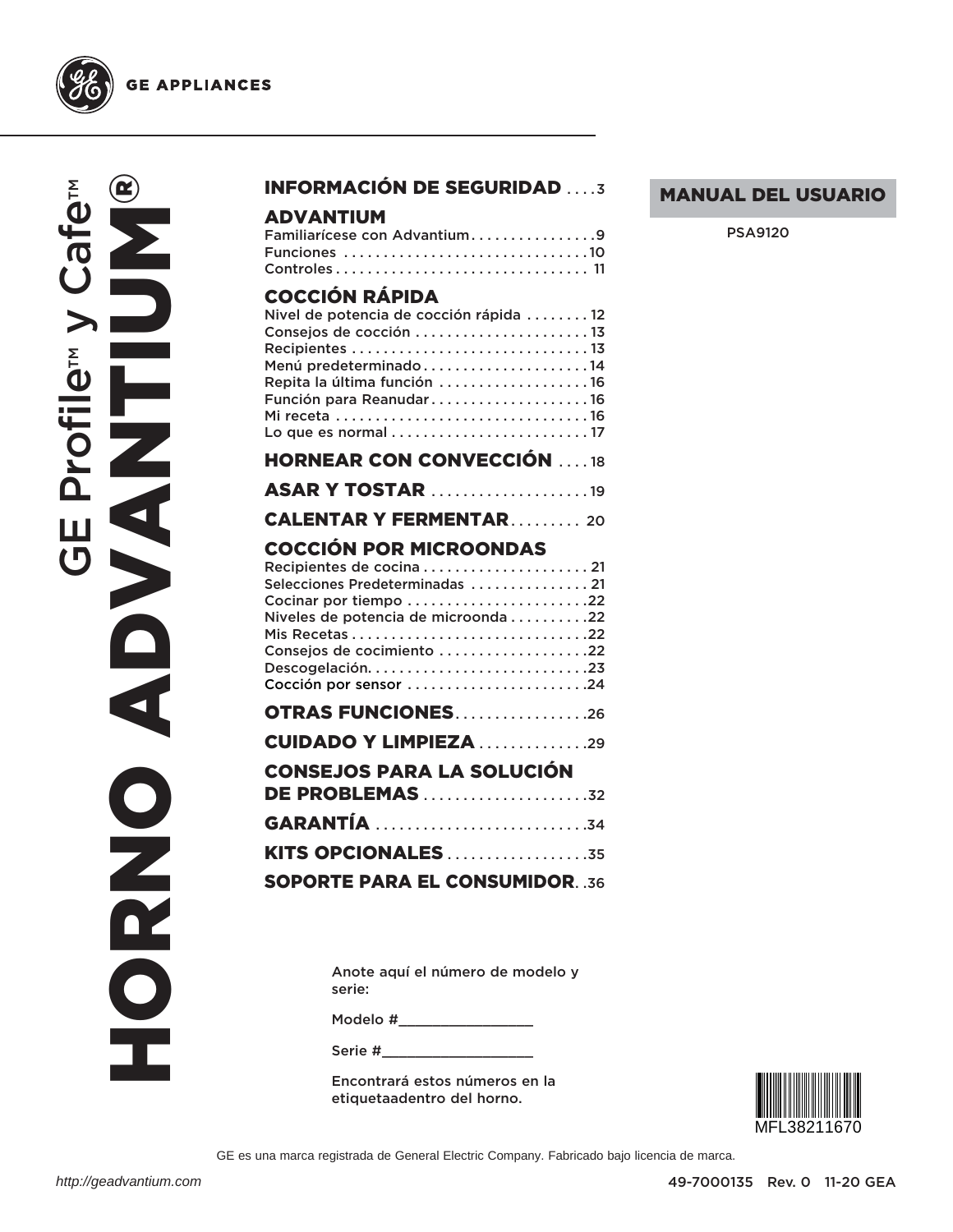

# **GE APPLIANCES**

Ife<sub>™</sub> **HORRO ADVANTIUM®** E Profile<sup>™</sup> y Ca ADVANT **Herefile**<br>**Herefile**<br>http://geadvantium.com  $\mathbf{r}$ ONRD

## INFORMACIÓN DE SEGURIDAD . . . .3

#### ADVANTIUM

| Familiarícese con Advantium9 |  |  |  |  |  |  |  |  |  |  |  |  |  |  |
|------------------------------|--|--|--|--|--|--|--|--|--|--|--|--|--|--|
| Funciones 10                 |  |  |  |  |  |  |  |  |  |  |  |  |  |  |
|                              |  |  |  |  |  |  |  |  |  |  |  |  |  |  |

# COCCIÓN RÁPIDA

| UUUUN NAFIPI                           |
|----------------------------------------|
| Nivel de potencia de cocción rápida 12 |
| Consejos de cocción 13                 |
|                                        |
|                                        |
| Repita la última función 16            |
| Función para Reanudar16                |
|                                        |
|                                        |
|                                        |
| <b>HORNEAR CON CONVECCIÓN 18</b>       |
| <b>ASAR Y TOSTAR 19</b>                |
|                                        |
| <b>CALENTAR Y FERMENTAR 20</b>         |
| <b>COCCIÓN POR MICROONDAS</b>          |
| Recipientes de cocina  21              |
| Selecciones Predeterminadas  21        |
| Cocinar por tiempo 22                  |
| Niveles de potencia de microonda 22    |
|                                        |
| Consejos de cocimiento 22              |
| Descogelación23                        |
| Cocción por sensor 24                  |
| <b>OTRAS FUNCIONES26</b>               |
|                                        |
| <b>CUIDADO Y LIMPIEZA 29</b>           |
| <b>CONSEJOS PARA LA SOLUCIÓN</b>       |
| <b>DE PROBLEMAS</b> 32                 |
| <b>GARANTÍA</b> 34                     |
|                                        |
| KITS OPCIONALES 35                     |
| <b>SOPORTE PARA EL CONSUMIDOR. .36</b> |
|                                        |

MANUAL DEL USUARIO

PSA9120

Anote aquí el número de modelo y serie:

Modelo # \_\_\_\_\_\_\_\_\_\_\_\_\_\_\_\_

Serie # \_\_\_\_\_\_\_\_\_\_\_\_\_\_\_\_\_\_

Encontrará estos números en la etiquetaadentro del horno.



GE es una marca registrada de General Electric Company. Fabricado bajo licencia de marca.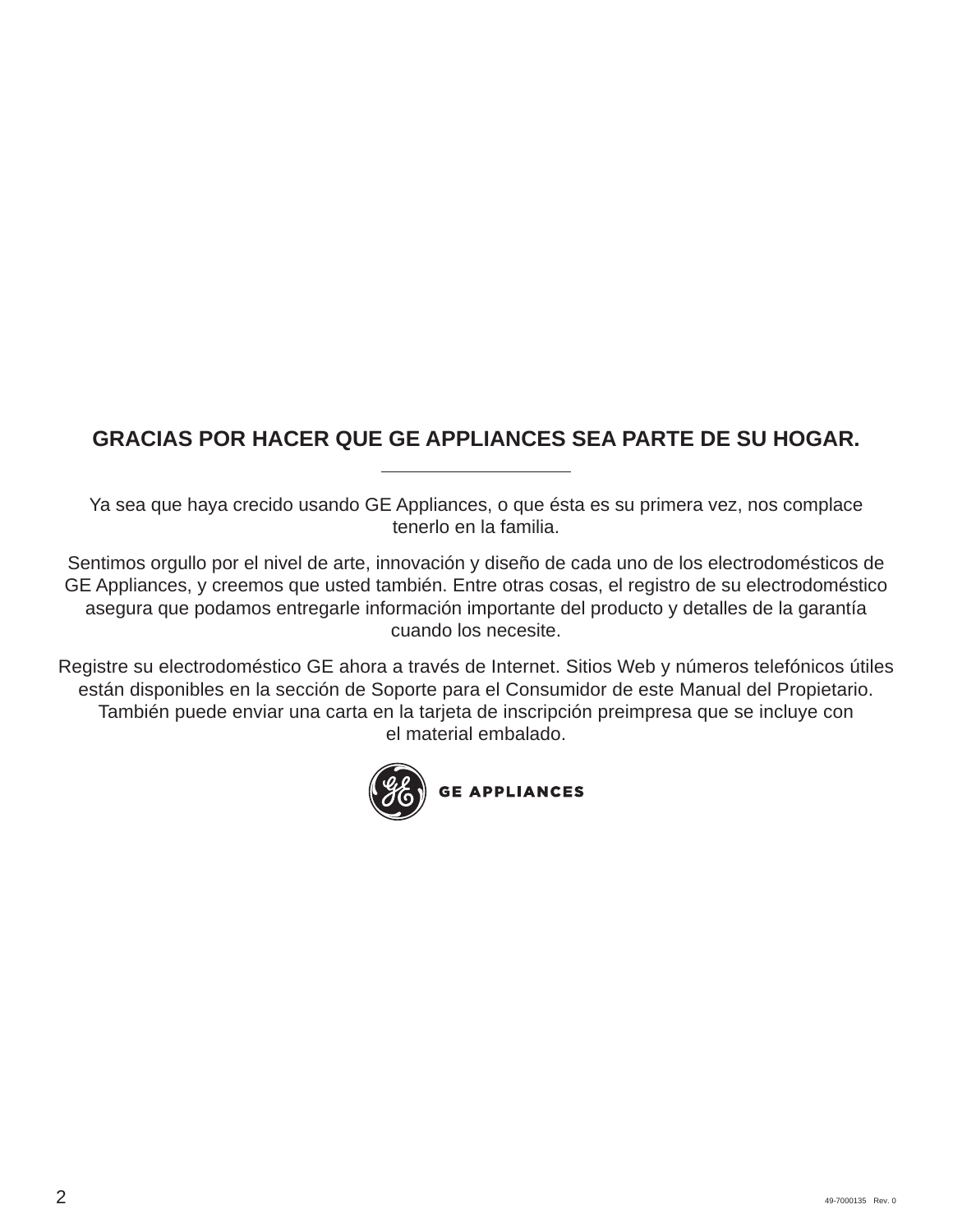# **GRACIAS POR HACER QUE GE APPLIANCES SEA PARTE DE SU HOGAR.**

Ya sea que haya crecido usando GE Appliances, o que ésta es su primera vez, nos complace tenerlo en la familia.

Sentimos orgullo por el nivel de arte, innovación y diseño de cada uno de los electrodomésticos de GE Appliances, y creemos que usted también. Entre otras cosas, el registro de su electrodoméstico asegura que podamos entregarle información importante del producto y detalles de la garantía cuando los necesite.

Registre su electrodoméstico GE ahora a través de Internet. Sitios Web y números telefónicos útiles están disponibles en la sección de Soporte para el Consumidor de este Manual del Propietario. También puede enviar una carta en la tarjeta de inscripción preimpresa que se incluye con el material embalado.

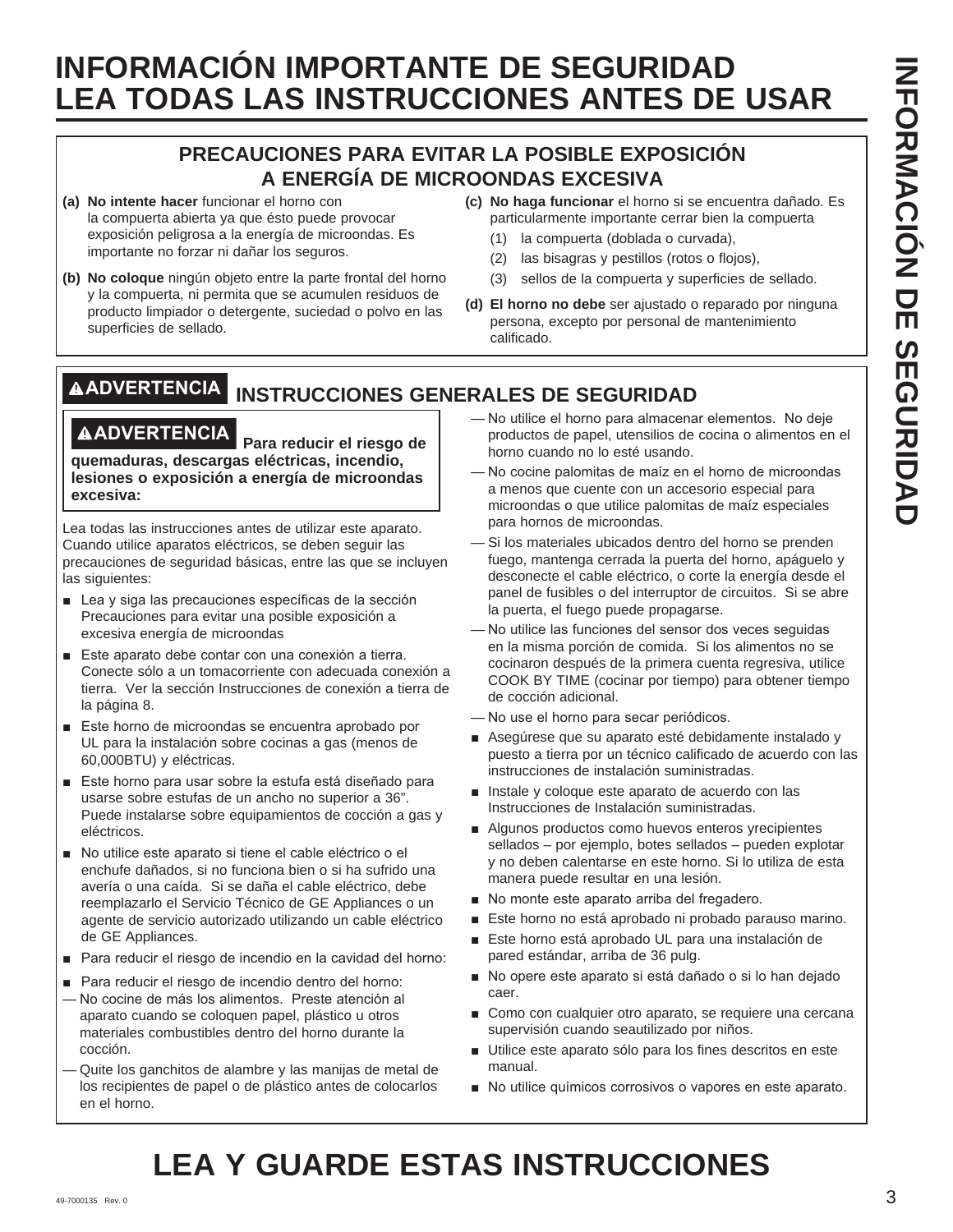# **PRECAUCIONES PARA EVITAR LA POSIBLE EXPOSICIÓN A ENERGÍA DE MICROONDAS EXCESIVA**

- **(a) No intente hacer** funcionar el horno con la compuerta abierta ya que ésto puede provocar exposición peligrosa a la energía de microondas. Es importante no forzar ni dañar los seguros.
- **(b) No coloque** ningún objeto entre la parte frontal del horno y la compuerta, ni permita que se acumulen residuos de producto limpiador o detergente, suciedad o polvo en las superficies de sellado.
- **(c) No haga funcionar** el horno si se encuentra dañado. Es particularmente importante cerrar bien la compuerta
	- (1) la compuerta (doblada o curvada),
	- (2) las bisagras y pestillos (rotos o flojos),
	- (3) sellos de la compuerta y superficies de sellado.
- **(d) El horno no debe** ser ajustado o reparado por ninguna persona, excepto por personal de mantenimiento calificado.

# **ADVERTENCIA INSTRUCCIONES GENERALES DE SEGURIDAD**

**ADVERTENCIA Para reducir el riesgo de quemaduras, descargas eléctricas, incendio, lesiones o exposición a energía de microondas excesiva:**

Lea todas las instrucciones antes de utilizar este aparato. Cuando utilice aparatos eléctricos, se deben seguir las precauciones de seguridad básicas, entre las que se incluyen las siguientes:

- $\blacksquare$  Lea y siga las precauciones específicas de la sección Precauciones para evitar una posible exposición a excesiva energía de microondas
- Este aparato debe contar con una conexión a tierra. Conecte sólo a un tomacorriente con adecuada conexión a tierra. Ver la sección Instrucciones de conexión a tierra de la página 8.
- $\blacksquare$  Este horno de microondas se encuentra aprobado por UL para la instalación sobre cocinas a gas (menos de 60,000BTU) y eléctricas.
- Este horno para usar sobre la estufa está diseñado para usarse sobre estufas de un ancho no superior a 36". Puede instalarse sobre equipamientos de cocción a gas y eléctricos.
- No utilice este aparato si tiene el cable eléctrico o el enchufe dañados, si no funciona bien o si ha sufrido una avería o una caída. Si se daña el cable eléctrico, debe reemplazarlo el Servicio Técnico de GE Appliances o un agente de servicio autorizado utilizando un cable eléctrico de GE Appliances.
- Para reducir el riesgo de incendio en la cavidad del horno:
- Para reducir el riesgo de incendio dentro del horno: - No cocine de más los alimentos. Preste atención al aparato cuando se coloquen papel, plástico u otros materiales combustibles dentro del horno durante la cocción.
- Quite los ganchitos de alambre y las manijas de metal de los recipientes de papel o de plástico antes de colocarlos en el horno.
- No utilice el horno para almacenar elementos. No deje productos de papel, utensilios de cocina o alimentos en el horno cuando no lo esté usando.
- No cocine palomitas de maíz en el horno de microondas a menos que cuente con un accesorio especial para microondas o que utilice palomitas de maíz especiales para hornos de microondas.
- Si los materiales ubicados dentro del horno se prenden fuego, mantenga cerrada la puerta del horno, apáguelo y desconecte el cable eléctrico, o corte la energía desde el panel de fusibles o del interruptor de circuitos. Si se abre la puerta, el fuego puede propagarse.
- No utilice las funciones del sensor dos veces seguidas en la misma porción de comida. Si los alimentos no se cocinaron después de la primera cuenta regresiva, utilice COOK BY TIME (cocinar por tiempo) para obtener tiempo de cocción adicional.
- No use el horno para secar periódicos.
- Asegúrese que su aparato esté debidamente instalado y puesto a tierra por un técnico calificado de acuerdo con las instrucciones de instalación suministradas.
- $\blacksquare$  Instale y coloque este aparato de acuerdo con las Instrucciones de Instalación suministradas.
- Algunos productos como huevos enteros yrecipientes sellados – por ejemplo, botes sellados – pueden explotar y no deben calentarse en este horno. Si lo utiliza de esta manera puede resultar en una lesión.
- No monte este aparato arriba del fregadero.
- Este horno no está aprobado ni probado parauso marino.
- Este horno está aprobado UL para una instalación de pared estándar, arriba de 36 pulg.
- No opere este aparato si está dañado o si lo han dejado caer.
- Como con cualquier otro aparato, se requiere una cercana supervisión cuando seautilizado por niños.
- Utilice este aparato sólo para los fines descritos en este manual.
- No utilice químicos corrosivos o vapores en este aparato.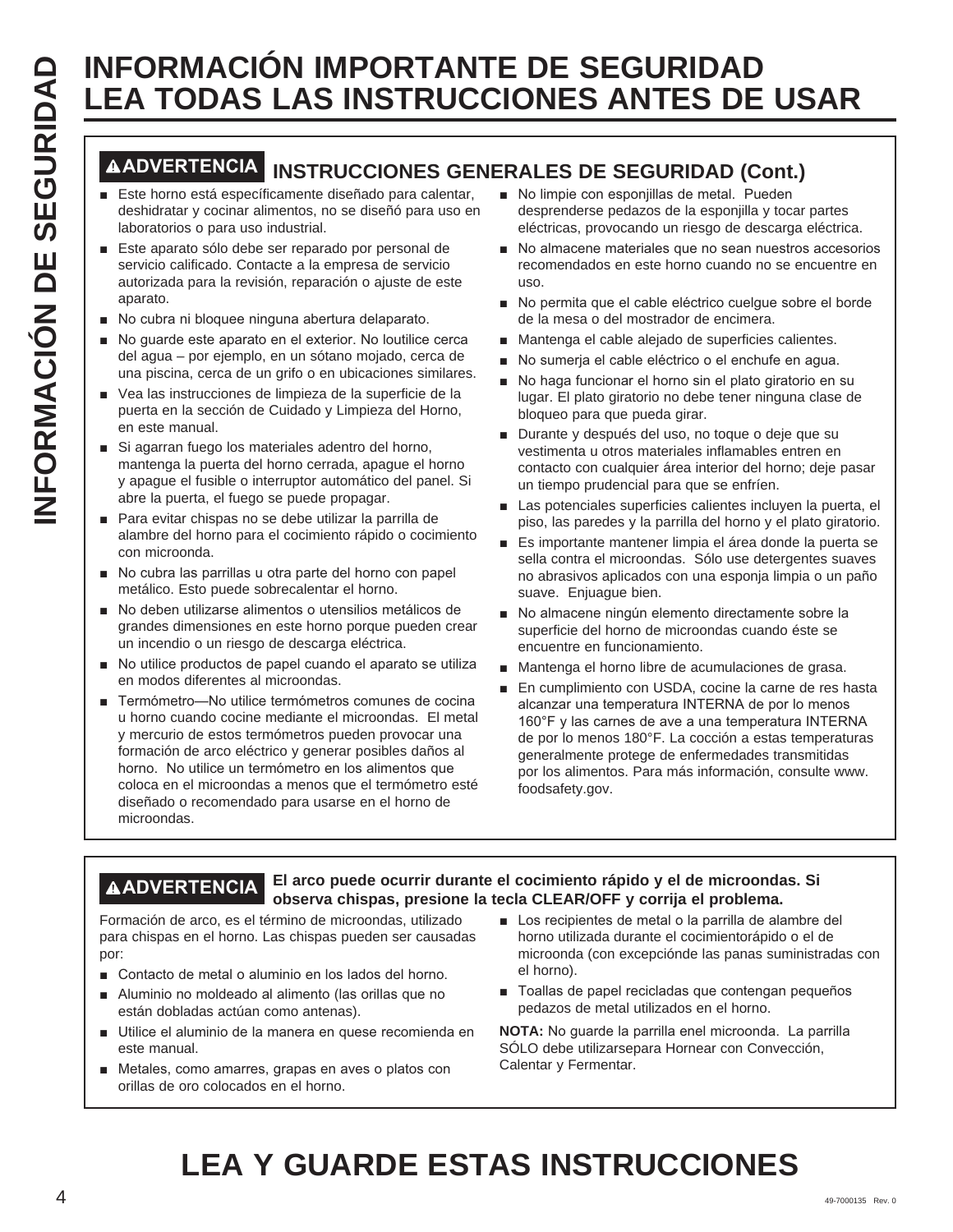# **ADVERTENCIA INSTRUCCIONES GENERALES DE SEGURIDAD (Cont.)**

- Este horno está específicamente diseñado para calentar, deshidratar y cocinar alimentos, no se diseñó para uso en laboratorios o para uso industrial.
- Este aparato sólo debe ser reparado por personal de servicio calificado. Contacte a la empresa de servicio autorizada para la revisión, reparación o ajuste de este aparato.
- No cubra ni bloquee ninguna abertura delaparato.
- No guarde este aparato en el exterior. No loutilice cerca del agua – por ejemplo, en un sótano mojado, cerca de una piscina, cerca de un grifo o en ubicaciones similares.
- Vea las instrucciones de limpieza de la superficie de la puerta en la sección de Cuidado y Limpieza del Horno, en este manual.
- Si agarran fuego los materiales adentro del horno, mantenga la puerta del horno cerrada, apague el horno y apague el fusible o interruptor automático del panel. Si abre la puerta, el fuego se puede propagar.
- Para evitar chispas no se debe utilizar la parrilla de alambre del horno para el cocimiento rápido o cocimiento con microonda.
- No cubra las parrillas u otra parte del horno con papel metálico. Esto puede sobrecalentar el horno.
- No deben utilizarse alimentos o utensilios metálicos de grandes dimensiones en este horno porque pueden crear un incendio o un riesgo de descarga eléctrica.
- No utilice productos de papel cuando el aparato se utiliza en modos diferentes al microondas.
- **ENERGIGNATION INFORMACIÓN DE SEGURIDAD DE SEGURIDAD DE SEGURIDAD DE SEGURIDAD DE SEGURIDAD DE SE UNIT EN ENERGIGNATION DE SE UNIT EN ENERGIGNATION DE L'ARCHER EN EL ESTE UNIT EN ENERGIGNATION DE L'ARCHER EN EL ESTE UNIT** ■ Termómetro-No utilice termómetros comunes de cocina u horno cuando cocine mediante el microondas. El metal y mercurio de estos termómetros pueden provocar una formación de arco eléctrico y generar posibles daños al horno. No utilice un termómetro en los alimentos que coloca en el microondas a menos que el termómetro esté diseñado o recomendado para usarse en el horno de microondas.
	- No limpie con esponjillas de metal. Pueden desprenderse pedazos de la esponjilla y tocar partes eléctricas, provocando un riesgo de descarga eléctrica.
	- No almacene materiales que no sean nuestros accesorios recomendados en este horno cuando no se encuentre en uso.
	- No permita que el cable eléctrico cuelque sobre el borde de la mesa o del mostrador de encimera.
	- Mantenga el cable alejado de superficies calientes.
	- No sumerja el cable eléctrico o el enchufe en agua.
	- No haga funcionar el horno sin el plato giratorio en su lugar. El plato giratorio no debe tener ninguna clase de bloqueo para que pueda girar.
	- Durante y después del uso, no toque o deje que su vestimenta u otros materiales inflamables entren en contacto con cualquier área interior del horno; deje pasar un tiempo prudencial para que se enfríen.
	- Las potenciales superficies calientes incluyen la puerta, el piso, las paredes y la parrilla del horno y el plato giratorio.
	- Es importante mantener limpia el área donde la puerta se sella contra el microondas. Sólo use detergentes suaves no abrasivos aplicados con una esponja limpia o un paño suave. Enjuague bien.
	- No almacene ningún elemento directamente sobre la superficie del horno de microondas cuando éste se encuentre en funcionamiento.
	- Mantenga el horno libre de acumulaciones de grasa.
	- En cumplimiento con USDA, cocine la carne de res hasta alcanzar una temperatura INTERNA de por lo menos  $160^\circ$ F y las carnes de ave a una temperatura INTERNA de por lo menos 180°F. La cocción a estas temperaturas generalmente protege de enfermedades transmitidas por los alimentos. Para más información, consulte www. foodsafety.gov.

#### **ADVERTENCIA El arco puede ocurrir durante el cocimiento rápido y el de microondas. Si observa chispas, presione la tecla CLEAR/OFF y corrija el problema.**

Formación de arco, es el término de microondas, utilizado para chispas en el horno. Las chispas pueden ser causadas por:

- Contacto de metal o aluminio en los lados del horno.
- Aluminio no moldeado al alimento (las orillas que no están dobladas actúan como antenas).
- Utilice el aluminio de la manera en quese recomienda en este manual.
- Metales, como amarres, grapas en aves o platos con orillas de oro colocados en el horno.
- **E** Los recipientes de metal o la parrilla de alambre del horno utilizada durante el cocimientorápido o el de microonda (con excepciónde las panas suministradas con el horno).
- $\blacksquare$  Toallas de papel recicladas que contengan pequeños pedazos de metal utilizados en el horno.

**NOTA:** No quarde la parrilla enel microonda. La parrilla SÓLO debe utilizarsepara Hornear con Convección, Calentar y Fermentar.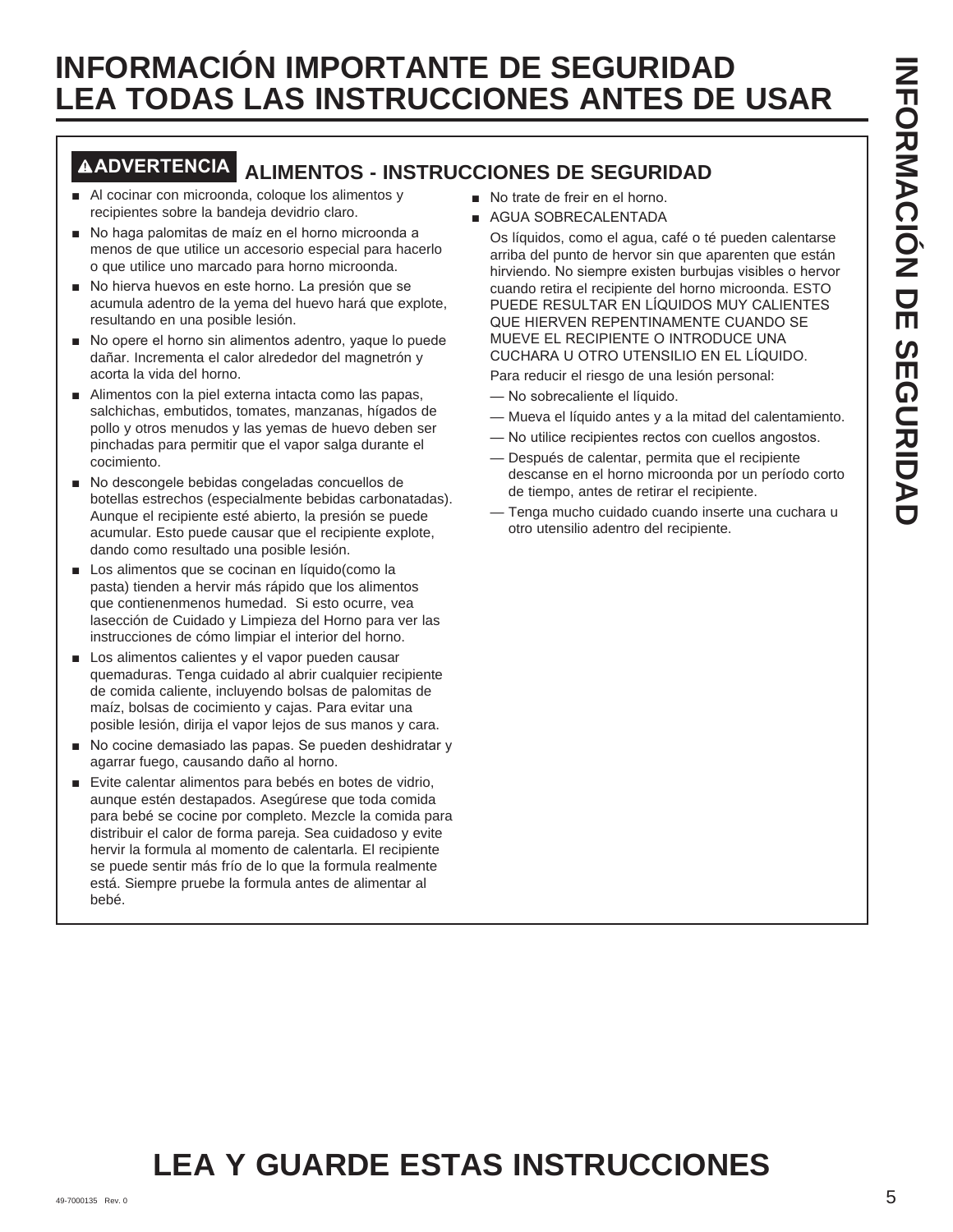# **ADVERTENCIA ALIMENTOS - INSTRUCCIONES DE SEGURIDAD**

- Al cocinar con microonda, coloque los alimentos y recipientes sobre la bandeja devidrio claro.
- No haga palomitas de maíz en el horno microonda a menos de que utilice un accesorio especial para hacerlo o que utilice uno marcado para horno microonda.
- No hierva huevos en este horno. La presión que se acumula adentro de la yema del huevo hará que explote, resultando en una posible lesión.
- $\blacksquare$  No opere el horno sin alimentos adentro, yaque lo puede dañar. Incrementa el calor alrededor del magnetrón y acorta la vida del horno.
- $\blacksquare$  Alimentos con la piel externa intacta como las papas, salchichas, embutidos, tomates, manzanas, hígados de pollo y otros menudos y las yemas de huevo deben ser pinchadas para permitir que el vapor salga durante el cocimiento.
- No descongele bebidas congeladas concuellos de botellas estrechos (especialmente bebidas carbonatadas). Aunque el recipiente esté abierto, la presión se puede acumular. Esto puede causar que el recipiente explote, dando como resultado una posible lesión.
- Los alimentos que se cocinan en líquido(como la pasta) tienden a hervir más rápido que los alimentos que contienenmenos humedad. Si esto ocurre, vea lasección de Cuidado y Limpieza del Horno para ver las instrucciones de cómo limpiar el interior del horno.
- Los alimentos calientes y el vapor pueden causar quemaduras. Tenga cuidado al abrir cualquier recipiente de comida caliente, incluyendo bolsas de palomitas de maíz, bolsas de cocimiento y cajas. Para evitar una posible lesión, dirija el vapor lejos de sus manos y cara.
- No cocine demasiado las papas. Se pueden deshidratar y agarrar fuego, causando daño al horno.
- Evite calentar alimentos para bebés en botes de vidrio, aunque estén destapados. Asegúrese que toda comida para bebé se cocine por completo. Mezcle la comida para distribuir el calor de forma pareja. Sea cuidadoso y evite hervir la formula al momento de calentarla. El recipiente se puede sentir más frío de lo que la formula realmente está. Siempre pruebe la formula antes de alimentar al bebé.
- No trate de freir en el horno.
- GUA SOBRECALENTADA

 Os líquidos, como el agua, café o té pueden calentarse arriba del punto de hervor sin que aparenten que están hirviendo. No siempre existen burbujas visibles o hervor cuando retira el recipiente del horno microonda. ESTO PUEDE RESULTAR EN LÍQUIDOS MUY CALIENTES QUE HIERVEN REPENTINAMENTE CUANDO SE MUEVE EL RECIPIENTE O INTRODUCE UNA CUCHARA U OTRO UTENSILIO EN EL LÍQUIDO.

Para reducir el riesgo de una lesión personal:

- No sobrecaliente el líquido.
- Mueva el líquido antes y a la mitad del calentamiento.
- No utilice recipientes rectos con cuellos angostos.
- Después de calentar, permita que el recipiente descanse en el horno microonda por un período corto de tiempo, antes de retirar el recipiente.
- Tenga mucho cuidado cuando inserte una cuchara u otro utensilio adentro del recipiente.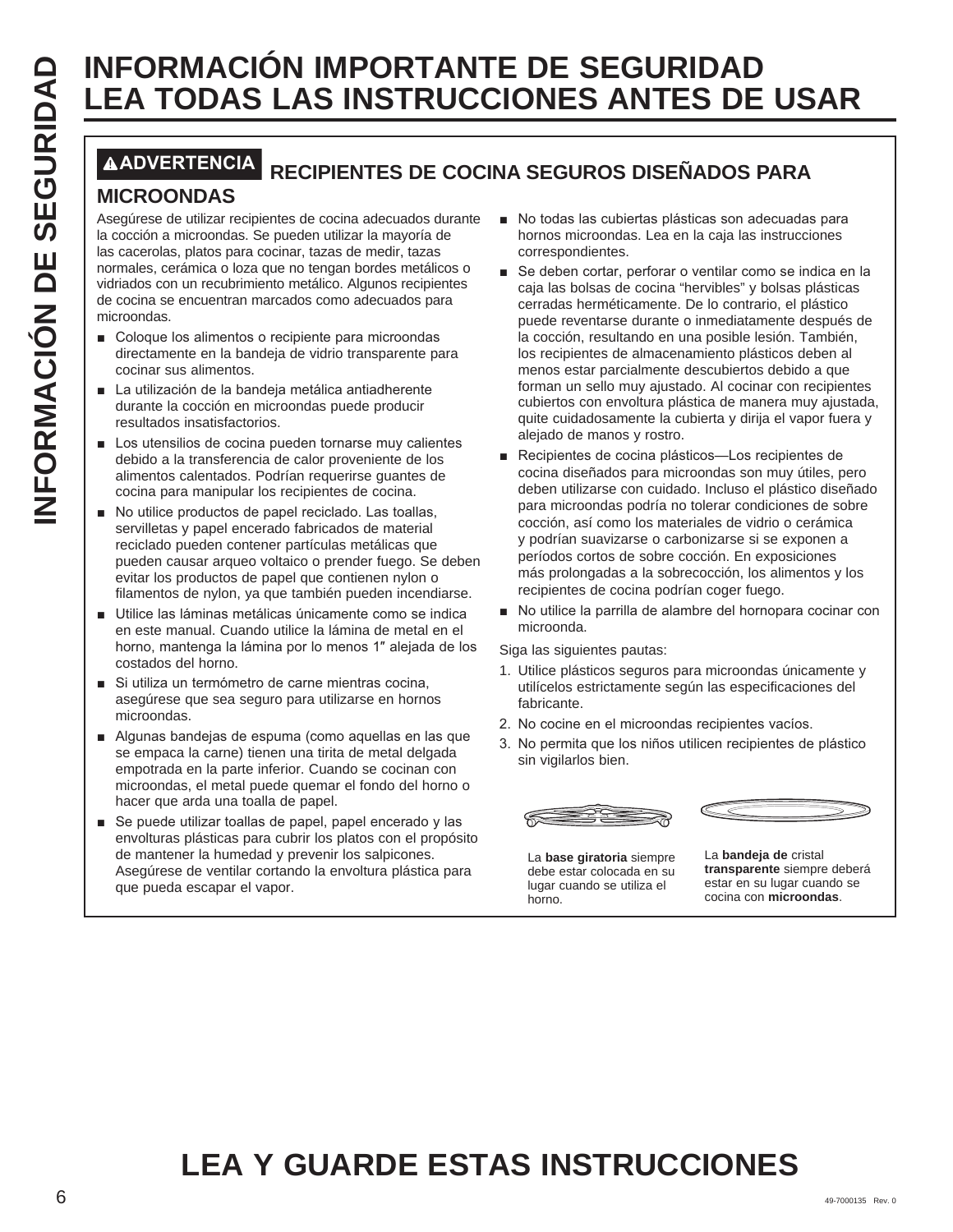# **LEA TODAS LAS INSTRUCCIONES ANTES DE USAR**

# **ADVERTENCIA RECIPIENTES DE COCINA SEGUROS DISEÑADOS PARA**

## **MICROONDAS**

Asegúrese de utilizar recipientes de cocina adecuados durante la cocción a microondas. Se pueden utilizar la mayoría de las cacerolas, platos para cocinar, tazas de medir, tazas normales, cerámica o loza que no tengan bordes metálicos o vidriados con un recubrimiento metálico. Algunos recipientes de cocina se encuentran marcados como adecuados para microondas.

- Coloque los alimentos o recipiente para microondas directamente en la bandeja de vidrio transparente para cocinar sus alimentos.
- La utilización de la bandeja metálica antiadherente durante la cocción en microondas puede producir resultados insatisfactorios.
- Los utensilios de cocina pueden tornarse muy calientes debido a la transferencia de calor proveniente de los alimentos calentados. Podrían requerirse guantes de cocina para manipular los recipientes de cocina.
- No utilice productos de papel reciclado. Las toallas, servilletas y papel encerado fabricados de material reciclado pueden contener partículas metálicas que pueden causar arqueo voltaico o prender fuego. Se deben evitar los productos de papel que contienen nylon o filamentos de nylon, ya que también pueden incendiarse.
- Utilice las láminas metálicas únicamente como se indica en este manual. Cuando utilice la lámina de metal en el horno, mantenga la lámina por lo menos 1" alejada de los costados del horno.
- Si utiliza un termómetro de carne mientras cocina, asegúrese que sea seguro para utilizarse en hornos microondas.
- Algunas bandejas de espuma (como aquellas en las que se empaca la carne) tienen una tirita de metal delgada empotrada en la parte inferior. Cuando se cocinan con microondas, el metal puede quemar el fondo del horno o hacer que arda una toalla de papel.
- Se puede utilizar toallas de papel, papel encerado y las envolturas plásticas para cubrir los platos con el propósito de mantener la humedad y prevenir los salpicones. Asegúrese de ventilar cortando la envoltura plástica para que pueda escapar el vapor.
- No todas las cubiertas plásticas son adecuadas para hornos microondas. Lea en la caja las instrucciones correspondientes.
- **INFORMACION IMPORTANTE DE SEGURIDAD**<br> **ILLEA TODAS LAS INSTRUCCIONES ANTES DE**<br> **INCROONDAS**<br> **INCROONDAS**<br> **INCROONDAS**<br> **INCROONDAS**<br> **INCROONDAS**<br> **INCROONDAS**<br> **INCROONDAS**<br> **INCROONDAS**<br> **INCROONDAS**<br> **INCROONDAS**<br> ■ Se deben cortar, perforar o ventilar como se indica en la caja las bolsas de cocina "hervibles" y bolsas plásticas cerradas herméticamente. De lo contrario, el plástico puede reventarse durante o inmediatamente después de la cocción, resultando en una posible lesión. También, los recipientes de almacenamiento plásticos deben al menos estar parcialmente descubiertos debido a que forman un sello muy ajustado. Al cocinar con recipientes cubiertos con envoltura plástica de manera muy ajustada, quite cuidadosamente la cubierta y dirija el vapor fuera y alejado de manos y rostro.
	- Recipientes de cocina plásticos-Los recipientes de cocina diseñados para microondas son muy útiles, pero deben utilizarse con cuidado. Incluso el plástico diseñado para microondas podría no tolerar condiciones de sobre cocción, así como los materiales de vidrio o cerámica y podrían suavizarse o carbonizarse si se exponen a períodos cortos de sobre cocción. En exposiciones más prolongadas a la sobrecocción, los alimentos y los recipientes de cocina podrían coger fuego.
	- No utilice la parrilla de alambre del hornopara cocinar con microonda.

Siga las siguientes pautas:

- 1. Utilice plásticos seguros para microondas únicamente y utilícelos estrictamente según las especificaciones del fabricante.
- 2. No cocine en el microondas recipientes vacíos.
- 3. No permita que los niños utilicen recipientes de plástico sin vigilarlos bien.





La **base giratoria** siempre debe estar colocada en su lugar cuando se utiliza el horno.

La **bandeja de** cristal **transparente** siempre deberá estar en su lugar cuando se cocina con **microondas**.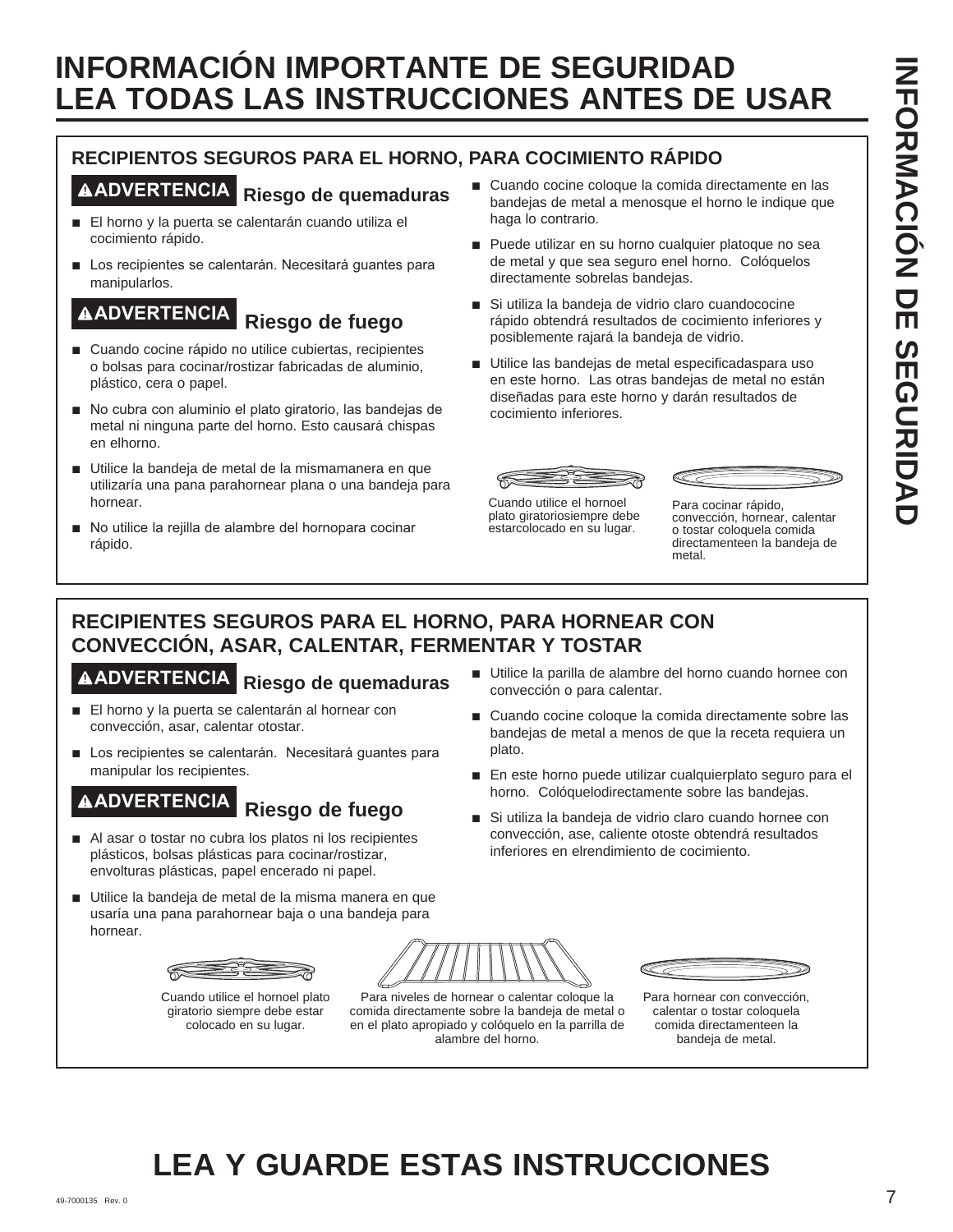# **RECIPIENTOS SEGUROS PARA EL HORNO, PARA COCIMIENTO RÁPIDO**

# **ADVERTENCIA Riesgo de quemaduras**

- El horno y la puerta se calentarán cuando utiliza el cocimiento rápido.
- Los recipientes se calentarán. Necesitará guantes para manipularlos.

# **ADVERTENCIA Riesgo de fuego**

- Cuando cocine rápido no utilice cubiertas, recipientes o bolsas para cocinar/rostizar fabricadas de aluminio, plástico, cera o papel.
- No cubra con aluminio el plato giratorio, las bandejas de metal ni ninguna parte del horno. Esto causará chispas en elhorno.
- Utilice la bandeja de metal de la mismamanera en que utilizaría una pana parahornear plana o una bandeja para hornear.
- No utilice la rejilla de alambre del hornopara cocinar rápido.
- Cuando cocine coloque la comida directamente en las bandejas de metal a menosque el horno le indique que haga lo contrario.
- Puede utilizar en su horno cualquier platoque no sea de metal y que sea seguro enel horno. Colóquelos directamente sobrelas bandejas.
- Si utiliza la bandeja de vidrio claro cuandococine rápido obtendrá resultados de cocimiento inferiores y posiblemente rajará la bandeja de vidrio.
- Utilice las bandejas de metal especificadaspara uso en este horno. Las otras bandejas de metal no están diseñadas para este horno y darán resultados de cocimiento inferiores.





Cuando utilice el hornoel plato giratoriosiempre debe estarcolocado en su lugar.

Para cocinar rápido, convección, hornear, calentar o tostar coloquela comida directamenteen la bandeja de metal.

# **RECIPIENTES SEGUROS PARA EL HORNO, PARA HORNEAR CON CONVECCIÓN, ASAR, CALENTAR, FERMENTAR Y TOSTAR**

# **ADVERTENCIA Riesgo de quemaduras**

- El horno y la puerta se calentarán al hornear con convección, asar, calentar otostar.
- Los recipientes se calentarán. Necesitará guantes para manipular los recipientes.

# **ADVERTENCIA Riesgo de fuego**

- Al asar o tostar no cubra los platos ni los recipientes plásticos, bolsas plásticas para cocinar/rostizar, envolturas plásticas, papel encerado ni papel.
- Utilice la bandeja de metal de la misma manera en que usaría una pana parahornear baja o una bandeja para hornear.



Cuando utilice el hornoel plato giratorio siempre debe estar colocado en su lugar.



comida directamente sobre la bandeja de metal o en el plato apropiado y colóquelo en la parrilla de alambre del horno.



- Cuando cocine coloque la comida directamente sobre las bandejas de metal a menos de que la receta requiera un plato.
- En este horno puede utilizar cualquierplato seguro para el horno. Colóquelodirectamente sobre las bandejas.
- Si utiliza la bandeja de vidrio claro cuando hornee con convección, ase, caliente otoste obtendrá resultados inferiores en elrendimiento de cocimiento.



Para hornear con convección, calentar o tostar coloquela comida directamenteen la bandeja de metal.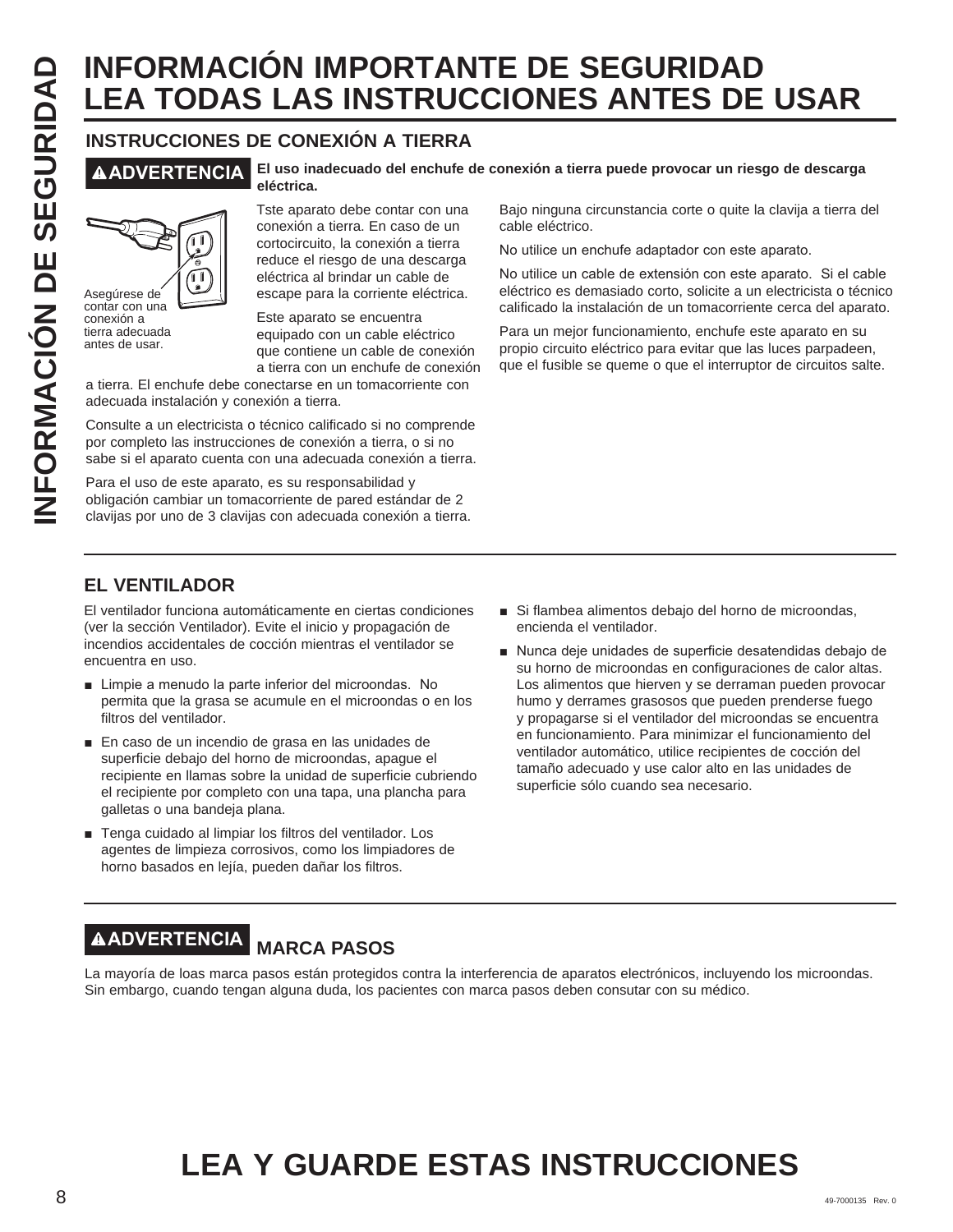# **INFORMACION IMPORTANTE DE SEGURIDAD**<br> **ILEA TODAS LAS INSTRUCCIONES ANTES DE**<br> **INSTRUCCIONS** DE CONEXIÓN A TIERRA<br> **INSTRUCCION ES ANTES DE**<br>
INSTRUCCIONS DE CONEXIÓN A TIERRA<br> **ISLA DE SEGURIDAD**<br> **ISLA DE SEGURIDAD**<br> **LEA TODAS LAS INSTRUCCIONES ANTES DE USAR**

# **INSTRUCCIONES DE CONEXIÓN A TIERRA**



Asegúrese de contar con una conexión a tierra adecuada antes de usar.

#### **ADVERTENCIA El uso inadecuado del enchufe de conexión a tierra puede provocar un riesgo de descarga eléctrica.**

Tste aparato debe contar con una conexión a tierra. En caso de un cortocircuito, la conexión a tierra reduce el riesgo de una descarga eléctrica al brindar un cable de escape para la corriente eléctrica.

Este aparato se encuentra equipado con un cable eléctrico que contiene un cable de conexión a tierra con un enchufe de conexión

a tierra. El enchufe debe conectarse en un tomacorriente con adecuada instalación y conexión a tierra.

Consulte a un electricista o técnico calificado si no comprende por completo las instrucciones de conexión a tierra, o si no sabe si el aparato cuenta con una adecuada conexión a tierra.

Para el uso de este aparato, es su responsabilidad y obligación cambiar un tomacorriente de pared estándar de 2 clavijas por uno de 3 clavijas con adecuada conexión a tierra.

Bajo ninguna circunstancia corte o quite la clavija a tierra del cable eléctrico.

No utilice un enchufe adaptador con este aparato.

No utilice un cable de extensión con este aparato. Si el cable eléctrico es demasiado corto, solicite a un electricista o técnico calificado la instalación de un tomacorriente cerca del aparato.

Para un mejor funcionamiento, enchufe este aparato en su propio circuito eléctrico para evitar que las luces parpadeen, que el fusible se queme o que el interruptor de circuitos salte.

# **EL VENTILADOR**

El ventilador funciona automáticamente en ciertas condiciones (ver la sección Ventilador). Evite el inicio y propagación de incendios accidentales de cocción mientras el ventilador se encuentra en uso.

- Limpie a menudo la parte inferior del microondas. No permita que la grasa se acumule en el microondas o en los filtros del ventilador.
- En caso de un incendio de grasa en las unidades de superficie debajo del horno de microondas, apague el recipiente en llamas sobre la unidad de superficie cubriendo el recipiente por completo con una tapa, una plancha para galletas o una bandeja plana.
- Tenga cuidado al limpiar los filtros del ventilador. Los agentes de limpieza corrosivos, como los limpiadores de horno basados en lejía, pueden dañar los filtros.
- Si flambea alimentos debajo del horno de microondas, encienda el ventilador.
- Nunca deje unidades de superficie desatendidas debajo de su horno de microondas en configuraciones de calor altas. Los alimentos que hierven y se derraman pueden provocar humo y derrames grasosos que pueden prenderse fuego y propagarse si el ventilador del microondas se encuentra en funcionamiento. Para minimizar el funcionamiento del ventilador automático, utilice recipientes de cocción del tamaño adecuado y use calor alto en las unidades de superficie sólo cuando sea necesario.

# **ADVERTENCIA MARCA PASOS**

La mayoría de loas marca pasos están protegidos contra la interferencia de aparatos electrónicos, incluyendo los microondas. Sin embargo, cuando tengan alguna duda, los pacientes con marca pasos deben consutar con su médico.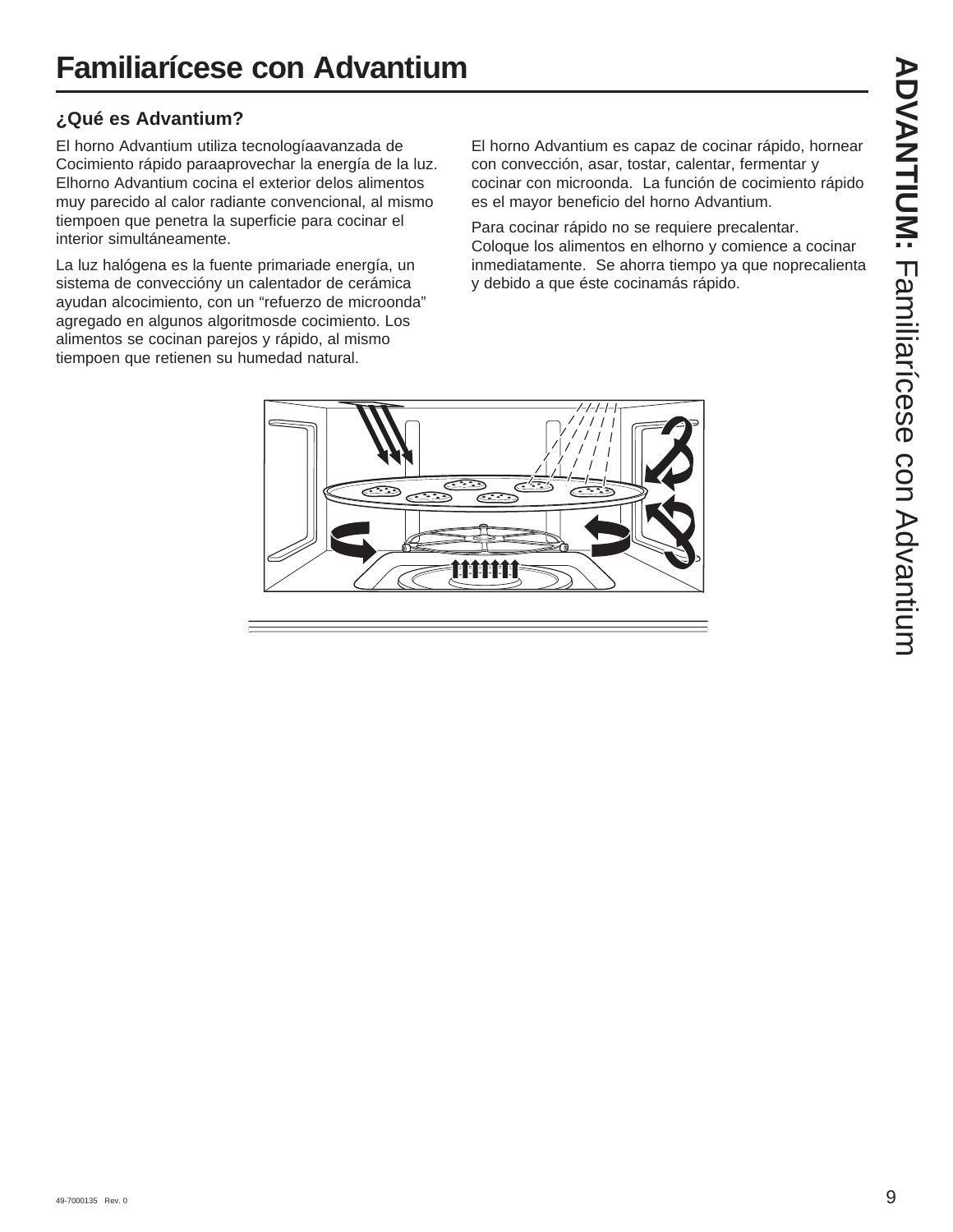# **¿Qué es Advantium?**

El horno Advantium utiliza tecnologíaavanzada de Cocimiento rápido paraaprovechar la energía de la luz. Elhorno Advantium cocina el exterior delos alimentos muy parecido al calor radiante convencional, al mismo tiempoen que penetra la superficie para cocinar el interior simultáneamente.

La luz halógena es la fuente primariade energía, un sistema de conveccióny un calentador de cerámica ayudan alcocimiento, con un "refuerzo de microonda" agregado en algunos algoritmosde cocimiento. Los alimentos se cocinan parejos y rápido, al mismo tiempoen que retienen su humedad natural.

El horno Advantium es capaz de cocinar rápido, hornear con convección, asar, tostar, calentar, fermentar y cocinar con microonda. La función de cocimiento rápido es el mayor beneficio del horno Advantium.

Para cocinar rápido no se requiere precalentar. Coloque los alimentos en elhorno y comience a cocinar inmediatamente. Se ahorra tiempo ya que noprecalienta y debido a que éste cocinamás rápido.

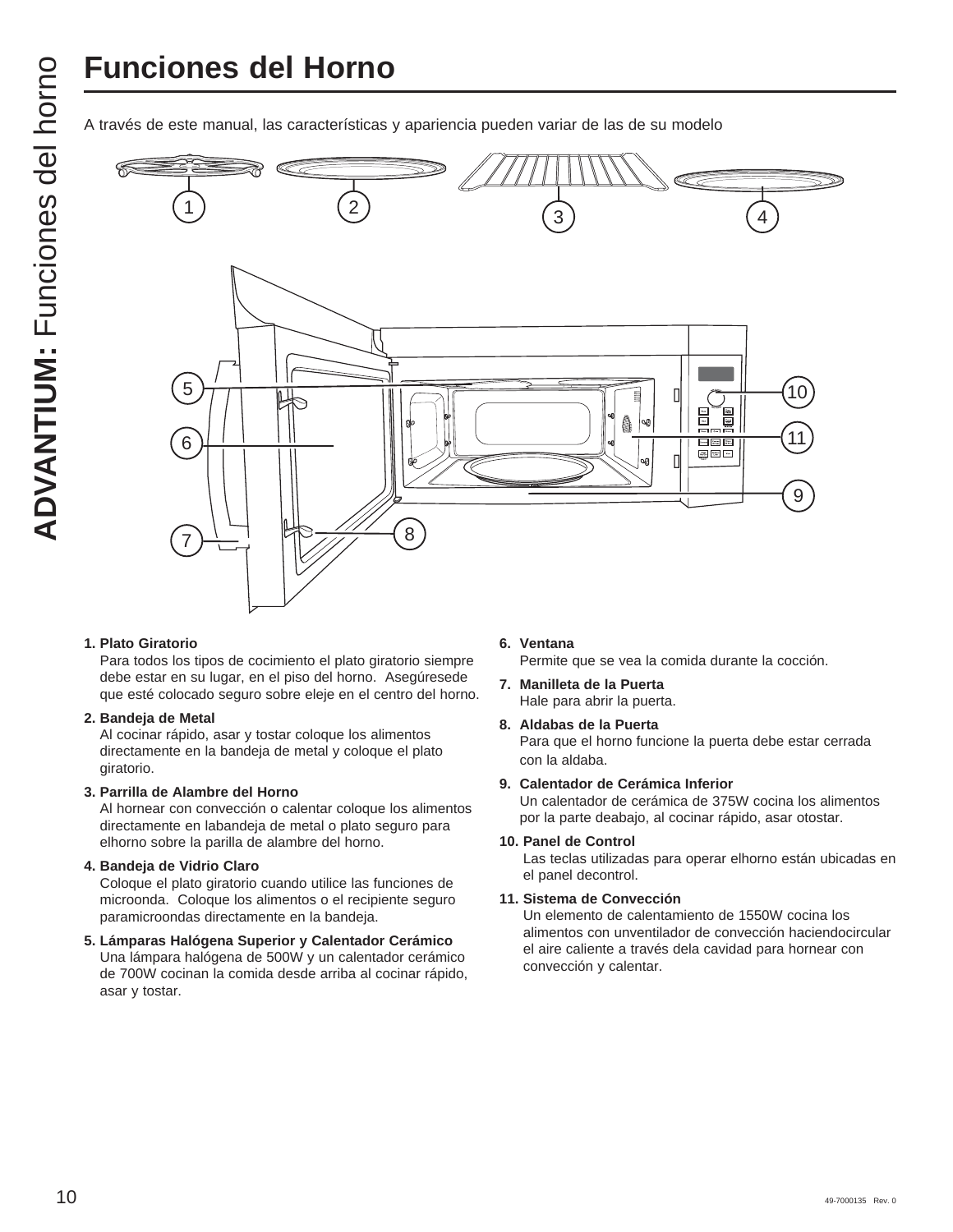# **Funciones del Horno**



#### **1. Plato Giratorio**

Para todos los tipos de cocimiento el plato giratorio siempre debe estar en su lugar, en el piso del horno. Asegúresede que esté colocado seguro sobre eleje en el centro del horno.

#### **2. Bandeja de Metal**

Al cocinar rápido, asar y tostar coloque los alimentos directamente en la bandeja de metal y coloque el plato giratorio.

#### **3. Parrilla de Alambre del Horno**

Al hornear con convección o calentar coloque los alimentos directamente en labandeja de metal o plato seguro para elhorno sobre la parilla de alambre del horno.

#### **4. Bandeja de Vidrio Claro**

Coloque el plato giratorio cuando utilice las funciones de microonda. Coloque los alimentos o el recipiente seguro paramicroondas directamente en la bandeja.

# **5. Lámparas Halógena Superior y Calentador Cerámico**

Una lámpara halógena de 500W y un calentador cerámico de 700W cocinan la comida desde arriba al cocinar rápido, asar y tostar.

#### **6. Ventana**

Permite que se vea la comida durante la cocción.

- **7. Manilleta de la Puerta**  Hale para abrir la puerta.
- **8. Aldabas de la Puerta**  Para que el horno funcione la puerta debe estar cerrada con la aldaba.

#### **9. Calentador de Cerámica Inferior**

Un calentador de cerámica de 375W cocina los alimentos por la parte deabajo, al cocinar rápido, asar otostar.

#### **10. Panel de Control**

Las teclas utilizadas para operar elhorno están ubicadas en el panel decontrol.

#### **11. Sistema de Convección**

Un elemento de calentamiento de 1550W cocina los alimentos con unventilador de convección haciendocircular el aire caliente a través dela cavidad para hornear con convección y calentar.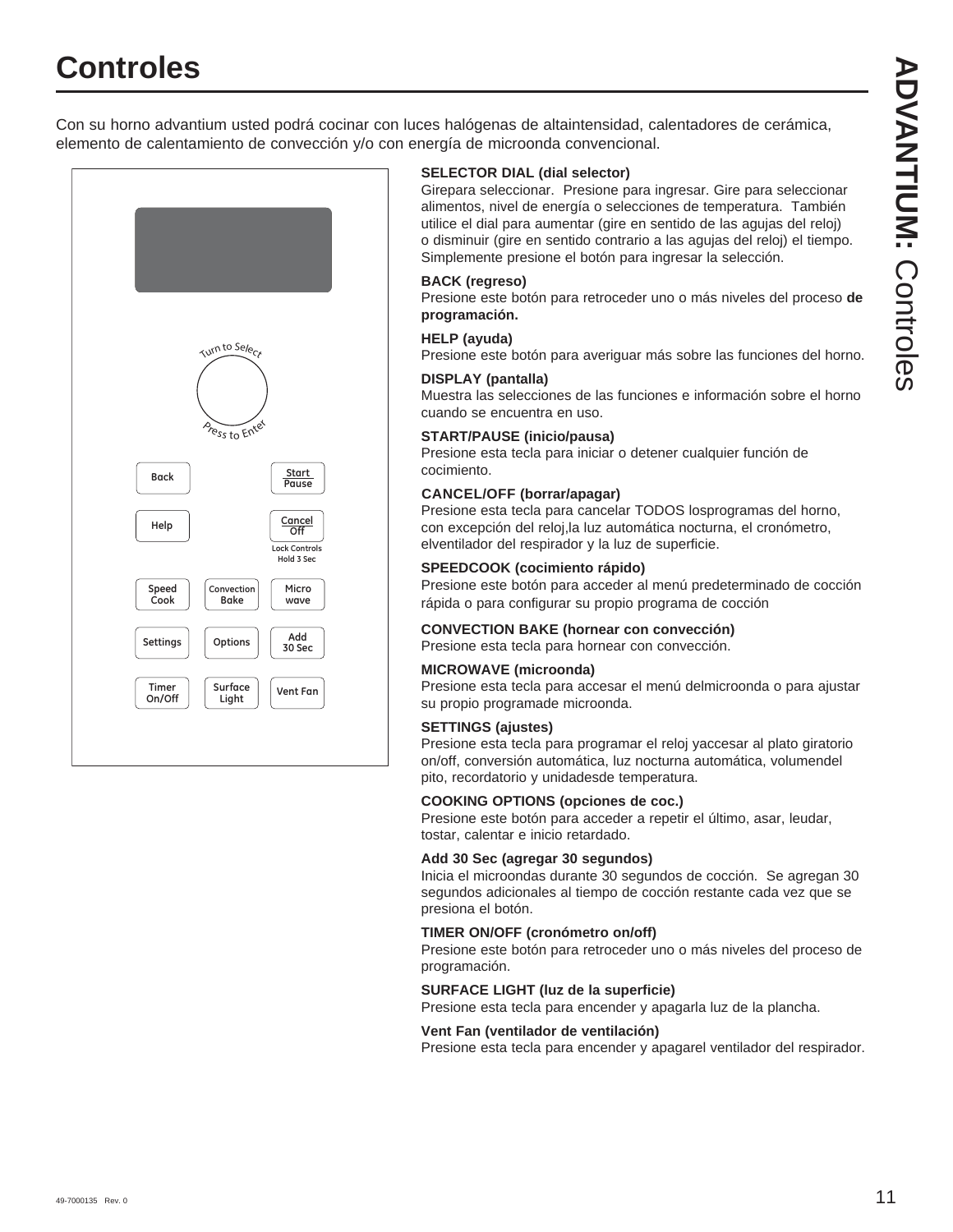# **Controles**



#### **SELECTOR DIAL (dial selector)**

Girepara seleccionar. Presione para ingresar. Gire para seleccionar alimentos, nivel de energía o selecciones de temperatura. También utilice el dial para aumentar (gire en sentido de las agujas del reloj) o disminuir (gire en sentido contrario a las agujas del reloj) el tiempo. Simplemente presione el botón para ingresar la selección.

#### **BACK (regreso)**

Presione este botón para retroceder uno o más niveles del proceso **de programación.**

#### **HELP (ayuda)**

Presione este botón para averiguar más sobre las funciones del horno.

#### **DISPLAY (pantalla)**

Muestra las selecciones de las funciones e información sobre el horno cuando se encuentra en uso.

#### **START/PAUSE (inicio/pausa)**

Presione esta tecla para iniciar o detener cualquier función de cocimiento.

#### **CANCEL/OFF (borrar/apagar)**

Presione esta tecla para cancelar TODOS losprogramas del horno, con excepción del reloj,la luz automática nocturna, el cronómetro, elventilador del respirador y la luz de superficie.

#### **SPEEDCOOK (cocimiento rápido)**

Presione este botón para acceder al menú predeterminado de cocción rápida o para configurar su propio programa de cocción

#### **CONVECTION BAKE (hornear con convección)**

Presione esta tecla para hornear con convección.

#### **MICROWAVE (microonda)**

Presione esta tecla para accesar el menú delmicroonda o para ajustar su propio programade microonda.

#### **SETTINGS (ajustes)**

Presione esta tecla para programar el reloj yaccesar al plato giratorio on/off, conversión automática, luz nocturna automática, volumendel pito, recordatorio y unidadesde temperatura.

#### **COOKING OPTIONS (opciones de coc.)**

Presione este botón para acceder a repetir el último, asar, leudar, tostar, calentar e inicio retardado.

#### **Add 30 Sec (agregar 30 segundos)**

Inicia el microondas durante 30 segundos de cocción. Se agregan 30 segundos adicionales al tiempo de cocción restante cada vez que se presiona el botón.

#### **TIMER ON/OFF (cronómetro on/off)**

Presione este botón para retroceder uno o más niveles del proceso de programación.

#### **SURFACE LIGHT (luz de la superficie)**

Presione esta tecla para encender y apagarla luz de la plancha.

#### **Vent Fan (ventilador de ventilación)**

Presione esta tecla para encender y apagarel ventilador del respirador.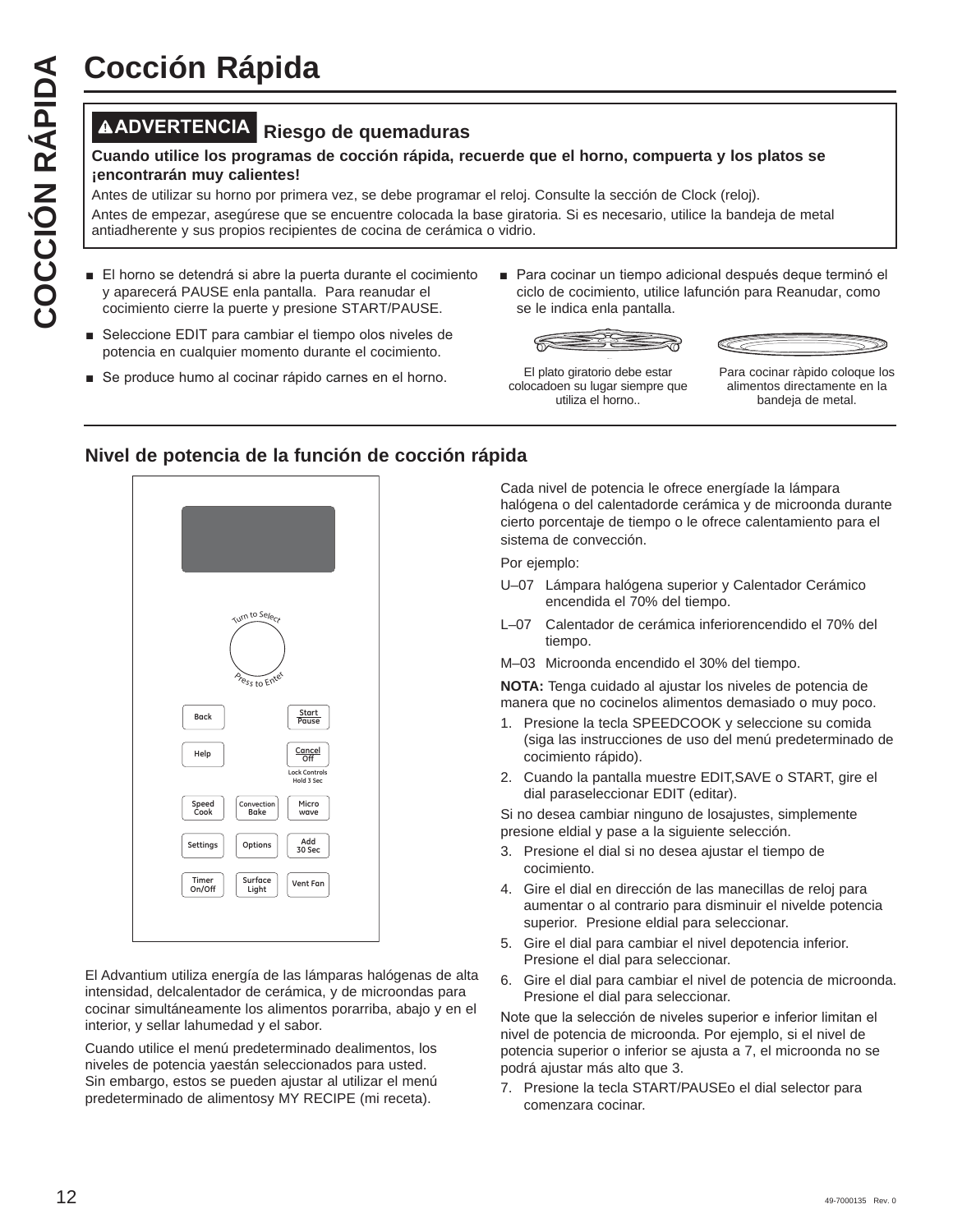# **ADVERTENCIA Riesgo de quemaduras**

#### **Cuando utilice los programas de cocción rápida, recuerde que el horno, compuerta y los platos se ¡encontrarán muy calientes!**

Antes de utilizar su horno por primera vez, se debe programar el reloj. Consulte la sección de Clock (reloj).

Antes de empezar, asegúrese que se encuentre colocada la base giratoria. Si es necesario, utilice la bandeja de metal antiadherente y sus propios recipientes de cocina de cerámica o vidrio.

- El horno se detendrá si abre la puerta durante el cocimiento y aparecerá PAUSE enla pantalla. Para reanudar el cocimiento cierre la puerte y presione START/PAUSE.
- Seleccione EDIT para cambiar el tiempo olos niveles de potencia en cualquier momento durante el cocimiento.
- Se produce humo al cocinar rápido carnes en el horno.
- Para cocinar un tiempo adicional después deque terminó el ciclo de cocimiento, utilice lafunción para Reanudar, como se le indica enla pantalla.





El plato giratorio debe estar colocadoen su lugar siempre que utiliza el horno..

Para cocinar ràpido coloque los alimentos directamente en la bandeja de metal.

## **Nivel de potencia de la función de cocción rápida**



El Advantium utiliza energía de las lámparas halógenas de alta intensidad, delcalentador de cerámica, y de microondas para cocinar simultáneamente los alimentos porarriba, abajo y en el interior, y sellar lahumedad y el sabor.

Cuando utilice el menú predeterminado dealimentos, los niveles de potencia yaestán seleccionados para usted. Sin embargo, estos se pueden ajustar al utilizar el menú predeterminado de alimentosy MY RECIPE (mi receta).

Cada nivel de potencia le ofrece energíade la lámpara halógena o del calentadorde cerámica y de microonda durante cierto porcentaje de tiempo o le ofrece calentamiento para el sistema de convección.

Por ejemplo:

- U–07 Lámpara halógena superior y Calentador Cerámico encendida el 70% del tiempo.
- L–07 Calentador de cerámica inferiorencendido el 70% del tiempo.
- M–03 Microonda encendido el 30% del tiempo.

**NOTA:** Tenga cuidado al ajustar los niveles de potencia de manera que no cocinelos alimentos demasiado o muy poco.

- 1. Presione la tecla SPEEDCOOK y seleccione su comida (siga las instrucciones de uso del menú predeterminado de cocimiento rápido).
- 2. Cuando la pantalla muestre EDIT,SAVE o START, gire el dial paraseleccionar EDIT (editar).

Si no desea cambiar ninguno de losajustes, simplemente presione eldial y pase a la siguiente selección.

- 3. Presione el dial si no desea ajustar el tiempo de cocimiento.
- 4. Gire el dial en dirección de las manecillas de reloj para aumentar o al contrario para disminuir el nivelde potencia superior. Presione eldial para seleccionar.
- 5. Gire el dial para cambiar el nivel depotencia inferior. Presione el dial para seleccionar.
- 6. Gire el dial para cambiar el nivel de potencia de microonda. Presione el dial para seleccionar.

Note que la selección de niveles superior e inferior limitan el nivel de potencia de microonda. Por ejemplo, si el nivel de potencia superior o inferior se ajusta a 7, el microonda no se podrá ajustar más alto que 3.

7. Presione la tecla START/PAUSEo el dial selector para comenzara cocinar.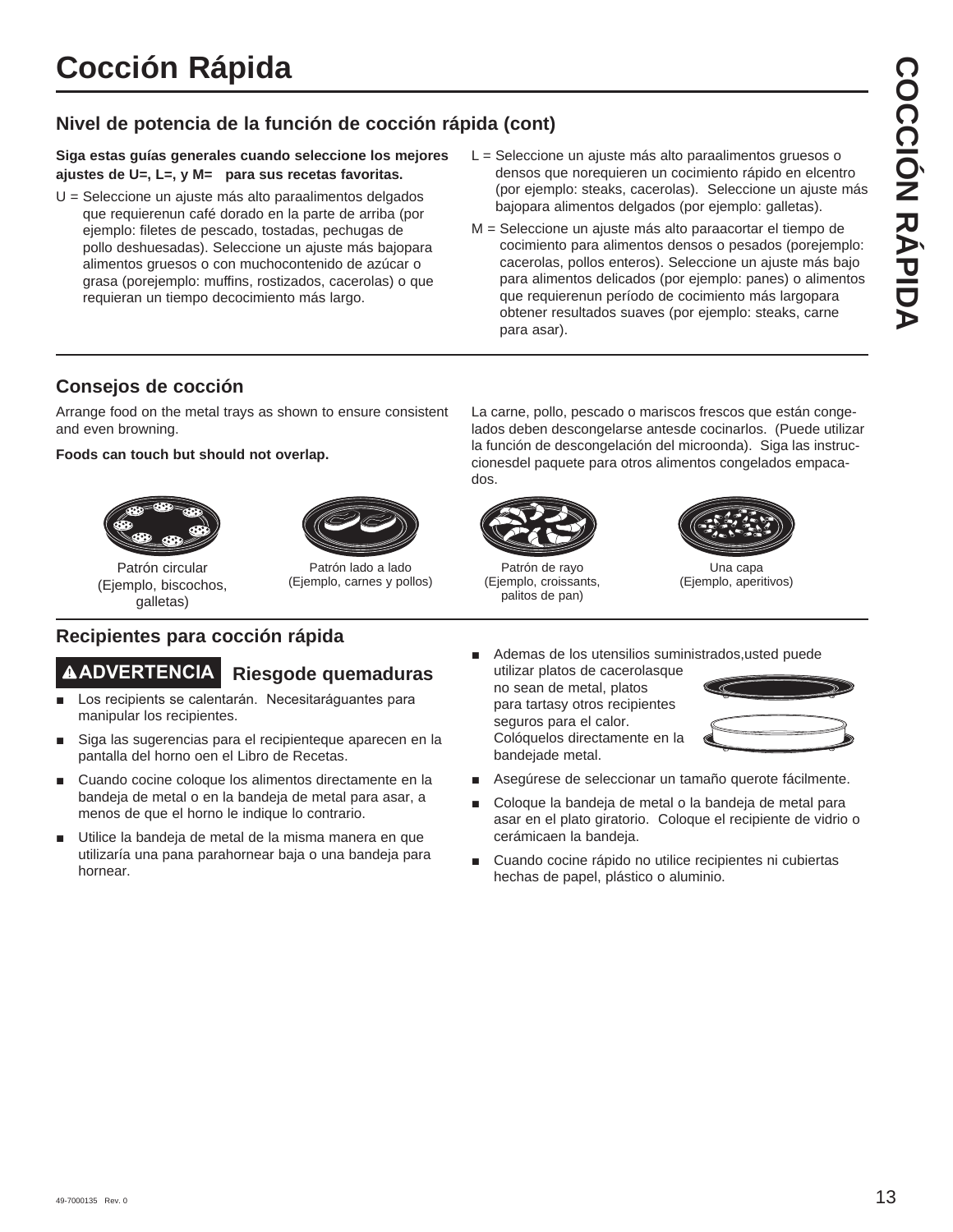# **Nivel de potencia de la función de cocción rápida (cont)**

**Siga estas guías generales cuando seleccione los mejores ajustes de U=, L=, y M= para sus recetas favoritas.**

- U = Seleccione un ajuste más alto paraalimentos delgados que requierenun café dorado en la parte de arriba (por ejemplo: filetes de pescado, tostadas, pechugas de pollo deshuesadas). Seleccione un ajuste más bajopara alimentos gruesos o con muchocontenido de azúcar o grasa (porejemplo: muffins, rostizados, cacerolas) o que requieran un tiempo decocimiento más largo.
- L = Seleccione un ajuste más alto paraalimentos gruesos o densos que norequieren un cocimiento rápido en elcentro (por ejemplo: steaks, cacerolas). Seleccione un ajuste más bajopara alimentos delgados (por ejemplo: galletas).
- M = Seleccione un ajuste más alto paraacortar el tiempo de cocimiento para alimentos densos o pesados (porejemplo: cacerolas, pollos enteros). Seleccione un ajuste más bajo para alimentos delicados (por ejemplo: panes) o alimentos que requierenun período de cocimiento más largopara obtener resultados suaves (por ejemplo: steaks, carne para asar).

## **Consejos de cocción**

Arrange food on the metal trays as shown to ensure consistent and even browning.

#### **Foods can touch but should not overlap.**





Patrón lado a lado (Ejemplo, carnes y pollos)

Patrón circular (Ejemplo, biscochos, galletas)

## **Recipientes para cocción rápida**

# **ADVERTENCIA Riesgode quemaduras**

- Los recipients se calentarán. Necesitaráguantes para manipular los recipientes.
- Siga las sugerencias para el recipienteque aparecen en la pantalla del horno oen el Libro de Recetas.
- Cuando cocine coloque los alimentos directamente en la bandeja de metal o en la bandeja de metal para asar, a menos de que el horno le indique lo contrario.
- Utilice la bandeja de metal de la misma manera en que utilizaría una pana parahornear baja o una bandeja para hornear.

La carne, pollo, pescado o mariscos frescos que están congelados deben descongelarse antesde cocinarlos. (Puede utilizar la función de descongelación del microonda). Siga las instruccionesdel paquete para otros alimentos congelados empacados.



Patrón de rayo (Ejemplo, croissants, palitos de pan)



Una capa (Ejemplo, aperitivos)

- Ademas de los utensilios suministrados,usted puede
- utilizar platos de cacerolasque no sean de metal, platos para tartasy otros recipientes seguros para el calor. Colóquelos directamente en la bandejade metal.



- Asegúrese de seleccionar un tamaño querote fácilmente.
- Coloque la bandeja de metal o la bandeja de metal para asar en el plato giratorio. Coloque el recipiente de vidrio o cerámicaen la bandeja.
- Cuando cocine rápido no utilice recipientes ni cubiertas hechas de papel, plástico o aluminio.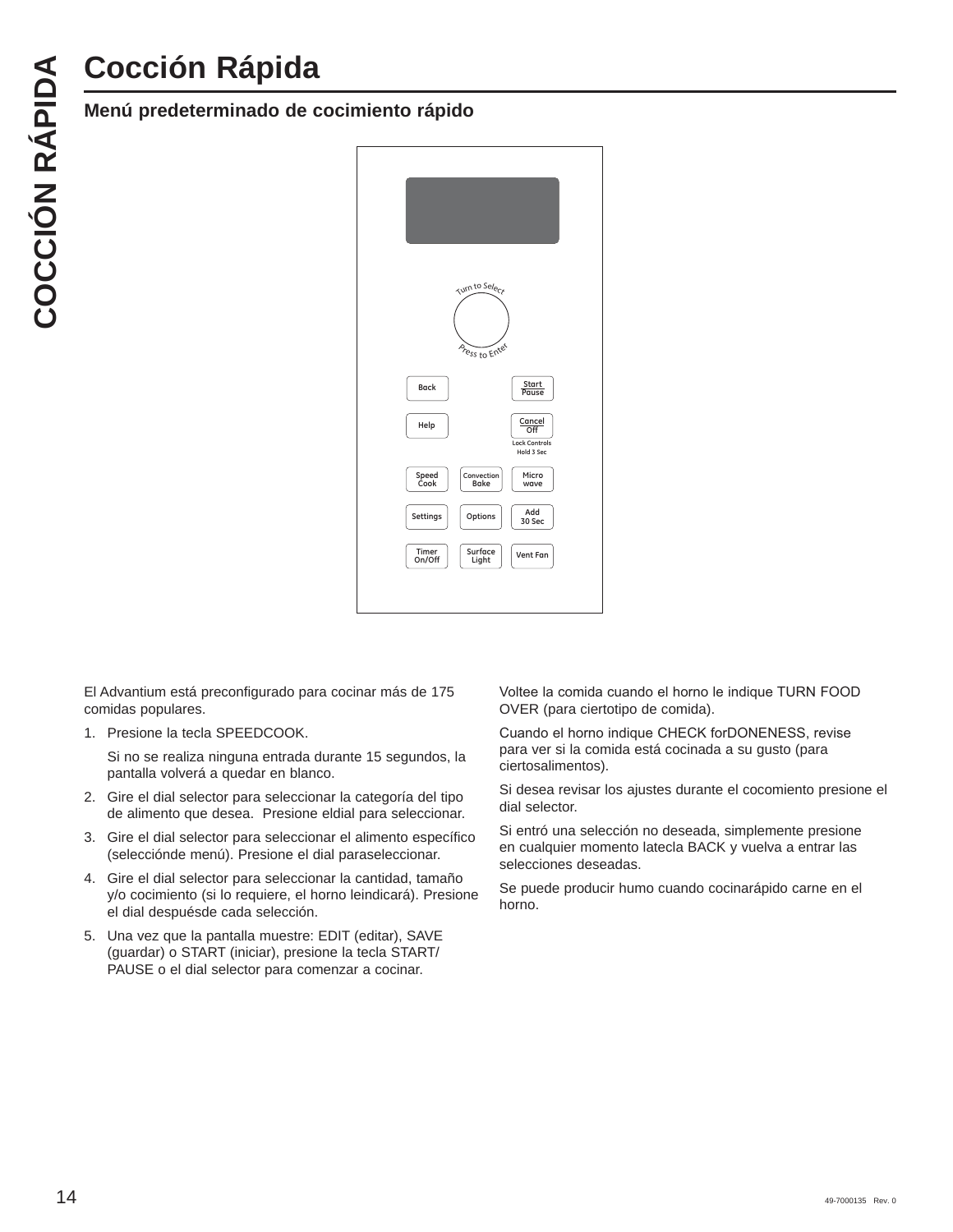## **Menú predeterminado de cocimiento rápido**



El Advantium está preconfigurado para cocinar más de 175 comidas populares.

1. Presione la tecla SPEEDCOOK.

 Si no se realiza ninguna entrada durante 15 segundos, la pantalla volverá a quedar en blanco.

- 2. Gire el dial selector para seleccionar la categoría del tipo de alimento que desea. Presione eldial para seleccionar.
- 3. Gire el dial selector para seleccionar el alimento específico (selecciónde menú). Presione el dial paraseleccionar.
- 4. Gire el dial selector para seleccionar la cantidad, tamaño y/o cocimiento (si lo requiere, el horno leindicará). Presione el dial despuésde cada selección.
- 5. Una vez que la pantalla muestre: EDIT (editar), SAVE (guardar) o START (iniciar), presione la tecla START/ PAUSE o el dial selector para comenzar a cocinar.

Voltee la comida cuando el horno le indique TURN FOOD OVER (para ciertotipo de comida).

Cuando el horno indique CHECK forDONENESS, revise para ver si la comida está cocinada a su gusto (para ciertosalimentos).

Si desea revisar los ajustes durante el cocomiento presione el dial selector.

Si entró una selección no deseada, simplemente presione en cualquier momento latecla BACK y vuelva a entrar las selecciones deseadas.

Se puede producir humo cuando cocinarápido carne en el horno.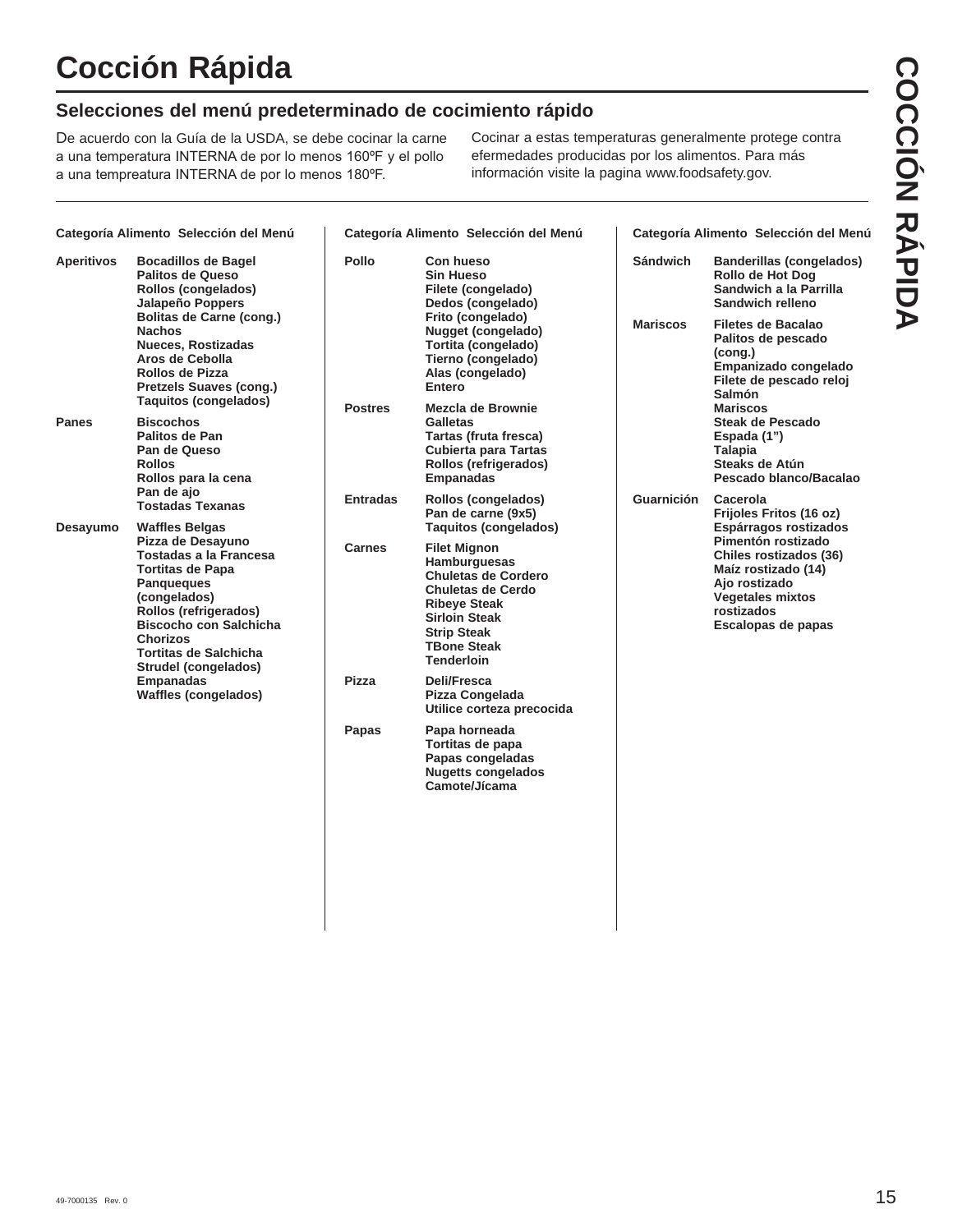# **Selecciones del menú predeterminado de cocimiento rápido**

De acuerdo con la Guía de la USDA, se debe cocinar la carne a una temperatura INTERNA de por lo menos 160°F y el pollo a una tempreatura INTERNA de por lo menos 180°F.

Cocinar a estas temperaturas generalmente protege contra efermedades producidas por los alimentos. Para más información visite la pagina www.foodsafety.gov.

| Categoría Alimento Selección del Menú                                                                                                             |                                                                                                                                                                                          |                 | Categoría Alimento Selección del Menú                                                                                                                                                                         | Categoría Alimento Selección del Menú |                                                                                                                                                     |  |  |  |
|---------------------------------------------------------------------------------------------------------------------------------------------------|------------------------------------------------------------------------------------------------------------------------------------------------------------------------------------------|-----------------|---------------------------------------------------------------------------------------------------------------------------------------------------------------------------------------------------------------|---------------------------------------|-----------------------------------------------------------------------------------------------------------------------------------------------------|--|--|--|
| <b>Aperitivos</b><br><b>Bocadillos de Bagel</b><br>Palitos de Queso<br>Rollos (congelados)<br>Jalapeño Poppers<br><b>Bolitas de Carne (cong.)</b> |                                                                                                                                                                                          | <b>Pollo</b>    | Con hueso<br><b>Sin Hueso</b><br>Filete (congelado)<br>Dedos (congelado)<br>Frito (congelado)                                                                                                                 | <b>Sándwich</b>                       | <b>Banderillas (congelados)</b><br>Rollo de Hot Dog<br>Sandwich a la Parrilla<br>Sandwich relleno<br><b>Filetes de Bacalao</b>                      |  |  |  |
| <b>Nachos</b>                                                                                                                                     | <b>Nueces, Rostizadas</b><br>Aros de Cebolla<br>Rollos de Pizza<br><b>Pretzels Suaves (cong.)</b><br><b>Taquitos (congelados)</b>                                                        |                 | Nugget (congelado)<br>Tortita (congelado)<br>Tierno (congelado)<br>Alas (congelado)<br>Entero                                                                                                                 | <b>Mariscos</b>                       | Palitos de pescado<br>(cong.)<br>Empanizado congelado<br>Filete de pescado reloj<br><b>Salmón</b>                                                   |  |  |  |
| <b>Panes</b>                                                                                                                                      | <b>Biscochos</b><br>Palitos de Pan<br>Pan de Queso<br><b>Rollos</b><br>Rollos para la cena                                                                                               | <b>Postres</b>  | Mezcla de Brownie<br><b>Galletas</b><br>Tartas (fruta fresca)<br><b>Cubierta para Tartas</b><br>Rollos (refrigerados)<br><b>Empanadas</b>                                                                     |                                       | Mariscos<br><b>Steak de Pescado</b><br>Espada (1")<br><b>Talapia</b><br>Steaks de Atún<br>Pescado blanco/Bacalao                                    |  |  |  |
| Pan de ajo<br><b>Waffles Belgas</b><br>Desayumo<br><b>Panqueques</b><br>(congelados)<br><b>Chorizos</b><br><b>Empanadas</b>                       | <b>Tostadas Texanas</b>                                                                                                                                                                  | <b>Entradas</b> | Rollos (congelados)<br>Pan de carne (9x5)<br><b>Taquitos (congelados)</b>                                                                                                                                     | <b>Guarnición</b>                     | Cacerola<br>Frijoles Fritos (16 oz)<br>Espárragos rostizados                                                                                        |  |  |  |
|                                                                                                                                                   | Pizza de Desayuno<br>Tostadas a la Francesa<br><b>Tortitas de Papa</b><br>Rollos (refrigerados)<br><b>Biscocho con Salchicha</b><br><b>Tortitas de Salchicha</b><br>Strudel (congelados) | <b>Carnes</b>   | <b>Filet Mignon</b><br>Hamburguesas<br><b>Chuletas de Cordero</b><br><b>Chuletas de Cerdo</b><br><b>Ribeye Steak</b><br><b>Sirloin Steak</b><br><b>Strip Steak</b><br><b>TBone Steak</b><br><b>Tenderloin</b> |                                       | Pimentón rostizado<br>Chiles rostizados (36)<br>Maíz rostizado (14)<br>Ajo rostizado<br><b>Vegetales mixtos</b><br>rostizados<br>Escalopas de papas |  |  |  |
|                                                                                                                                                   | <b>Waffles (congelados)</b>                                                                                                                                                              | <b>Pizza</b>    | Deli/Fresca<br>Pizza Congelada<br>Utilice corteza precocida                                                                                                                                                   |                                       |                                                                                                                                                     |  |  |  |
|                                                                                                                                                   |                                                                                                                                                                                          | Papas           | Papa horneada<br>Tortitas de papa<br>Papas congeladas<br><b>Nugetts congelados</b><br>Camote/Jícama                                                                                                           |                                       |                                                                                                                                                     |  |  |  |
|                                                                                                                                                   |                                                                                                                                                                                          |                 |                                                                                                                                                                                                               |                                       |                                                                                                                                                     |  |  |  |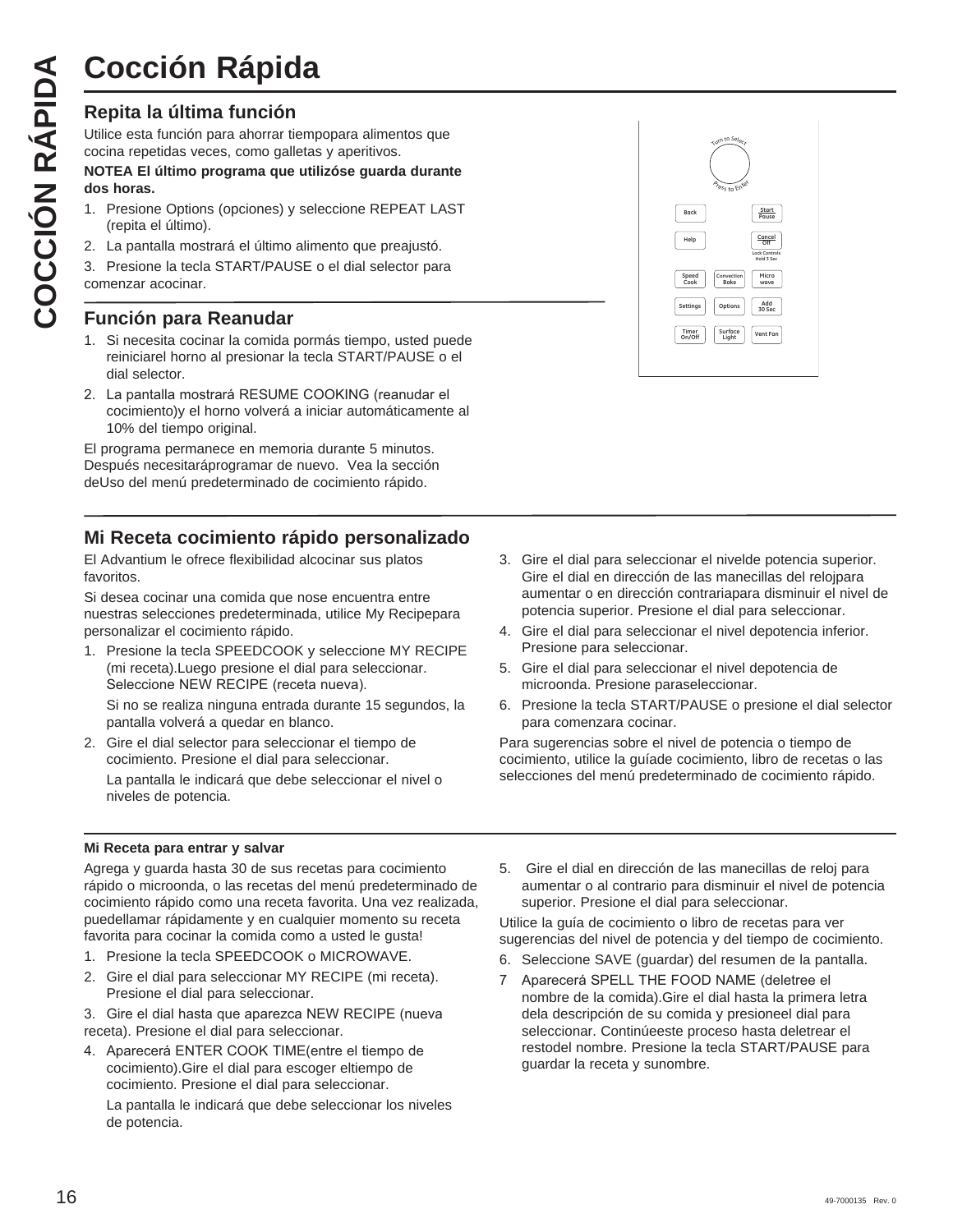# **Repita la última función**

Utilice esta función para ahorrar tiempopara alimentos que cocina repetidas veces, como galletas y aperitivos.

#### **NOTEA El último programa que utilizóse guarda durante dos horas.**

- 1. Presione Options (opciones) y seleccione REPEAT LAST (repita el último).
- 2. La pantalla mostrará el último alimento que preajustó.
- 3. Presione la tecla START/PAUSE o el dial selector para comenzar acocinar.

# **Función para Reanudar**

- 1. Si necesita cocinar la comida pormás tiempo, usted puede reiniciarel horno al presionar la tecla START/PAUSE o el dial selector.
- 2. La pantalla mostrará RESUME COOKING (reanudar el cocimiento)y el horno volverá a iniciar automáticamente al 10% del tiempo original.

El programa permanece en memoria durante 5 minutos. Después necesitaráprogramar de nuevo. Vea la sección deUso del menú predeterminado de cocimiento rápido.

## **Mi Receta cocimiento rápido personalizado**

El Advantium le ofrece flexibilidad alcocinar sus platos favoritos.

Si desea cocinar una comida que nose encuentra entre nuestras selecciones predeterminada, utilice My Recipepara personalizar el cocimiento rápido.

1. Presione la tecla SPEEDCOOK y seleccione MY RECIPE (mi receta).Luego presione el dial para seleccionar. Seleccione NEW RECIPE (receta nueva).

 Si no se realiza ninguna entrada durante 15 segundos, la pantalla volverá a quedar en blanco.

2. Gire el dial selector para seleccionar el tiempo de cocimiento. Presione el dial para seleccionar.

 La pantalla le indicará que debe seleccionar el nivel o niveles de potencia.

| Turn to Select<br>Aress to Enter    |                                                     |
|-------------------------------------|-----------------------------------------------------|
| Back                                | Start<br>Pause                                      |
| Help                                | Cancel<br>Off<br><b>Lock Controls</b><br>Hold 3 Sec |
| Speed<br>Cook<br>Convection<br>Bake | Micro<br>wave                                       |
| Options<br>Settings                 | Add<br>30 Sec                                       |
| Surface<br>Timer<br>On/Off<br>Light | Vent Fan                                            |
|                                     |                                                     |

- 3. Gire el dial para seleccionar el nivelde potencia superior. Gire el dial en dirección de las manecillas del relojpara aumentar o en dirección contrariapara disminuir el nivel de potencia superior. Presione el dial para seleccionar.
- 4. Gire el dial para seleccionar el nivel depotencia inferior. Presione para seleccionar.
- 5. Gire el dial para seleccionar el nivel depotencia de microonda. Presione paraseleccionar.
- 6. Presione la tecla START/PAUSE o presione el dial selector para comenzara cocinar.

Para sugerencias sobre el nivel de potencia o tiempo de cocimiento, utilice la guíade cocimiento, libro de recetas o las selecciones del menú predeterminado de cocimiento rápido.

#### **Mi Receta para entrar y salvar**

Agrega y guarda hasta 30 de sus recetas para cocimiento rápido o microonda, o las recetas del menú predeterminado de cocimiento rápido como una receta favorita. Una vez realizada, puedellamar rápidamente y en cualquier momento su receta favorita para cocinar la comida como a usted le gusta!

- 1. Presione la tecla SPEEDCOOK o MICROWAVE.
- 2. Gire el dial para seleccionar MY RECIPE (mi receta). Presione el dial para seleccionar.

3. Gire el dial hasta que aparezca NEW RECIPE (nueva receta). Presione el dial para seleccionar.

4. Aparecerá ENTER COOK TIME(entre el tiempo de cocimiento).Gire el dial para escoger eltiempo de cocimiento. Presione el dial para seleccionar.

 La pantalla le indicará que debe seleccionar los niveles de potencia.

5. Gire el dial en dirección de las manecillas de reloj para aumentar o al contrario para disminuir el nivel de potencia superior. Presione el dial para seleccionar.

Utilice la guía de cocimiento o libro de recetas para ver sugerencias del nivel de potencia y del tiempo de cocimiento.

- 6. Seleccione SAVE (guardar) del resumen de la pantalla.
- 7 Aparecerá SPELL THE FOOD NAME (deletree el nombre de la comida).Gire el dial hasta la primera letra dela descripción de su comida y presioneel dial para seleccionar. Continúeeste proceso hasta deletrear el restodel nombre. Presione la tecla START/PAUSE para guardar la receta y sunombre.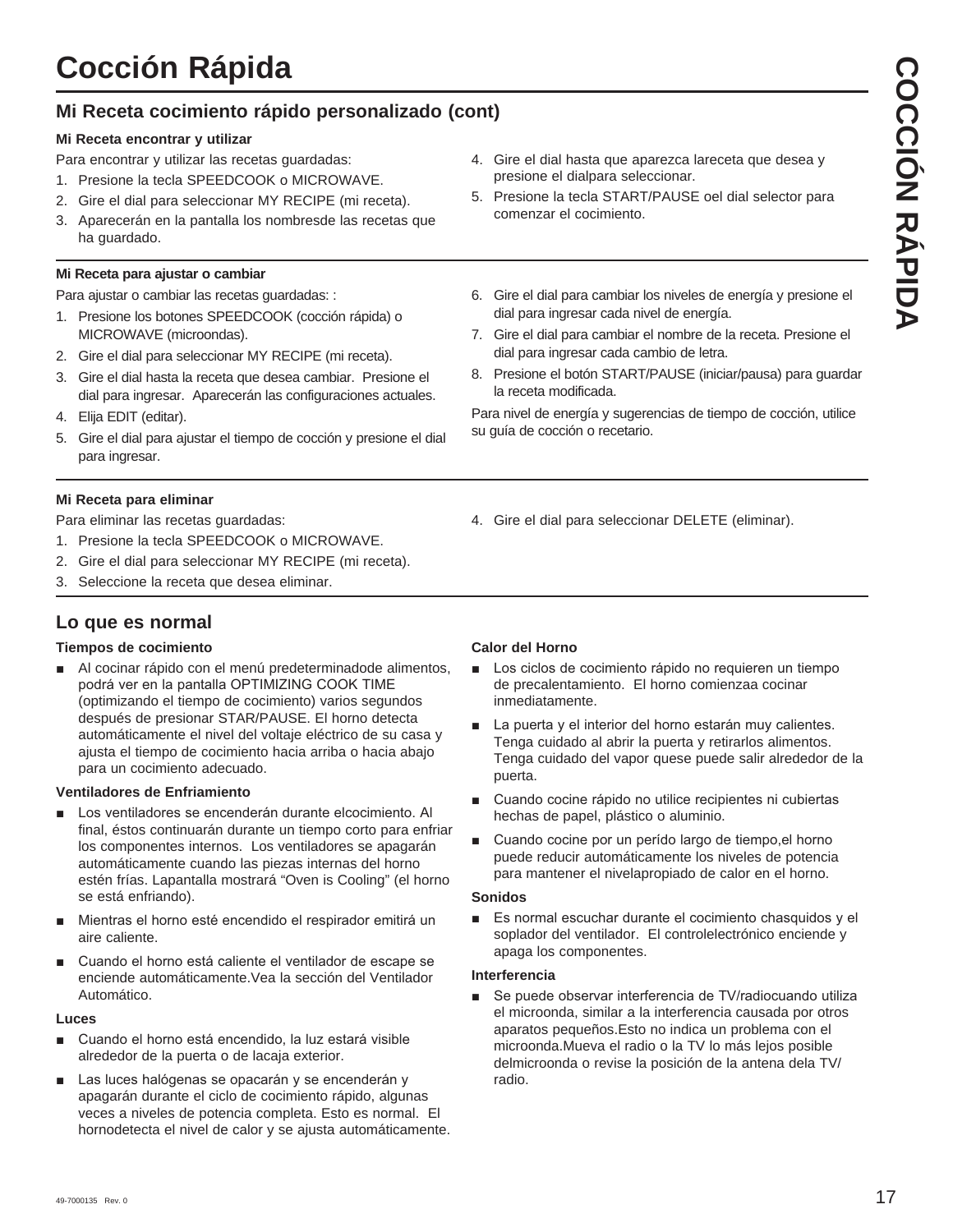# **Mi Receta cocimiento rápido personalizado (cont)**

## **Mi Receta encontrar y utilizar**

Para encontrar y utilizar las recetas guardadas:

- 1. Presione la tecla SPEEDCOOK o MICROWAVE.
- 2. Gire el dial para seleccionar MY RECIPE (mi receta).
- 3. Aparecerán en la pantalla los nombresde las recetas que ha guardado.

## **Mi Receta para ajustar o cambiar**

Para ajustar o cambiar las recetas guardadas: :

- 1. Presione los botones SPEEDCOOK (cocción rápida) o MICROWAVE (microondas).
- 2. Gire el dial para seleccionar MY RECIPE (mi receta).
- 3. Gire el dial hasta la receta que desea cambiar. Presione el dial para ingresar. Aparecerán las configuraciones actuales.
- 4. Elija EDIT (editar).
- 5. Gire el dial para ajustar el tiempo de cocción y presione el dial para ingresar.
- **Mi Receta para eliminar**

Para eliminar las recetas guardadas:

- 1. Presione la tecla SPEEDCOOK o MICROWAVE.
- 2. Gire el dial para seleccionar MY RECIPE (mi receta).
- 3. Seleccione la receta que desea eliminar.

# **Lo que es normal**

## **Tiempos de cocimiento**

Al cocinar rápido con el menú predeterminadode alimentos, podrá ver en la pantalla OPTIMIZING COOK TIME (optimizando el tiempo de cocimiento) varios segundos después de presionar STAR/PAUSE. El horno detecta automáticamente el nivel del voltaje eléctrico de su casa y ajusta el tiempo de cocimiento hacia arriba o hacia abajo para un cocimiento adecuado.

## **Ventiladores de Enfriamiento**

- Los ventiladores se encenderán durante elcocimiento. Al final, éstos continuarán durante un tiempo corto para enfriar los componentes internos. Los ventiladores se apagarán automáticamente cuando las piezas internas del horno estén frías. Lapantalla mostrará "Oven is Cooling" (el horno se está enfriando).
- Mientras el horno esté encendido el respirador emitirá un aire caliente.
- Cuando el horno está caliente el ventilador de escape se enciende automáticamente.Vea la sección del Ventilador Automático.

#### **Luces**

- Cuando el horno está encendido, la luz estará visible alrededor de la puerta o de lacaja exterior.
- Las luces halógenas se opacarán y se encenderán y apagarán durante el ciclo de cocimiento rápido, algunas veces a niveles de potencia completa. Esto es normal. El hornodetecta el nivel de calor y se ajusta automáticamente.
- 4. Gire el dial hasta que aparezca lareceta que desea y presione el dialpara seleccionar.
- 5. Presione la tecla START/PAUSE oel dial selector para comenzar el cocimiento.
- 6. Gire el dial para cambiar los niveles de energía y presione el dial para ingresar cada nivel de energía.
- 7. Gire el dial para cambiar el nombre de la receta. Presione el dial para ingresar cada cambio de letra.
- 8. Presione el botón START/PAUSE (iniciar/pausa) para guardar la receta modificada.

Para nivel de energía y sugerencias de tiempo de cocción, utilice su guía de cocción o recetario.

4. Gire el dial para seleccionar DELETE (eliminar).

## **Calor del Horno**

- **E** Los ciclos de cocimiento rápido no requieren un tiempo de precalentamiento. El horno comienzaa cocinar inmediatamente.
- La puerta y el interior del horno estarán muy calientes. Tenga cuidado al abrir la puerta y retirarlos alimentos. Tenga cuidado del vapor quese puede salir alrededor de la puerta.
- Cuando cocine rápido no utilice recipientes ni cubiertas hechas de papel, plástico o aluminio.
- Cuando cocine por un perído largo de tiempo,el horno puede reducir automáticamente los niveles de potencia para mantener el nivelapropiado de calor en el horno.

#### **Sonidos**

 $\blacksquare$  Es normal escuchar durante el cocimiento chasquidos y el soplador del ventilador. El controlelectrónico enciende y apaga los componentes.

#### **Interferencia**

■ Se puede observar interferencia de TV/radiocuando utiliza el microonda, similar a la interferencia causada por otros aparatos pequeños.Esto no indica un problema con el microonda.Mueva el radio o la TV lo más lejos posible delmicroonda o revise la posición de la antena dela TV/ radio.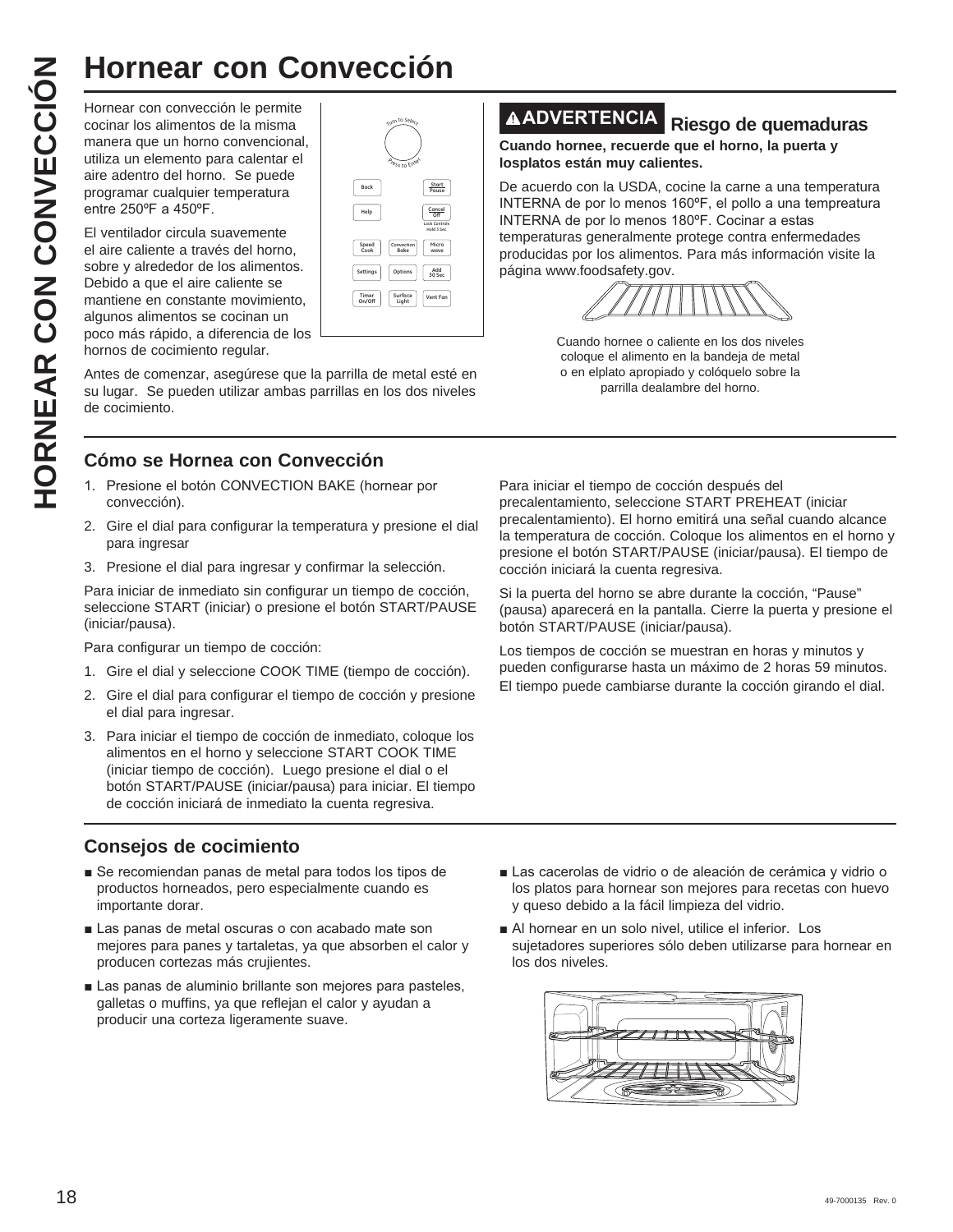Hornear con convección le permite cocinar los alimentos de la misma manera que un horno convencional, utiliza un elemento para calentar el aire adentro del horno. Se puede programar cualquier temperatura entre 250°F a 450°F.

El ventilador circula suavemente el aire caliente a través del horno, sobre y alrededor de los alimentos. Debido a que el aire caliente se mantiene en constante movimiento, algunos alimentos se cocinan un poco más rápido, a diferencia de los hornos de cocimiento regular. **Hornear con Convección**<br>
Homear con convección le permite<br>
manera que un horno convencional,<br>
utiliza un elemento para calentar el<br>
arie adentro del horno. Se puede<br>
entre 250°F a 450°F.<br>
El ventilador circula suavemente<br>



Antes de comenzar, asegúrese que la parrilla de metal esté en su lugar. Se pueden utilizar ambas parrillas en los dos niveles de cocimiento.

# **Cómo se Hornea con Convección**

- 1. Presione el botón CONVECTION BAKE (hornear por convección).
- 2. Gire el dial para configurar la temperatura y presione el dial para ingresar
- 3. Presione el dial para ingresar y confirmar la selección.

Para iniciar de inmediato sin configurar un tiempo de cocción, seleccione START (iniciar) o presione el botón START/PAUSE (iniciar/pausa).

Para configurar un tiempo de cocción:

- 1. Gire el dial y seleccione COOK TIME (tiempo de cocción).
- 2. Gire el dial para configurar el tiempo de cocción y presione el dial para ingresar.
- 3. Para iniciar el tiempo de cocción de inmediato, coloque los alimentos en el horno y seleccione START COOK TIME (iniciar tiempo de cocción). Luego presione el dial o el botón START/PAUSE (iniciar/pausa) para iniciar. El tiempo de cocción iniciará de inmediato la cuenta regresiva.

## **Consejos de cocimiento**

- Se recomiendan panas de metal para todos los tipos de productos horneados, pero especialmente cuando es importante dorar.
- Las panas de metal oscuras o con acabado mate son mejores para panes y tartaletas, ya que absorben el calor y producen cortezas más crujientes.
- Las panas de aluminio brillante son mejores para pasteles, galletas o muffins, ya que reflejan el calor y ayudan a producir una corteza ligeramente suave.

# **ADVERTENCIA Riesgo de quemaduras**

**Cuando hornee, recuerde que el horno, la puerta y losplatos están muy calientes.**

De acuerdo con la USDA, cocine la carne a una temperatura INTERNA de por lo menos 160°F, el pollo a una tempreatura INTERNA de por lo menos 180°F. Cocinar a estas temperaturas generalmente protege contra enfermedades producidas por los alimentos. Para más información visite la página www.foodsafety.gov.



Cuando hornee o caliente en los dos niveles coloque el alimento en la bandeja de metal o en elplato apropiado y colóquelo sobre la parrilla dealambre del horno.

Para iniciar el tiempo de cocción después del precalentamiento, seleccione START PREHEAT (iniciar precalentamiento). El horno emitirá una señal cuando alcance la temperatura de cocción. Coloque los alimentos en el horno y presione el botón START/PAUSE (iniciar/pausa). El tiempo de cocción iniciará la cuenta regresiva.

Si la puerta del horno se abre durante la cocción, "Pause" (pausa) aparecerá en la pantalla. Cierre la puerta y presione el botón START/PAUSE (iniciar/pausa).

Los tiempos de cocción se muestran en horas y minutos y pueden configurarse hasta un máximo de 2 horas 59 minutos. El tiempo puede cambiarse durante la cocción girando el dial.

- Las cacerolas de vidrio o de aleación de cerámica y vidrio o los platos para hornear son mejores para recetas con huevo y queso debido a la fácil limpieza del vidrio.
- Al hornear en un solo nivel, utilice el inferior. Los sujetadores superiores sólo deben utilizarse para hornear en los dos niveles.

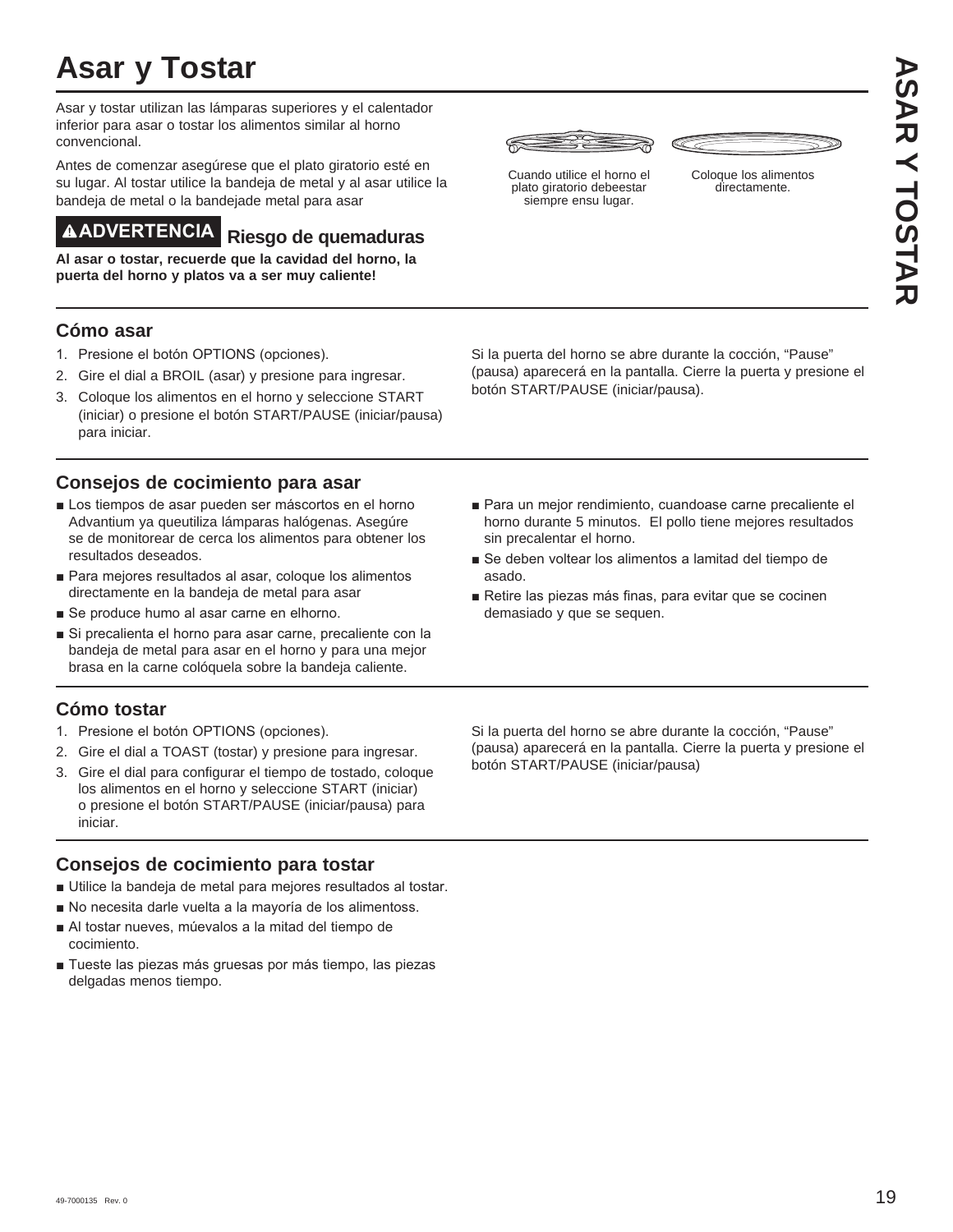# **Asar y Tostar**

Asar y tostar utilizan las lámparas superiores y el calentador inferior para asar o tostar los alimentos similar al horno convencional.

Antes de comenzar asegúrese que el plato giratorio esté en su lugar. Al tostar utilice la bandeja de metal y al asar utilice la bandeja de metal o la bandejade metal para asar

# **ADVERTENCIA Riesgo de quemaduras**

**Al asar o tostar, recuerde que la cavidad del horno, la puerta del horno y platos va a ser muy caliente!**

## **Cómo asar**

- 1. Presione el botón OPTIONS (opciones).
- 2. Gire el dial a BROIL (asar) y presione para ingresar.
- 3. Coloque los alimentos en el horno y seleccione START (iniciar) o presione el botón START/PAUSE (iniciar/pausa) para iniciar.

## **Consejos de cocimiento para asar**

- Los tiempos de asar pueden ser máscortos en el horno Advantium ya queutiliza lámparas halógenas. Asegúre se de monitorear de cerca los alimentos para obtener los resultados deseados.
- Para meiores resultados al asar, cologue los alimentos directamente en la bandeja de metal para asar
- Se produce humo al asar carne en elhorno.
- Si precalienta el horno para asar carne, precaliente con la bandeja de metal para asar en el horno y para una mejor brasa en la carne colóquela sobre la bandeja caliente.

# **Cómo tostar**

- 1. Presione el botón OPTIONS (opciones).
- 2. Gire el dial a TOAST (tostar) y presione para ingresar.
- 3. Gire el dial para configurar el tiempo de tostado, coloque los alimentos en el horno y seleccione START (iniciar) o presione el botón START/PAUSE (iniciar/pausa) para iniciar.

## **Consejos de cocimiento para tostar**

- Utilice la bandeja de metal para mejores resultados al tostar.
- No necesita darle vuelta a la mayoría de los alimentoss.
- Al tostar nueves, múevalos a la mitad del tiempo de cocimiento.
- Tueste las piezas más gruesas por más tiempo, las piezas delgadas menos tiempo.





Cuando utilice el horno el plato giratorio debeestar siempre ensu lugar.

Coloque los alimentos directamente.

Si la puerta del horno se abre durante la cocción, "Pause" (pausa) aparecerá en la pantalla. Cierre la puerta y presione el botón START/PAUSE (iniciar/pausa).

- Para un mejor rendimiento, cuandoase carne precaliente el horno durante 5 minutos. El pollo tiene mejores resultados sin precalentar el horno.
- Se deben voltear los alimentos a lamitad del tiempo de asado.
- Retire las piezas más finas, para evitar que se cocinen demasiado y que se sequen.

Si la puerta del horno se abre durante la cocción, "Pause" (pausa) aparecerá en la pantalla. Cierre la puerta y presione el botón START/PAUSE (iniciar/pausa)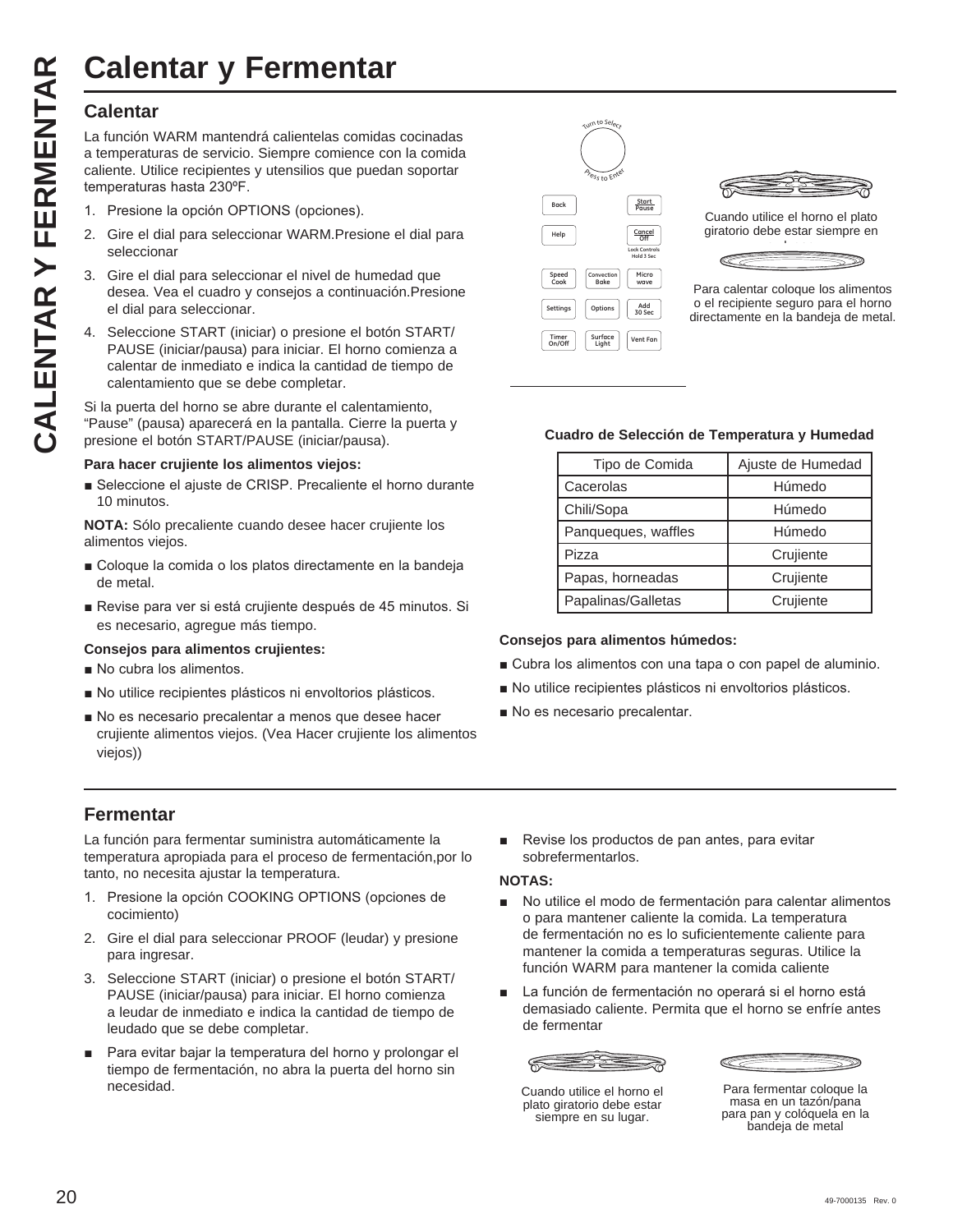## **Calentar**

La función WARM mantendrá calientelas comidas cocinadas a temperaturas de servicio. Siempre comience con la comida caliente. Utilice recipientes y utensilios que puedan soportar temperaturas hasta 230°F.

- 1. Presione la opción OPTIONS (opciones).
- 2. Gire el dial para seleccionar WARM.Presione el dial para seleccionar
- 3. Gire el dial para seleccionar el nivel de humedad que desea. Vea el cuadro y consejos a continuación.Presione el dial para seleccionar.
- 4. Seleccione START (iniciar) o presione el botón START/ PAUSE (iniciar/pausa) para iniciar. El horno comienza a calentar de inmediato e indica la cantidad de tiempo de calentamiento que se debe completar.

Si la puerta del horno se abre durante el calentamiento, "Pause" (pausa) aparecerá en la pantalla. Cierre la puerta y presione el botón START/PAUSE (iniciar/pausa).

#### **Para hacer crujiente los alimentos viejos:**

■ Seleccione el ajuste de CRISP. Precaliente el horno durante 10 minutos.

**NOTA:** Sólo precaliente cuando desee hacer crujiente los alimentos viejos.

- Goloque la comida o los platos directamente en la bandeja de metal.
- Revise para ver si está crujiente después de 45 minutos. Si es necesario, agregue más tiempo.

#### **Consejos para alimentos crujientes:**

- No cubra los alimentos.
- No utilice recipientes plásticos ni envoltorios plásticos.
- No es necesario precalentar a menos que desee hacer crujiente alimentos viejos. (Vea Hacer crujiente los alimentos viejos))

## **Fermentar**

La función para fermentar suministra automáticamente la temperatura apropiada para el proceso de fermentación,por lo tanto, no necesita ajustar la temperatura.

- 1. Presione la opción COOKING OPTIONS (opciones de cocimiento)
- 2. Gire el dial para seleccionar PROOF (leudar) y presione para ingresar.
- 3. Seleccione START (iniciar) o presione el botón START/ PAUSE (iniciar/pausa) para iniciar. El horno comienza a leudar de inmediato e indica la cantidad de tiempo de leudado que se debe completar.
- Para evitar bajar la temperatura del horno y prolongar el tiempo de fermentación, no abra la puerta del horno sin necesidad.





Cuando utilice el horno el plato giratorio debe estar siempre en



Para calentar coloque los alimentos o el recipiente seguro para el horno directamente en la bandeja de metal.

#### **Cuadro de Selección de Temperatura y Humedad**

| Tipo de Comida      | Ajuste de Humedad |
|---------------------|-------------------|
| Cacerolas           | Húmedo            |
| Chili/Sopa          | Húmedo            |
| Panqueques, waffles | Húmedo            |
| Pizza               | Crujiente         |
| Papas, horneadas    | Crujiente         |
| Papalinas/Galletas  | Crujiente         |

#### **Consejos para alimentos húmedos:**

- Cubra los alimentos con una tapa o con papel de aluminio.
- No utilice recipientes plásticos ni envoltorios plásticos.
- $\blacksquare$  No es necesario precalentar.
- Revise los productos de pan antes, para evitar sobrefermentarlos.

#### **NOTAS:**

- No utilice el modo de fermentación para calentar alimentos o para mantener caliente la comida. La temperatura de fermentación no es lo suficientemente caliente para mantener la comida a temperaturas seguras. Utilice la función WARM para mantener la comida caliente
- La función de fermentación no operará si el horno está demasiado caliente. Permita que el horno se enfríe antes de fermentar

≃≊ Cuando utilice el horno el

plato giratorio debe estar siempre en su lugar.

Para fermentar coloque la masa en un tazón/pana

para pan y colóquela en la bandeja de metal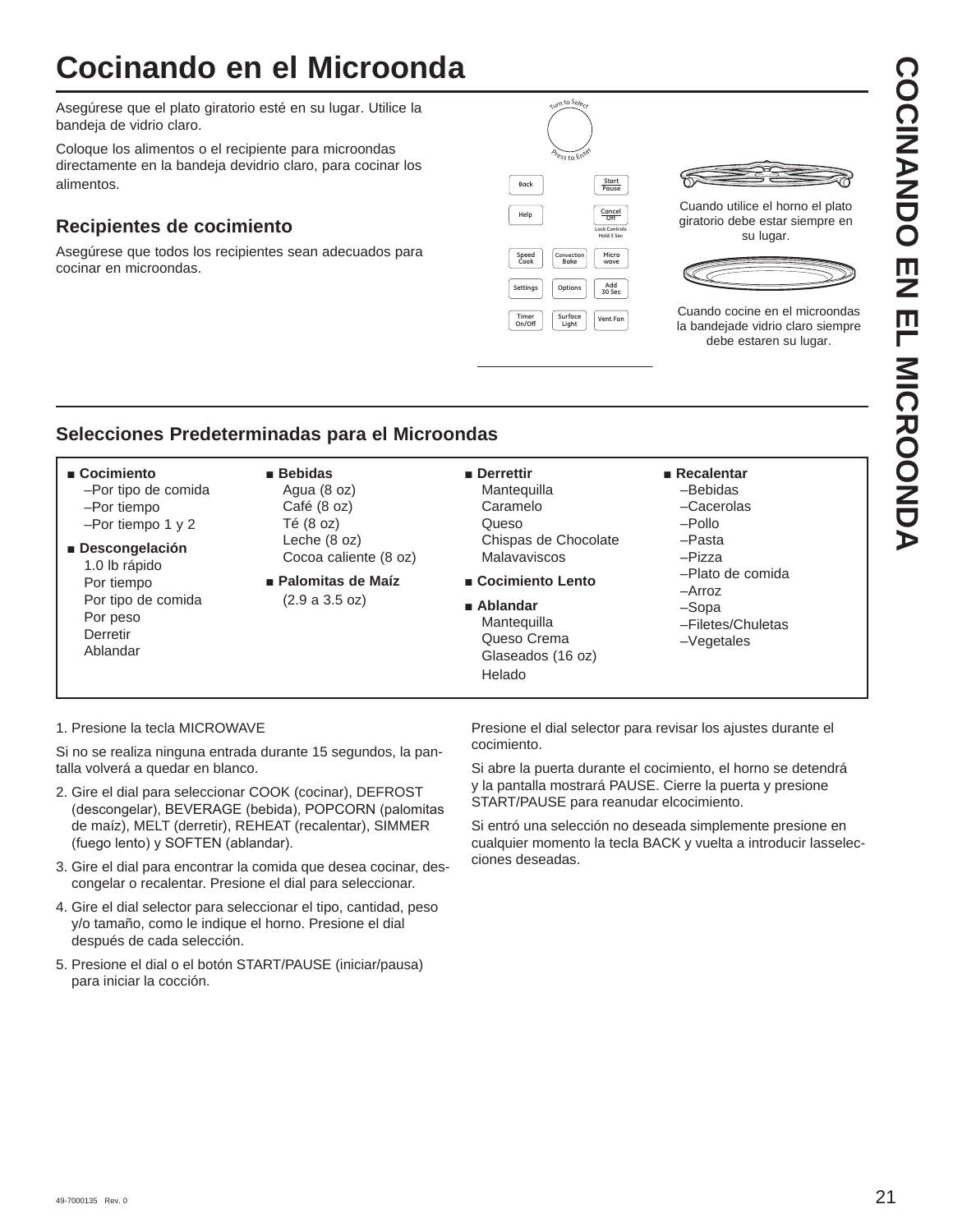# **Cocinando en el Microonda**

Asegúrese que el plato giratorio esté en su lugar. Utilice la bandeja de vidrio claro.

Coloque los alimentos o el recipiente para microondas directamente en la bandeja devidrio claro, para cocinar los alimentos.

# **Recipientes de cocimiento**

Asegúrese que todos los recipientes sean adecuados para cocinar en microondas.





Cuando utilice el horno el plato giratorio debe estar siempre en su lugar.



Cuando cocine en el microondas la bandejade vidrio claro siempre debe estaren su lugar.

# **Selecciones Predeterminadas para el Microondas**

#### ■ Cocimiento

- –Por tipo de comida –Por tiempo –Por tiempo 1 y 2
- Ŷ**Descongelación**
- 1.0 lb rápido Por tiempo Por tipo de comida Por peso **Derretir** Ablandar
- Ŷ **Bebidas** Agua (8 oz) Café (8 oz)
	- Té (8 oz) Leche (8 oz) Cocoa caliente (8 oz)
- **Palomitas de Maíz** (2.9 a 3.5 oz)

#### $\blacksquare$  Derrettir

- **Mantequilla**  Caramelo Queso Chispas de Chocolate Malavaviscos
- **E** Cocimiento Lento
- **B** Ablandar **Mantequilla**  Queso Crema Glaseados (16 oz) Helado
- **Recalentar**  –Bebidas
	-
	- –Cacerolas
	- –Pollo –Pasta
	- –Pizza
	- –Plato de comida
	- –Arroz
	- –Sopa
	- –Filetes/Chuletas
	- –Vegetales

#### 1. Presione la tecla MICROWAVE

Si no se realiza ninguna entrada durante 15 segundos, la pantalla volverá a quedar en blanco.

- 2. Gire el dial para seleccionar COOK (cocinar), DEFROST (descongelar), BEVERAGE (bebida), POPCORN (palomitas de maíz), MELT (derretir), REHEAT (recalentar), SIMMER (fuego lento) y SOFTEN (ablandar).
- 3. Gire el dial para encontrar la comida que desea cocinar, descongelar o recalentar. Presione el dial para seleccionar.
- 4. Gire el dial selector para seleccionar el tipo, cantidad, peso y/o tamaño, como le indique el horno. Presione el dial después de cada selección.
- 5. Presione el dial o el botón START/PAUSE (iniciar/pausa) para iniciar la cocción.

Presione el dial selector para revisar los ajustes durante el cocimiento.

Si abre la puerta durante el cocimiento, el horno se detendrá y la pantalla mostrará PAUSE. Cierre la puerta y presione START/PAUSE para reanudar elcocimiento.

Si entró una selección no deseada simplemente presione en cualquier momento la tecla BACK y vuelta a introducir lasselecciones deseadas.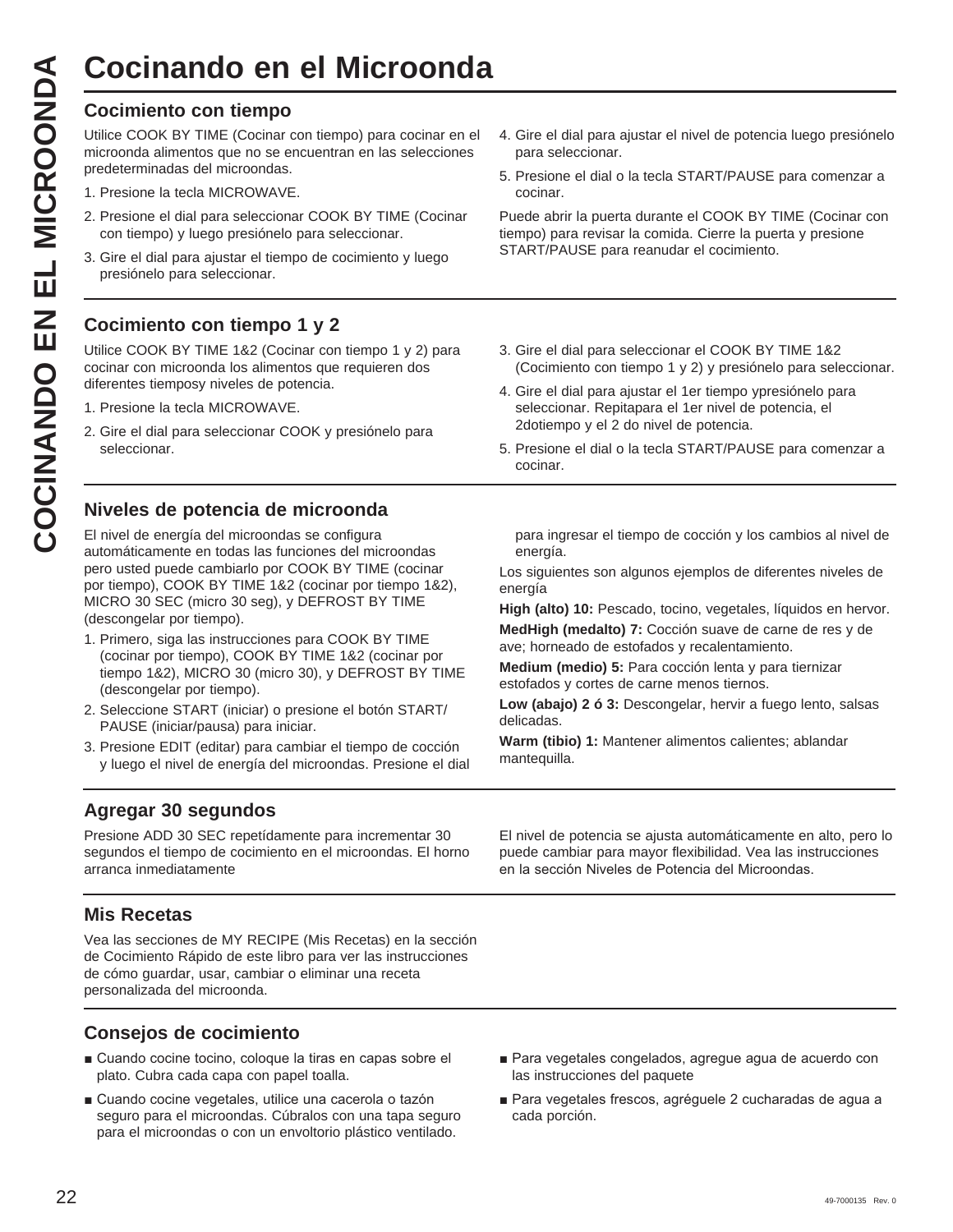Cocimiento con tiempo<br>
Utilice COOK BY TIME (Cocinar microonda alimentos que no se e<br>
predeterminadas del microondas.<br>
1. Presione el dial para seleccion<br>
2. Presione el dial para seleccionar.<br>
3. Gire el dial para ajustar Utilice COOK BY TIME (Cocinar con tiempo) para cocinar en el microonda alimentos que no se encuentran en las selecciones predeterminadas del microondas.

- 1. Presione la tecla MICROWAVE.
- 2. Presione el dial para seleccionar COOK BY TIME (Cocinar con tiempo) y luego presiónelo para seleccionar.
- 3. Gire el dial para ajustar el tiempo de cocimiento y luego presiónelo para seleccionar.

# **Cocimiento con tiempo 1 y 2**

Utilice COOK BY TIME 1&2 (Cocinar con tiempo 1 y 2) para cocinar con microonda los alimentos que requieren dos diferentes tiemposy niveles de potencia.

- 1. Presione la tecla MICROWAVE.
- 2. Gire el dial para seleccionar COOK y presiónelo para seleccionar.

# **Niveles de potencia de microonda**

El nivel de energía del microondas se configura automáticamente en todas las funciones del microondas pero usted puede cambiarlo por COOK BY TIME (cocinar por tiempo), COOK BY TIME 1&2 (cocinar por tiempo 1&2), MICRO 30 SEC (micro 30 seg), y DEFROST BY TIME (descongelar por tiempo).

- 1. Primero, siga las instrucciones para COOK BY TIME (cocinar por tiempo), COOK BY TIME 1&2 (cocinar por tiempo 1&2), MICRO 30 (micro 30), y DEFROST BY TIME (descongelar por tiempo).
- 2. Seleccione START (iniciar) o presione el botón START/ PAUSE (iniciar/pausa) para iniciar.
- 3. Presione EDIT (editar) para cambiar el tiempo de cocción y luego el nivel de energía del microondas. Presione el dial

4. Gire el dial para ajustar el nivel de potencia luego presiónelo para seleccionar.

5. Presione el dial o la tecla START/PAUSE para comenzar a cocinar.

Puede abrir la puerta durante el COOK BY TIME (Cocinar con tiempo) para revisar la comida. Cierre la puerta y presione START/PAUSE para reanudar el cocimiento.

- 3. Gire el dial para seleccionar el COOK BY TIME 1&2 (Cocimiento con tiempo 1 y 2) y presiónelo para seleccionar.
- 4. Gire el dial para ajustar el 1er tiempo ypresiónelo para seleccionar. Repitapara el 1er nivel de potencia, el 2dotiempo y el 2 do nivel de potencia.
- 5. Presione el dial o la tecla START/PAUSE para comenzar a cocinar.

para ingresar el tiempo de cocción y los cambios al nivel de energía.

Los siguientes son algunos ejemplos de diferentes niveles de energía

High (alto) 10: Pescado, tocino, vegetales, líquidos en hervor.

**MedHigh (medalto) 7:** Cocción suave de carne de res y de ave; horneado de estofados y recalentamiento.

**Medium (medio) 5:** Para cocción lenta y para tiernizar estofados y cortes de carne menos tiernos.

**Low (abajo) 2 ó 3:** Descongelar, hervir a fuego lento, salsas delicadas.

**Warm (tibio) 1:** Mantener alimentos calientes; ablandar mantequilla.

# **Agregar 30 segundos**

Presione ADD 30 SEC repetídamente para incrementar 30 segundos el tiempo de cocimiento en el microondas. El horno arranca inmediatamente

# **Mis Recetas**

Vea las secciones de MY RECIPE (Mis Recetas) en la sección de Cocimiento Rápido de este libro para ver las instrucciones de cómo guardar, usar, cambiar o eliminar una receta personalizada del microonda.

# **Consejos de cocimiento**

- Cuando cocine tocino, coloque la tiras en capas sobre el plato. Cubra cada capa con papel toalla.
- Cuando cocine vegetales, utilice una cacerola o tazón seguro para el microondas. Cúbralos con una tapa seguro para el microondas o con un envoltorio plástico ventilado.

El nivel de potencia se ajusta automáticamente en alto, pero lo puede cambiar para mayor flexibilidad. Vea las instrucciones en la sección Niveles de Potencia del Microondas.

- Para vegetales congelados, agregue agua de acuerdo con las instrucciones del paquete
- Para vegetales frescos, agréguele 2 cucharadas de agua a cada porción.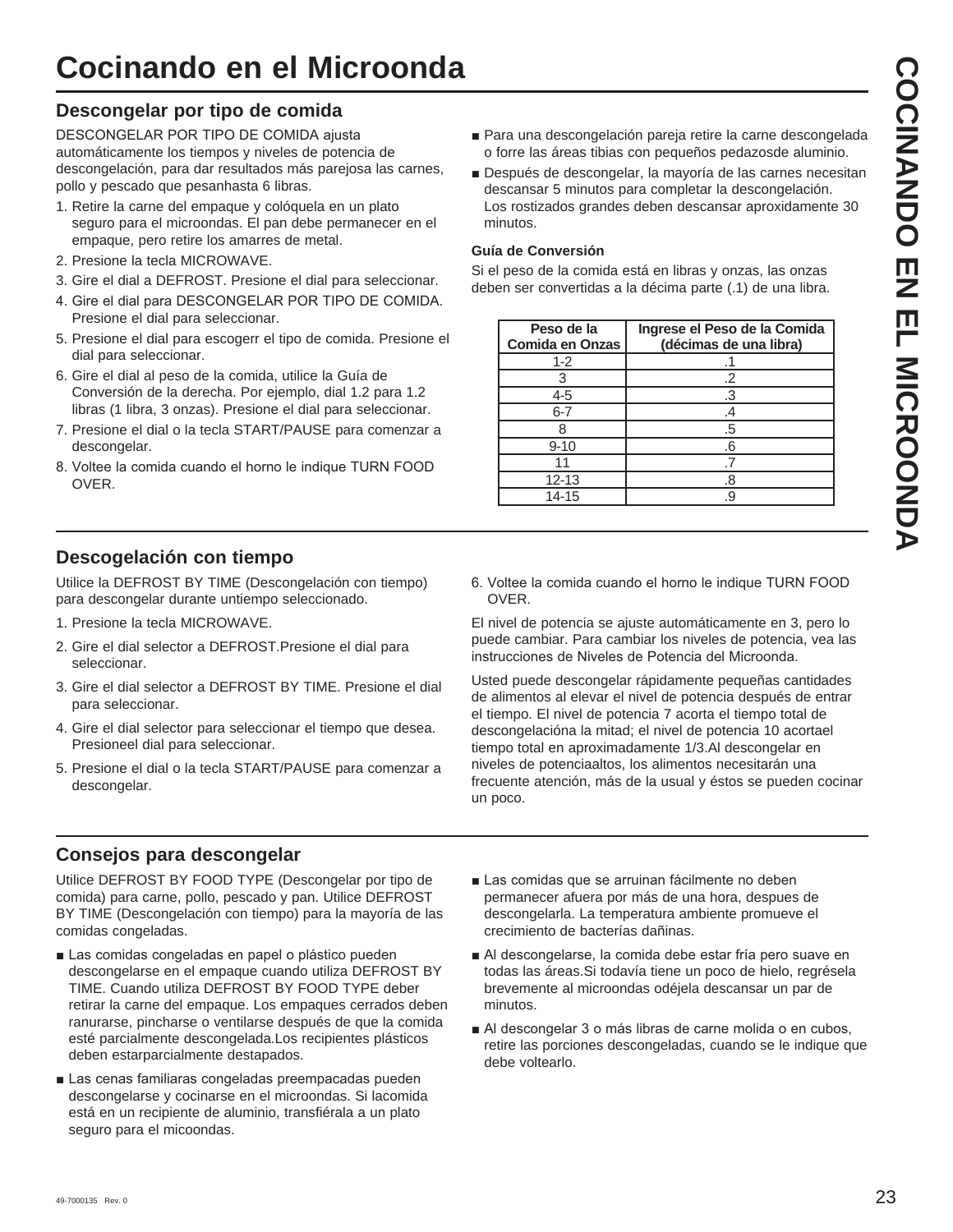# **Cocinando en el Microonda**

## **Descongelar por tipo de comida**

DESCONGELAR POR TIPO DE COMIDA ajusta automáticamente los tiempos y niveles de potencia de descongelación, para dar resultados más parejosa las carnes, pollo y pescado que pesanhasta 6 libras.

- 1. Retire la carne del empaque y colóquela en un plato seguro para el microondas. El pan debe permanecer en el empaque, pero retire los amarres de metal.
- 2. Presione la tecla MICROWAVE.
- 3. Gire el dial a DEFROST. Presione el dial para seleccionar.
- 4. Gire el dial para DESCONGELAR POR TIPO DE COMIDA. Presione el dial para seleccionar.
- 5. Presione el dial para escogerr el tipo de comida. Presione el dial para seleccionar.
- 6. Gire el dial al peso de la comida, utilice la Guía de Conversión de la derecha. Por ejemplo, dial 1.2 para 1.2 libras (1 libra, 3 onzas). Presione el dial para seleccionar.
- 7. Presione el dial o la tecla START/PAUSE para comenzar a descongelar.
- 8. Voltee la comida cuando el horno le indique TURN FOOD OVER.
- Para una descongelación pareja retire la carne descongelada o forre las áreas tibias con pequeños pedazosde aluminio.
- Después de descongelar, la mayoría de las carnes necesitan descansar 5 minutos para completar la descongelación. Los rostizados grandes deben descansar aproxidamente 30 minutos.

#### **Guía de Conversión**

Si el peso de la comida está en libras y onzas, las onzas deben ser convertidas a la décima parte (.1) de una libra.

| Peso de la<br><b>Comida en Onzas</b> | Ingrese el Peso de la Comida<br>(décimas de una libra) |
|--------------------------------------|--------------------------------------------------------|
| $1 - 2$                              |                                                        |
| 3                                    | .2                                                     |
| 4-5                                  | .3                                                     |
| 6-7                                  | .4                                                     |
|                                      | .5                                                     |
| $9 - 10$                             | .6                                                     |
|                                      |                                                        |
| $12 - 13$                            | .8                                                     |
| 14-15                                | -9                                                     |

## **Descogelación con tiempo**

Utilice la DEFROST BY TIME (Descongelación con tiempo) para descongelar durante untiempo seleccionado.

- 1. Presione la tecla MICROWAVE.
- 2. Gire el dial selector a DEFROST.Presione el dial para seleccionar.
- 3. Gire el dial selector a DEFROST BY TIME. Presione el dial para seleccionar.
- 4. Gire el dial selector para seleccionar el tiempo que desea. Presioneel dial para seleccionar.
- 5. Presione el dial o la tecla START/PAUSE para comenzar a descongelar.

## **Consejos para descongelar**

Utilice DEFROST BY FOOD TYPE (Descongelar por tipo de comida) para carne, pollo, pescado y pan. Utilice DEFROST BY TIME (Descongelación con tiempo) para la mayoría de las comidas congeladas.

- Las comidas congeladas en papel o plástico pueden descongelarse en el empaque cuando utiliza DEFROST BY TIME. Cuando utiliza DEFROST BY FOOD TYPE deber retirar la carne del empaque. Los empaques cerrados deben ranurarse, pincharse o ventilarse después de que la comida esté parcialmente descongelada.Los recipientes plásticos deben estarparcialmente destapados.
- Las cenas familiaras congeladas preempacadas pueden descongelarse y cocinarse en el microondas. Si lacomida está en un recipiente de aluminio, transfiérala a un plato seguro para el micoondas.

6. Voltee la comida cuando el horno le indique TURN FOOD OVER.

El nivel de potencia se ajuste automáticamente en 3, pero lo puede cambiar. Para cambiar los niveles de potencia, vea las instrucciones de Niveles de Potencia del Microonda.

Usted puede descongelar rápidamente pequeñas cantidades de alimentos al elevar el nivel de potencia después de entrar el tiempo. El nivel de potencia 7 acorta el tiempo total de descongelacióna la mitad; el nivel de potencia 10 acortael tiempo total en aproximadamente 1/3.Al descongelar en niveles de potenciaaltos, los alimentos necesitarán una frecuente atención, más de la usual y éstos se pueden cocinar un poco.

- Las comidas que se arruinan fácilmente no deben permanecer afuera por más de una hora, despues de descongelarla. La temperatura ambiente promueve el crecimiento de bacterías dañinas.
- Al descongelarse, la comida debe estar fría pero suave en todas las áreas.Si todavía tiene un poco de hielo, regrésela brevemente al microondas odéjela descansar un par de minutos.
- Al descongelar 3 o más libras de carne molida o en cubos, retire las porciones descongeladas, cuando se le indique que debe voltearlo.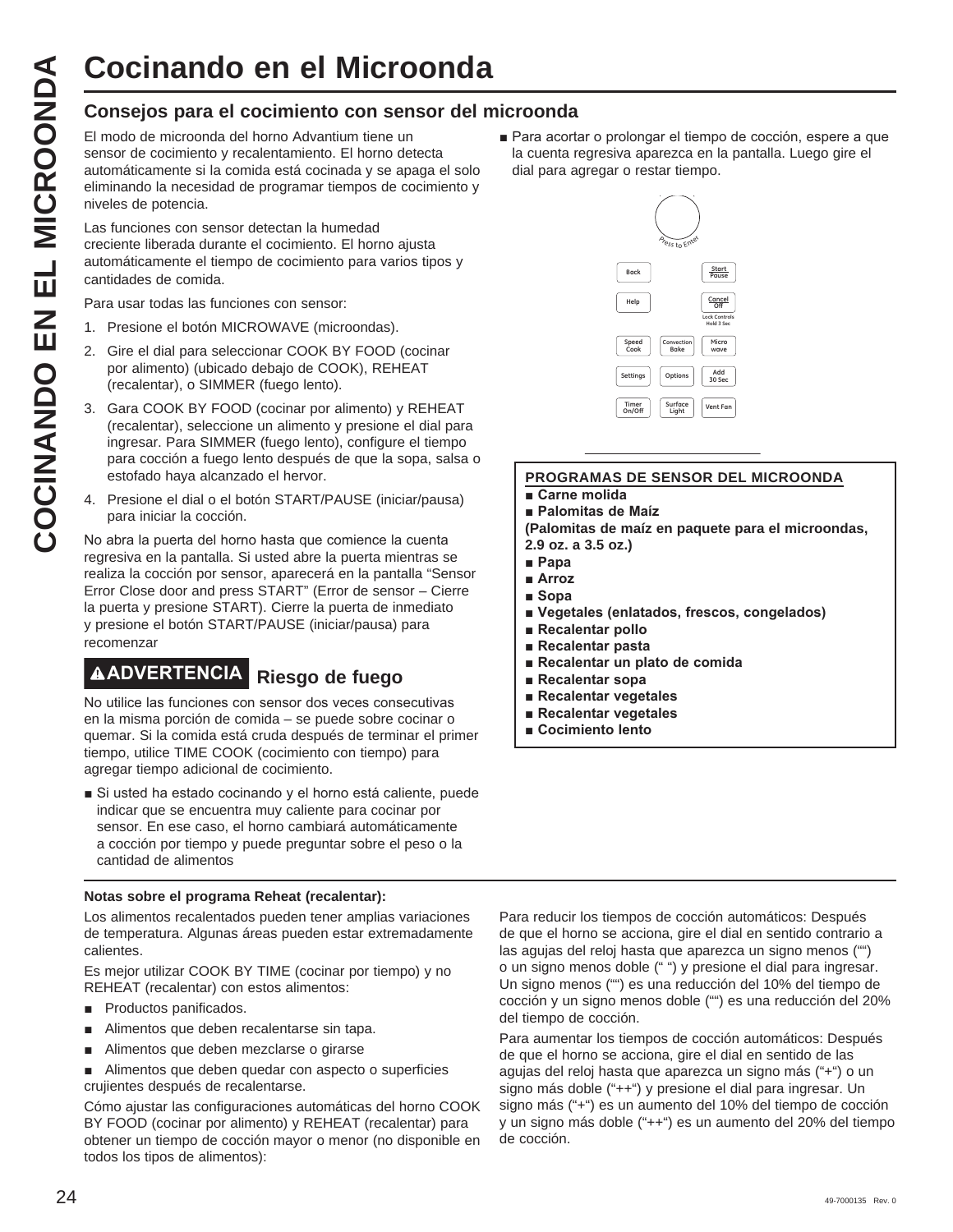# **Cocinando en el Microonda**

## **Consejos para el cocimiento con sensor del microonda**

El modo de microonda del horno Advantium tiene un sensor de cocimiento y recalentamiento. El horno detecta automáticamente si la comida está cocinada y se apaga el solo eliminando la necesidad de programar tiempos de cocimiento y niveles de potencia.

Las funciones con sensor detectan la humedad creciente liberada durante el cocimiento. El horno ajusta automáticamente el tiempo de cocimiento para varios tipos y cantidades de comida.

Para usar todas las funciones con sensor:

- 1. Presione el botón MICROWAVE (microondas).
- 2. Gire el dial para seleccionar COOK BY FOOD (cocinar por alimento) (ubicado debajo de COOK), REHEAT (recalentar), o SIMMER (fuego lento).
- 3. Gara COOK BY FOOD (cocinar por alimento) y REHEAT (recalentar), seleccione un alimento y presione el dial para ingresar. Para SIMMER (fuego lento), configure el tiempo para cocción a fuego lento después de que la sopa, salsa o estofado haya alcanzado el hervor.
- 4. Presione el dial o el botón START/PAUSE (iniciar/pausa) para iniciar la cocción.

No abra la puerta del horno hasta que comience la cuenta regresiva en la pantalla. Si usted abre la puerta mientras se realiza la cocción por sensor, aparecerá en la pantalla "Sensor Error Close door and press START" (Error de sensor – Cierre la puerta y presione START). Cierre la puerta de inmediato y presione el botón START/PAUSE (iniciar/pausa) para recomenzar

# **ADVERTENCIA Riesgo de fuego**

No utilice las funciones con sensor dos veces consecutivas en la misma porción de comida – se puede sobre cocinar o quemar. Si la comida está cruda después de terminar el primer tiempo, utilice TIME COOK (cocimiento con tiempo) para agregar tiempo adicional de cocimiento.

Si usted ha estado cocinando y el horno está caliente, puede indicar que se encuentra muy caliente para cocinar por sensor. En ese caso, el horno cambiará automáticamente a cocción por tiempo y puede preguntar sobre el peso o la cantidad de alimentos

#### **Notas sobre el programa Reheat (recalentar):**

Los alimentos recalentados pueden tener amplias variaciones de temperatura. Algunas áreas pueden estar extremadamente calientes.

Es mejor utilizar COOK BY TIME (cocinar por tiempo) y no REHEAT (recalentar) con estos alimentos:

- **Productos panificados.**
- $\blacksquare$  Alimentos que deben recalentarse sin tapa.
- Alimentos que deben mezclarse o girarse

Alimentos que deben quedar con aspecto o superficies crujientes después de recalentarse.

Cómo ajustar las configuraciones automáticas del horno COOK BY FOOD (cocinar por alimento) y REHEAT (recalentar) para obtener un tiempo de cocción mayor o menor (no disponible en todos los tipos de alimentos):

Para acortar o prolongar el tiempo de cocción, espere a que la cuenta regresiva aparezca en la pantalla. Luego gire el dial para agregar o restar tiempo.



#### **PROGRAMAS DE SENSOR DEL MICROONDA**

**E** Carne molida

**Palomitas de Maíz (Palomitas de maíz en paquete para el microondas,** 

**2.9 oz. a 3.5 oz.)**

- **Papa**
- **B** Arroz
- **B** Sopa
- **E** Vegetales (enlatados, frescos, congelados)
- **Recalentar pollo**
- **Recalentar pasta**
- **Recalentar un plato de comida**
- **Recalentar sopa**
- **Recalentar vegetales**
- **Recalentar vegetales**
- **Example Cocimiento lento**

Para reducir los tiempos de cocción automáticos: Después de que el horno se acciona, gire el dial en sentido contrario a las agujas del reloj hasta que aparezca un signo menos ("") o un signo menos doble (" ") y presione el dial para ingresar. Un signo menos ("") es una reducción del 10% del tiempo de cocción y un signo menos doble ("") es una reducción del 20% del tiempo de cocción.

Para aumentar los tiempos de cocción automáticos: Después de que el horno se acciona, gire el dial en sentido de las agujas del reloj hasta que aparezca un signo más ("+") o un signo más doble ("++") y presione el dial para ingresar. Un signo más ("+") es un aumento del 10% del tiempo de cocción y un signo más doble ("++") es un aumento del 20% del tiempo de cocción.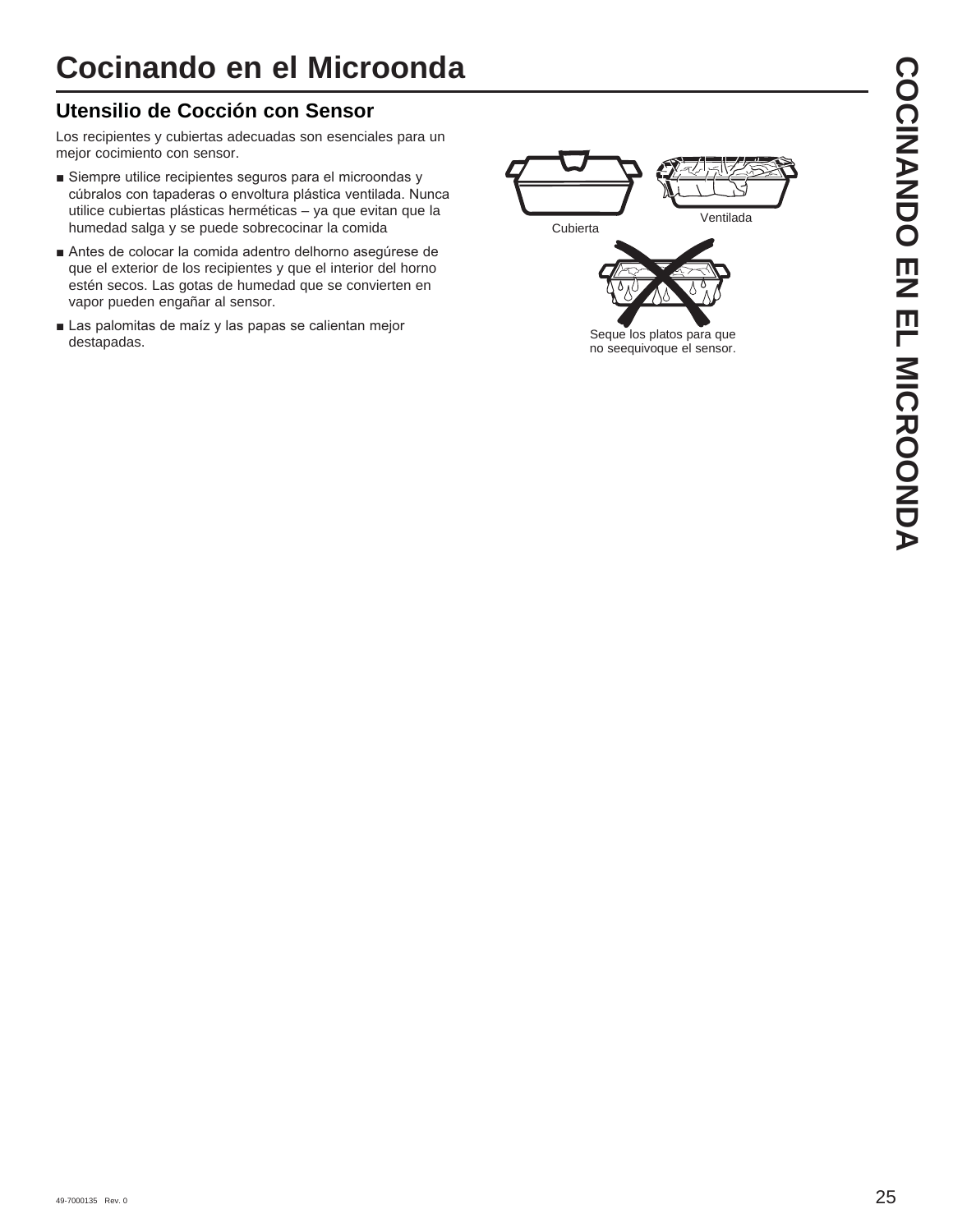# **Utensilio de Cocción con Sensor**

Los recipientes y cubiertas adecuadas son esenciales para un mejor cocimiento con sensor.

- Siempre utilice recipientes seguros para el microondas y cúbralos con tapaderas o envoltura plástica ventilada. Nunca utilice cubiertas plásticas herméticas – ya que evitan que la humedad salga y se puede sobrecocinar la comida
- Antes de colocar la comida adentro delhorno asegúrese de que el exterior de los recipientes y que el interior del horno estén secos. Las gotas de humedad que se convierten en vapor pueden engañar al sensor.
- Las palomitas de maíz y las papas se calientan mejor destapadas.

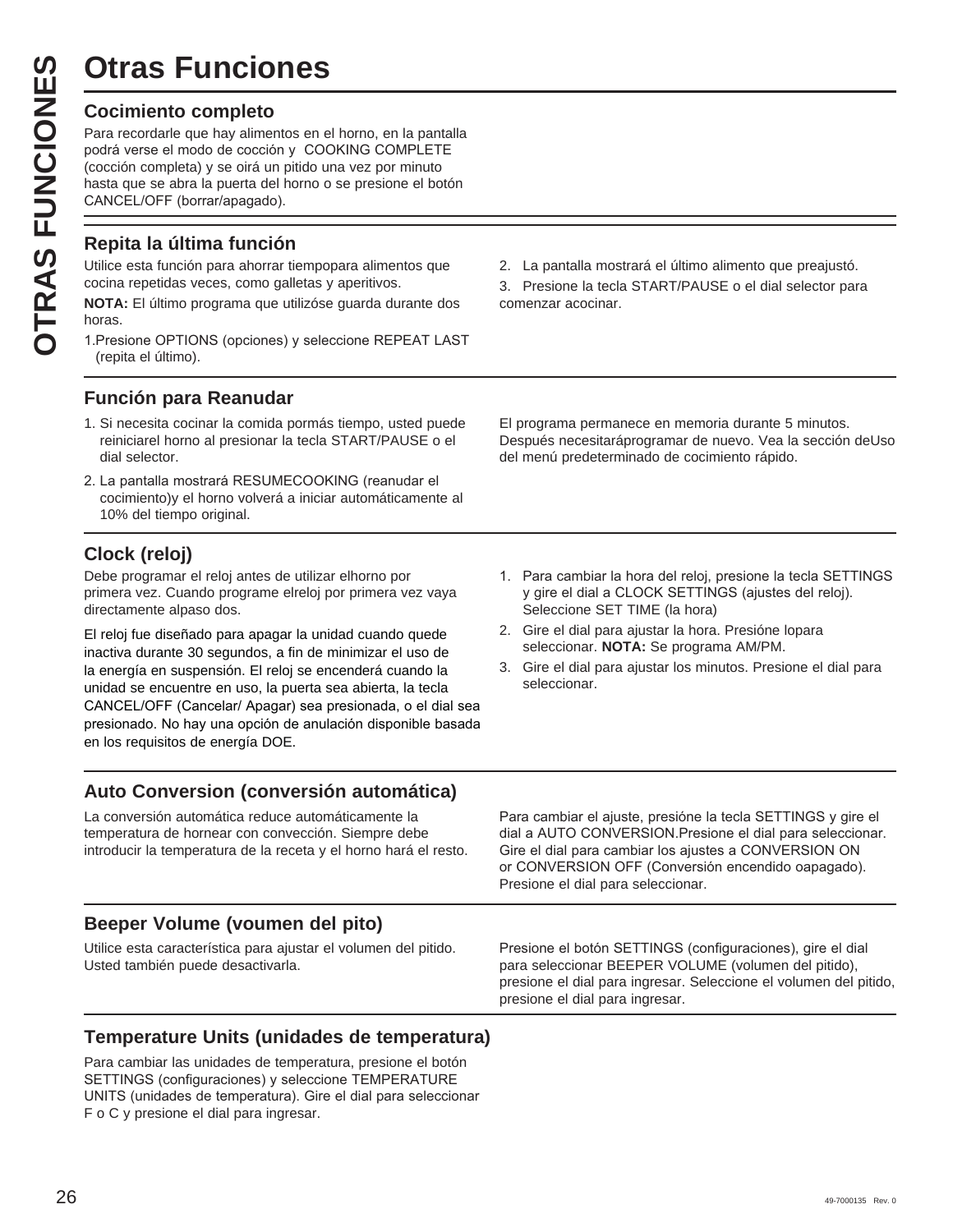# **Otras Funciones**

**OTRAS Funcio**<br>
Cocimiento completo<br>
Para recordarle que hay alime<br>
podrá verse el modo de cocció<br>
(cocción completa) y se oirá un<br>
hasta que se abra la puerta de<br>
CANCEL/OFF (borrar/apagado<br> **CANCEL/OFF (borrar/apagado**<br> Para recordarle que hay alimentos en el horno, en la pantalla podrá verse el modo de cocción y COOKING COMPLETE (cocción completa) y se oirá un pitido una vez por minuto hasta que se abra la puerta del horno o se presione el botón CANCEL/OFF (borrar/apagado).

# **Repita la última función**

Utilice esta función para ahorrar tiempopara alimentos que cocina repetidas veces, como galletas y aperitivos.

**NOTA:** El último programa que utilizóse guarda durante dos horas.

1. Presione OPTIONS (opciones) y seleccione REPEAT LAST (repita el último).

# **Función para Reanudar**

- 1. Si necesita cocinar la comida pormás tiempo, usted puede reiniciarel horno al presionar la tecla START/PAUSE o el dial selector.
- 2. La pantalla mostrará RESUMECOOKING (reanudar el cocimiento)y el horno volverá a iniciar automáticamente al 10% del tiempo original.

# **Clock (reloj)**

Debe programar el reloj antes de utilizar elhorno por primera vez. Cuando programe elreloj por primera vez vaya directamente alpaso dos.

El reloj fue diseñado para apagar la unidad cuando quede inactiva durante 30 segundos, a fin de minimizar el uso de la energía en suspensión. El reloj se encenderá cuando la unidad se encuentre en uso, la puerta sea abierta, la tecla CANCEL/OFF (Cancelar/ Apagar) sea presionada, o el dial sea presionado. No hay una opción de anulación disponible basada en los requisitos de energía DOE.

# **Auto Conversion (conversión automática)**

La conversión automática reduce automáticamente la temperatura de hornear con convección. Siempre debe introducir la temperatura de la receta y el horno hará el resto.

## **Beeper Volume (voumen del pito)**

Utilice esta característica para ajustar el volumen del pitido. Usted también puede desactivarla.

2. La pantalla mostrará el último alimento que preajustó.

3. Presione la tecla START/PAUSE o el dial selector para comenzar acocinar.

El programa permanece en memoria durante 5 minutos. Después necesitaráprogramar de nuevo. Vea la sección deUso del menú predeterminado de cocimiento rápido.

- 1. Para cambiar la hora del reloj, presione la tecla SETTINGS y gire el dial a CLOCK SETTINGS (ajustes del reloj). Seleccione SET TIME (la hora)
- 2. Gire el dial para ajustar la hora. Presióne lopara seleccionar. **NOTA:** Se programa AM/PM.
- 3. Gire el dial para ajustar los minutos. Presione el dial para seleccionar.

Para cambiar el ajuste, presióne la tecla SETTINGS y gire el dial a AUTO CONVERSION.Presione el dial para seleccionar. Gire el dial para cambiar los aiustes a CONVERSION ON or CONVERSION OFF (Conversión encendido oapagado). Presione el dial para seleccionar.

Presione el botón SETTINGS (configuraciones), gire el dial para seleccionar BEEPER VOLUME (volumen del pitido), presione el dial para ingresar. Seleccione el volumen del pitido, presione el dial para ingresar.

# **Temperature Units (unidades de temperatura)**

Para cambiar las unidades de temperatura, presione el botón SETTINGS (configuraciones) y seleccione TEMPERATURE UNITS (unidades de temperatura). Gire el dial para seleccionar F o C y presione el dial para ingresar.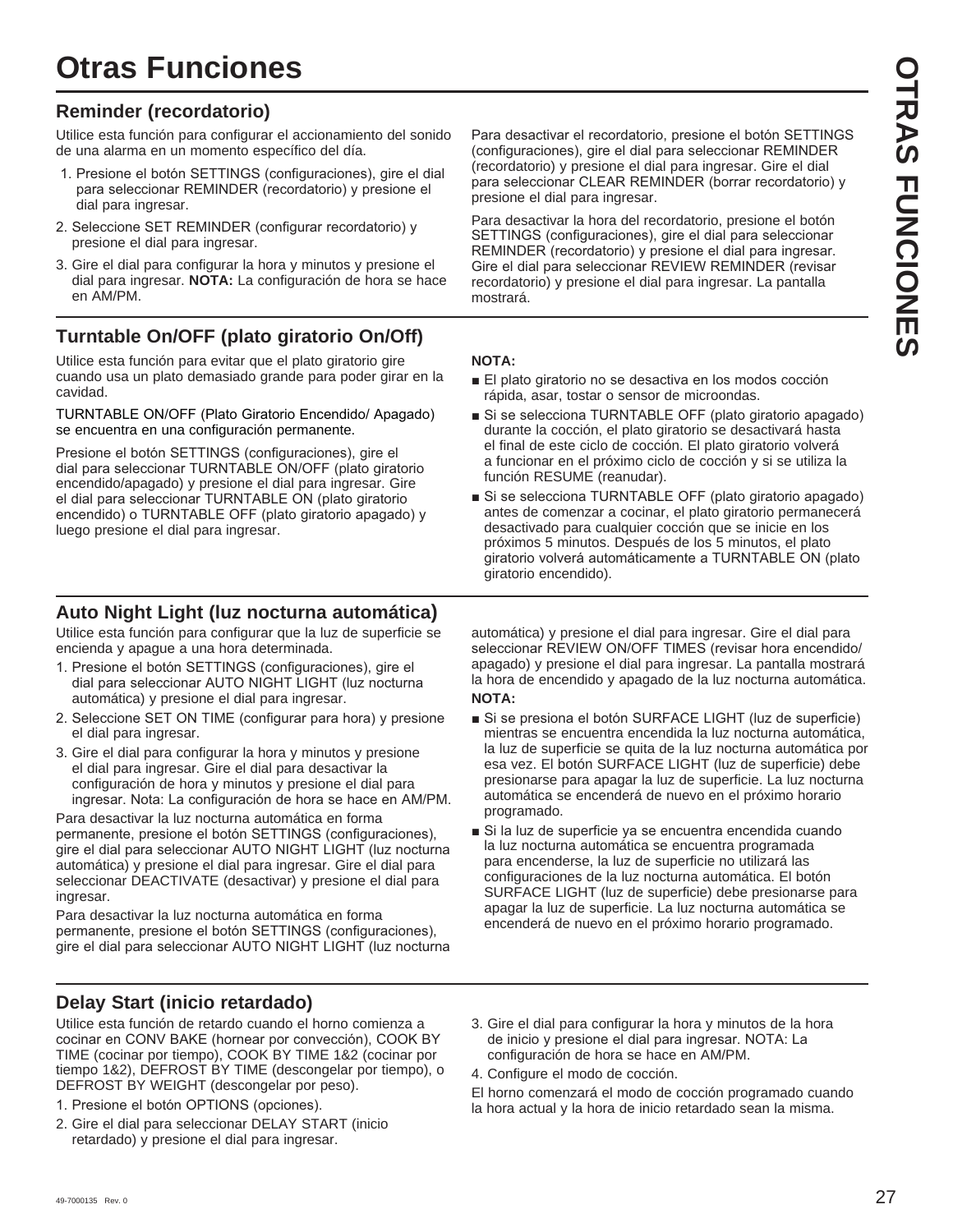# **Otras Funciones**

# **Reminder (recordatorio)**

Utilice esta función para configurar el accionamiento del sonido de una alarma en un momento específico del día.

- 1. Presione el botón SETTINGS (configuraciones), gire el dial para seleccionar REMINDER (recordatorio) y presione el dial para ingresar.
- 2. Seleccione SET REMINDER (configurar recordatorio) y presione el dial para ingresar.
- 3. Gire el dial para configurar la hora y minutos y presione el dial para ingresar. **NOTA:** La configuración de hora se hace en AM/PM.

# **Turntable On/OFF (plato giratorio On/Off)**

Utilice esta función para evitar que el plato giratorio gire cuando usa un plato demasiado grande para poder girar en la cavidad.

TURNTABLE ON/OFF (Plato Giratorio Encendido/ Apagado) se encuentra en una configuración permanente.

Presione el botón SETTINGS (configuraciones), gire el dial para seleccionar TURNTABLE ON/OFF (plato giratorio encendido/apagado) y presione el dial para ingresar. Gire el dial para seleccionar TURNTABLE ON (plato giratorio encendido) o TURNTABLE OFF (plato giratorio apagado) y luego presione el dial para ingresar.

# **Auto Night Light (luz nocturna automática)**

Utilice esta función para configurar que la luz de superficie se encienda y apague a una hora determinada.

- 1. Presione el botón SETTINGS (configuraciones), gire el dial para seleccionar AUTO NIGHT LIGHT (luz nocturna automática) y presione el dial para ingresar.
- 2. Seleccione SET ON TIME (configurar para hora) y presione el dial para ingresar.
- 3. Gire el dial para configurar la hora y minutos y presione el dial para ingresar. Gire el dial para desactivar la configuración de hora y minutos y presione el dial para ingresar. Nota: La configuración de hora se hace en AM/PM.

Para desactivar la luz nocturna automática en forma permanente, presione el botón SETTINGS (configuraciones), gire el dial para seleccionar AUTO NIGHT LIGHT (luz nocturna automática) y presione el dial para ingresar. Gire el dial para seleccionar DEACTIVATE (desactivar) y presione el dial para ingresar.

Para desactivar la luz nocturna automática en forma permanente, presione el botón SETTINGS (configuraciones), gire el dial para seleccionar AUTO NIGHT LIGHT (luz nocturna

**Delay Start (inicio retardado)**

Utilice esta función de retardo cuando el horno comienza a cocinar en CONV BAKE (hornear por convección), COOK BY TIME (cocinar por tiempo), COOK BY TIME 1&2 (cocinar por tiempo 1&2), DEFROST BY TIME (descongelar por tiempo), o DEFROST BY WEIGHT (descongelar por peso).

- 1. Presione el botón OPTIONS (opciones).
- 2. Gire el dial para seleccionar DELAY START (inicio retardado) y presione el dial para ingresar.

Para desactivar el recordatorio, presione el botón SETTINGS (configuraciones), gire el dial para seleccionar REMINDER (recordatorio) y presione el dial para ingresar. Gire el dial para seleccionar CLEAR REMINDER (borrar recordatorio) y presione el dial para ingresar.

Para desactivar la hora del recordatorio, presione el botón SETTINGS (configuraciones), gire el dial para seleccionar REMINDER (recordatorio) y presione el dial para ingresar. Gire el dial para seleccionar REVIEW REMINDER (revisar recordatorio) y presione el dial para ingresar. La pantalla mostrará.

### **NOTA:**

- El plato giratorio no se desactiva en los modos cocción rápida, asar, tostar o sensor de microondas.
- Si se selecciona TURNTABLE OFF (plato giratorio apagado) durante la cocción, el plato giratorio se desactivará hasta el final de este ciclo de cocción. El plato giratorio volverá a funcionar en el próximo ciclo de cocción y si se utiliza la función RESUME (reanudar).
- Si se selecciona TURNTABLE OFF (plato giratorio apagado) antes de comenzar a cocinar, el plato giratorio permanecerá desactivado para cualquier cocción que se inicie en los próximos 5 minutos. Después de los 5 minutos, el plato giratorio volverá automáticamente a TURNTABLE ON (plato giratorio encendido).

automática) y presione el dial para ingresar. Gire el dial para seleccionar REVIEW ON/OFF TIMES (revisar hora encendido/ apagado) y presione el dial para ingresar. La pantalla mostrará la hora de encendido y apagado de la luz nocturna automática. **NOTA:** 

- Si se presiona el botón SURFACE LIGHT (luz de superficie) mientras se encuentra encendida la luz nocturna automática, la luz de superficie se quita de la luz nocturna automática por esa vez. El botón SURFACE LIGHT (luz de superficie) debe presionarse para apagar la luz de superficie. La luz nocturna automática se encenderá de nuevo en el próximo horario programado.
- Si la luz de superficie ya se encuentra encendida cuando la luz nocturna automática se encuentra programada para encenderse, la luz de superficie no utilizará las configuraciones de la luz nocturna automática. El botón SURFACE LIGHT (luz de superficie) debe presionarse para apagar la luz de superficie. La luz nocturna automática se encenderá de nuevo en el próximo horario programado.
- 3. Gire el dial para configurar la hora y minutos de la hora de inicio y presione el dial para ingresar. NOTA: La configuración de hora se hace en AM/PM.
- 4. Configure el modo de cocción.
- El horno comenzará el modo de cocción programado cuando
- la hora actual y la hora de inicio retardado sean la misma.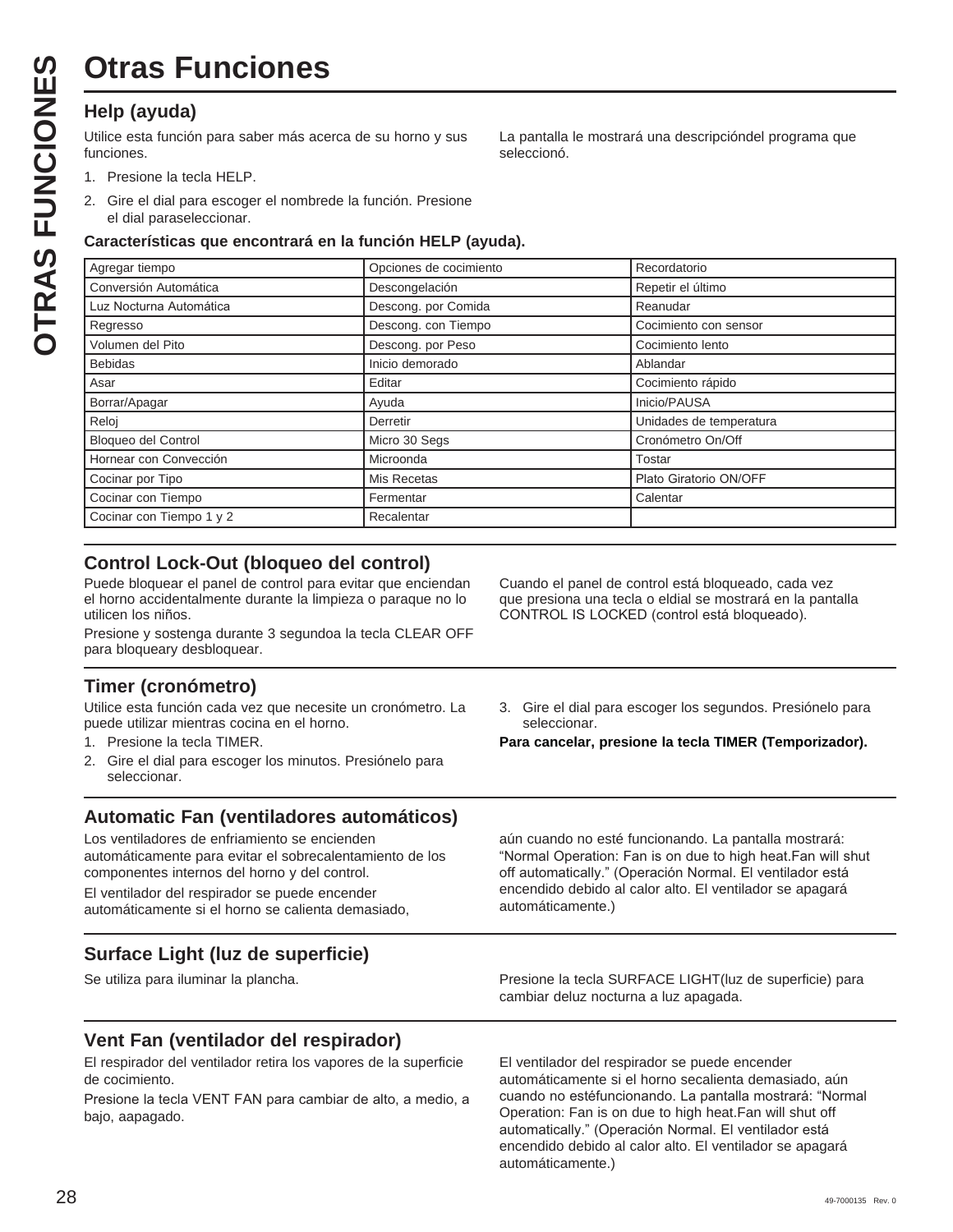# **Otras Funciones**

# **Help (ayuda)**

**OTRAS FUNCIONES OTRAS FUNCIONES**

Utilice esta función para saber más acerca de su horno y sus funciones.

La pantalla le mostrará una descripcióndel programa que seleccionó.

- 1. Presione la tecla HELP.
- 2. Gire el dial para escoger el nombrede la función. Presione el dial paraseleccionar.

## **Características que encontrará en la función HELP (ayuda).**

| Agregar tiempo             | Opciones de cocimiento | Recordatorio            |
|----------------------------|------------------------|-------------------------|
| Conversión Automática      | Descongelación         | Repetir el último       |
| Luz Nocturna Automática    | Descong. por Comida    | Reanudar                |
| Regresso                   | Descong. con Tiempo    | Cocimiento con sensor   |
| Volumen del Pito           | Descong. por Peso      | Cocimiento lento        |
| <b>Bebidas</b>             | Inicio demorado        | Ablandar                |
| Asar                       | Editar                 | Cocimiento rápido       |
| Borrar/Apagar              | Ayuda                  | Inicio/PAUSA            |
| Reloj                      | Derretir               | Unidades de temperatura |
| <b>Bloqueo del Control</b> | Micro 30 Segs          | Cronómetro On/Off       |
| Hornear con Convección     | Microonda              | Tostar                  |
| Cocinar por Tipo           | Mis Recetas            | Plato Giratorio ON/OFF  |
| Cocinar con Tiempo         | Fermentar              | Calentar                |
| Cocinar con Tiempo 1 y 2   | Recalentar             |                         |

# **Control Lock-Out (bloqueo del control)**

Puede bloquear el panel de control para evitar que enciendan el horno accidentalmente durante la limpieza o paraque no lo utilicen los niños.

Presione y sostenga durante 3 segundoa la tecla CLEAR OFF para bloqueary desbloquear.

## **Timer (cronómetro)**

Utilice esta función cada vez que necesite un cronómetro. La puede utilizar mientras cocina en el horno.

- 1. Presione la tecla TIMER.
- 2. Gire el dial para escoger los minutos. Presiónelo para seleccionar.

## **Automatic Fan (ventiladores automáticos)**

Los ventiladores de enfriamiento se encienden automáticamente para evitar el sobrecalentamiento de los componentes internos del horno y del control.

El ventilador del respirador se puede encender automáticamente si el horno se calienta demasiado,

# **Surface Light (luz de superficie)**

Cuando el panel de control está bloqueado, cada vez que presiona una tecla o eldial se mostrará en la pantalla CONTROL IS LOCKED (control está bloqueado).

3. Gire el dial para escoger los segundos. Presiónelo para seleccionar.

**Para cancelar, presione la tecla TIMER (Temporizador).** 

aún cuando no esté funcionando. La pantalla mostrará: "Normal Operation: Fan is on due to high heat.Fan will shut off automatically." (Operación Normal. El ventilador está encendido debido al calor alto. El ventilador se apagará automáticamente.)

Se utiliza para iluminar la plancha. Presione la tecla SURFACE LIGHT(luz de superficie) para cambiar deluz nocturna a luz apagada.

## **Vent Fan (ventilador del respirador)**

El respirador del ventilador retira los vapores de la superficie de cocimiento.

Presione la tecla VENT FAN para cambiar de alto, a medio, a bajo, aapagado.

El ventilador del respirador se puede encender automáticamente si el horno secalienta demasiado, aún cuando no estéfuncionando. La pantalla mostrará: "Normal Operation: Fan is on due to high heat.Fan will shut off automatically." (Operación Normal. El ventilador está encendido debido al calor alto. El ventilador se apagará automáticamente.)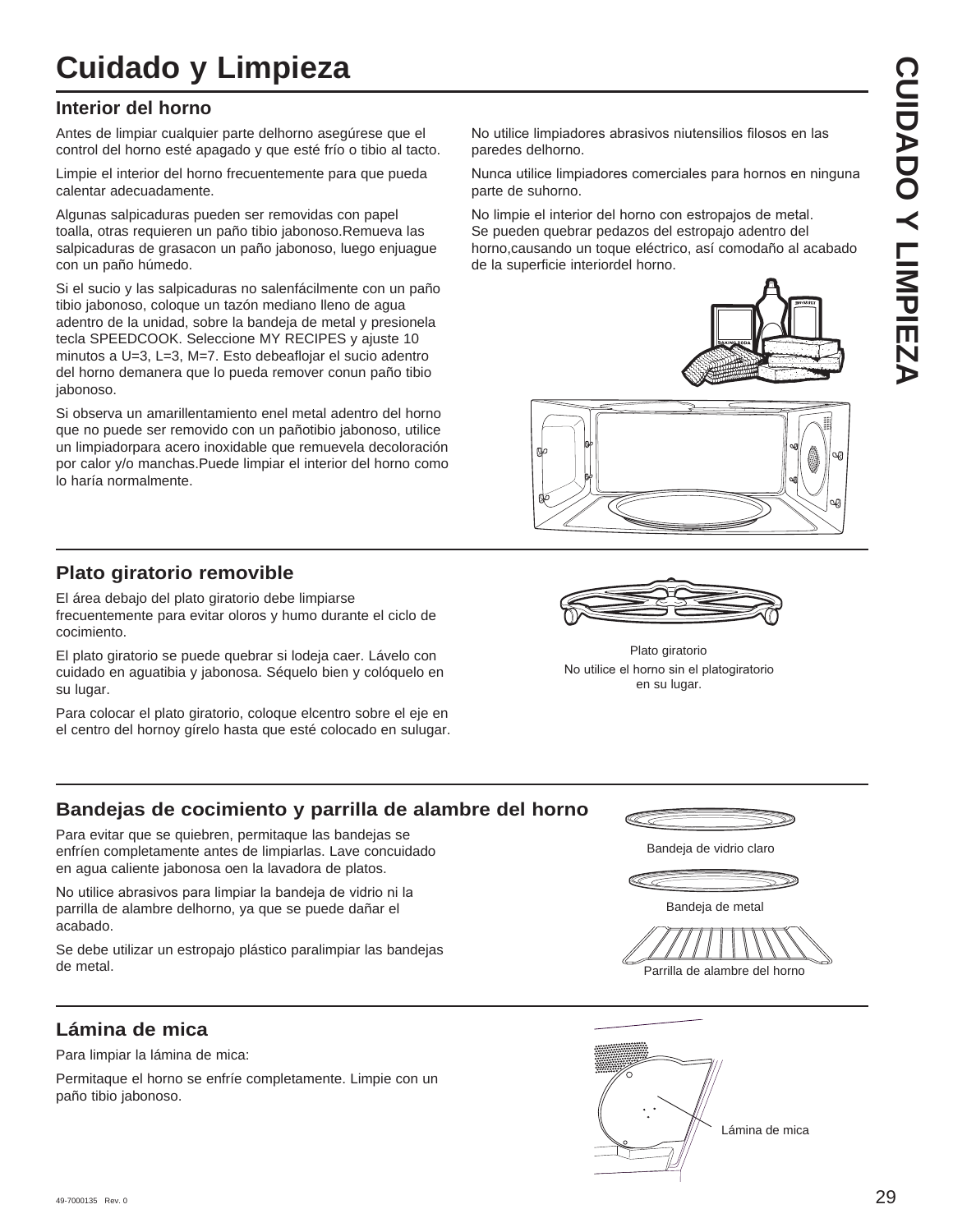# **Cuidado y Limpieza**

## **Interior del horno**

Antes de limpiar cualquier parte delhorno asegúrese que el control del horno esté apagado y que esté frío o tibio al tacto.

Limpie el interior del horno frecuentemente para que pueda calentar adecuadamente.

Algunas salpicaduras pueden ser removidas con papel toalla, otras requieren un paño tibio jabonoso.Remueva las salpicaduras de grasacon un paño jabonoso, luego enjuague con un paño húmedo.

Si el sucio y las salpicaduras no salenfácilmente con un paño tibio jabonoso, coloque un tazón mediano lleno de agua adentro de la unidad, sobre la bandeja de metal y presionela tecla SPEEDCOOK. Seleccione MY RECIPES y ajuste 10 minutos a U=3, L=3, M=7. Esto debeaflojar el sucio adentro del horno demanera que lo pueda remover conun paño tibio jabonoso.

Si observa un amarillentamiento enel metal adentro del horno que no puede ser removido con un pañotibio jabonoso, utilice un limpiadorpara acero inoxidable que remuevela decoloración por calor y/o manchas.Puede limpiar el interior del horno como lo haría normalmente.

**Plato giratorio removible**

El área debajo del plato giratorio debe limpiarse frecuentemente para evitar oloros y humo durante el ciclo de cocimiento.

El plato giratorio se puede quebrar si lodeja caer. Lávelo con cuidado en aguatibia y jabonosa. Séquelo bien y colóquelo en su lugar.

Para colocar el plato giratorio, coloque elcentro sobre el eje en el centro del hornoy gírelo hasta que esté colocado en sulugar. No utilice limpiadores abrasivos niutensilios filosos en las paredes delhorno.

Nunca utilice limpiadores comerciales para hornos en ninguna parte de suhorno.

No limpie el interior del horno con estropajos de metal. Se pueden quebrar pedazos del estropajo adentro del horno,causando un toque eléctrico, así comodaño al acabado de la superficie interiordel horno.







No utilice el horno sin el platogiratorio en su lugar. Plato giratorio

## **Bandejas de cocimiento y parrilla de alambre del horno**

Para evitar que se quiebren, permitaque las bandejas se enfríen completamente antes de limpiarlas. Lave concuidado en agua caliente jabonosa oen la lavadora de platos.

No utilice abrasivos para limpiar la bandeja de vidrio ni la parrilla de alambre delhorno, ya que se puede dañar el acabado.

Se debe utilizar un estropajo plástico paralimpiar las bandejas de metal.

# **Lámina de mica**

Para limpiar la lámina de mica:

Permitaque el horno se enfríe completamente. Limpie con un paño tibio jabonoso.



Bandeja de metal

Parrilla de alambre del horno

Bandeja de vidrio claro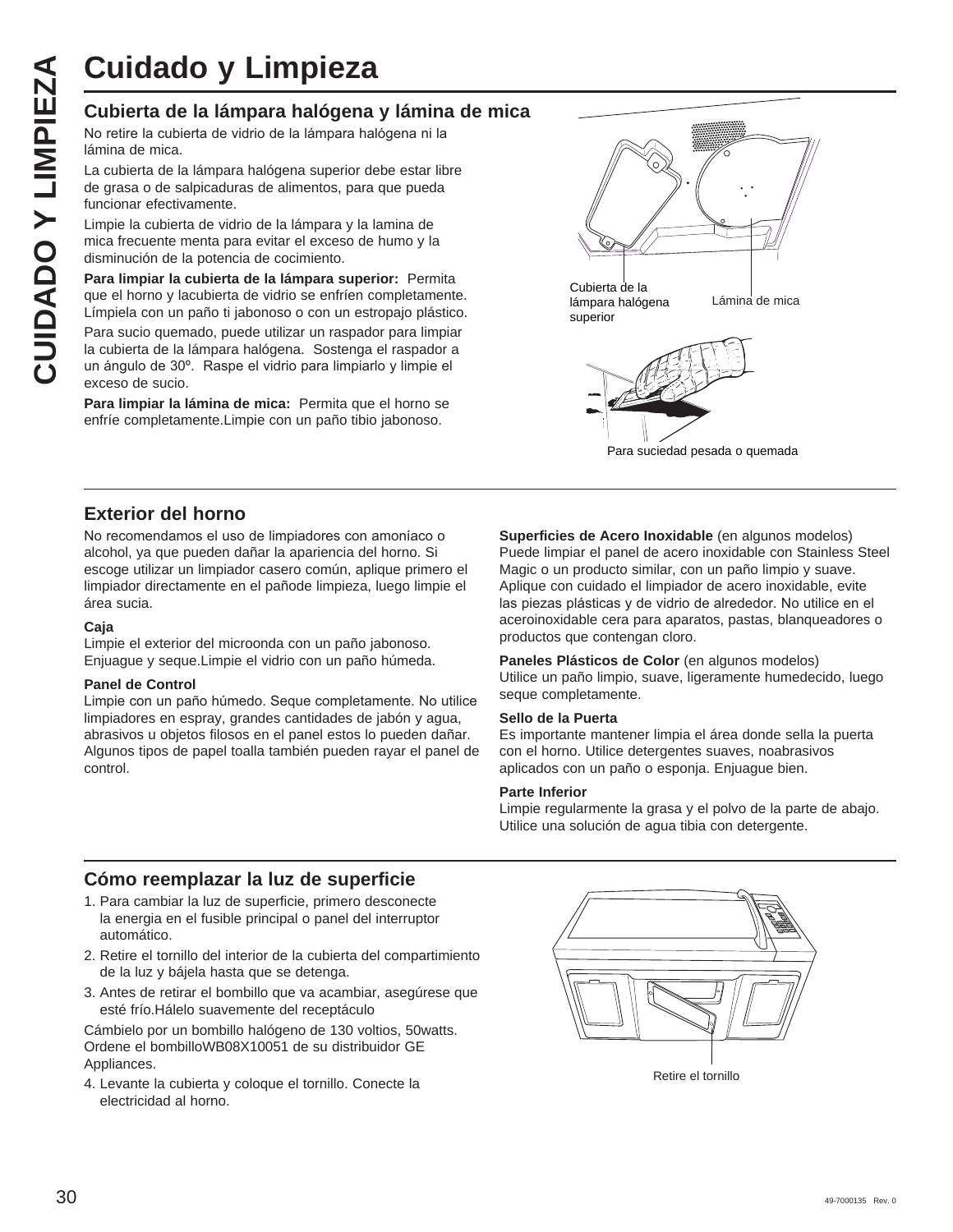# **Cubierta de la lámpara halógena y lámina de mica**

No retire la cubierta de vidrio de la lámpara halógena ni la lámina de mica.

La cubierta de la lámpara halógena superior debe estar libre de grasa o de salpicaduras de alimentos, para que pueda funcionar efectivamente.

Limpie la cubierta de vidrio de la lámpara y la lamina de mica frecuente menta para evitar el exceso de humo y la disminución de la potencia de cocimiento.

**Para limpiar la cubierta de la lámpara superior:** Permita que el horno y lacubierta de vidrio se enfríen completamente. Límpiela con un paño ti jabonoso o con un estropajo plástico. Para sucio quemado, puede utilizar un raspador para limpiar la cubierta de la lámpara halógena. Sostenga el raspador a un ángulo de 30°. Raspe el vidrio para limpiarlo y limpie el exceso de sucio.

**Para limpiar la lámina de mica:** Permita que el horno se enfríe completamente.Limpie con un paño tibio jabonoso.



Para suciedad pesada o quemada

## **Exterior del horno**

No recomendamos el uso de limpiadores con amoníaco o alcohol, ya que pueden dañar la apariencia del horno. Si escoge utilizar un limpiador casero común, aplique primero el limpiador directamente en el pañode limpieza, luego limpie el área sucia.

#### **Caja**

Limpie el exterior del microonda con un paño jabonoso. Enjuague y seque.Limpie el vidrio con un paño húmeda.

#### **Panel de Control**

Limpie con un paño húmedo. Seque completamente. No utilice limpiadores en espray, grandes cantidades de jabón y agua, abrasivos u objetos filosos en el panel estos lo pueden dañar. Algunos tipos de papel toalla también pueden rayar el panel de control.

**Superficies de Acero Inoxidable** (en algunos modelos) Puede limpiar el panel de acero inoxidable con Stainless Steel Magic o un producto similar, con un paño limpio y suave. Aplique con cuidado el limpiador de acero inoxidable, evite las piezas plásticas y de vidrio de alrededor. No utilice en el aceroinoxidable cera para aparatos, pastas, blanqueadores o productos que contengan cloro.

Paneles Plásticos de Color (en algunos modelos) Utilice un paño limpio, suave, ligeramente humedecido, luego seque completamente.

#### **Sello de la Puerta**

Es importante mantener limpia el área donde sella la puerta con el horno. Utilice detergentes suaves, noabrasivos aplicados con un paño o esponja. Enjuague bien.

#### **Parte Inferior**

Limpie regularmente la grasa y el polvo de la parte de abajo. Utilice una solución de agua tibia con detergente.

## **Cómo reemplazar la luz de superficie**

- 1. Para cambiar la luz de superficie, primero desconecte la energia en el fusible principal o panel del interruptor automático.
- 2. Retire el tornillo del interior de la cubierta del compartimiento de la luz y bájela hasta que se detenga.
- 3. Antes de retirar el bombillo que va acambiar, asegúrese que esté frío.Hálelo suavemente del receptáculo

Cámbielo por un bombillo halógeno de 130 voltios, 50watts. Ordene el bombilloWB08X10051 de su distribuidor GE Appliances.

4. Levante la cubierta y coloque el tornillo. Conecte la electricidad al horno.

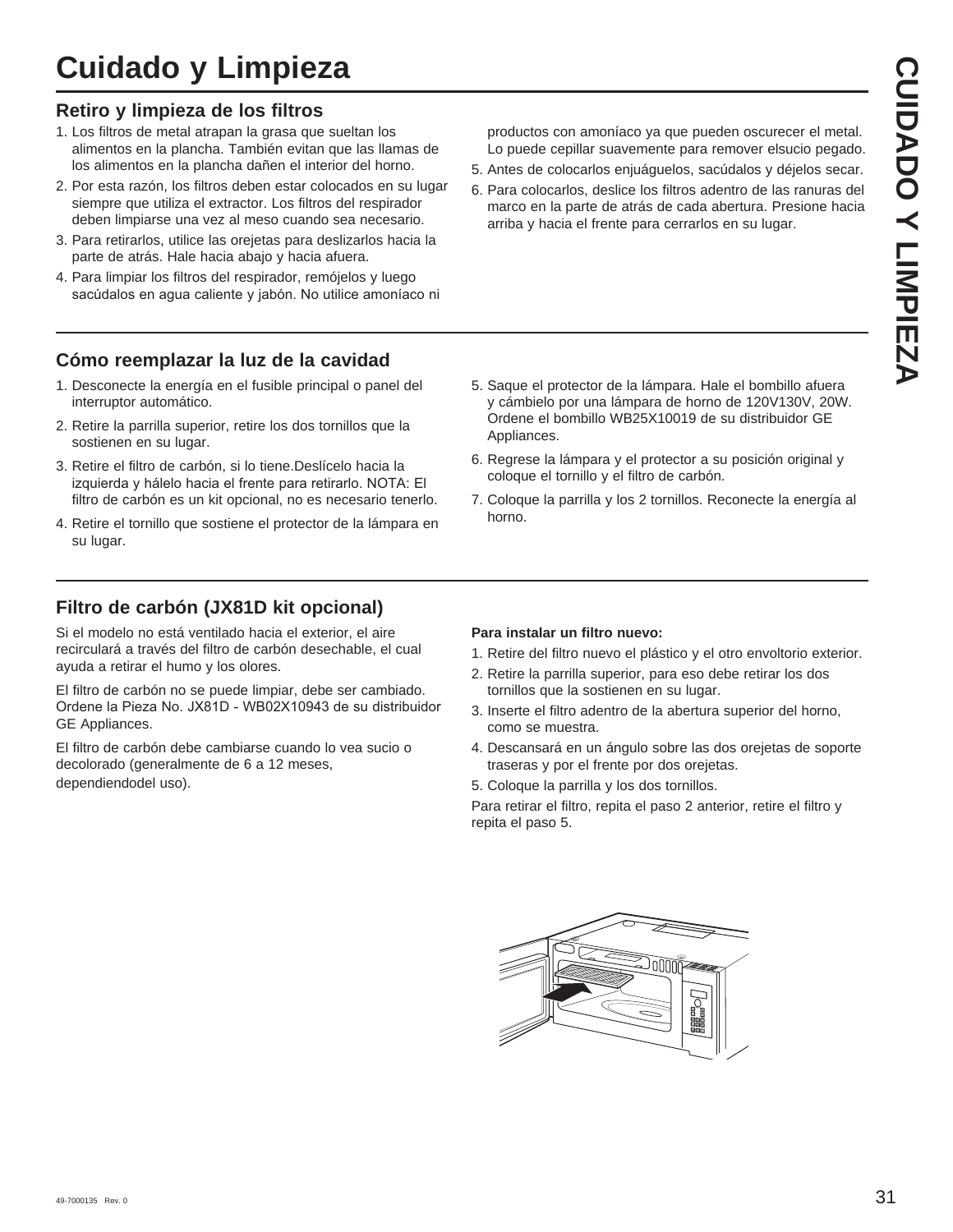# **Cuidado y Limpieza**

## **Retiro y limpieza de los filtros**

- 1. Los filtros de metal atrapan la grasa que sueltan los alimentos en la plancha. También evitan que las llamas de los alimentos en la plancha dañen el interior del horno.
- 2. Por esta razón, los filtros deben estar colocados en su lugar siempre que utiliza el extractor. Los filtros del respirador deben limpiarse una vez al meso cuando sea necesario.
- 3. Para retirarlos, utilice las orejetas para deslizarlos hacia la parte de atrás. Hale hacia abajo y hacia afuera.
- 4. Para limpiar los filtros del respirador, remójelos y luego sacúdalos en agua caliente y jabón. No utilice amoníaco ni

## **Cómo reemplazar la luz de la cavidad**

- 1. Desconecte la energía en el fusible principal o panel del interruptor automático.
- 2. Retire la parrilla superior, retire los dos tornillos que la sostienen en su lugar.
- 3. Retire el filtro de carbón, si lo tiene.Deslícelo hacia la izquierda y hálelo hacia el frente para retirarlo. NOTA: El filtro de carbón es un kit opcional, no es necesario tenerlo.
- 4. Retire el tornillo que sostiene el protector de la lámpara en su lugar.

productos con amoníaco ya que pueden oscurecer el metal. Lo puede cepillar suavemente para remover elsucio pegado.

- 5. Antes de colocarlos enjuáguelos, sacúdalos y déjelos secar.
- 6. Para colocarlos, deslice los filtros adentro de las ranuras del marco en la parte de atrás de cada abertura. Presione hacia arriba y hacia el frente para cerrarlos en su lugar.

- 5. Saque el protector de la lámpara. Hale el bombillo afuera y cámbielo por una lámpara de horno de 120V130V, 20W. Ordene el bombillo WB25X10019 de su distribuidor GE Appliances.
- 6. Regrese la lámpara y el protector a su posición original y coloque el tornillo y el filtro de carbón.
- 7. Coloque la parrilla y los 2 tornillos. Reconecte la energía al horno.

# **Filtro de carbón (JX81D kit opcional)**

Si el modelo no está ventilado hacia el exterior, el aire recirculará a través del filtro de carbón desechable, el cual ayuda a retirar el humo y los olores.

El filtro de carbón no se puede limpiar, debe ser cambiado. Ordene la Pieza No. JX81D - WB02X10943 de su distribuidor GE Appliances.

El filtro de carbón debe cambiarse cuando lo vea sucio o decolorado (generalmente de 6 a 12 meses, dependiendodel uso).

#### **Para instalar un filtro nuevo:**

- 1. Retire del filtro nuevo el plástico y el otro envoltorio exterior.
- 2. Retire la parrilla superior, para eso debe retirar los dos tornillos que la sostienen en su lugar.
- 3. Inserte el filtro adentro de la abertura superior del horno, como se muestra.
- 4. Descansará en un ángulo sobre las dos orejetas de soporte traseras y por el frente por dos orejetas.
- 5. Coloque la parrilla y los dos tornillos.

Para retirar el filtro, repita el paso 2 anterior, retire el filtro y repita el paso 5.

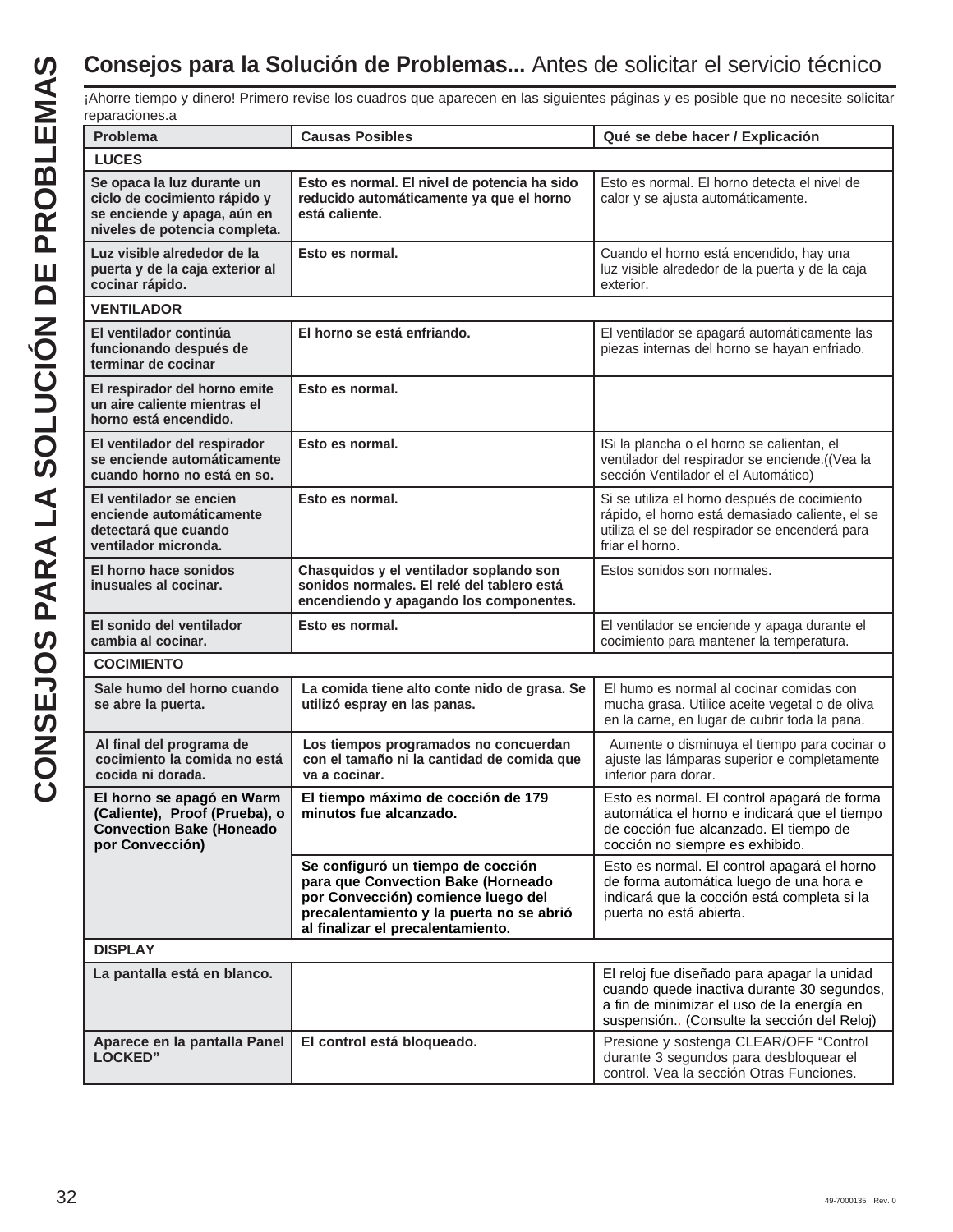| reparaciones.a                                                                                                             |                                                                                                                                                                                                |                                                                                                                                                                                       |  |  |
|----------------------------------------------------------------------------------------------------------------------------|------------------------------------------------------------------------------------------------------------------------------------------------------------------------------------------------|---------------------------------------------------------------------------------------------------------------------------------------------------------------------------------------|--|--|
| Problema                                                                                                                   | <b>Causas Posibles</b>                                                                                                                                                                         | Qué se debe hacer / Explicación                                                                                                                                                       |  |  |
| <b>LUCES</b>                                                                                                               |                                                                                                                                                                                                |                                                                                                                                                                                       |  |  |
| Se opaca la luz durante un<br>ciclo de cocimiento rápido y<br>se enciende y apaga, aún en<br>niveles de potencia completa. | Esto es normal. El nivel de potencia ha sido<br>reducido automáticamente ya que el horno<br>está caliente.                                                                                     | Esto es normal. El horno detecta el nivel de<br>calor y se ajusta automáticamente.                                                                                                    |  |  |
| Luz visible alrededor de la<br>puerta y de la caja exterior al<br>cocinar rápido.                                          | Esto es normal.                                                                                                                                                                                | Cuando el horno está encendido, hay una<br>luz visible alrededor de la puerta y de la caja<br>exterior.                                                                               |  |  |
| <b>VENTILADOR</b>                                                                                                          |                                                                                                                                                                                                |                                                                                                                                                                                       |  |  |
| El ventilador continúa<br>funcionando después de<br>terminar de cocinar                                                    | El horno se está enfriando.                                                                                                                                                                    | El ventilador se apagará automáticamente las<br>piezas internas del horno se hayan enfriado.                                                                                          |  |  |
| El respirador del horno emite<br>un aire caliente mientras el<br>horno está encendido.                                     | Esto es normal.                                                                                                                                                                                |                                                                                                                                                                                       |  |  |
| El ventilador del respirador<br>se enciende automáticamente<br>cuando horno no está en so.                                 | Esto es normal.                                                                                                                                                                                | ISi la plancha o el horno se calientan, el<br>ventilador del respirador se enciende.((Vea la<br>sección Ventilador el el Automático)                                                  |  |  |
| El ventilador se encien<br>enciende automáticamente<br>detectará que cuando<br>ventilador micronda.                        | Esto es normal.                                                                                                                                                                                | Si se utiliza el horno después de cocimiento<br>rápido, el horno está demasiado caliente, el se<br>utiliza el se del respirador se encenderá para<br>friar el horno.                  |  |  |
| El horno hace sonidos<br>inusuales al cocinar.                                                                             | Chasquidos y el ventilador soplando son<br>sonidos normales. El relé del tablero está<br>encendiendo y apagando los componentes.                                                               | Estos sonidos son normales.                                                                                                                                                           |  |  |
| El sonido del ventilador<br>cambia al cocinar.                                                                             | Esto es normal.                                                                                                                                                                                | El ventilador se enciende y apaga durante el<br>cocimiento para mantener la temperatura.                                                                                              |  |  |
| <b>COCIMIENTO</b>                                                                                                          |                                                                                                                                                                                                |                                                                                                                                                                                       |  |  |
| Sale humo del horno cuando<br>se abre la puerta.                                                                           | La comida tiene alto conte nido de grasa. Se<br>utilizó espray en las panas.                                                                                                                   | El humo es normal al cocinar comidas con<br>mucha grasa. Utilice aceite vegetal o de oliva<br>en la carne, en lugar de cubrir toda la pana.                                           |  |  |
| Al final del programa de<br>cocimiento la comida no está<br>cocida ni dorada.                                              | Los tiempos programados no concuerdan<br>con el tamaño ni la cantidad de comida que<br>va a cocinar.                                                                                           | Aumente o disminuya el tiempo para cocinar o<br>ajuste las lámparas superior e completamente<br>inferior para dorar.                                                                  |  |  |
| El horno se apagó en Warm<br>(Caliente), Proof (Prueba), o<br><b>Convection Bake (Honeado</b><br>por Convección)           | El tiempo máximo de cocción de 179<br>minutos fue alcanzado.                                                                                                                                   | Esto es normal. El control apagará de forma<br>automática el horno e indicará que el tiempo<br>de cocción fue alcanzado. El tiempo de<br>cocción no siempre es exhibido.              |  |  |
|                                                                                                                            | Se configuró un tiempo de cocción<br>para que Convection Bake (Horneado<br>por Convección) comience luego del<br>precalentamiento y la puerta no se abrió<br>al finalizar el precalentamiento. | Esto es normal. El control apagará el horno<br>de forma automática luego de una hora e<br>indicará que la cocción está completa si la<br>puerta no está abierta.                      |  |  |
| <b>DISPLAY</b>                                                                                                             |                                                                                                                                                                                                |                                                                                                                                                                                       |  |  |
| La pantalla está en blanco.                                                                                                |                                                                                                                                                                                                | El reloj fue diseñado para apagar la unidad<br>cuando quede inactiva durante 30 segundos,<br>a fin de minimizar el uso de la energía en<br>suspensión (Consulte la sección del Reloj) |  |  |
| Aparece en la pantalla Panel<br><b>LOCKED"</b>                                                                             | El control está bloqueado.                                                                                                                                                                     | Presione y sostenga CLEAR/OFF "Control<br>durante 3 segundos para desbloquear el<br>control. Vea la sección Otras Funciones.                                                          |  |  |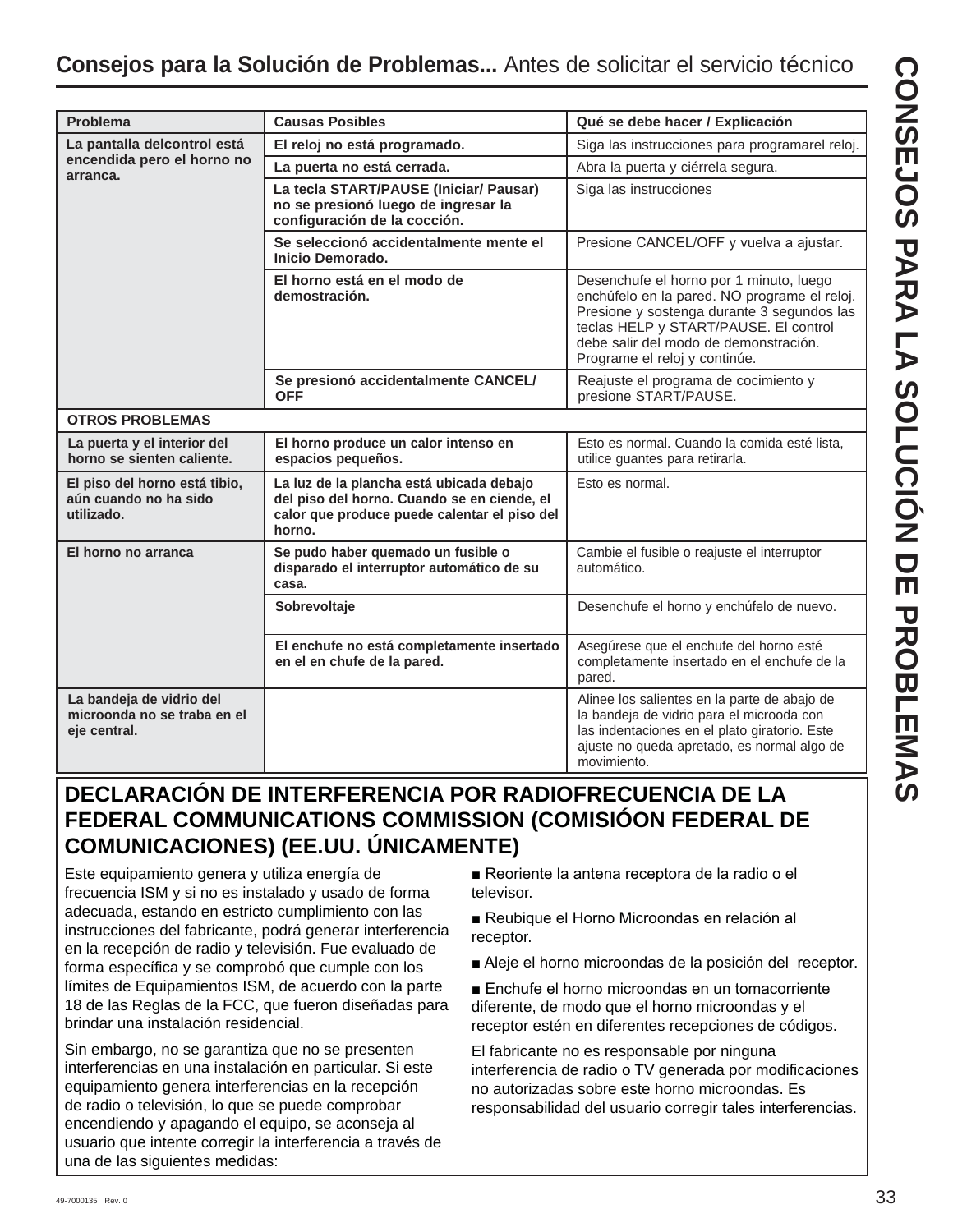| Problema                                                                | <b>Causas Posibles</b>                                                                                                                            | Qué se debe hacer / Explicación                                                                                                                                                                                                                          |  |  |  |  |
|-------------------------------------------------------------------------|---------------------------------------------------------------------------------------------------------------------------------------------------|----------------------------------------------------------------------------------------------------------------------------------------------------------------------------------------------------------------------------------------------------------|--|--|--|--|
| La pantalla delcontrol está                                             | El reloj no está programado.                                                                                                                      | Siga las instrucciones para programarel reloj.                                                                                                                                                                                                           |  |  |  |  |
| encendida pero el horno no<br>arranca.                                  | La puerta no está cerrada.                                                                                                                        | Abra la puerta y ciérrela segura.                                                                                                                                                                                                                        |  |  |  |  |
|                                                                         | La tecla START/PAUSE (Iniciar/ Pausar)<br>no se presionó luego de ingresar la<br>configuración de la cocción.                                     | Siga las instrucciones                                                                                                                                                                                                                                   |  |  |  |  |
|                                                                         | Se seleccionó accidentalmente mente el<br>Inicio Demorado.                                                                                        | Presione CANCEL/OFF y vuelva a ajustar.                                                                                                                                                                                                                  |  |  |  |  |
|                                                                         | El horno está en el modo de<br>demostración.                                                                                                      | Desenchufe el horno por 1 minuto, luego<br>enchúfelo en la pared. NO programe el reloj.<br>Presione y sostenga durante 3 segundos las<br>teclas HELP y START/PAUSE. El control<br>debe salir del modo de demonstración.<br>Programe el reloj y continúe. |  |  |  |  |
|                                                                         | Se presionó accidentalmente CANCEL/<br><b>OFF</b>                                                                                                 | Reajuste el programa de cocimiento y<br>presione START/PAUSE.                                                                                                                                                                                            |  |  |  |  |
| <b>OTROS PROBLEMAS</b>                                                  |                                                                                                                                                   |                                                                                                                                                                                                                                                          |  |  |  |  |
| La puerta y el interior del<br>horno se sienten caliente.               | El horno produce un calor intenso en<br>espacios pequeños.                                                                                        | Esto es normal. Cuando la comida esté lista,<br>utilice guantes para retirarla.                                                                                                                                                                          |  |  |  |  |
| El piso del horno está tibio,<br>aún cuando no ha sido<br>utilizado.    | La luz de la plancha está ubicada debajo<br>del piso del horno. Cuando se en ciende, el<br>calor que produce puede calentar el piso del<br>horno. | Esto es normal.                                                                                                                                                                                                                                          |  |  |  |  |
| El horno no arranca                                                     | Se pudo haber quemado un fusible o<br>disparado el interruptor automático de su<br>casa.                                                          | Cambie el fusible o reajuste el interruptor<br>automático.                                                                                                                                                                                               |  |  |  |  |
|                                                                         | Sobrevoltaje                                                                                                                                      | Desenchufe el horno y enchúfelo de nuevo.                                                                                                                                                                                                                |  |  |  |  |
|                                                                         | El enchufe no está completamente insertado<br>en el en chufe de la pared.                                                                         | Asegúrese que el enchufe del horno esté<br>completamente insertado en el enchufe de la<br>pared.                                                                                                                                                         |  |  |  |  |
| La bandeja de vidrio del<br>microonda no se traba en el<br>eje central. |                                                                                                                                                   | Alinee los salientes en la parte de abajo de<br>la bandeja de vidrio para el microoda con<br>las indentaciones en el plato giratorio. Este<br>ajuste no queda apretado, es normal algo de<br>movimiento.                                                 |  |  |  |  |

# **DECLARACIÓN DE INTERFERENCIA POR RADIOFRECUENCIA DE LA FEDERAL COMMUNICATIONS COMMISSION (COMISIÓON FEDERAL DE COMUNICACIONES) (EE.UU. ÚNICAMENTE)**

Este equipamiento genera y utiliza energía de frecuencia ISM y si no es instalado y usado de forma adecuada, estando en estricto cumplimiento con las instrucciones del fabricante, podrá generar interferencia en la recepción de radio y televisión. Fue evaluado de forma específica y se comprobó que cumple con los límites de Equipamientos ISM, de acuerdo con la parte 18 de las Reglas de la FCC, que fueron diseñadas para brindar una instalación residencial.

Sin embargo, no se garantiza que no se presenten interferencias en una instalación en particular. Si este equipamiento genera interferencias en la recepción de radio o televisión, lo que se puede comprobar encendiendo y apagando el equipo, se aconseja al usuario que intente corregir la interferencia a través de una de las siguientes medidas:

Reoriente la antena receptora de la radio o el televisor.

- Reubique el Horno Microondas en relación al receptor.
- Aleje el horno microondas de la posición del receptor.

Enchufe el horno microondas en un tomacorriente diferente, de modo que el horno microondas y el receptor estén en diferentes recepciones de códigos.

El fabricante no es responsable por ninguna interferencia de radio o TV generada por modificaciones no autorizadas sobre este horno microondas. Es responsabilidad del usuario corregir tales interferencias.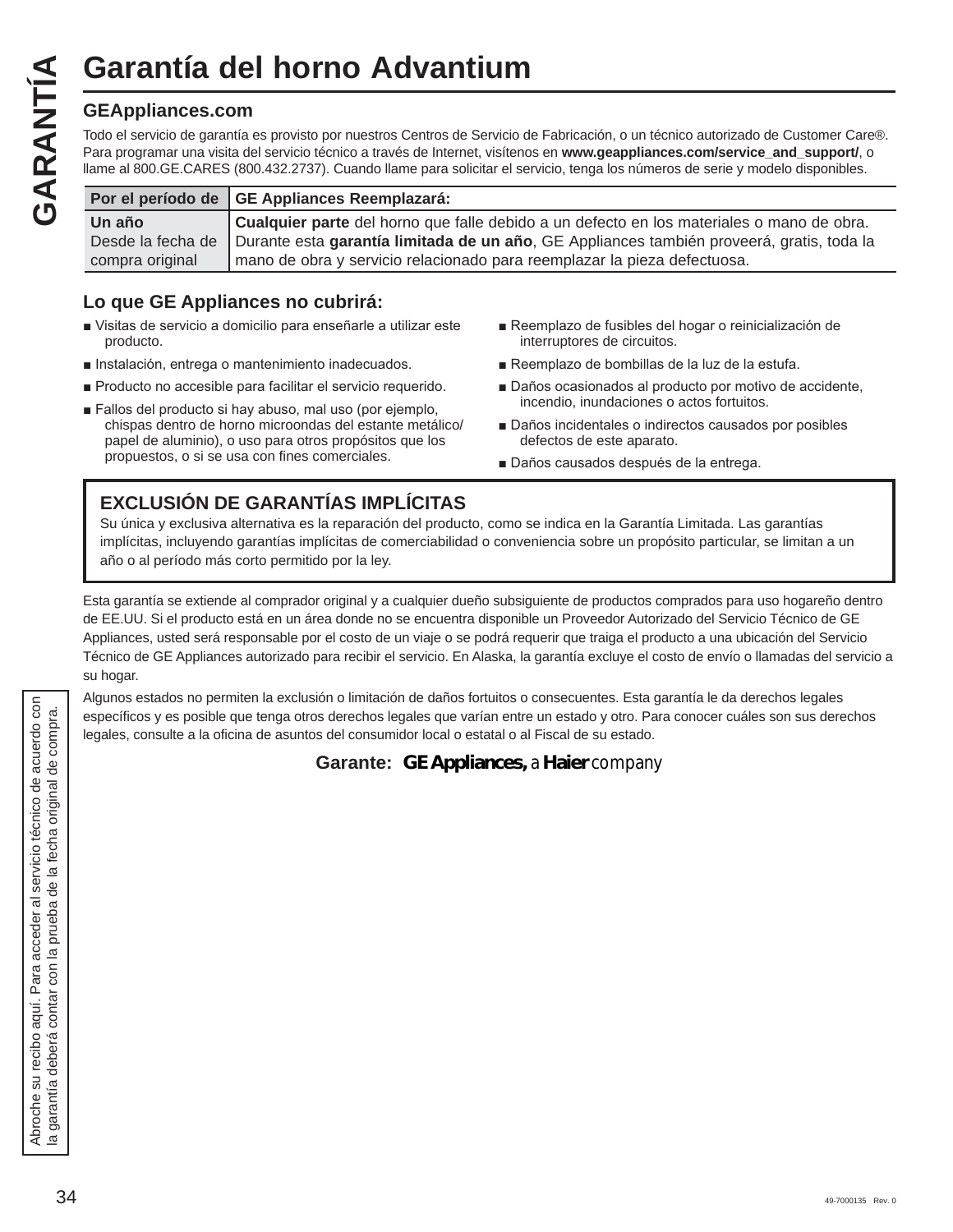# **Garantía del horno Advantium**

Garantía de<br>
GEAppliances.com<br>
Todo el servicio de garantía<br>
Para programar una visita de<br>
Iln año<br>
The año<br>
Culta año Todo el servicio de garantía es provisto por nuestros Centros de Servicio de Fabricación, o un técnico autorizado de Customer Care®. Para programar una visita del servicio técnico a través de Internet, visítenos en www.geappliances.com/service\_and\_support/, o llame al 800.GE.CARES (800.432.2737). Cuando llame para solicitar el servicio, tenga los números de serie y modelo disponibles.

|                 | Por el período de GE Appliances Reemplazará:                                                                |
|-----------------|-------------------------------------------------------------------------------------------------------------|
| Un año          | Cualquier parte del horno que falle debido a un defecto en los materiales o mano de obra.                   |
|                 | Desde la fecha de Durante esta garantía limitada de un año, GE Appliances también proveerá, gratis, toda la |
| compra original | mano de obra y servicio relacionado para reemplazar la pieza defectuosa.                                    |

# **Lo que GE Appliances no cubrirá:**

- Visitas de servicio a domicilio para enseñarle a utilizar este producto.
- Instalación, entrega o mantenimiento inadecuados.
- Producto no accesible para facilitar el servicio requerido.
- Fallos del producto si hay abuso, mal uso (por ejemplo, chispas dentro de horno microondas del estante metálico/ papel de aluminio), o uso para otros propósitos que los propuestos, o si se usa con fines comerciales.
- Reemplazo de fusibles del hogar o reinicialización de interruptores de circuitos.
- Reemplazo de bombillas de la luz de la estufa.
- Daños ocasionados al producto por motivo de accidente, incendio, inundaciones o actos fortuitos.
- Daños incidentales o indirectos causados por posibles defectos de este aparato.
- Daños causados después de la entrega.

# **EXCLUSIÓN DE GARANTÍAS IMPLÍCITAS**

Su única y exclusiva alternativa es la reparación del producto, como se indica en la Garantía Limitada. Las garantías implícitas, incluyendo garantías implícitas de comerciabilidad o conveniencia sobre un propósito particular, se limitan a un año o al período más corto permitido por la ley.

Esta garantía se extiende al comprador original y a cualquier dueño subsiguiente de productos comprados para uso hogareño dentro de EE.UU. Si el producto está en un área donde no se encuentra disponible un Proveedor Autorizado del Servicio Técnico de GE Appliances, usted será responsable por el costo de un viaje o se podrá requerir que traiga el producto a una ubicación del Servicio Técnico de GE Appliances autorizado para recibir el servicio. En Alaska, la garantía excluye el costo de envío o llamadas del servicio a su hogar.

Algunos estados no permiten la exclusión o limitación de daños fortuitos o consecuentes. Esta garantía le da derechos legales específicos y es posible que tenga otros derechos legales que varían entre un estado y otro. Para conocer cuáles son sus derechos legales, consulte a la oficina de asuntos del consumidor local o estatal o al Fiscal de su estado.

## **Garante: GE Appliances,** *a* **Haier** *company*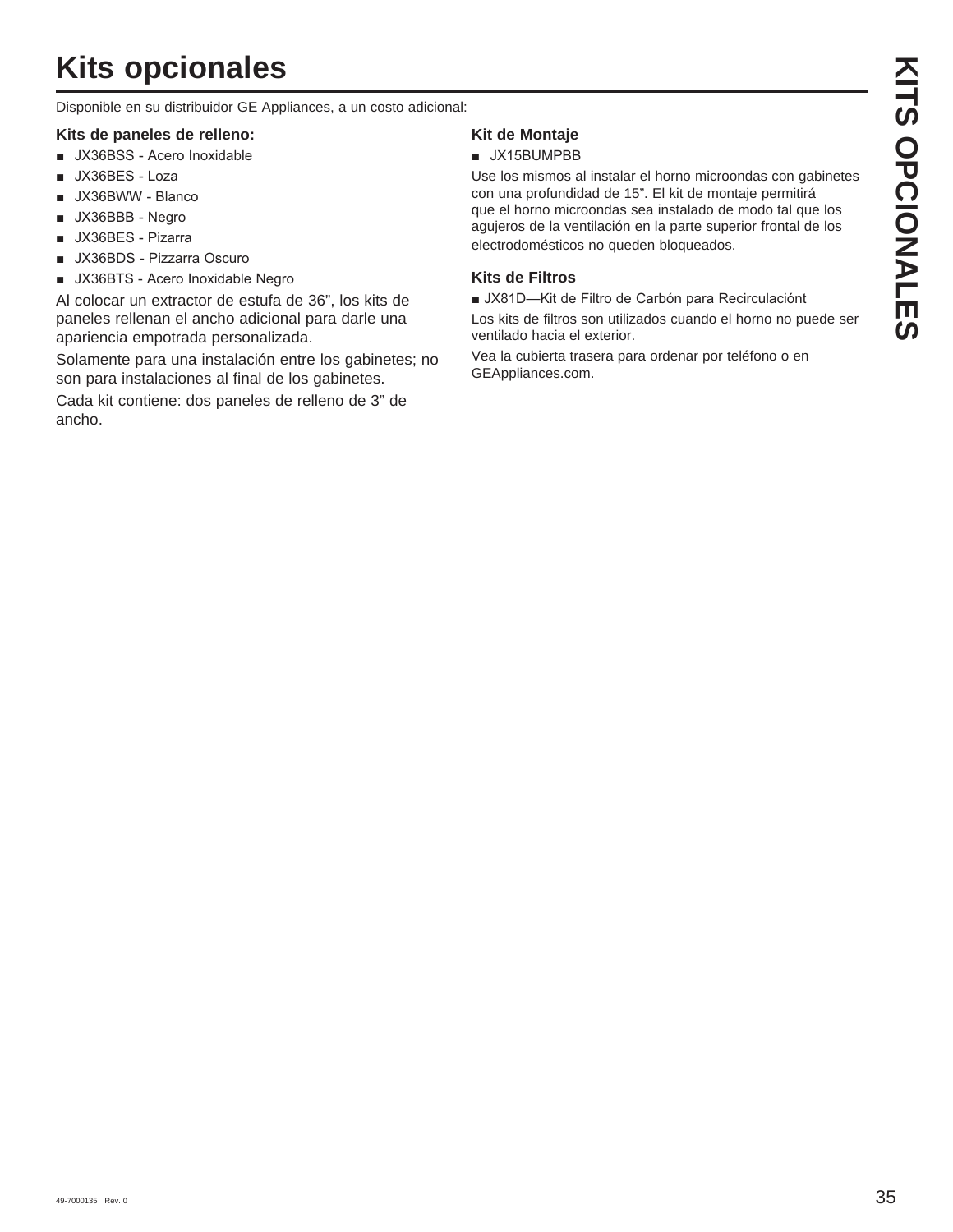# **Kits opcionales**

Disponible en su distribuidor GE Appliances, a un costo adicional:

### **Kits de paneles de relleno:**

- **JX36BSS** Acero Inoxidable
- $\blacksquare$  JX36BES Loza
- **JX36BWW Blanco**
- $\blacksquare$  JX36BBB Negro
- **JX36BES** Pizarra
- UX36BDS Pizzarra Oscuro
- JX36BTS Acero Inoxidable Negro

Al colocar un extractor de estufa de 36", los kits de paneles rellenan el ancho adicional para darle una apariencia empotrada personalizada.

Solamente para una instalación entre los gabinetes; no son para instalaciones al final de los gabinetes.

Cada kit contiene: dos paneles de relleno de 3" de ancho.

## **Kit de Montaje**

## $\blacksquare$  JX15BUMPBB

Use los mismos al instalar el horno microondas con gabinetes con una profundidad de 15". El kit de montaje permitirá que el horno microondas sea instalado de modo tal que los agujeros de la ventilación en la parte superior frontal de los electrodomésticos no queden bloqueados.

## **Kits de Filtros**

JX81D-Kit de Filtro de Carbón para Recirculaciónt

Los kits de filtros son utilizados cuando el horno no puede ser ventilado hacia el exterior.

Vea la cubierta trasera para ordenar por teléfono o en GEAppliances.com.